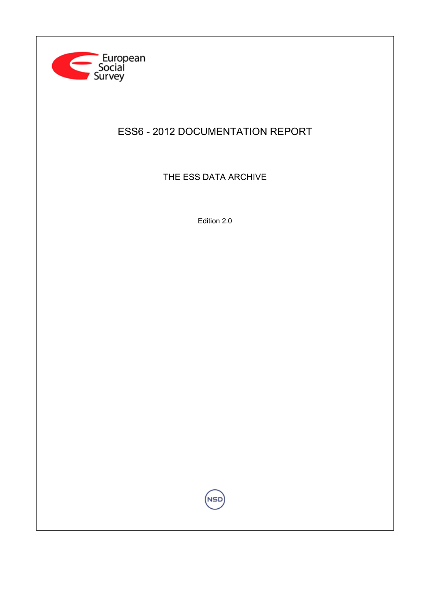

# ESS6 - 2012 DOCUMENTATION REPORT

THE ESS DATA ARCHIVE

Edition 2.0

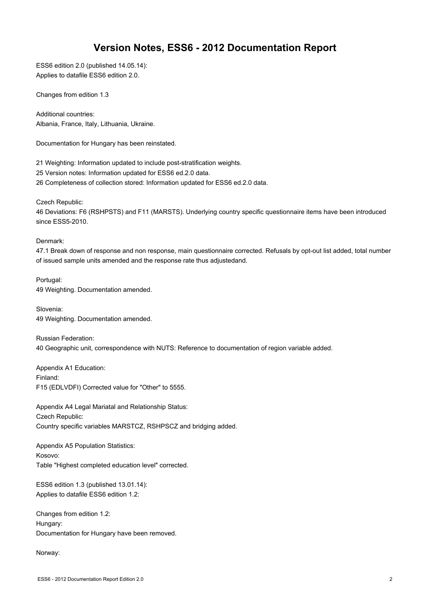# **Version Notes, ESS6 - 2012 Documentation Report**

ESS6 edition 2.0 (published 14.05.14): Applies to datafile ESS6 edition 2.0.

Changes from edition 1.3

Additional countries: Albania, France, Italy, Lithuania, Ukraine.

Documentation for Hungary has been reinstated.

21 Weighting: Information updated to include post-stratification weights. 25 Version notes: Information updated for ESS6 ed.2.0 data. 26 Completeness of collection stored: Information updated for ESS6 ed.2.0 data.

Czech Republic:

46 Deviations: F6 (RSHPSTS) and F11 (MARSTS). Underlying country specific questionnaire items have been introduced since ESS5-2010.

Denmark:

47.1 Break down of response and non response, main questionnaire corrected. Refusals by opt-out list added, total number of issued sample units amended and the response rate thus adjustedand.

Portugal: 49 Weighting. Documentation amended.

Slovenia: 49 Weighting. Documentation amended.

Russian Federation: 40 Geographic unit, correspondence with NUTS: Reference to documentation of region variable added.

Appendix A1 Education: Finland: F15 (EDLVDFI) Corrected value for "Other" to 5555.

Appendix A4 Legal Mariatal and Relationship Status: Czech Republic: Country specific variables MARSTCZ, RSHPSCZ and bridging added.

Appendix A5 Population Statistics: Kosovo: Table "Highest completed education level" corrected.

ESS6 edition 1.3 (published 13.01.14): Applies to datafile ESS6 edition 1.2:

Changes from edition 1.2: Hungary: Documentation for Hungary have been removed.

Norway: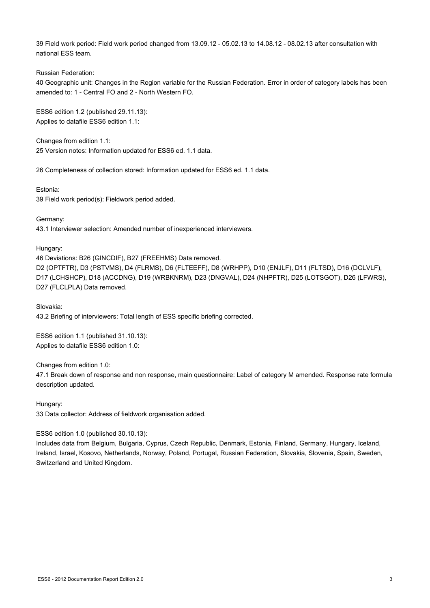39 Field work period: Field work period changed from 13.09.12 - 05.02.13 to 14.08.12 - 08.02.13 after consultation with national ESS team.

Russian Federation:

40 Geographic unit: Changes in the Region variable for the Russian Federation. Error in order of category labels has been amended to: 1 - Central FO and 2 - North Western FO.

ESS6 edition 1.2 (published 29.11.13): Applies to datafile ESS6 edition 1.1:

Changes from edition 1.1: 25 Version notes: Information updated for ESS6 ed. 1.1 data.

26 Completeness of collection stored: Information updated for ESS6 ed. 1.1 data.

Estonia: 39 Field work period(s): Fieldwork period added.

Germany: 43.1 Interviewer selection: Amended number of inexperienced interviewers.

Hungary:

46 Deviations: B26 (GINCDIF), B27 (FREEHMS) Data removed. D2 (OPTFTR), D3 (PSTVMS), D4 (FLRMS), D6 (FLTEEFF), D8 (WRHPP), D10 (ENJLF), D11 (FLTSD), D16 (DCLVLF), D17 (LCHSHCP), D18 (ACCDNG), D19 (WRBKNRM), D23 (DNGVAL), D24 (NHPFTR), D25 (LOTSGOT), D26 (LFWRS), D27 (FLCLPLA) Data removed.

Slovakia: 43.2 Briefing of interviewers: Total length of ESS specific briefing corrected.

ESS6 edition 1.1 (published 31.10.13): Applies to datafile ESS6 edition 1.0:

Changes from edition 1.0:

47.1 Break down of response and non response, main questionnaire: Label of category M amended. Response rate formula description updated.

Hungary:

33 Data collector: Address of fieldwork organisation added.

# ESS6 edition 1.0 (published 30.10.13):

Includes data from Belgium, Bulgaria, Cyprus, Czech Republic, Denmark, Estonia, Finland, Germany, Hungary, Iceland, Ireland, Israel, Kosovo, Netherlands, Norway, Poland, Portugal, Russian Federation, Slovakia, Slovenia, Spain, Sweden, Switzerland and United Kingdom.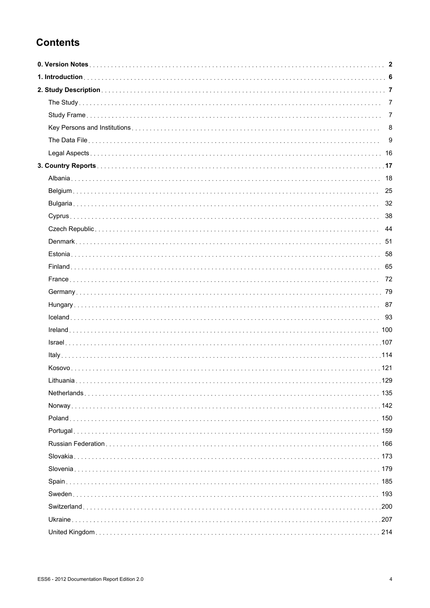# **Contents**

|     | $\overline{7}$ |
|-----|----------------|
|     | $\overline{7}$ |
|     |                |
|     |                |
|     |                |
|     |                |
|     |                |
|     |                |
|     |                |
|     |                |
|     |                |
|     |                |
|     |                |
|     |                |
|     |                |
|     |                |
|     |                |
|     |                |
|     |                |
|     |                |
|     |                |
|     |                |
|     |                |
|     |                |
|     |                |
|     |                |
|     |                |
|     |                |
|     |                |
|     |                |
|     |                |
|     |                |
|     |                |
| 207 |                |
|     |                |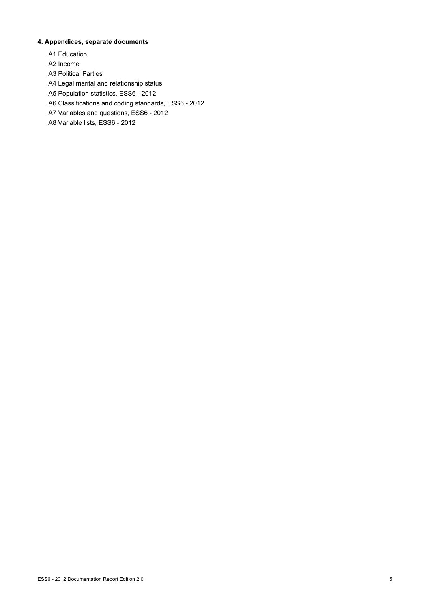# **4. Appendices, separate documents**

- A1 Education
- A2 Income
- A3 Political Parties
- A4 Legal marital and relationship status
- A5 Population statistics, ESS6 2012
- A6 Classifications and coding standards, ESS6 2012
- A7 Variables and questions, ESS6 2012
- A8 Variable lists, ESS6 2012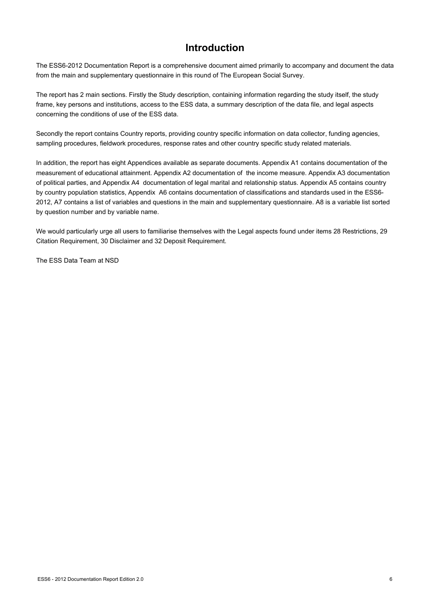# **Introduction**

The ESS6-2012 Documentation Report is a comprehensive document aimed primarily to accompany and document the data from the main and supplementary questionnaire in this round of The European Social Survey.

The report has 2 main sections. Firstly the Study description, containing information regarding the study itself, the study frame, key persons and institutions, access to the ESS data, a summary description of the data file, and legal aspects concerning the conditions of use of the ESS data.

Secondly the report contains Country reports, providing country specific information on data collector, funding agencies, sampling procedures, fieldwork procedures, response rates and other country specific study related materials.

In addition, the report has eight Appendices available as separate documents. Appendix A1 contains documentation of the measurement of educational attainment. Appendix A2 documentation of the income measure. Appendix A3 documentation of political parties, and Appendix A4 documentation of legal marital and relationship status. Appendix A5 contains country by country population statistics, Appendix A6 contains documentation of classifications and standards used in the ESS6- 2012, A7 contains a list of variables and questions in the main and supplementary questionnaire. A8 is a variable list sorted by question number and by variable name.

We would particularly urge all users to familiarise themselves with the Legal aspects found under items 28 Restrictions, 29 Citation Requirement, 30 Disclaimer and 32 Deposit Requirement.

The ESS Data Team at NSD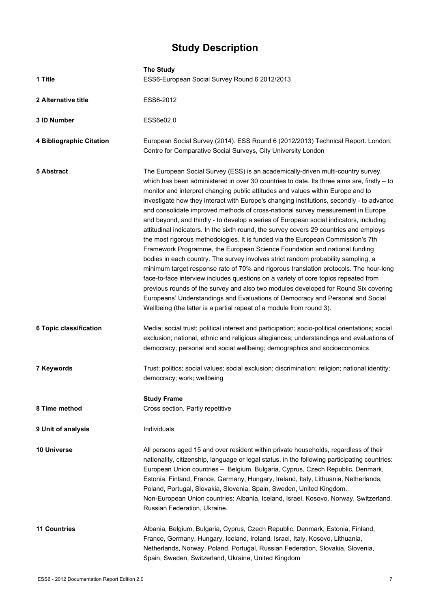# **Study Description**

|                          | <b>The Study</b>                                                                                                                                                                                                                                                                                                                                                                                                                                                                                                                                                                                                                                                                                                                                                                                                                                                                                                                                                                                                                                                                                                                                                                                                                                                                                                             |
|--------------------------|------------------------------------------------------------------------------------------------------------------------------------------------------------------------------------------------------------------------------------------------------------------------------------------------------------------------------------------------------------------------------------------------------------------------------------------------------------------------------------------------------------------------------------------------------------------------------------------------------------------------------------------------------------------------------------------------------------------------------------------------------------------------------------------------------------------------------------------------------------------------------------------------------------------------------------------------------------------------------------------------------------------------------------------------------------------------------------------------------------------------------------------------------------------------------------------------------------------------------------------------------------------------------------------------------------------------------|
| 1 Title                  | ESS6-European Social Survey Round 6 2012/2013                                                                                                                                                                                                                                                                                                                                                                                                                                                                                                                                                                                                                                                                                                                                                                                                                                                                                                                                                                                                                                                                                                                                                                                                                                                                                |
| 2 Alternative title      | ESS6-2012                                                                                                                                                                                                                                                                                                                                                                                                                                                                                                                                                                                                                                                                                                                                                                                                                                                                                                                                                                                                                                                                                                                                                                                                                                                                                                                    |
| 3 ID Number              | ESS6e02.0                                                                                                                                                                                                                                                                                                                                                                                                                                                                                                                                                                                                                                                                                                                                                                                                                                                                                                                                                                                                                                                                                                                                                                                                                                                                                                                    |
| 4 Bibliographic Citation | European Social Survey (2014). ESS Round 6 (2012/2013) Technical Report. London:<br>Centre for Comparative Social Surveys, City University London                                                                                                                                                                                                                                                                                                                                                                                                                                                                                                                                                                                                                                                                                                                                                                                                                                                                                                                                                                                                                                                                                                                                                                            |
| 5 Abstract               | The European Social Survey (ESS) is an academically-driven multi-country survey,<br>which has been administered in over 30 countries to date. Its three aims are, firstly $-$ to<br>monitor and interpret changing public attitudes and values within Europe and to<br>investigate how they interact with Europe's changing institutions, secondly - to advance<br>and consolidate improved methods of cross-national survey measurement in Europe<br>and beyond, and thirdly - to develop a series of European social indicators, including<br>attitudinal indicators. In the sixth round, the survey covers 29 countries and employs<br>the most rigorous methodologies. It is funded via the European Commission's 7th<br>Framework Programme, the European Science Foundation and national funding<br>bodies in each country. The survey involves strict random probability sampling, a<br>minimum target response rate of 70% and rigorous translation protocols. The hour-long<br>face-to-face interview includes questions on a variety of core topics repeated from<br>previous rounds of the survey and also two modules developed for Round Six covering<br>Europeans' Understandings and Evaluations of Democracy and Personal and Social<br>Wellbeing (the latter is a partial repeat of a module from round 3). |
| 6 Topic classification   | Media; social trust; political interest and participation; socio-political orientations; social<br>exclusion; national, ethnic and religious allegiances; understandings and evaluations of<br>democracy; personal and social wellbeing; demographics and socioeconomics                                                                                                                                                                                                                                                                                                                                                                                                                                                                                                                                                                                                                                                                                                                                                                                                                                                                                                                                                                                                                                                     |
| 7 Keywords               | Trust; politics; social values; social exclusion; discrimination; religion; national identity;<br>democracy; work; wellbeing                                                                                                                                                                                                                                                                                                                                                                                                                                                                                                                                                                                                                                                                                                                                                                                                                                                                                                                                                                                                                                                                                                                                                                                                 |
| 8 Time method            | <b>Study Frame</b><br>Cross section. Partly repetitive                                                                                                                                                                                                                                                                                                                                                                                                                                                                                                                                                                                                                                                                                                                                                                                                                                                                                                                                                                                                                                                                                                                                                                                                                                                                       |
|                          |                                                                                                                                                                                                                                                                                                                                                                                                                                                                                                                                                                                                                                                                                                                                                                                                                                                                                                                                                                                                                                                                                                                                                                                                                                                                                                                              |
| 9 Unit of analysis       | Individuals                                                                                                                                                                                                                                                                                                                                                                                                                                                                                                                                                                                                                                                                                                                                                                                                                                                                                                                                                                                                                                                                                                                                                                                                                                                                                                                  |
| <b>10 Universe</b>       | All persons aged 15 and over resident within private households, regardless of their<br>nationality, citizenship, language or legal status, in the following participating countries:<br>European Union countries - Belgium, Bulgaria, Cyprus, Czech Republic, Denmark,<br>Estonia, Finland, France, Germany, Hungary, Ireland, Italy, Lithuania, Netherlands,<br>Poland, Portugal, Slovakia, Slovenia, Spain, Sweden, United Kingdom.<br>Non-European Union countries: Albania, Iceland, Israel, Kosovo, Norway, Switzerland,<br>Russian Federation, Ukraine.                                                                                                                                                                                                                                                                                                                                                                                                                                                                                                                                                                                                                                                                                                                                                               |
| <b>11 Countries</b>      | Albania, Belgium, Bulgaria, Cyprus, Czech Republic, Denmark, Estonia, Finland,<br>France, Germany, Hungary, Iceland, Ireland, Israel, Italy, Kosovo, Lithuania,<br>Netherlands, Norway, Poland, Portugal, Russian Federation, Slovakia, Slovenia,<br>Spain, Sweden, Switzerland, Ukraine, United Kingdom                                                                                                                                                                                                                                                                                                                                                                                                                                                                                                                                                                                                                                                                                                                                                                                                                                                                                                                                                                                                                     |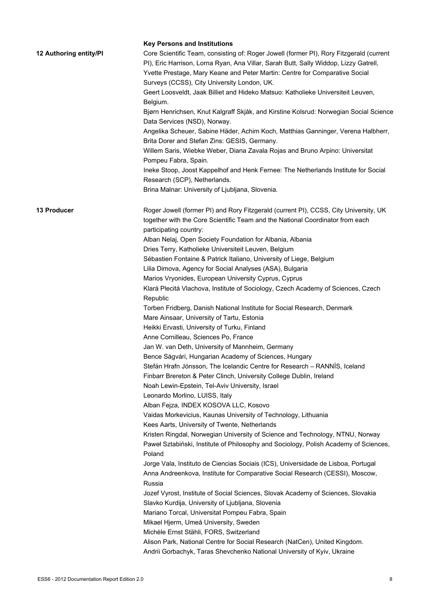| 12 Authoring entity/PI | <b>Key Persons and Institutions</b><br>Core Scientific Team, consisting of: Roger Jowell (former PI), Rory Fitzgerald (current<br>PI), Eric Harrison, Lorna Ryan, Ana Villar, Sarah Butt, Sally Widdop, Lizzy Gatrell,<br>Yvette Prestage, Mary Keane and Peter Martin: Centre for Comparative Social<br>Surveys (CCSS), City University London, UK.<br>Geert Loosveldt, Jaak Billiet and Hideko Matsuo: Katholieke Universiteit Leuven,<br>Belgium.<br>Bjørn Henrichsen, Knut Kalgraff Skjåk, and Kirstine Kolsrud: Norwegian Social Science<br>Data Services (NSD), Norway.<br>Angelika Scheuer, Sabine Häder, Achim Koch, Matthias Ganninger, Verena Halbherr,<br>Brita Dorer and Stefan Zins: GESIS, Germany.<br>Willem Saris, Wiebke Weber, Diana Zavala Rojas and Bruno Arpino: Universitat                                                                                                                                                                                                                                                                                                                                                                                                                                                                                                                                                                                                                                                                                                                                                                                                                                                                                                                                                                                                                                                                                                                                                         |
|------------------------|-----------------------------------------------------------------------------------------------------------------------------------------------------------------------------------------------------------------------------------------------------------------------------------------------------------------------------------------------------------------------------------------------------------------------------------------------------------------------------------------------------------------------------------------------------------------------------------------------------------------------------------------------------------------------------------------------------------------------------------------------------------------------------------------------------------------------------------------------------------------------------------------------------------------------------------------------------------------------------------------------------------------------------------------------------------------------------------------------------------------------------------------------------------------------------------------------------------------------------------------------------------------------------------------------------------------------------------------------------------------------------------------------------------------------------------------------------------------------------------------------------------------------------------------------------------------------------------------------------------------------------------------------------------------------------------------------------------------------------------------------------------------------------------------------------------------------------------------------------------------------------------------------------------------------------------------------------------|
|                        | Pompeu Fabra, Spain.<br>Ineke Stoop, Joost Kappelhof and Henk Fernee: The Netherlands Institute for Social<br>Research (SCP), Netherlands.<br>Brina Malnar: University of Ljubljana, Slovenia.                                                                                                                                                                                                                                                                                                                                                                                                                                                                                                                                                                                                                                                                                                                                                                                                                                                                                                                                                                                                                                                                                                                                                                                                                                                                                                                                                                                                                                                                                                                                                                                                                                                                                                                                                            |
| <b>13 Producer</b>     | Roger Jowell (former PI) and Rory Fitzgerald (current PI), CCSS, City University, UK<br>together with the Core Scientific Team and the National Coordinator from each<br>participating country:<br>Alban Nelaj, Open Society Foundation for Albania, Albania<br>Dries Terry, Katholieke Universiteit Leuven, Belgium<br>Sébastien Fontaine & Patrick Italiano, University of Liege, Belgium<br>Lilia Dimova, Agency for Social Analyses (ASA), Bulgaria<br>Marios Vryonides, European University Cyprus, Cyprus<br>Klará Plecitá Vlachova, Institute of Sociology, Czech Academy of Sciences, Czech<br>Republic<br>Torben Fridberg, Danish National Institute for Social Research, Denmark<br>Mare Ainsaar, University of Tartu, Estonia<br>Heikki Ervasti, University of Turku, Finland<br>Anne Cornilleau, Sciences Po, France<br>Jan W. van Deth, University of Mannheim, Germany<br>Bence Ságvári, Hungarian Academy of Sciences, Hungary<br>Stefán Hrafn Jónsson, The Icelandic Centre for Research - RANNÍS, Iceland<br>Finbarr Brereton & Peter Clinch, University College Dublin, Ireland<br>Noah Lewin-Epstein, Tel-Aviv University, Israel<br>Leonardo Morlino, LUISS, Italy<br>Alban Fejza, INDEX KOSOVA LLC, Kosovo<br>Vaidas Morkevicius, Kaunas University of Technology, Lithuania<br>Kees Aarts, University of Twente, Netherlands<br>Kristen Ringdal, Norwegian University of Science and Technology, NTNU, Norway<br>Paweł Sztabiński, Institute of Philosophy and Sociology, Polish Academy of Sciences,<br>Poland<br>Jorge Vala, Instituto de Ciencias Sociais (ICS), Universidade de Lisboa, Portugal<br>Anna Andreenkova, Institute for Comparative Social Research (CESSI), Moscow,<br>Russia<br>Jozef Vyrost, Institute of Social Sciences, Slovak Academy of Sciences, Slovakia<br>Slavko Kurdija, University of Ljubljana, Slovenia<br>Mariano Torcal, Universitat Pompeu Fabra, Spain<br>Mikael Hjerm, Umeå University, Sweden |
|                        | Michèle Ernst Stähli, FORS, Switzerland<br>Alison Park, National Centre for Social Research (NatCen), United Kingdom.<br>Andrii Gorbachyk, Taras Shevchenko National University of Kyiv, Ukraine                                                                                                                                                                                                                                                                                                                                                                                                                                                                                                                                                                                                                                                                                                                                                                                                                                                                                                                                                                                                                                                                                                                                                                                                                                                                                                                                                                                                                                                                                                                                                                                                                                                                                                                                                          |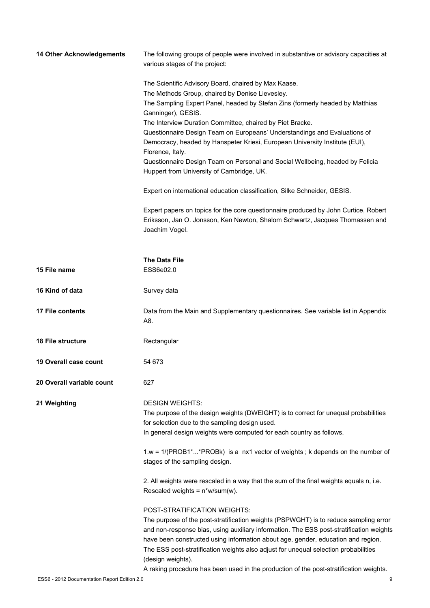| 14 Other Acknowledgements | The following groups of people were involved in substantive or advisory capacities at<br>various stages of the project: |
|---------------------------|-------------------------------------------------------------------------------------------------------------------------|
|                           | The Scientific Advisory Board, chaired by Max Kaase.                                                                    |
|                           | The Methods Group, chaired by Denise Lievesley.                                                                         |
|                           | The Sampling Expert Panel, headed by Stefan Zins (formerly headed by Matthias                                           |
|                           | Ganninger), GESIS.                                                                                                      |
|                           | The Interview Duration Committee, chaired by Piet Bracke.                                                               |
|                           | Questionnaire Design Team on Europeans' Understandings and Evaluations of                                               |
|                           | Democracy, headed by Hanspeter Kriesi, European University Institute (EUI),                                             |
|                           | Florence, Italy.                                                                                                        |
|                           | Questionnaire Design Team on Personal and Social Wellbeing, headed by Felicia                                           |
|                           | Huppert from University of Cambridge, UK.                                                                               |
|                           | Expert on international education classification, Silke Schneider, GESIS.                                               |
|                           | Expert papers on topics for the core questionnaire produced by John Curtice, Robert                                     |
|                           | Eriksson, Jan O. Jonsson, Ken Newton, Shalom Schwartz, Jacques Thomassen and<br>Joachim Vogel.                          |
|                           |                                                                                                                         |
|                           | <b>The Data File</b>                                                                                                    |
| 15 File name              | ESS6e02.0                                                                                                               |
| 16 Kind of data           | Survey data                                                                                                             |
| <b>17 File contents</b>   | Data from the Main and Supplementary questionnaires. See variable list in Appendix                                      |
|                           | A8.                                                                                                                     |
| <b>18 File structure</b>  | Rectangular                                                                                                             |
| 19 Overall case count     | 54 673                                                                                                                  |
| 20 Overall variable count | 627                                                                                                                     |
| 21 Weighting              | <b>DESIGN WEIGHTS:</b>                                                                                                  |
|                           | The purpose of the design weights (DWEIGHT) is to correct for unequal probabilities                                     |
|                           | for selection due to the sampling design used.                                                                          |
|                           | In general design weights were computed for each country as follows.                                                    |
|                           | $1.w = 1/(PROB1**PROBk)$ is a nx1 vector of weights; k depends on the number of                                         |
|                           | stages of the sampling design.                                                                                          |
|                           | 2. All weights were rescaled in a way that the sum of the final weights equals n, i.e.                                  |
|                           | Rescaled weights = $n*w/sum(w)$ .                                                                                       |
|                           | POST-STRATIFICATION WEIGHTS:                                                                                            |
|                           | The purpose of the post-stratification weights (PSPWGHT) is to reduce sampling error                                    |
|                           | and non-response bias, using auxiliary information. The ESS post-stratification weights                                 |
|                           | have been constructed using information about age, gender, education and region.                                        |
|                           | The ESS post-stratification weights also adjust for unequal selection probabilities                                     |
|                           | (design weights).                                                                                                       |
|                           | A raking procedure has been used in the production of the post-stratification weights.                                  |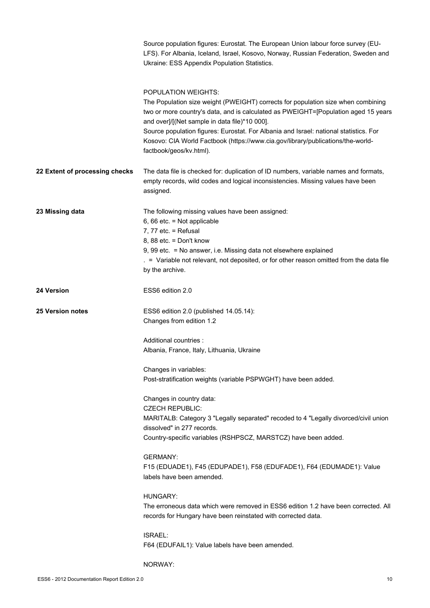|                                | Source population figures: Eurostat. The European Union labour force survey (EU-<br>LFS). For Albania, Iceland, Israel, Kosovo, Norway, Russian Federation, Sweden and<br>Ukraine: ESS Appendix Population Statistics.                                                                                                                                                                                                                                |
|--------------------------------|-------------------------------------------------------------------------------------------------------------------------------------------------------------------------------------------------------------------------------------------------------------------------------------------------------------------------------------------------------------------------------------------------------------------------------------------------------|
|                                | POPULATION WEIGHTS:<br>The Population size weight (PWEIGHT) corrects for population size when combining<br>two or more country's data, and is calculated as PWEIGHT=[Population aged 15 years<br>and over]/[(Net sample in data file)*10 000].<br>Source population figures: Eurostat. For Albania and Israel: national statistics. For<br>Kosovo: CIA World Factbook (https://www.cia.gov/library/publications/the-world-<br>factbook/geos/kv.html). |
| 22 Extent of processing checks | The data file is checked for: duplication of ID numbers, variable names and formats,<br>empty records, wild codes and logical inconsistencies. Missing values have been<br>assigned.                                                                                                                                                                                                                                                                  |
| 23 Missing data                | The following missing values have been assigned:<br>6, 66 etc. = Not applicable<br>7, 77 etc. $=$ Refusal<br>8, 88 etc. = Don't know<br>9, 99 etc. = No answer, i.e. Missing data not elsewhere explained<br>. = Variable not relevant, not deposited, or for other reason omitted from the data file<br>by the archive.                                                                                                                              |
| <b>24 Version</b>              | ESS6 edition 2.0                                                                                                                                                                                                                                                                                                                                                                                                                                      |
| <b>25 Version notes</b>        | ESS6 edition 2.0 (published 14.05.14):<br>Changes from edition 1.2                                                                                                                                                                                                                                                                                                                                                                                    |
|                                | Additional countries :<br>Albania, France, Italy, Lithuania, Ukraine                                                                                                                                                                                                                                                                                                                                                                                  |
|                                | Changes in variables:<br>Post-stratification weights (variable PSPWGHT) have been added.                                                                                                                                                                                                                                                                                                                                                              |
|                                | Changes in country data:<br><b>CZECH REPUBLIC:</b><br>MARITALB: Category 3 "Legally separated" recoded to 4 "Legally divorced/civil union<br>dissolved" in 277 records.<br>Country-specific variables (RSHPSCZ, MARSTCZ) have been added.                                                                                                                                                                                                             |
|                                | <b>GERMANY:</b><br>F15 (EDUADE1), F45 (EDUPADE1), F58 (EDUFADE1), F64 (EDUMADE1): Value<br>labels have been amended.                                                                                                                                                                                                                                                                                                                                  |
|                                | HUNGARY:<br>The erroneous data which were removed in ESS6 edition 1.2 have been corrected. All<br>records for Hungary have been reinstated with corrected data.                                                                                                                                                                                                                                                                                       |
|                                | ISRAEL:<br>F64 (EDUFAIL1): Value labels have been amended.                                                                                                                                                                                                                                                                                                                                                                                            |
|                                | NORWAY:                                                                                                                                                                                                                                                                                                                                                                                                                                               |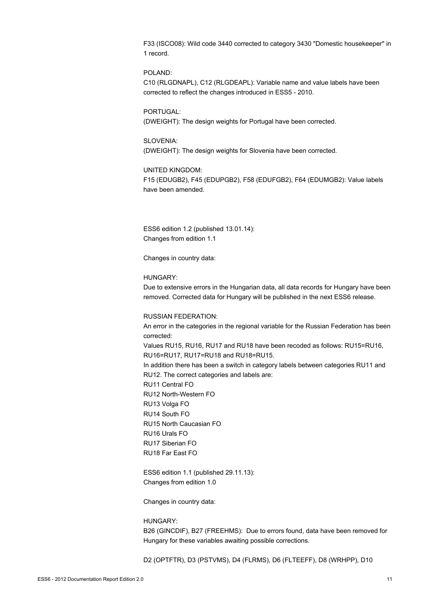F33 (ISCO08): Wild code 3440 corrected to category 3430 "Domestic housekeeper" in 1 record.

#### POLAND:

C10 (RLGDNAPL), C12 (RLGDEAPL): Variable name and value labels have been corrected to reflect the changes introduced in ESS5 - 2010.

PORTUGAL: (DWEIGHT): The design weights for Portugal have been corrected.

# SLOVENIA:

(DWEIGHT): The design weights for Slovenia have been corrected.

#### UNITED KINGDOM:

F15 (EDUGB2), F45 (EDUPGB2), F58 (EDUFGB2), F64 (EDUMGB2): Value labels have been amended.

ESS6 edition 1.2 (published 13.01.14): Changes from edition 1.1

Changes in country data:

#### HUNGARY:

Due to extensive errors in the Hungarian data, all data records for Hungary have been removed. Corrected data for Hungary will be published in the next ESS6 release.

#### RUSSIAN FEDERATION:

An error in the categories in the regional variable for the Russian Federation has been corrected: Values RU15, RU16, RU17 and RU18 have been recoded as follows: RU15=RU16, RU16=RU17, RU17=RU18 and RU18=RU15. In addition there has been a switch in category labels between categories RU11 and RU12. The correct categories and labels are: RU11 Central FO RU12 North-Western FO RU13 Volga FO RU14 South FO RU15 North Caucasian FO RU16 Urals FO RU17 Siberian FO RU18 Far East FO

ESS6 edition 1.1 (published 29.11.13): Changes from edition 1.0

Changes in country data:

# HUNGARY:

B26 (GINCDIF), B27 (FREEHMS): Due to errors found, data have been removed for Hungary for these variables awaiting possible corrections.

D2 (OPTFTR), D3 (PSTVMS), D4 (FLRMS), D6 (FLTEEFF), D8 (WRHPP), D10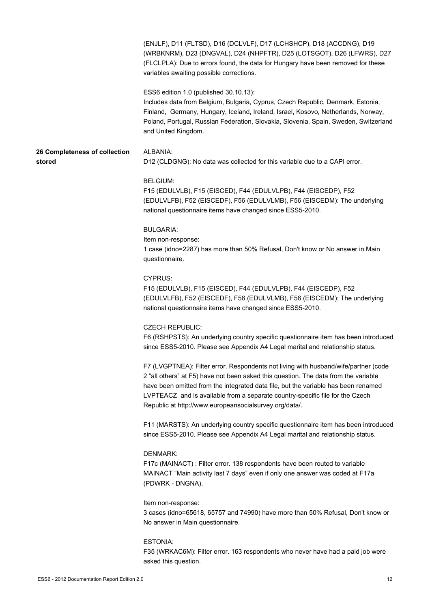|                                         | (ENJLF), D11 (FLTSD), D16 (DCLVLF), D17 (LCHSHCP), D18 (ACCDNG), D19<br>(WRBKNRM), D23 (DNGVAL), D24 (NHPFTR), D25 (LOTSGOT), D26 (LFWRS), D27<br>(FLCLPLA): Due to errors found, the data for Hungary have been removed for these<br>variables awaiting possible corrections.                                                                                                                              |
|-----------------------------------------|-------------------------------------------------------------------------------------------------------------------------------------------------------------------------------------------------------------------------------------------------------------------------------------------------------------------------------------------------------------------------------------------------------------|
|                                         | ESS6 edition 1.0 (published 30.10.13):<br>Includes data from Belgium, Bulgaria, Cyprus, Czech Republic, Denmark, Estonia,<br>Finland, Germany, Hungary, Iceland, Ireland, Israel, Kosovo, Netherlands, Norway,<br>Poland, Portugal, Russian Federation, Slovakia, Slovenia, Spain, Sweden, Switzerland<br>and United Kingdom.                                                                               |
| 26 Completeness of collection<br>stored | ALBANIA:<br>D12 (CLDGNG): No data was collected for this variable due to a CAPI error.                                                                                                                                                                                                                                                                                                                      |
|                                         | <b>BELGIUM:</b><br>F15 (EDULVLB), F15 (EISCED), F44 (EDULVLPB), F44 (EISCEDP), F52<br>(EDULVLFB), F52 (EISCEDF), F56 (EDULVLMB), F56 (EISCEDM): The underlying<br>national questionnaire items have changed since ESS5-2010.                                                                                                                                                                                |
|                                         | <b>BULGARIA:</b><br>Item non-response:<br>1 case (idno=2287) has more than 50% Refusal, Don't know or No answer in Main<br>questionnaire.                                                                                                                                                                                                                                                                   |
|                                         | <b>CYPRUS:</b><br>F15 (EDULVLB), F15 (EISCED), F44 (EDULVLPB), F44 (EISCEDP), F52<br>(EDULVLFB), F52 (EISCEDF), F56 (EDULVLMB), F56 (EISCEDM): The underlying<br>national questionnaire items have changed since ESS5-2010.                                                                                                                                                                                 |
|                                         | <b>CZECH REPUBLIC:</b><br>F6 (RSHPSTS): An underlying country specific questionnaire item has been introduced<br>since ESS5-2010. Please see Appendix A4 Legal marital and relationship status.                                                                                                                                                                                                             |
|                                         | F7 (LVGPTNEA): Filter error. Respondents not living with husband/wife/partner (code<br>2 "all others" at F5) have not been asked this question. The data from the variable<br>have been omitted from the integrated data file, but the variable has been renamed<br>LVPTEACZ and is available from a separate country-specific file for the Czech<br>Republic at http://www.europeansocialsurvey.org/data/. |
|                                         | F11 (MARSTS): An underlying country specific questionnaire item has been introduced<br>since ESS5-2010. Please see Appendix A4 Legal marital and relationship status.                                                                                                                                                                                                                                       |
|                                         | <b>DENMARK:</b><br>F17c (MAINACT): Filter error. 138 respondents have been routed to variable<br>MAINACT "Main activity last 7 days" even if only one answer was coded at F17a<br>(PDWRK - DNGNA).                                                                                                                                                                                                          |
|                                         | Item non-response:<br>3 cases (idno=65618, 65757 and 74990) have more than 50% Refusal, Don't know or<br>No answer in Main questionnaire.                                                                                                                                                                                                                                                                   |
|                                         | ESTONIA:<br>F35 (WRKAC6M): Filter error. 163 respondents who never have had a paid job were<br>asked this question.                                                                                                                                                                                                                                                                                         |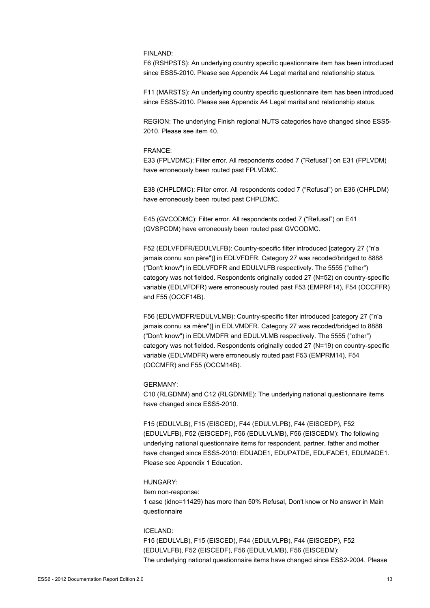### FINLAND:

F6 (RSHPSTS): An underlying country specific questionnaire item has been introduced since ESS5-2010. Please see Appendix A4 Legal marital and relationship status.

F11 (MARSTS): An underlying country specific questionnaire item has been introduced since ESS5-2010. Please see Appendix A4 Legal marital and relationship status.

REGION: The underlying Finish regional NUTS categories have changed since ESS5- 2010. Please see item 40.

#### FRANCE:

E33 (FPLVDMC): Filter error. All respondents coded 7 ("Refusal") on E31 (FPLVDM) have erroneously been routed past FPLVDMC.

E38 (CHPLDMC): Filter error. All respondents coded 7 ("Refusal") on E36 (CHPLDM) have erroneously been routed past CHPLDMC.

E45 (GVCODMC): Filter error. All respondents coded 7 ("Refusal") on E41 (GVSPCDM) have erroneously been routed past GVCODMC.

F52 (EDLVFDFR/EDULVLFB): Country-specific filter introduced [category 27 ("n'a jamais connu son père")] in EDLVFDFR. Category 27 was recoded/bridged to 8888 ("Don't know") in EDLVFDFR and EDULVLFB respectively. The 5555 ("other") category was not fielded. Respondents originally coded 27 (N=52) on country-specific variable (EDLVFDFR) were erroneously routed past F53 (EMPRF14), F54 (OCCFFR) and F55 (OCCF14B).

F56 (EDLVMDFR/EDULVLMB): Country-specific filter introduced [category 27 ("n'a jamais connu sa mère")] in EDLVMDFR. Category 27 was recoded/bridged to 8888 ("Don't know") in EDLVMDFR and EDULVLMB respectively. The 5555 ("other") category was not fielded. Respondents originally coded 27 (N=19) on country-specific variable (EDLVMDFR) were erroneously routed past F53 (EMPRM14), F54 (OCCMFR) and F55 (OCCM14B).

#### GERMANY:

C10 (RLGDNM) and C12 (RLGDNME): The underlying national questionnaire items have changed since ESS5-2010.

F15 (EDULVLB), F15 (EISCED), F44 (EDULVLPB), F44 (EISCEDP), F52 (EDULVLFB), F52 (EISCEDF), F56 (EDULVLMB), F56 (EISCEDM): The following underlying national questionnaire items for respondent, partner, father and mother have changed since ESS5-2010: EDUADE1, EDUPATDE, EDUFADE1, EDUMADE1. Please see Appendix 1 Education.

#### HUNGARY:

Item non-response: 1 case (idno=11429) has more than 50% Refusal, Don't know or No answer in Main questionnaire

## ICELAND:

F15 (EDULVLB), F15 (EISCED), F44 (EDULVLPB), F44 (EISCEDP), F52 (EDULVLFB), F52 (EISCEDF), F56 (EDULVLMB), F56 (EISCEDM): The underlying national questionnaire items have changed since ESS2-2004. Please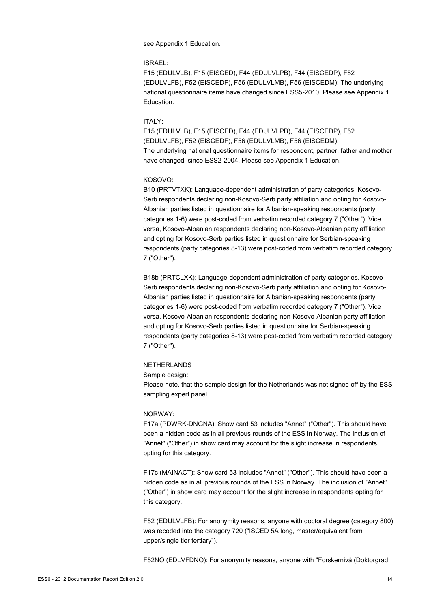see Appendix 1 Education.

#### ISRAEL:

F15 (EDULVLB), F15 (EISCED), F44 (EDULVLPB), F44 (EISCEDP), F52 (EDULVLFB), F52 (EISCEDF), F56 (EDULVLMB), F56 (EISCEDM): The underlying national questionnaire items have changed since ESS5-2010. Please see Appendix 1 Education.

#### ITALY:

F15 (EDULVLB), F15 (EISCED), F44 (EDULVLPB), F44 (EISCEDP), F52 (EDULVLFB), F52 (EISCEDF), F56 (EDULVLMB), F56 (EISCEDM): The underlying national questionnaire items for respondent, partner, father and mother have changed since ESS2-2004. Please see Appendix 1 Education.

#### KOSOVO:

B10 (PRTVTXK): Language-dependent administration of party categories. Kosovo-Serb respondents declaring non-Kosovo-Serb party affiliation and opting for Kosovo-Albanian parties listed in questionnaire for Albanian-speaking respondents (party categories 1-6) were post-coded from verbatim recorded category 7 ("Other"). Vice versa, Kosovo-Albanian respondents declaring non-Kosovo-Albanian party affiliation and opting for Kosovo-Serb parties listed in questionnaire for Serbian-speaking respondents (party categories 8-13) were post-coded from verbatim recorded category 7 ("Other").

B18b (PRTCLXK): Language-dependent administration of party categories. Kosovo-Serb respondents declaring non-Kosovo-Serb party affiliation and opting for Kosovo-Albanian parties listed in questionnaire for Albanian-speaking respondents (party categories 1-6) were post-coded from verbatim recorded category 7 ("Other"). Vice versa, Kosovo-Albanian respondents declaring non-Kosovo-Albanian party affiliation and opting for Kosovo-Serb parties listed in questionnaire for Serbian-speaking respondents (party categories 8-13) were post-coded from verbatim recorded category 7 ("Other").

#### NETHERLANDS

Sample design:

Please note, that the sample design for the Netherlands was not signed off by the ESS sampling expert panel.

### NORWAY:

F17a (PDWRK-DNGNA): Show card 53 includes "Annet" ("Other"). This should have been a hidden code as in all previous rounds of the ESS in Norway. The inclusion of "Annet" ("Other") in show card may account for the slight increase in respondents opting for this category.

F17c (MAINACT): Show card 53 includes "Annet" ("Other"). This should have been a hidden code as in all previous rounds of the ESS in Norway. The inclusion of "Annet" ("Other") in show card may account for the slight increase in respondents opting for this category.

F52 (EDULVLFB): For anonymity reasons, anyone with doctoral degree (category 800) was recoded into the category 720 ("ISCED 5A long, master/equivalent from upper/single tier tertiary").

F52NO (EDLVFDNO): For anonymity reasons, anyone with "Forskernivå (Doktorgrad,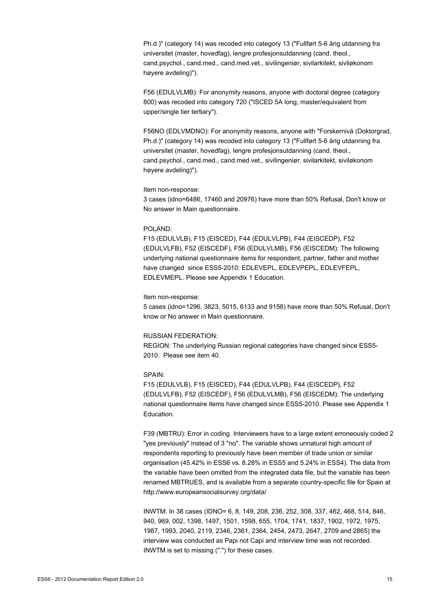Ph.d.)" (category 14) was recoded into category 13 ("Fullført 5-6 årig utdanning fra universitet (master, hovedfag), lengre profesjonsutdanning (cand. theol., cand.psychol., cand.med., cand.med.vet., sivilingeniør, sivilarkitekt, siviløkonom høyere avdeling)").

F56 (EDULVLMB): For anonymity reasons, anyone with doctoral degree (category 800) was recoded into category 720 ("ISCED 5A long, master/equivalent from upper/single tier tertiary").

F56NO (EDLVMDNO): For anonymity reasons, anyone with "Forskernivå (Doktorgrad, Ph.d.)" (category 14) was recoded into category 13 ("Fullført 5-6 årig utdanning fra universitet (master, hovedfag), lengre profesjonsutdanning (cand. theol., cand.psychol., cand.med., cand.med.vet., sivilingeniør, sivilarkitekt, siviløkonom høyere avdeling)").

#### Item non-response:

3 cases (idno=6486, 17460 and 20976) have more than 50% Refusal, Don't know or No answer in Main questionnaire.

#### POLAND:

F15 (EDULVLB), F15 (EISCED), F44 (EDULVLPB), F44 (EISCEDP), F52 (EDULVLFB), F52 (EISCEDF), F56 (EDULVLMB), F56 (EISCEDM): The following underlying national questionnaire items for respondent, partner, father and mother have changed since ESS5-2010: EDLEVEPL, EDLEVPEPL, EDLEVFEPL, EDLEVMEPL. Please see Appendix 1 Education.

#### Item non-response:

5 cases (idno=1296, 3823, 5015, 6133 and 9158) have more than 50% Refusal, Don't know or No answer in Main questionnaire.

#### RUSSIAN FEDERATION:

REGION: The underlying Russian regional categories have changed since ESS5- 2010. Please see item 40.

#### SPAIN:

F15 (EDULVLB), F15 (EISCED), F44 (EDULVLPB), F44 (EISCEDP), F52 (EDULVLFB), F52 (EISCEDF), F56 (EDULVLMB), F56 (EISCEDM): The underlying national questionnaire items have changed since ESS5-2010. Please see Appendix 1 Education.

F39 (MBTRU): Error in coding. Interviewers have to a large extent erroneously coded 2 "yes previously" instead of 3 "no". The variable shows unnatural high amount of respondents reporting to previously have been member of trade union or similar organisation (45.42% in ESS6 vs. 8.28% in ESS5 and 5.24% in ESS4). The data from the variable have been omitted from the integrated data file, but the variable has been renamed MBTRUES, and is available from a separate country-specific file for Spain at http://www.europeansocialsurvey.org/data/

INWTM: In 38 cases (IDNO= 6, 8, 149, 208, 236, 252, 308, 337, 462, 468, 514, 846, 940, 969, 002, 1398, 1497, 1501, 1598, 655, 1704, 1741, 1837, 1902, 1972, 1975, 1987, 1993, 2040, 2119, 2346, 2361, 2364, 2454, 2473, 2647, 2709 and 2865) the interview was conducted as Papi not Capi and interview time was not recorded. INWTM is set to missing (".") for these cases.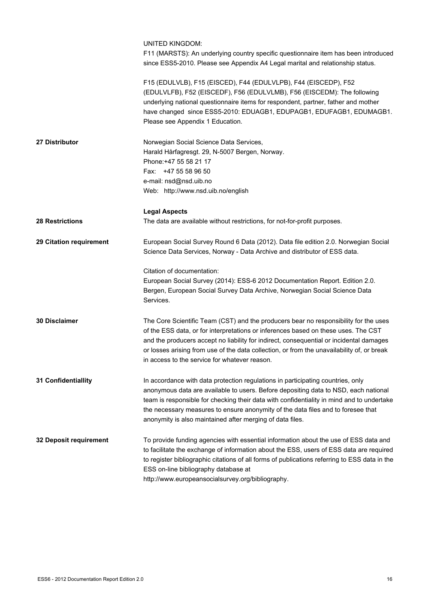|                         | UNITED KINGDOM:<br>F11 (MARSTS): An underlying country specific questionnaire item has been introduced<br>since ESS5-2010. Please see Appendix A4 Legal marital and relationship status.                                                                                                                                                                                                                             |
|-------------------------|----------------------------------------------------------------------------------------------------------------------------------------------------------------------------------------------------------------------------------------------------------------------------------------------------------------------------------------------------------------------------------------------------------------------|
|                         | F15 (EDULVLB), F15 (EISCED), F44 (EDULVLPB), F44 (EISCEDP), F52<br>(EDULVLFB), F52 (EISCEDF), F56 (EDULVLMB), F56 (EISCEDM): The following<br>underlying national questionnaire items for respondent, partner, father and mother<br>have changed since ESS5-2010: EDUAGB1, EDUPAGB1, EDUFAGB1, EDUMAGB1.<br>Please see Appendix 1 Education.                                                                         |
| 27 Distributor          | Norwegian Social Science Data Services,<br>Harald Hårfagresgt. 29, N-5007 Bergen, Norway.<br>Phone: +47 55 58 21 17<br>Fax: +47 55 58 96 50<br>e-mail: nsd@nsd.uib.no<br>Web: http://www.nsd.uib.no/english                                                                                                                                                                                                          |
| <b>28 Restrictions</b>  | <b>Legal Aspects</b><br>The data are available without restrictions, for not-for-profit purposes.                                                                                                                                                                                                                                                                                                                    |
| 29 Citation requirement | European Social Survey Round 6 Data (2012). Data file edition 2.0. Norwegian Social<br>Science Data Services, Norway - Data Archive and distributor of ESS data.                                                                                                                                                                                                                                                     |
|                         | Citation of documentation:<br>European Social Survey (2014): ESS-6 2012 Documentation Report. Edition 2.0.<br>Bergen, European Social Survey Data Archive, Norwegian Social Science Data<br>Services.                                                                                                                                                                                                                |
| 30 Disclaimer           | The Core Scientific Team (CST) and the producers bear no responsibility for the uses<br>of the ESS data, or for interpretations or inferences based on these uses. The CST<br>and the producers accept no liability for indirect, consequential or incidental damages<br>or losses arising from use of the data collection, or from the unavailability of, or break<br>in access to the service for whatever reason. |
| 31 Confidentiallity     | In accordance with data protection regulations in participating countries, only<br>anonymous data are available to users. Before depositing data to NSD, each national<br>team is responsible for checking their data with confidentiality in mind and to undertake<br>the necessary measures to ensure anonymity of the data files and to foresee that<br>anonymity is also maintained after merging of data files. |
| 32 Deposit requirement  | To provide funding agencies with essential information about the use of ESS data and<br>to facilitate the exchange of information about the ESS, users of ESS data are required<br>to register bibliographic citations of all forms of publications referring to ESS data in the<br>ESS on-line bibliography database at<br>http://www.europeansocialsurvey.org/bibliography.                                        |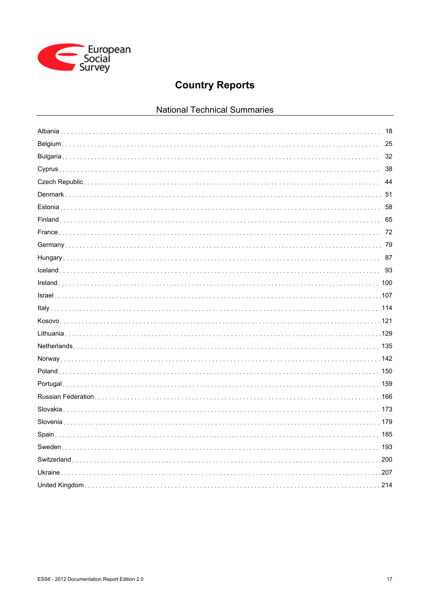

# **Country Reports**

# National Technical Summaries

| 18 |
|----|
|    |
|    |
|    |
|    |
|    |
| 58 |
| 65 |
|    |
|    |
| 87 |
| 93 |
|    |
|    |
|    |
|    |
|    |
|    |
|    |
|    |
|    |
|    |
|    |
|    |
|    |
|    |
|    |
|    |
|    |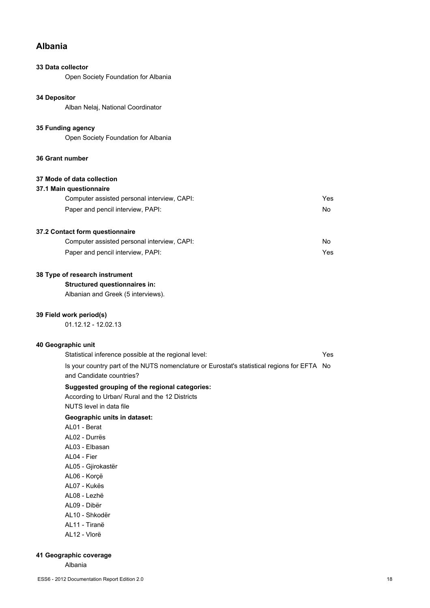# **Albania**

# **33 Data collector**

Open Society Foundation for Albania

# **34 Depositor**

Alban Nelaj, National Coordinator

#### **35 Funding agency**

Open Society Foundation for Albania

## **36 Grant number**

# **37 Mode of data collection**

#### **37.1 Main questionnaire**

| Computer assisted personal interview, CAPI: | Yes |
|---------------------------------------------|-----|
| Paper and pencil interview, PAPI:           | No. |

## **37.2 Contact form questionnaire**

| Computer assisted personal interview, CAPI: | No. |
|---------------------------------------------|-----|
| Paper and pencil interview, PAPI:           | Yes |

# **38 Type of research instrument**

**Structured questionnaires in:**

Albanian and Greek (5 interviews).

# **39 Field work period(s)**

01.12.12 - 12.02.13

# **40 Geographic unit**

| Statistical inference possible at the regional level:                                       | Yes |
|---------------------------------------------------------------------------------------------|-----|
| Is your country part of the NUTS nomenclature or Eurostat's statistical regions for EFTA No |     |
| and Candidate countries?                                                                    |     |

## **Suggested grouping of the regional categories:**

According to Urban/ Rural and the 12 Districts NUTS level in data file

# **Geographic units in dataset:**

- AL01 Berat AL02 - Durrës AL03 - Elbasan AL04 - Fier
- AL05 Gjirokastër
- AL06 Korçë
- AL07 Kukës
- AL08 Lezhë
- AL09 Dibër
- AL10 Shkodër
- AL11 Tiranë
- AL12 Vlorë

## **41 Geographic coverage**

Albania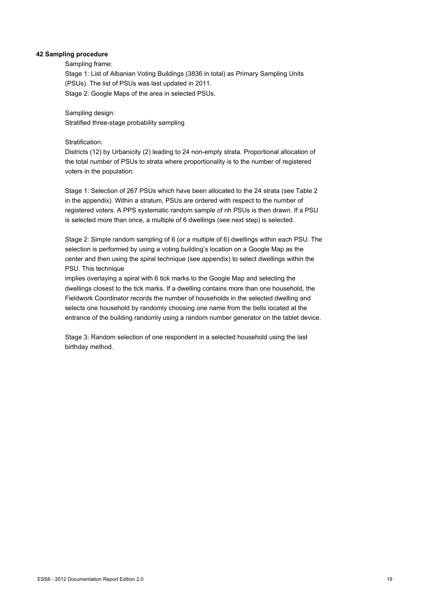# **42 Sampling procedure**

#### Sampling frame:

Stage 1: List of Albanian Voting Buildings (3836 in total) as Primary Sampling Units (PSUs). The list of PSUs was last updated in 2011. Stage 2: Google Maps of the area in selected PSUs.

Sampling design: Stratified three-stage probability sampling

#### Stratification:

Districts (12) by Urbanicity (2) leading to 24 non-empty strata. Proportional allocation of the total number of PSUs to strata where proportionality is to the number of registered voters in the population.

Stage 1: Selection of 267 PSUs which have been allocated to the 24 strata (see Table 2 in the appendix). Within a stratum, PSUs are ordered with respect to the number of registered voters. A PPS systematic random sample of nh PSUs is then drawn. If a PSU is selected more than once, a multiple of 6 dwellings (see next step) is selected.

Stage 2: Simple random sampling of 6 (or a multiple of 6) dwellings within each PSU. The selection is performed by using a voting building's location on a Google Map as the center and then using the spiral technique (see appendix) to select dwellings within the PSU. This technique

implies overlaying a spiral with 6 tick marks to the Google Map and selecting the dwellings closest to the tick marks. If a dwelling contains more than one household, the Fieldwork Coordinator records the number of households in the selected dwelling and selects one household by randomly choosing one name from the bells located at the entrance of the building randomly using a random number generator on the tablet device.

Stage 3: Random selection of one respondent in a selected household using the last birthday method.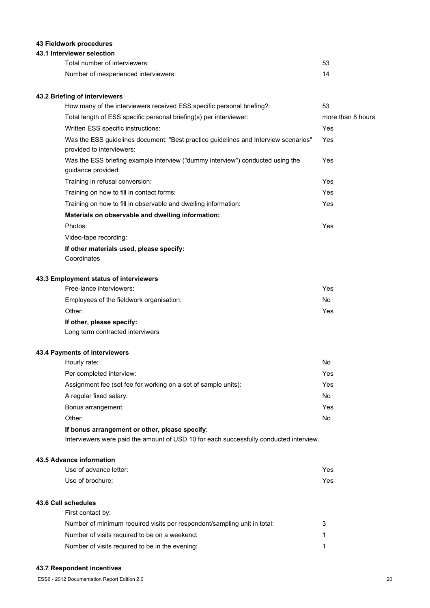# **43 Fieldwork procedures**

#### **43.1 Interviewer selection**

| Total number of interviewers:         |    |
|---------------------------------------|----|
| Number of inexperienced interviewers: | 14 |

# **43.2 Briefing of interviewers**

| How many of the interviewers received ESS specific personal briefing?:                                           | 53                |
|------------------------------------------------------------------------------------------------------------------|-------------------|
| Total length of ESS specific personal briefing(s) per interviewer:                                               | more than 8 hours |
| Written ESS specific instructions:                                                                               | Yes               |
| Was the ESS guidelines document: "Best practice guidelines and Interview scenarios"<br>provided to interviewers: | Yes               |
| Was the ESS briefing example interview ("dummy interview") conducted using the<br>guidance provided:             | Yes               |
| Training in refusal conversion:                                                                                  | Yes               |
| Training on how to fill in contact forms:                                                                        | Yes               |
| Training on how to fill in observable and dwelling information:                                                  | Yes               |
| Materials on observable and dwelling information:                                                                |                   |
| Photos:                                                                                                          | Yes               |
| Video-tape recording:                                                                                            |                   |
| If other materials used, please specify:                                                                         |                   |
| Coordinates                                                                                                      |                   |
| 43.3 Employment status of interviewers                                                                           |                   |
| Free-lance interviewers:                                                                                         | Yes               |
| Employees of the fieldwork organisation:                                                                         | No                |

# Other: Yes

# **If other, please specify:**

Long term contracted interviwers

# **43.4 Payments of interviewers**

| If bonus arrangement or other, please specify:                 |     |
|----------------------------------------------------------------|-----|
| Other:                                                         | No. |
| Bonus arrangement:                                             | Yes |
| A regular fixed salary:                                        | No. |
| Assignment fee (set fee for working on a set of sample units): | Yes |
| Per completed interview:                                       | Yes |
| Hourly rate:                                                   | No  |

Interviewers were paid the amount of USD 10 for each successfully conducted interview.

#### **43.5 Advance information**

| Use of advance letter: | Yes |
|------------------------|-----|
| Use of brochure:       | Yes |

# **43.6 Call schedules**

| First contact by:                                                        |   |
|--------------------------------------------------------------------------|---|
| Number of minimum required visits per respondent/sampling unit in total: | 3 |
| Number of visits required to be on a weekend:                            |   |
| Number of visits required to be in the evening:                          |   |

# **43.7 Respondent incentives**

ESS6 - 2012 Documentation Report Edition 2.0 20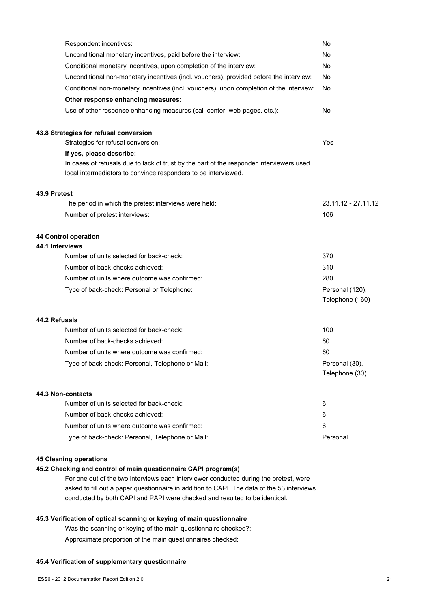| Respondent incentives:                                                                                                                                     | No                                 |
|------------------------------------------------------------------------------------------------------------------------------------------------------------|------------------------------------|
| Unconditional monetary incentives, paid before the interview:                                                                                              | No                                 |
| Conditional monetary incentives, upon completion of the interview:                                                                                         | No                                 |
| Unconditional non-monetary incentives (incl. vouchers), provided before the interview:                                                                     | No                                 |
| Conditional non-monetary incentives (incl. vouchers), upon completion of the interview:                                                                    | No                                 |
| Other response enhancing measures:                                                                                                                         |                                    |
| Use of other response enhancing measures (call-center, web-pages, etc.):                                                                                   | No                                 |
| 43.8 Strategies for refusal conversion                                                                                                                     |                                    |
| Strategies for refusal conversion:                                                                                                                         | Yes                                |
| If yes, please describe:                                                                                                                                   |                                    |
| In cases of refusals due to lack of trust by the part of the responder interviewers used<br>local intermediators to convince responders to be interviewed. |                                    |
| 43.9 Pretest                                                                                                                                               |                                    |
| The period in which the pretest interviews were held:                                                                                                      | 23.11.12 - 27.11.12                |
| Number of pretest interviews:                                                                                                                              | 106                                |
| 44 Control operation                                                                                                                                       |                                    |
| 44.1 Interviews                                                                                                                                            |                                    |
| Number of units selected for back-check:                                                                                                                   | 370                                |
| Number of back-checks achieved:                                                                                                                            | 310                                |
| Number of units where outcome was confirmed:                                                                                                               | 280                                |
| Type of back-check: Personal or Telephone:                                                                                                                 | Personal (120),<br>Telephone (160) |
| 44.2 Refusals                                                                                                                                              |                                    |
| Number of units selected for back-check:                                                                                                                   | 100                                |
| Number of back-checks achieved:                                                                                                                            | 60                                 |
| Number of units where outcome was confirmed:                                                                                                               | 60                                 |
| Type of back-check: Personal, Telephone or Mail:                                                                                                           | Personal (30),<br>Telephone (30)   |
| 44.3 Non-contacts                                                                                                                                          |                                    |
| Number of units selected for back-check:                                                                                                                   | 6                                  |
| Number of back-checks achieved:                                                                                                                            | 6                                  |
| Number of units where outcome was confirmed:                                                                                                               | 6                                  |
| Type of back-check: Personal, Telephone or Mail:                                                                                                           | Personal                           |

#### **45 Cleaning operations**

# **45.2 Checking and control of main questionnaire CAPI program(s)**

For one out of the two interviews each interviewer conducted during the pretest, were asked to fill out a paper questionnaire in addition to CAPI. The data of the 53 interviews conducted by both CAPI and PAPI were checked and resulted to be identical.

# **45.3 Verification of optical scanning or keying of main questionnaire**

Was the scanning or keying of the main questionnaire checked?:

Approximate proportion of the main questionnaires checked:

#### **45.4 Verification of supplementary questionnaire**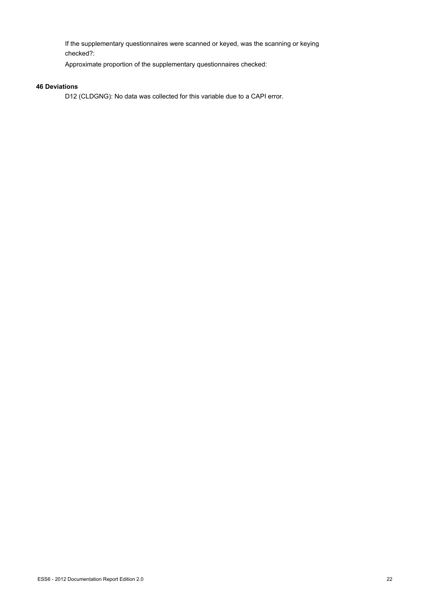If the supplementary questionnaires were scanned or keyed, was the scanning or keying checked?:

Approximate proportion of the supplementary questionnaires checked:

# **46 Deviations**

D12 (CLDGNG): No data was collected for this variable due to a CAPI error.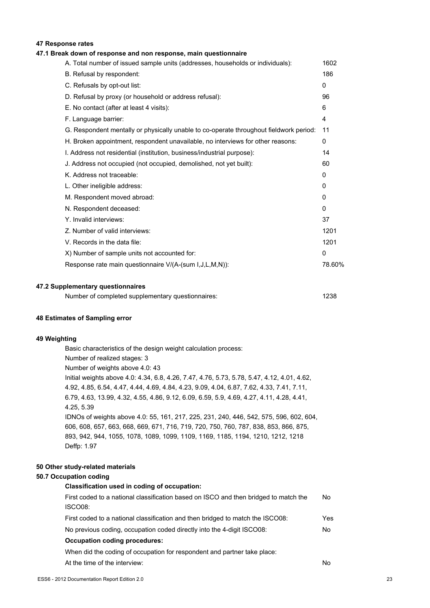## **47 Response rates**

#### **47.1 Break down of response and non response, main questionnaire**

| A. Total number of issued sample units (addresses, households or individuals):         | 1602         |
|----------------------------------------------------------------------------------------|--------------|
| B. Refusal by respondent:                                                              | 186          |
| C. Refusals by opt-out list:                                                           | 0            |
| D. Refusal by proxy (or household or address refusal):                                 | 96           |
| E. No contact (after at least 4 visits):                                               | 6            |
| F. Language barrier:                                                                   | 4            |
| G. Respondent mentally or physically unable to co-operate throughout fieldwork period: | 11           |
| H. Broken appointment, respondent unavailable, no interviews for other reasons:        | 0            |
| I. Address not residential (institution, business/industrial purpose):                 | 14           |
| J. Address not occupied (not occupied, demolished, not yet built):                     | 60           |
| K. Address not traceable:                                                              | $\mathbf{0}$ |
| L. Other ineligible address:                                                           | 0            |
| M. Respondent moved abroad:                                                            | $\mathbf{0}$ |
| N. Respondent deceased:                                                                | $\mathbf{0}$ |
| Y. Invalid interviews:                                                                 | 37           |
| Z. Number of valid interviews:                                                         | 1201         |
| V. Records in the data file:                                                           | 1201         |
| X) Number of sample units not accounted for:                                           | $\mathbf{0}$ |
| Response rate main questionnaire V/(A-(sum I,J,L,M,N)):                                | 78.60%       |
|                                                                                        |              |

#### **47.2 Supplementary questionnaires**

| Number of completed supplementary questionnaires: | 1238 |
|---------------------------------------------------|------|
|---------------------------------------------------|------|

#### **48 Estimates of Sampling error**

#### **49 Weighting**

Basic characteristics of the design weight calculation process: Number of realized stages: 3 Number of weights above 4.0: 43 Initial weights above 4.0: 4.34, 6.8, 4.26, 7.47, 4.76, 5.73, 5.78, 5.47, 4.12, 4.01, 4.62, 4.92, 4.85, 6.54, 4.47, 4.44, 4.69, 4.84, 4.23, 9.09, 4.04, 6.87, 7.62, 4.33, 7.41, 7.11, 6.79, 4.63, 13.99, 4.32, 4.55, 4.86, 9.12, 6.09, 6.59, 5.9, 4.69, 4.27, 4.11, 4.28, 4.41, 4.25, 5.39 IDNOs of weights above 4.0: 55, 161, 217, 225, 231, 240, 446, 542, 575, 596, 602, 604, 606, 608, 657, 663, 668, 669, 671, 716, 719, 720, 750, 760, 787, 838, 853, 866, 875, 893, 942, 944, 1055, 1078, 1089, 1099, 1109, 1169, 1185, 1194, 1210, 1212, 1218 Deffp: 1.97

## **50 Other study-related materials**

#### **50.7 Occupation coding**

#### **Classification used in coding of occupation:**

| First coded to a national classification based on ISCO and then bridged to match the | No. |
|--------------------------------------------------------------------------------------|-----|
| ISCO08:                                                                              |     |
| First coded to a national classification and then bridged to match the ISCO08:       | Yes |
| No previous coding, occupation coded directly into the 4-digit ISCO08:               | No. |
| Occupation coding procedures:                                                        |     |
| When did the coding of occupation for respondent and partner take place:             |     |

At the time of the interview: No and the set of the interview: No and the set of the interview: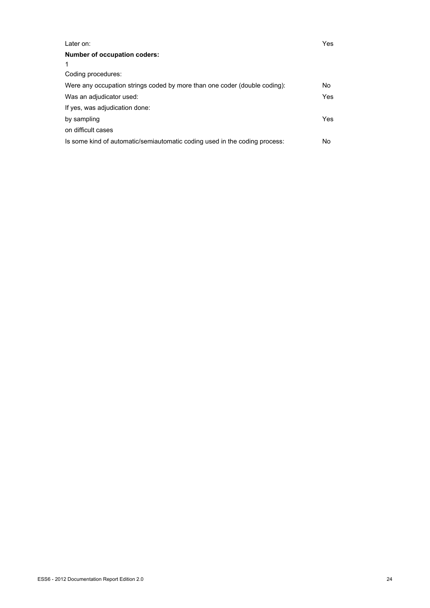| Later on:                                                                  | Yes. |
|----------------------------------------------------------------------------|------|
| Number of occupation coders:                                               |      |
|                                                                            |      |
| Coding procedures:                                                         |      |
| Were any occupation strings coded by more than one coder (double coding):  | No.  |
| Was an adjudicator used:                                                   | Yes  |
| If yes, was adjudication done:                                             |      |
| by sampling                                                                | Yes. |
| on difficult cases                                                         |      |
| Is some kind of automatic/semiautomatic coding used in the coding process: | No   |
|                                                                            |      |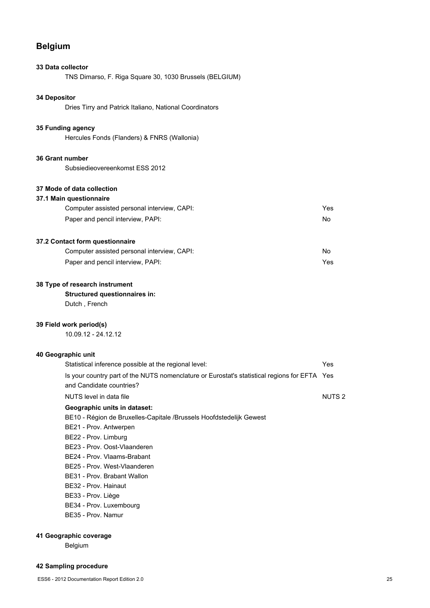# **Belgium**

# **33 Data collector**

TNS Dimarso, F. Riga Square 30, 1030 Brussels (BELGIUM)

# **34 Depositor**

Dries Tirry and Patrick Italiano, National Coordinators

#### **35 Funding agency**

Hercules Fonds (Flanders) & FNRS (Wallonia)

## **36 Grant number**

Subsiedieovereenkomst ESS 2012

# **37 Mode of data collection**

#### **37.1 Main questionnaire** Computer assisted personal interview, CAPI: Yes

| <b>OUTIDALCE ASSISTED DETSUTAT ITICI VICW.</b> OFIL I. |    |
|--------------------------------------------------------|----|
| Paper and pencil interview, PAPI:                      | No |
|                                                        |    |

# **37.2 Contact form questionnaire**

| Computer assisted personal interview, CAPI: | No  |
|---------------------------------------------|-----|
| Paper and pencil interview, PAPI:           | Yes |

## **38 Type of research instrument**

# **Structured questionnaires in:**

Dutch , French

#### **39 Field work period(s)**

10.09.12 - 24.12.12

#### **40 Geographic unit**

| Statistical inference possible at the regional level:                                                                    | Yes               |
|--------------------------------------------------------------------------------------------------------------------------|-------------------|
| Is your country part of the NUTS nomenclature or Eurostat's statistical regions for EFTA Yes<br>and Candidate countries? |                   |
| NUTS level in data file                                                                                                  | NUTS <sub>2</sub> |
| Geographic units in dataset:                                                                                             |                   |
| BE10 - Région de Bruxelles-Capitale /Brussels Hoofdstedelijk Gewest                                                      |                   |
| BE21 - Prov. Antwerpen                                                                                                   |                   |
| BE22 - Prov. Limburg                                                                                                     |                   |
| BE23 - Prov. Oost-Vlaanderen                                                                                             |                   |
| BE24 - Prov. Vlaams-Brabant                                                                                              |                   |
| BE25 - Prov. West-Vlaanderen                                                                                             |                   |
| BE31 - Prov. Brabant Wallon                                                                                              |                   |
| BE32 - Prov. Hainaut                                                                                                     |                   |
| BE33 - Prov. Liège                                                                                                       |                   |
|                                                                                                                          |                   |

BE34 - Prov. Luxembourg

BE35 - Prov. Namur

# **41 Geographic coverage**

Belgium

# **42 Sampling procedure**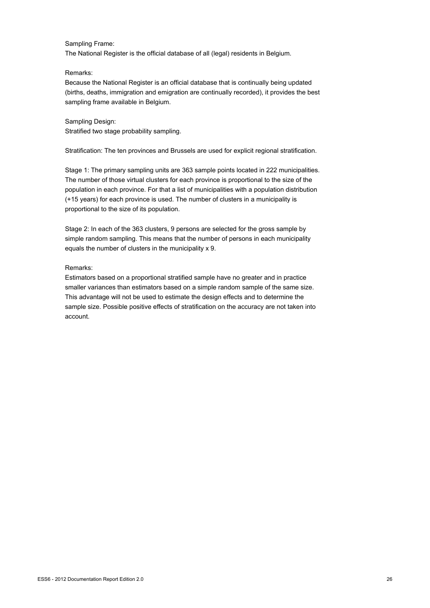# Sampling Frame:

The National Register is the official database of all (legal) residents in Belgium.

#### Remarks:

Because the National Register is an official database that is continually being updated (births, deaths, immigration and emigration are continually recorded), it provides the best sampling frame available in Belgium.

Sampling Design: Stratified two stage probability sampling.

Stratification: The ten provinces and Brussels are used for explicit regional stratification.

Stage 1: The primary sampling units are 363 sample points located in 222 municipalities. The number of those virtual clusters for each province is proportional to the size of the population in each province. For that a list of municipalities with a population distribution (+15 years) for each province is used. The number of clusters in a municipality is proportional to the size of its population.

Stage 2: In each of the 363 clusters, 9 persons are selected for the gross sample by simple random sampling. This means that the number of persons in each municipality equals the number of clusters in the municipality x 9.

#### Remarks:

Estimators based on a proportional stratified sample have no greater and in practice smaller variances than estimators based on a simple random sample of the same size. This advantage will not be used to estimate the design effects and to determine the sample size. Possible positive effects of stratification on the accuracy are not taken into account.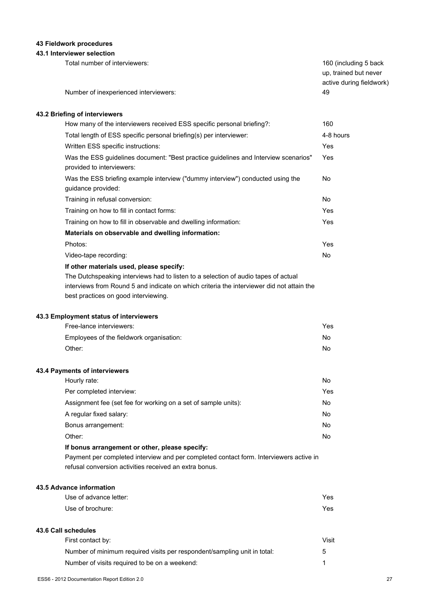# **43 Fieldwork procedures**

# **43.1 Interviewer selection**

| Total number of interviewers:<br>Number of inexperienced interviewers:                                                                                                                                                                                              | 160 (including 5 back<br>up, trained but never<br>active during fieldwork)<br>49 |
|---------------------------------------------------------------------------------------------------------------------------------------------------------------------------------------------------------------------------------------------------------------------|----------------------------------------------------------------------------------|
| 43.2 Briefing of interviewers                                                                                                                                                                                                                                       |                                                                                  |
| How many of the interviewers received ESS specific personal briefing?:                                                                                                                                                                                              | 160                                                                              |
| Total length of ESS specific personal briefing(s) per interviewer:                                                                                                                                                                                                  | 4-8 hours                                                                        |
| Written ESS specific instructions:                                                                                                                                                                                                                                  | Yes                                                                              |
| Was the ESS guidelines document: "Best practice guidelines and Interview scenarios"<br>provided to interviewers:                                                                                                                                                    | Yes                                                                              |
| Was the ESS briefing example interview ("dummy interview") conducted using the<br>guidance provided:                                                                                                                                                                | No                                                                               |
| Training in refusal conversion:                                                                                                                                                                                                                                     | No                                                                               |
| Training on how to fill in contact forms:                                                                                                                                                                                                                           | Yes                                                                              |
| Training on how to fill in observable and dwelling information:                                                                                                                                                                                                     | Yes                                                                              |
| Materials on observable and dwelling information:                                                                                                                                                                                                                   |                                                                                  |
| Photos:                                                                                                                                                                                                                                                             | Yes                                                                              |
| Video-tape recording:                                                                                                                                                                                                                                               | No                                                                               |
| If other materials used, please specify:<br>The Dutchspeaking interviews had to listen to a selection of audio tapes of actual<br>interviews from Round 5 and indicate on which criteria the interviewer did not attain the<br>best practices on good interviewing. |                                                                                  |
| 43.3 Employment status of interviewers                                                                                                                                                                                                                              |                                                                                  |
| Free-lance interviewers:                                                                                                                                                                                                                                            | Yes                                                                              |
| Employees of the fieldwork organisation:                                                                                                                                                                                                                            | No                                                                               |
| Other:                                                                                                                                                                                                                                                              | No                                                                               |
| 43.4 Payments of interviewers                                                                                                                                                                                                                                       |                                                                                  |
| Hourly rate:                                                                                                                                                                                                                                                        | No                                                                               |
| Per completed interview:                                                                                                                                                                                                                                            | Yes                                                                              |
| Assignment fee (set fee for working on a set of sample units):                                                                                                                                                                                                      | No                                                                               |
| A regular fixed salary:                                                                                                                                                                                                                                             | No                                                                               |
| Bonus arrangement:                                                                                                                                                                                                                                                  | No                                                                               |
| Other:                                                                                                                                                                                                                                                              | No                                                                               |
| If bonus arrangement or other, please specify:                                                                                                                                                                                                                      |                                                                                  |

Payment per completed interview and per completed contact form. Interviewers active in refusal conversion activities received an extra bonus.

# **43.5 Advance information**

**43.6 Call schedules**

| Use of advance letter:                                                   | Yes   |
|--------------------------------------------------------------------------|-------|
| Use of brochure:                                                         | Yes   |
| <b>Call schedules</b>                                                    |       |
| First contact by:                                                        | Visit |
| Number of minimum required visits per respondent/sampling unit in total: | 5     |
| Number of visits required to be on a weekend:                            | 1     |
|                                                                          |       |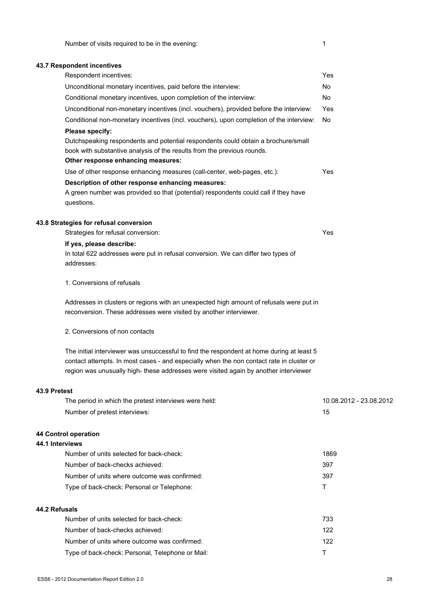# **43.7 Respondent incentives**

|                 | Respondent incentives:                                                                                                                                                                                                                                                        | Yes                     |
|-----------------|-------------------------------------------------------------------------------------------------------------------------------------------------------------------------------------------------------------------------------------------------------------------------------|-------------------------|
|                 | Unconditional monetary incentives, paid before the interview:                                                                                                                                                                                                                 | No                      |
|                 | Conditional monetary incentives, upon completion of the interview:                                                                                                                                                                                                            | No                      |
|                 | Unconditional non-monetary incentives (incl. vouchers), provided before the interview:                                                                                                                                                                                        | Yes                     |
|                 | Conditional non-monetary incentives (incl. vouchers), upon completion of the interview:                                                                                                                                                                                       | No                      |
|                 | Please specify:                                                                                                                                                                                                                                                               |                         |
|                 | Dutchspeaking respondents and potential respondents could obtain a brochure/small<br>book with substantive analysis of the results from the previous rounds.                                                                                                                  |                         |
|                 | Other response enhancing measures:                                                                                                                                                                                                                                            |                         |
|                 | Use of other response enhancing measures (call-center, web-pages, etc.):                                                                                                                                                                                                      | Yes                     |
|                 | Description of other response enhancing measures:<br>A green number was provided so that (potential) respondents could call if they have<br>questions.                                                                                                                        |                         |
|                 | 43.8 Strategies for refusal conversion<br>Strategies for refusal conversion:                                                                                                                                                                                                  | Yes                     |
|                 | If yes, please describe:                                                                                                                                                                                                                                                      |                         |
|                 | In total 622 addresses were put in refusal conversion. We can differ two types of<br>addresses:                                                                                                                                                                               |                         |
|                 | 1. Conversions of refusals                                                                                                                                                                                                                                                    |                         |
|                 | Addresses in clusters or regions with an unexpected high amount of refusals were put in<br>reconversion. These addresses were visited by another interviewer.                                                                                                                 |                         |
|                 | 2. Conversions of non contacts                                                                                                                                                                                                                                                |                         |
|                 | The initial interviewer was unsuccessful to find the respondent at home during at least 5<br>contact attempts. In most cases - and especially when the non contact rate in cluster or<br>region was unusually high- these addresses were visited again by another interviewer |                         |
| 43.9 Pretest    |                                                                                                                                                                                                                                                                               |                         |
|                 | The period in which the pretest interviews were held:                                                                                                                                                                                                                         | 10.08.2012 - 23.08.2012 |
|                 | Number of pretest interviews:                                                                                                                                                                                                                                                 | 15                      |
|                 | 44 Control operation                                                                                                                                                                                                                                                          |                         |
| 44.1 Interviews |                                                                                                                                                                                                                                                                               |                         |
|                 | Number of units selected for back-check:                                                                                                                                                                                                                                      | 1869                    |
|                 | Number of back-checks achieved:                                                                                                                                                                                                                                               | 397                     |
|                 | Number of units where outcome was confirmed:                                                                                                                                                                                                                                  | 397                     |
|                 | Type of back-check: Personal or Telephone:                                                                                                                                                                                                                                    | Τ                       |

**44.2 Refusals**

| sals                                             |     |
|--------------------------------------------------|-----|
| Number of units selected for back-check:         | 733 |
| Number of back-checks achieved:                  | 122 |
| Number of units where outcome was confirmed:     | 122 |
| Type of back-check: Personal, Telephone or Mail: |     |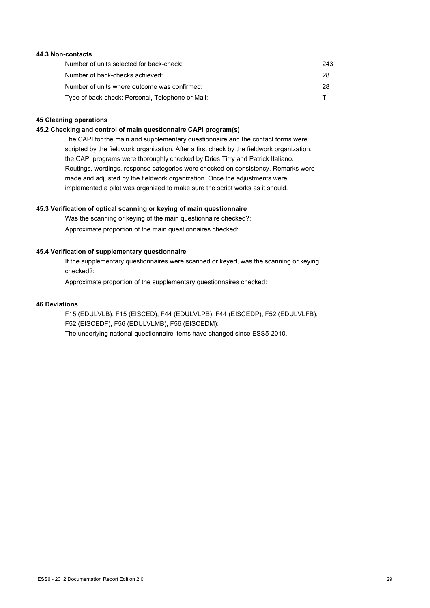# **44.3 Non-contacts**

| Number of units selected for back-check:         | 243 |
|--------------------------------------------------|-----|
| Number of back-checks achieved:                  | 28  |
| Number of units where outcome was confirmed:     | 28  |
| Type of back-check: Personal, Telephone or Mail: |     |

#### **45 Cleaning operations**

#### **45.2 Checking and control of main questionnaire CAPI program(s)**

The CAPI for the main and supplementary questionnaire and the contact forms were scripted by the fieldwork organization. After a first check by the fieldwork organization, the CAPI programs were thoroughly checked by Dries Tirry and Patrick Italiano. Routings, wordings, response categories were checked on consistency. Remarks were made and adjusted by the fieldwork organization. Once the adjustments were implemented a pilot was organized to make sure the script works as it should.

#### **45.3 Verification of optical scanning or keying of main questionnaire**

Was the scanning or keying of the main questionnaire checked?: Approximate proportion of the main questionnaires checked:

# **45.4 Verification of supplementary questionnaire**

If the supplementary questionnaires were scanned or keyed, was the scanning or keying checked?:

Approximate proportion of the supplementary questionnaires checked:

## **46 Deviations**

F15 (EDULVLB), F15 (EISCED), F44 (EDULVLPB), F44 (EISCEDP), F52 (EDULVLFB), F52 (EISCEDF), F56 (EDULVLMB), F56 (EISCEDM): The underlying national questionnaire items have changed since ESS5-2010.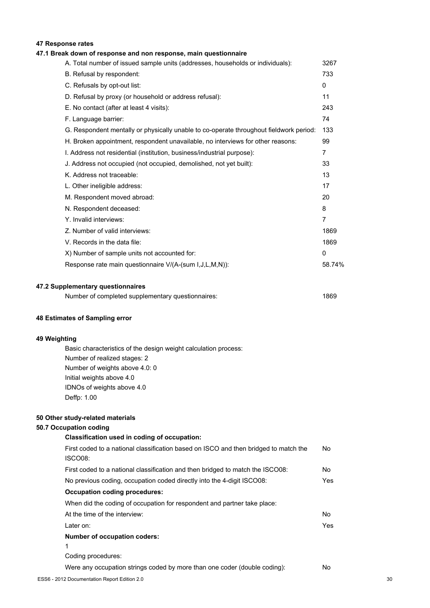# **47 Response rates**

# **47.1 Break down of response and non response, main questionnaire**

| A. Total number of issued sample units (addresses, households or individuals):         | 3267           |
|----------------------------------------------------------------------------------------|----------------|
| B. Refusal by respondent:                                                              | 733            |
| C. Refusals by opt-out list:                                                           | $\mathbf{0}$   |
| D. Refusal by proxy (or household or address refusal):                                 | 11             |
| E. No contact (after at least 4 visits):                                               | 243            |
| F. Language barrier:                                                                   | 74             |
| G. Respondent mentally or physically unable to co-operate throughout fieldwork period: | 133            |
| H. Broken appointment, respondent unavailable, no interviews for other reasons:        | 99             |
| I. Address not residential (institution, business/industrial purpose):                 | 7              |
| J. Address not occupied (not occupied, demolished, not yet built):                     | 33             |
| K. Address not traceable:                                                              | 13             |
| L. Other ineligible address:                                                           | 17             |
| M. Respondent moved abroad:                                                            | 20             |
| N. Respondent deceased:                                                                | 8              |
| Y. Invalid interviews:                                                                 | $\overline{7}$ |
| Z. Number of valid interviews:                                                         | 1869           |
| V. Records in the data file:                                                           | 1869           |
| X) Number of sample units not accounted for:                                           | $\mathbf{0}$   |
| Response rate main questionnaire V/(A-(sum I,J,L,M,N)):                                | 58.74%         |
|                                                                                        |                |

#### **47.2 Supplementary questionnaires**

| 1869<br>Number of completed supplementary questionnaires: |  |
|-----------------------------------------------------------|--|
|-----------------------------------------------------------|--|

#### **48 Estimates of Sampling error**

# **49 Weighting**

Basic characteristics of the design weight calculation process: Number of realized stages: 2 Number of weights above 4.0: 0 Initial weights above 4.0 IDNOs of weights above 4.0 Deffp: 1.00

#### **50 Other study-related materials**

#### **50.7 Occupation coding**

# **Classification used in coding of occupation:** First coded to a national classification based on ISCO and then bridged to match the ISCO08: First coded to a national classification and then bridged to match the ISCO08: No No previous coding, occupation coded directly into the 4-digit ISCO08: Yes **Occupation coding procedures:**

When did the coding of occupation for respondent and partner take place: At the time of the interview: No Later on: Yes **Number of occupation coders:**

1

Coding procedures:

Were any occupation strings coded by more than one coder (double coding): No

No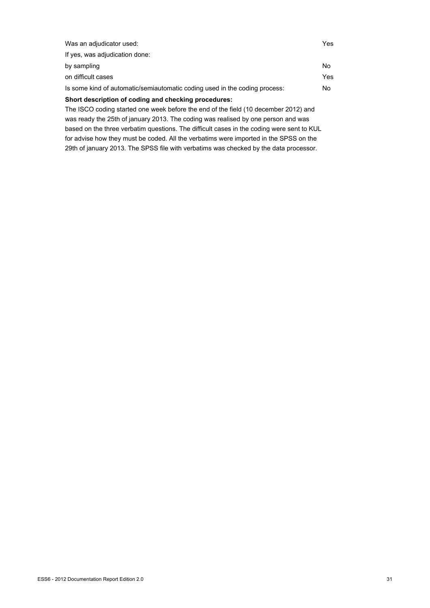| Was an adjudicator used:                                                            | Yes |
|-------------------------------------------------------------------------------------|-----|
| If yes, was adjudication done:                                                      |     |
| by sampling                                                                         | No. |
| on difficult cases                                                                  | Yes |
| Is some kind of automatic/semiautomatic coding used in the coding process:          | No. |
| Short description of coding and checking procedures:                                |     |
| The ISCO coding started one week before the end of the field (10 december 2012) and |     |
| was ready the 25th of january 2013. The coding was realised by one person and was   |     |

based on the three verbatim questions. The difficult cases in the coding were sent to KUL for advise how they must be coded. All the verbatims were imported in the SPSS on the 29th of january 2013. The SPSS file with verbatims was checked by the data processor.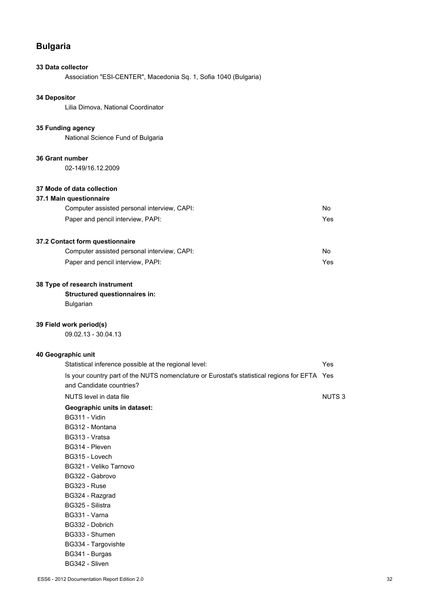# **Bulgaria**

# **33 Data collector**

Association "ESI-CENTER", Macedonia Sq. 1, Sofia 1040 (Bulgaria)

# **34 Depositor**

Lilia Dimova, National Coordinator

## **35 Funding agency**

National Science Fund of Bulgaria

#### **36 Grant number**

02-149/16.12.2009

# **37 Mode of data collection**

# **37.1 Main questionnaire**

| Computer assisted personal interview, CAPI: | No. |
|---------------------------------------------|-----|
| Paper and pencil interview, PAPI:           | Yes |

# **37.2 Contact form questionnaire**

| Computer assisted personal interview, CAPI: | No  |
|---------------------------------------------|-----|
| Paper and pencil interview, PAPI:           | Yes |

# **38 Type of research instrument**

# **Structured questionnaires in:**

Bulgarian

# **39 Field work period(s)**

09.02.13 - 30.04.13

# **40 Geographic unit**

| Statistical inference possible at the regional level:                                        | Yes          |
|----------------------------------------------------------------------------------------------|--------------|
| Is your country part of the NUTS nomenclature or Eurostat's statistical regions for EFTA Yes |              |
| and Candidate countries?                                                                     |              |
| NUTS level in data file                                                                      | <b>NUTS3</b> |
| Geographic units in dataset:                                                                 |              |
| BG311 - Vidin                                                                                |              |
| BG312 - Montana                                                                              |              |
| BG313 - Vratsa                                                                               |              |
| BG314 - Pleven                                                                               |              |
| BG315 - Lovech                                                                               |              |
| BG321 - Veliko Tarnovo                                                                       |              |
| BG322 - Gabrovo                                                                              |              |
| <b>BG323 - Ruse</b>                                                                          |              |
| BG324 - Razgrad                                                                              |              |
| BG325 - Silistra                                                                             |              |
| BG331 - Varna                                                                                |              |
| BG332 - Dobrich                                                                              |              |
| BG333 - Shumen                                                                               |              |
| BG334 - Targovishte                                                                          |              |
| BG341 - Burgas                                                                               |              |
| BG342 - Sliven                                                                               |              |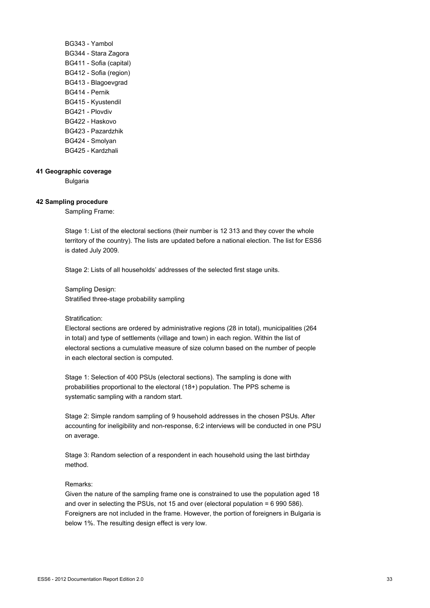BG343 - Yambol BG344 - Stara Zagora BG411 - Sofia (capital) BG412 - Sofia (region) BG413 - Blagoevgrad BG414 - Pernik BG415 - Kyustendil BG421 - Plovdiv BG422 - Haskovo BG423 - Pazardzhik BG424 - Smolyan BG425 - Kardzhali

#### **41 Geographic coverage**

Bulgaria

# **42 Sampling procedure**

Sampling Frame:

Stage 1: List of the electoral sections (their number is 12 313 and they cover the whole territory of the country). The lists are updated before a national election. The list for ESS6 is dated July 2009.

Stage 2: Lists of all households' addresses of the selected first stage units.

Sampling Design: Stratified three-stage probability sampling

#### Stratification:

Electoral sections are ordered by administrative regions (28 in total), municipalities (264 in total) and type of settlements (village and town) in each region. Within the list of electoral sections a cumulative measure of size column based on the number of people in each electoral section is computed.

Stage 1: Selection of 400 PSUs (electoral sections). The sampling is done with probabilities proportional to the electoral (18+) population. The PPS scheme is systematic sampling with a random start.

Stage 2: Simple random sampling of 9 household addresses in the chosen PSUs. After accounting for ineligibility and non-response, 6:2 interviews will be conducted in one PSU on average.

Stage 3: Random selection of a respondent in each household using the last birthday method.

#### Remarks:

Given the nature of the sampling frame one is constrained to use the population aged 18 and over in selecting the PSUs, not 15 and over (electoral population = 6 990 586). Foreigners are not included in the frame. However, the portion of foreigners in Bulgaria is below 1%. The resulting design effect is very low.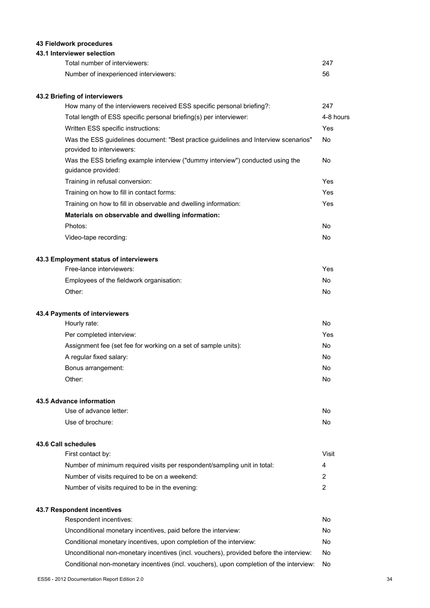# **43 Fieldwork procedures**

# **43.1 Interviewer selection**

| Total number of interviewers:         | -247 |
|---------------------------------------|------|
| Number of inexperienced interviewers: | 56   |

# **43.2 Briefing of interviewers**

| How many of the interviewers received ESS specific personal briefing?:                                           | 247       |
|------------------------------------------------------------------------------------------------------------------|-----------|
| Total length of ESS specific personal briefing(s) per interviewer:                                               | 4-8 hours |
| Written ESS specific instructions:                                                                               | Yes       |
| Was the ESS guidelines document: "Best practice guidelines and Interview scenarios"<br>provided to interviewers: | No.       |
| Was the ESS briefing example interview ("dummy interview") conducted using the<br>guidance provided:             | No        |
| Training in refusal conversion:                                                                                  | Yes       |
| Training on how to fill in contact forms:                                                                        | Yes       |
| Training on how to fill in observable and dwelling information:                                                  | Yes       |
| Materials on observable and dwelling information:                                                                |           |
| Photos:                                                                                                          | No.       |
| Video-tape recording:                                                                                            | No.       |
| 43.3 Employment status of interviewers                                                                           |           |
| Free-lance interviewers:                                                                                         | Yes       |

| Employees of the fieldwork organisation: | No |
|------------------------------------------|----|
| Other:                                   | No |

# **43.4 Payments of interviewers**

| Hourly rate:                                                   | No  |
|----------------------------------------------------------------|-----|
| Per completed interview:                                       | Yes |
| Assignment fee (set fee for working on a set of sample units): | No  |
| A regular fixed salary:                                        | No  |
| Bonus arrangement:                                             | No  |
| Other:                                                         | No  |

#### **43.5 Advance information**

| Use of advance letter: | No |
|------------------------|----|
| Use of brochure:       | No |

#### **43.6 Call schedules**

| First contact by:                                                        | Visit |
|--------------------------------------------------------------------------|-------|
| Number of minimum required visits per respondent/sampling unit in total: | 4     |
| Number of visits required to be on a weekend:                            |       |
| Number of visits required to be in the evening:                          |       |

# **43.7 Respondent incentives**

| Respondent incentives:                                                                  | No. |
|-----------------------------------------------------------------------------------------|-----|
| Unconditional monetary incentives, paid before the interview:                           | No. |
| Conditional monetary incentives, upon completion of the interview:                      | No. |
| Unconditional non-monetary incentives (incl. vouchers), provided before the interview:  | No. |
| Conditional non-monetary incentives (incl. vouchers), upon completion of the interview: | No  |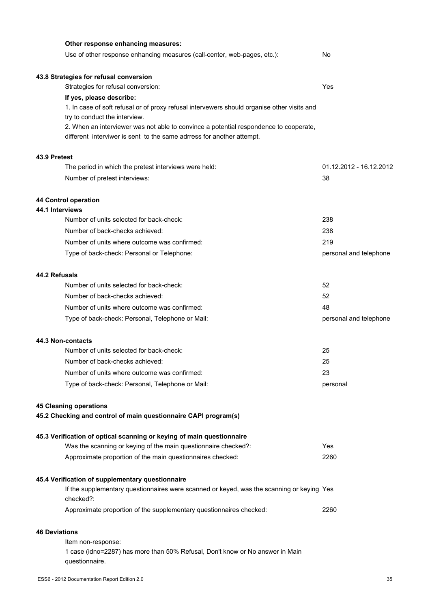| Other response enhancing measures:                                                                                     |                         |
|------------------------------------------------------------------------------------------------------------------------|-------------------------|
| Use of other response enhancing measures (call-center, web-pages, etc.):                                               | No                      |
| 43.8 Strategies for refusal conversion                                                                                 |                         |
| Strategies for refusal conversion:                                                                                     | Yes                     |
| If yes, please describe:                                                                                               |                         |
| 1. In case of soft refusal or of proxy refusal intervewers should organise other visits and                            |                         |
| try to conduct the interview.<br>2. When an interviewer was not able to convince a potential respondence to cooperate, |                         |
| different interviwer is sent to the same adrress for another attempt.                                                  |                         |
| 43.9 Pretest                                                                                                           |                         |
| The period in which the pretest interviews were held:                                                                  | 01.12.2012 - 16.12.2012 |
| Number of pretest interviews:                                                                                          | 38                      |
| <b>44 Control operation</b>                                                                                            |                         |
| 44.1 Interviews                                                                                                        |                         |
| Number of units selected for back-check:                                                                               | 238                     |
| Number of back-checks achieved:                                                                                        | 238                     |
| Number of units where outcome was confirmed:                                                                           | 219                     |
| Type of back-check: Personal or Telephone:                                                                             | personal and telephone  |
| 44.2 Refusals                                                                                                          |                         |
| Number of units selected for back-check:                                                                               | 52                      |
| Number of back-checks achieved:                                                                                        | 52                      |
| Number of units where outcome was confirmed:                                                                           | 48                      |
| Type of back-check: Personal, Telephone or Mail:                                                                       | personal and telephone  |
| 44.3 Non-contacts                                                                                                      |                         |
| Number of units selected for back-check:                                                                               | 25                      |
| Number of back-checks achieved:                                                                                        | 25                      |
| Number of units where outcome was confirmed:                                                                           | 23                      |
| Type of back-check: Personal, Telephone or Mail:                                                                       | personal                |
| <b>45 Cleaning operations</b>                                                                                          |                         |
| 45.2 Checking and control of main questionnaire CAPI program(s)                                                        |                         |
| 45.3 Verification of optical scanning or keying of main questionnaire                                                  |                         |
| Was the scanning or keying of the main questionnaire checked?:                                                         | Yes                     |
| Approximate proportion of the main questionnaires checked:                                                             | 2260                    |
| 45.4 Verification of supplementary questionnaire                                                                       |                         |
| If the supplementary questionnaires were scanned or keyed, was the scanning or keying Yes<br>checked?:                 |                         |
| Approximate proportion of the supplementary questionnaires checked:                                                    | 2260                    |
| <b>46 Deviations</b>                                                                                                   |                         |
| Item non-response:                                                                                                     |                         |
| 1 case (idno=2287) has more than 50% Refusal, Don't know or No answer in Main<br>questionnaire.                        |                         |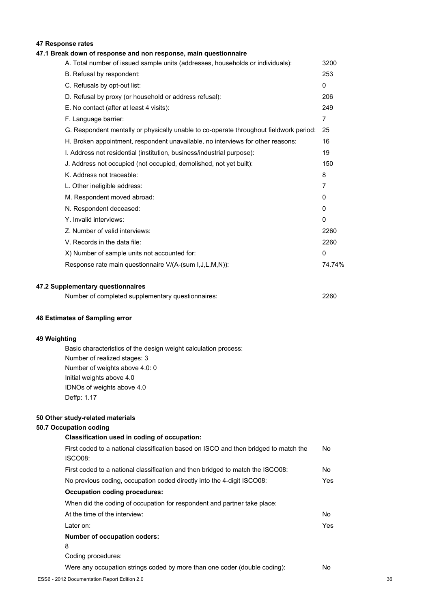# **47 Response rates**

# **47.1 Break down of response and non response, main questionnaire**

| A. Total number of issued sample units (addresses, households or individuals):         | 3200         |
|----------------------------------------------------------------------------------------|--------------|
| B. Refusal by respondent:                                                              | 253          |
| C. Refusals by opt-out list:                                                           | $\mathbf{0}$ |
| D. Refusal by proxy (or household or address refusal):                                 | 206          |
| E. No contact (after at least 4 visits):                                               | 249          |
| F. Language barrier:                                                                   | 7            |
| G. Respondent mentally or physically unable to co-operate throughout fieldwork period: | 25           |
| H. Broken appointment, respondent unavailable, no interviews for other reasons:        | 16           |
| I. Address not residential (institution, business/industrial purpose):                 | 19           |
| J. Address not occupied (not occupied, demolished, not yet built):                     | 150          |
| K. Address not traceable:                                                              | 8            |
| L. Other ineligible address:                                                           | 7            |
| M. Respondent moved abroad:                                                            | 0            |
| N. Respondent deceased:                                                                | 0            |
| Y. Invalid interviews:                                                                 | $\mathbf{0}$ |
| Z. Number of valid interviews:                                                         | 2260         |
| V. Records in the data file:                                                           | 2260         |
| X) Number of sample units not accounted for:                                           | 0            |
| Response rate main questionnaire V/(A-(sum I, J, L, M, N)):                            | 74.74%       |
|                                                                                        |              |

#### **47.2 Supplementary questionnaires**

| Number of completed supplementary questionnaires: | 2260 |
|---------------------------------------------------|------|
|---------------------------------------------------|------|

# **48 Estimates of Sampling error**

# **49 Weighting**

Basic characteristics of the design weight calculation process: Number of realized stages: 3 Number of weights above 4.0: 0 Initial weights above 4.0 IDNOs of weights above 4.0 Deffp: 1.17

#### **50 Other study-related materials**

#### **50.7 Occupation coding**

# **Classification used in coding of occupation:** First coded to a national classification based on ISCO and then bridged to match the ISCO08: First coded to a national classification and then bridged to match the ISCO08: No No previous coding, occupation coded directly into the 4-digit ISCO08: Yes **Occupation coding procedures:** When did the coding of occupation for respondent and partner take place: At the time of the interview: No Later on: Yes

#### **Number of occupation coders:**

- 8
- Coding procedures:

Were any occupation strings coded by more than one coder (double coding): No

No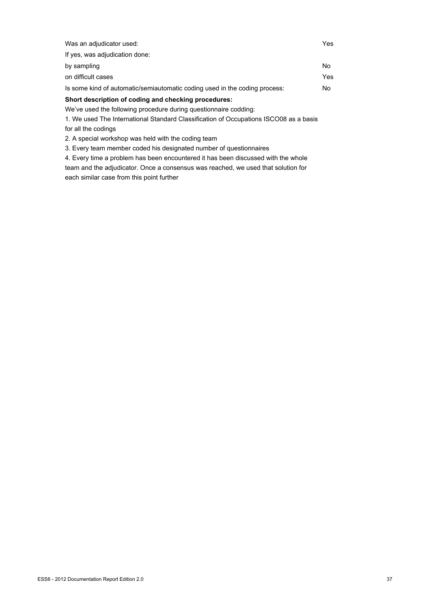| Was an adjudicator used:                                                              | Yes |
|---------------------------------------------------------------------------------------|-----|
| If yes, was adjudication done:                                                        |     |
| by sampling                                                                           | No. |
| on difficult cases                                                                    | Yes |
| Is some kind of automatic/semiautomatic coding used in the coding process:            | No. |
| Short description of coding and checking procedures:                                  |     |
| We've used the following procedure during questionnaire codding:                      |     |
| 1. We used The International Standard Classification of Occupations ISCO08 as a basis |     |

for all the codings

2. A special workshop was held with the coding team

3. Every team member coded his designated number of questionnaires

4. Every time a problem has been encountered it has been discussed with the whole team and the adjudicator. Once a consensus was reached, we used that solution for each similar case from this point further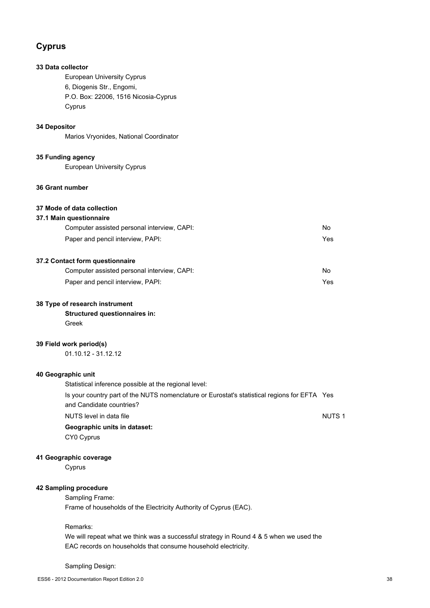# **Cyprus**

# **33 Data collector**

European University Cyprus 6, Diogenis Str., Engomi, P.O. Box: 22006, 1516 Nicosia-Cyprus Cyprus

# **34 Depositor**

Marios Vryonides, National Coordinator

## **35 Funding agency**

European University Cyprus

# **36 Grant number**

# **37 Mode of data collection**

# **37.1 Main questionnaire**

| Computer assisted personal interview, CAPI: | No  |
|---------------------------------------------|-----|
| Paper and pencil interview, PAPI:           | Yes |
|                                             |     |

# **37.2 Contact form questionnaire**

| Computer assisted personal interview, CAPI: | No  |
|---------------------------------------------|-----|
| Paper and pencil interview, PAPI:           | Yes |

# **38 Type of research instrument**

**Structured questionnaires in:** Greek

## **39 Field work period(s)**

01.10.12 - 31.12.12

### **40 Geographic unit**

Statistical inference possible at the regional level: Is your country part of the NUTS nomenclature or Eurostat's statistical regions for EFTA Yes and Candidate countries?

NUTS level in data file NUTS 1

### **Geographic units in dataset:**

CY0 Cyprus

## **41 Geographic coverage**

Cyprus

# **42 Sampling procedure**

Sampling Frame: Frame of households of the Electricity Authority of Cyprus (EAC).

Remarks:

We will repeat what we think was a successful strategy in Round 4 & 5 when we used the EAC records on households that consume household electricity.

### Sampling Design: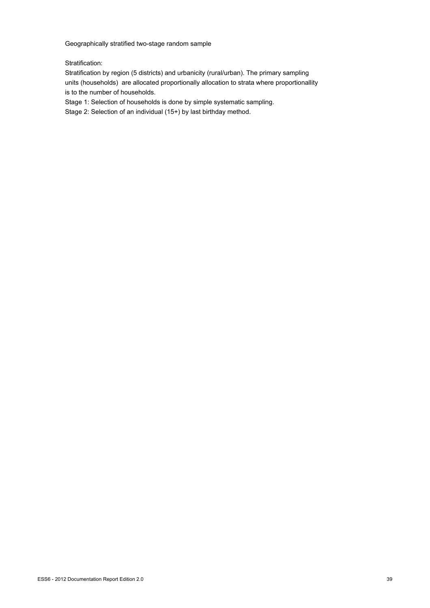Geographically stratified two-stage random sample

Stratification:

Stratification by region (5 districts) and urbanicity (rural/urban). The primary sampling units (households) are allocated proportionally allocation to strata where proportionallity is to the number of households.

Stage 1: Selection of households is done by simple systematic sampling.

Stage 2: Selection of an individual (15+) by last birthday method.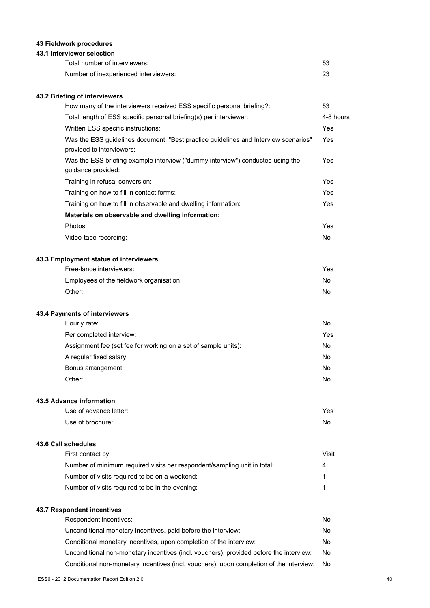# **43 Fieldwork procedures**

# **43.1 Interviewer selection**

| Total number of interviewers:         | 53 |
|---------------------------------------|----|
| Number of inexperienced interviewers: |    |

# **43.2 Briefing of interviewers**

| How many of the interviewers received ESS specific personal briefing?:                                           | 53        |
|------------------------------------------------------------------------------------------------------------------|-----------|
| Total length of ESS specific personal briefing(s) per interviewer:                                               | 4-8 hours |
| Written ESS specific instructions:                                                                               | Yes       |
| Was the ESS guidelines document: "Best practice guidelines and Interview scenarios"<br>provided to interviewers: | Yes       |
| Was the ESS briefing example interview ("dummy interview") conducted using the<br>guidance provided:             | Yes       |
| Training in refusal conversion:                                                                                  | Yes       |
| Training on how to fill in contact forms:                                                                        | Yes       |
| Training on how to fill in observable and dwelling information:                                                  | Yes       |
| Materials on observable and dwelling information:                                                                |           |
| Photos:                                                                                                          | Yes       |
| Video-tape recording:                                                                                            | No        |
| 43.3 Employment status of interviewers                                                                           |           |
| Free-lance interviewers:                                                                                         | Yes       |
| Employees of the fieldwork organisation:                                                                         | No.       |
| Other:                                                                                                           | No        |
| 43.4 Payments of interviewers                                                                                    |           |

| Hourly rate:                                                   | No  |
|----------------------------------------------------------------|-----|
| Per completed interview:                                       | Yes |
| Assignment fee (set fee for working on a set of sample units): | No  |
| A regular fixed salary:                                        | No  |
| Bonus arrangement:                                             | No  |
| Other:                                                         | No  |

### **43.5 Advance information**

| Use of advance letter: | Yes |
|------------------------|-----|
| Use of brochure:       | No  |

### **43.6 Call schedules**

| First contact by:                                                        | Visit |
|--------------------------------------------------------------------------|-------|
| Number of minimum required visits per respondent/sampling unit in total: | 4     |
| Number of visits required to be on a weekend:                            |       |
| Number of visits required to be in the evening:                          |       |
|                                                                          |       |

# **43.7 Respondent incentives**

| Respondent incentives:                                                                  | No.  |
|-----------------------------------------------------------------------------------------|------|
| Unconditional monetary incentives, paid before the interview:                           | No.  |
| Conditional monetary incentives, upon completion of the interview:                      | No.  |
| Unconditional non-monetary incentives (incl. vouchers), provided before the interview:  | No.  |
| Conditional non-monetary incentives (incl. vouchers), upon completion of the interview: | - No |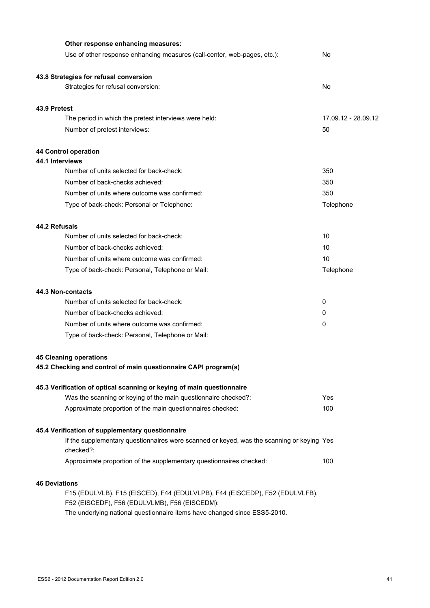| Other response enhancing measures:                                                                     |                     |
|--------------------------------------------------------------------------------------------------------|---------------------|
| Use of other response enhancing measures (call-center, web-pages, etc.):                               | No                  |
| 43.8 Strategies for refusal conversion                                                                 |                     |
| Strategies for refusal conversion:                                                                     | No                  |
| 43.9 Pretest                                                                                           |                     |
| The period in which the pretest interviews were held:                                                  | 17.09.12 - 28.09.12 |
| Number of pretest interviews:                                                                          | 50                  |
| 44 Control operation                                                                                   |                     |
| 44.1 Interviews                                                                                        |                     |
| Number of units selected for back-check:                                                               | 350                 |
| Number of back-checks achieved:                                                                        | 350                 |
| Number of units where outcome was confirmed:                                                           | 350                 |
| Type of back-check: Personal or Telephone:                                                             | Telephone           |
| 44.2 Refusals                                                                                          |                     |
| Number of units selected for back-check:                                                               | 10                  |
| Number of back-checks achieved:                                                                        | 10                  |
| Number of units where outcome was confirmed:                                                           | 10                  |
| Type of back-check: Personal, Telephone or Mail:                                                       | Telephone           |
| 44.3 Non-contacts                                                                                      |                     |
| Number of units selected for back-check:                                                               | 0                   |
| Number of back-checks achieved:                                                                        | 0                   |
| Number of units where outcome was confirmed:                                                           | 0                   |
| Type of back-check: Personal, Telephone or Mail:                                                       |                     |
| <b>45 Cleaning operations</b><br>45.2 Checking and control of main questionnaire CAPI program(s)       |                     |
|                                                                                                        |                     |
| 45.3 Verification of optical scanning or keying of main questionnaire                                  |                     |
| Was the scanning or keying of the main questionnaire checked?:                                         | Yes                 |
| Approximate proportion of the main questionnaires checked:                                             | 100                 |
| 45.4 Verification of supplementary questionnaire                                                       |                     |
| If the supplementary questionnaires were scanned or keyed, was the scanning or keying Yes<br>checked?: |                     |
| Approximate proportion of the supplementary questionnaires checked:                                    | 100                 |
| <b>46 Deviations</b>                                                                                   |                     |
| F15 (EDULVLB), F15 (EISCED), F44 (EDULVLPB), F44 (EISCEDP), F52 (EDULVLFB),                            |                     |
| F52 (EISCEDF), F56 (EDULVLMB), F56 (EISCEDM):                                                          |                     |
| The underlying national questionnaire items have changed since ESS5-2010.                              |                     |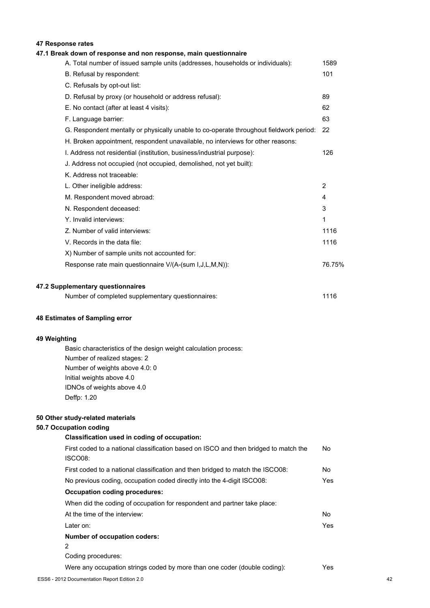# **47 Response rates**

| 47.1 Break down of response and non response, main questionnaire                       |                |
|----------------------------------------------------------------------------------------|----------------|
| A. Total number of issued sample units (addresses, households or individuals):         | 1589           |
| B. Refusal by respondent:                                                              | 101            |
| C. Refusals by opt-out list:                                                           |                |
| D. Refusal by proxy (or household or address refusal):                                 | 89             |
| E. No contact (after at least 4 visits):                                               | 62             |
| F. Language barrier:                                                                   | 63             |
| G. Respondent mentally or physically unable to co-operate throughout fieldwork period: | 22             |
| H. Broken appointment, respondent unavailable, no interviews for other reasons:        |                |
| I. Address not residential (institution, business/industrial purpose):                 | 126            |
| J. Address not occupied (not occupied, demolished, not yet built):                     |                |
| K. Address not traceable:                                                              |                |
| L. Other ineligible address:                                                           | $\overline{2}$ |
| M. Respondent moved abroad:                                                            | 4              |
| N. Respondent deceased:                                                                | 3              |
| Y. Invalid interviews:                                                                 | 1              |
| Z. Number of valid interviews:                                                         | 1116           |
| V. Records in the data file:                                                           | 1116           |
| X) Number of sample units not accounted for:                                           |                |
| Response rate main questionnaire V/(A-(sum I, J, L, M, N)):                            | 76.75%         |

| Number of completed supplementary questionnaires: | 1116 |
|---------------------------------------------------|------|
|                                                   |      |

# **48 Estimates of Sampling error**

# **49 Weighting**

Basic characteristics of the design weight calculation process: Number of realized stages: 2 Number of weights above 4.0: 0 Initial weights above 4.0 IDNOs of weights above 4.0 Deffp: 1.20

# **50 Other study-related materials**

# **50.7 Occupation coding**

| Classification used in coding of occupation:                                         |      |
|--------------------------------------------------------------------------------------|------|
| First coded to a national classification based on ISCO and then bridged to match the | No.  |
| ISCO08:                                                                              |      |
| First coded to a national classification and then bridged to match the ISCO08:       | No   |
| No previous coding, occupation coded directly into the 4-digit ISCO08:               | Yes. |
| <b>Occupation coding procedures:</b>                                                 |      |
| When did the coding of occupation for respondent and partner take place:             |      |
| At the time of the interview:                                                        | No   |
| Later on:                                                                            | Yes. |
| Number of occupation coders:                                                         |      |
| 2                                                                                    |      |
| Coding procedures:                                                                   |      |
| Were any occupation strings coded by more than one coder (double coding):            | Yes. |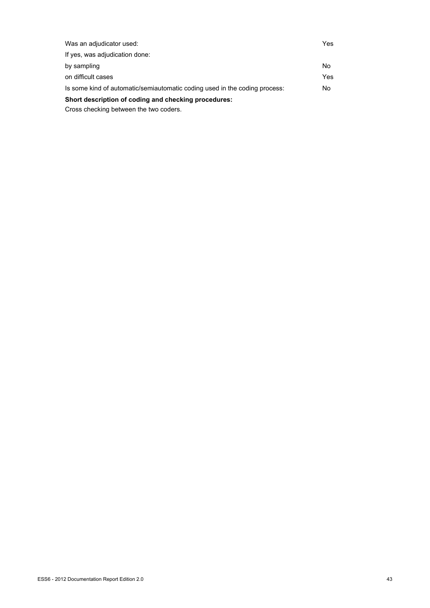| Was an adjudicator used:                                                   | Yes |
|----------------------------------------------------------------------------|-----|
| If yes, was adjudication done:                                             |     |
| by sampling                                                                | No  |
| on difficult cases                                                         | Yes |
| Is some kind of automatic/semiautomatic coding used in the coding process: | No. |
| Short description of coding and checking procedures:                       |     |
|                                                                            |     |

Cross checking between the two coders.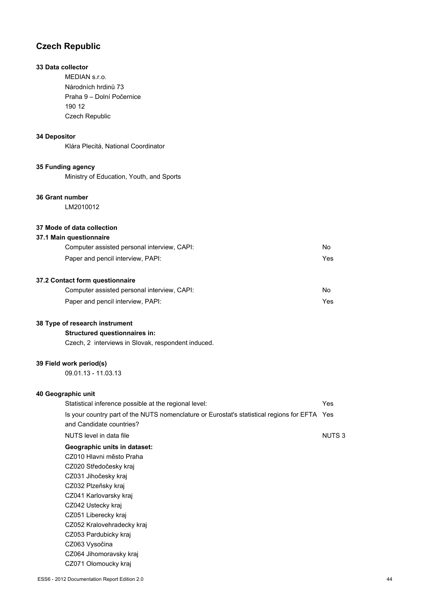# **Czech Republic**

# **33 Data collector**

MEDIAN s.r.o. Národních hrdinů 73 Praha 9 – Dolní Počernice 190 12 Czech Republic

# **34 Depositor**

Klára Plecitá, National Coordinator

### **35 Funding agency**

Ministry of Education, Youth, and Sports

# **36 Grant number**

LM2010012

### **37 Mode of data collection**

### **37.1 Main questionnaire**

| Computer assisted personal interview, CAPI: | No. |
|---------------------------------------------|-----|
| Paper and pencil interview, PAPI:           | Yes |
|                                             |     |

# **37.2 Contact form questionnaire**

| Computer assisted personal interview, CAPI: | No. |
|---------------------------------------------|-----|
| Paper and pencil interview, PAPI:           | Yes |

# **38 Type of research instrument**

### **Structured questionnaires in:**

Czech, 2 interviews in Slovak, respondent induced.

# **39 Field work period(s)**

09.01.13 - 11.03.13

# **40 Geographic unit**

| Statistical inference possible at the regional level:                                        | Yes          |
|----------------------------------------------------------------------------------------------|--------------|
| Is your country part of the NUTS nomenclature or Eurostat's statistical regions for EFTA Yes |              |
| and Candidate countries?                                                                     |              |
| NUTS level in data file                                                                      | <b>NUTS3</b> |
| Geographic units in dataset:                                                                 |              |
| CZ010 Hlavni město Praha                                                                     |              |
| CZ020 Středočesky kraj                                                                       |              |
| CZ031 Jihočesky kraj                                                                         |              |
| CZ032 Plzeňsky kraj                                                                          |              |
| CZ041 Karlovarsky kraj                                                                       |              |
| CZ042 Ustecky kraj                                                                           |              |
| CZ051 Liberecky kraj                                                                         |              |
| CZ052 Kralovehradecky kraj                                                                   |              |
| CZ053 Pardubicky kraj                                                                        |              |
| CZ063 Vysočina                                                                               |              |
| CZ064 Jihomoravsky kraj                                                                      |              |
| CZ071 Olomoucky kraj                                                                         |              |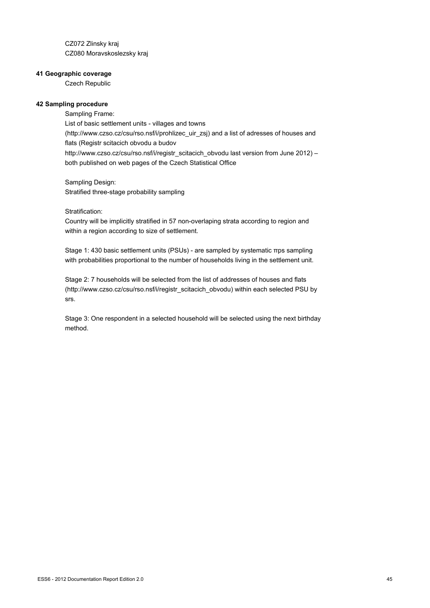CZ072 Zlinsky kraj CZ080 Moravskoslezsky kraj

### **41 Geographic coverage**

Czech Republic

### **42 Sampling procedure**

Sampling Frame: List of basic settlement units - villages and towns (http://www.czso.cz/csu/rso.nsf/i/prohlizec\_uir\_zsj) and a list of adresses of houses and flats (Registr scitacich obvodu a budov http://www.czso.cz/csu/rso.nsf/i/registr\_scitacich\_obvodu last version from June 2012) – both published on web pages of the Czech Statistical Office

Sampling Design: Stratified three-stage probability sampling

### Stratification:

Country will be implicitly stratified in 57 non-overlaping strata according to region and within a region according to size of settlement.

Stage 1: 430 basic settlement units (PSUs) - are sampled by systematic πps sampling with probabilities proportional to the number of households living in the settlement unit.

Stage 2: 7 households will be selected from the list of addresses of houses and flats (http://www.czso.cz/csu/rso.nsf/i/registr\_scitacich\_obvodu) within each selected PSU by srs.

Stage 3: One respondent in a selected household will be selected using the next birthday method.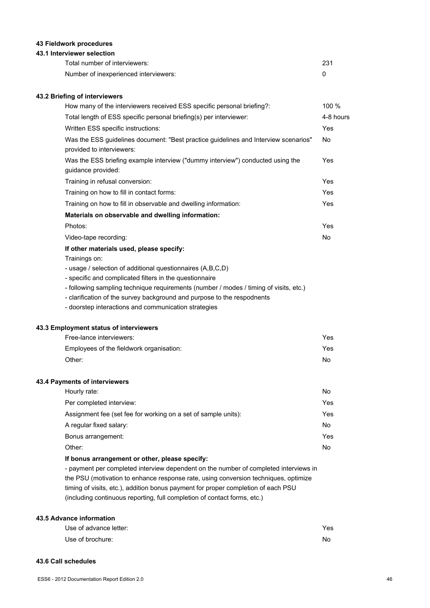# **43 Fieldwork procedures**

### **43.1 Interviewer selection**

| Total number of interviewers:         | 231 |
|---------------------------------------|-----|
| Number of inexperienced interviewers: |     |

### **43.2 Briefing of interviewers**

| How many of the interviewers received ESS specific personal briefing?:                                           | 100 %      |
|------------------------------------------------------------------------------------------------------------------|------------|
| Total length of ESS specific personal briefing(s) per interviewer:                                               | 4-8 hours  |
| Written ESS specific instructions:                                                                               | <b>Yes</b> |
| Was the ESS guidelines document: "Best practice guidelines and Interview scenarios"<br>provided to interviewers: | No         |
| Was the ESS briefing example interview ("dummy interview") conducted using the<br>guidance provided:             | Yes        |
| Training in refusal conversion:                                                                                  | Yes        |
| Training on how to fill in contact forms:                                                                        | <b>Yes</b> |
| Training on how to fill in observable and dwelling information:                                                  | <b>Yes</b> |
| Materials on observable and dwelling information:                                                                |            |
| Photos:                                                                                                          | Yes        |
| Video-tape recording:                                                                                            | No.        |
| If other materials used, please specify:                                                                         |            |
| Trainings on:                                                                                                    |            |
| - usage / selection of additional questionnaires (A,B,C,D)                                                       |            |

- specific and complicated filters in the questionnaire

- following sampling technique requirements (number / modes / timing of visits, etc.)

- clarification of the survey background and purpose to the respodnents

- doorstep interactions and communication strategies

### **43.3 Employment status of interviewers**

| Free-lance interviewers:                 | Yes |
|------------------------------------------|-----|
| Employees of the fieldwork organisation: | Yes |
| Other:                                   | No. |

### **43.4 Payments of interviewers**

| Hourly rate:                                                   | No  |
|----------------------------------------------------------------|-----|
| Per completed interview:                                       | Yes |
| Assignment fee (set fee for working on a set of sample units): | Yes |
| A regular fixed salary:                                        | No. |
| Bonus arrangement:                                             | Yes |
| Other:                                                         | No. |
|                                                                |     |

## **If bonus arrangement or other, please specify:**

- payment per completed interview dependent on the number of completed interviews in the PSU (motivation to enhance response rate, using conversion techniques, optimize timing of visits, etc.), addition bonus payment for proper completion of each PSU (including continuous reporting, full completion of contact forms, etc.)

# **43.5 Advance information**

| Use of advance letter: | Yes |
|------------------------|-----|
| Use of brochure:       | No  |

#### **43.6 Call schedules**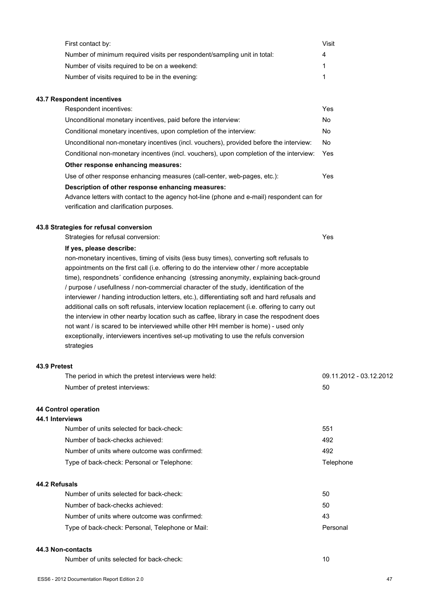| First contact by:                                                        | Visit |
|--------------------------------------------------------------------------|-------|
| Number of minimum required visits per respondent/sampling unit in total: | 4     |
| Number of visits required to be on a weekend:                            |       |
| Number of visits required to be in the evening:                          |       |

### **43.7 Respondent incentives**

| Respondent incentives:                                                                    | Yes |
|-------------------------------------------------------------------------------------------|-----|
| Unconditional monetary incentives, paid before the interview:                             | No  |
| Conditional monetary incentives, upon completion of the interview:                        | No. |
| Unconditional non-monetary incentives (incl. vouchers), provided before the interview:    | No. |
| Conditional non-monetary incentives (incl. vouchers), upon completion of the interview:   | Yes |
| Other response enhancing measures:                                                        |     |
| Use of other response enhancing measures (call-center, web-pages, etc.):                  | Yes |
| Description of other response enhancing measures:                                         |     |
| Advance letters with contact to the agency hot-line (phone and e-mail) respondent can for |     |
| verification and clarification purposes.                                                  |     |

### **43.8 Strategies for refusal conversion**

Strategies for refusal conversion: Yes

### **If yes, please describe:**

non-monetary incentives, timing of visits (less busy times), converting soft refusals to appointments on the first call (i.e. offering to do the interview other / more acceptable time), respondnets´ confidence enhancing (stressing anonymity, explaining back-ground / purpose / usefullness / non-commercial character of the study, identification of the interviewer / handing introduction letters, etc.), differentiating soft and hard refusals and additional calls on soft refusals, interview location replacement (i.e. offering to carry out the interview in other nearby location such as caffee, library in case the respodnent does not want / is scared to be interviewed whille other HH member is home) - used only exceptionally, interviewers incentives set-up motivating to use the refuls conversion strategies

### **43.9 Pretest**

| The period in which the pretest interviews were held: | 09.11.2012 - 03.12.2012 |
|-------------------------------------------------------|-------------------------|
| Number of pretest interviews:                         | 50                      |
| 44 Control operation                                  |                         |
| 44.1 Interviews                                       |                         |
| Number of units selected for back-check:              | 551                     |
| Number of back-checks achieved:                       | 492                     |
| Number of units where outcome was confirmed:          | 492                     |
| Type of back-check: Personal or Telephone:            | Telephone               |
| 44.2 Refusals                                         |                         |
| Number of units selected for back-check:              | 50                      |
| Number of back-checks achieved:                       | 50                      |
| Number of units where outcome was confirmed:          | 43                      |
| Type of back-check: Personal, Telephone or Mail:      | Personal                |

# **44.3 Non-contacts**

Number of units selected for back-check: 10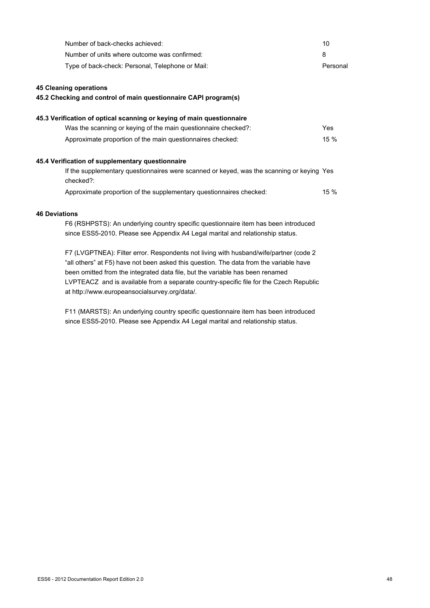| Number of back-checks achieved:                                                                        | 10         |
|--------------------------------------------------------------------------------------------------------|------------|
| Number of units where outcome was confirmed:                                                           | 8          |
| Type of back-check: Personal, Telephone or Mail:                                                       | Personal   |
| <b>45 Cleaning operations</b>                                                                          |            |
| 45.2 Checking and control of main questionnaire CAPI program(s)                                        |            |
| 45.3 Verification of optical scanning or keying of main questionnaire                                  |            |
| Was the scanning or keying of the main questionnaire checked?:                                         | <b>Yes</b> |
| Approximate proportion of the main questionnaires checked:                                             | 15 %       |
| 45.4 Verification of supplementary questionnaire                                                       |            |
| If the supplementary questionnaires were scanned or keyed, was the scanning or keying Yes<br>checked?: |            |
| Approximate proportion of the supplementary questionnaires checked:                                    | 15 %       |
| <b>46 Deviations</b>                                                                                   |            |
| F6 (RSHPSTS): An underlying country specific questionnaire item has been introduced                    |            |
| since ESS5-2010. Please see Appendix A4 Legal marital and relationship status.                         |            |
| F7 (LVGPTNEA): Filter error. Respondents not living with husband/wife/partner (code 2                  |            |
| "all others" at F5) have not been asked this question. The data from the variable have                 |            |
| been omitted from the integrated data file, but the variable has been renamed                          |            |

LVPTEACZ and is available from a separate country-specific file for the Czech Republic

F11 (MARSTS): An underlying country specific questionnaire item has been introduced since ESS5-2010. Please see Appendix A4 Legal marital and relationship status.

at http://www.europeansocialsurvey.org/data/.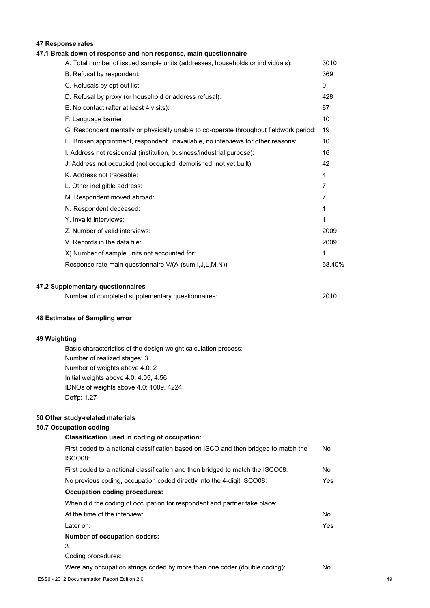# **47 Response rates**

# **47.1 Break down of response and non response, main questionnaire**

| A. Total number of issued sample units (addresses, households or individuals):         | 3010     |
|----------------------------------------------------------------------------------------|----------|
| B. Refusal by respondent:                                                              | 369      |
| C. Refusals by opt-out list:                                                           | $\Omega$ |
| D. Refusal by proxy (or household or address refusal):                                 | 428      |
| E. No contact (after at least 4 visits):                                               | 87       |
| F. Language barrier:                                                                   | 10       |
| G. Respondent mentally or physically unable to co-operate throughout fieldwork period: | 19       |
| H. Broken appointment, respondent unavailable, no interviews for other reasons:        | 10       |
| I. Address not residential (institution, business/industrial purpose):                 | 16       |
| J. Address not occupied (not occupied, demolished, not yet built):                     | 42       |
| K. Address not traceable:                                                              | 4        |
| L. Other ineligible address:                                                           | 7        |
| M. Respondent moved abroad:                                                            | 7        |
| N. Respondent deceased:                                                                | 1        |
| Y. Invalid interviews:                                                                 | 1        |
| Z. Number of valid interviews:                                                         | 2009     |
| V. Records in the data file:                                                           | 2009     |
| X) Number of sample units not accounted for:                                           | 1        |
| Response rate main questionnaire V/(A-(sum I,J,L,M,N)):                                | 68.40%   |
|                                                                                        |          |
|                                                                                        |          |

## **47.2 Supplementary questionnaires**

| Number of completed supplementary questionnaires: | 2010 |
|---------------------------------------------------|------|
|                                                   |      |

### **48 Estimates of Sampling error**

### **49 Weighting**

Basic characteristics of the design weight calculation process: Number of realized stages: 3 Number of weights above 4.0: 2 Initial weights above 4.0: 4.05, 4.56 IDNOs of weights above 4.0: 1009, 4224 Deffp: 1.27

### **50 Other study-related materials**

# **50.7 Occupation coding**

| Classification used in coding of occupation:                                                    |     |
|-------------------------------------------------------------------------------------------------|-----|
| First coded to a national classification based on ISCO and then bridged to match the<br>ISCO08: | No  |
| First coded to a national classification and then bridged to match the ISCO08:                  | No  |
| No previous coding, occupation coded directly into the 4-digit ISCO08:                          | Yes |
| <b>Occupation coding procedures:</b>                                                            |     |
| When did the coding of occupation for respondent and partner take place:                        |     |
| At the time of the interview:                                                                   | No  |
| Later on:                                                                                       | Yes |
| Number of occupation coders:                                                                    |     |
| 3                                                                                               |     |
| Coding procedures:                                                                              |     |
| Were any occupation strings coded by more than one coder (double coding):                       | No  |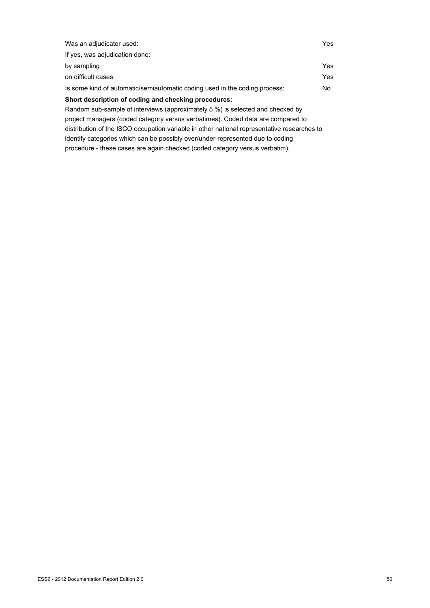| If yes, was adjudication done:<br>by sampling<br>on difficult cases<br>Is some kind of automatic/semiautomatic coding used in the coding process:<br>No.<br>Short description of coding and checking procedures:<br>Random sub-sample of interviews (approximately 5 %) is selected and checked by<br>project managers (coded category versus verbatimes). Coded data are compared to | Was an adjudicator used: | Yes |
|---------------------------------------------------------------------------------------------------------------------------------------------------------------------------------------------------------------------------------------------------------------------------------------------------------------------------------------------------------------------------------------|--------------------------|-----|
|                                                                                                                                                                                                                                                                                                                                                                                       |                          |     |
|                                                                                                                                                                                                                                                                                                                                                                                       |                          | Yes |
|                                                                                                                                                                                                                                                                                                                                                                                       |                          | Yes |
|                                                                                                                                                                                                                                                                                                                                                                                       |                          |     |
|                                                                                                                                                                                                                                                                                                                                                                                       |                          |     |
|                                                                                                                                                                                                                                                                                                                                                                                       |                          |     |
|                                                                                                                                                                                                                                                                                                                                                                                       |                          |     |

distribution of the ISCO occupation variable in other national representative researches to identify categories which can be possibly over/under-represented due to coding

procedure - these cases are again checked (coded category versus verbatim).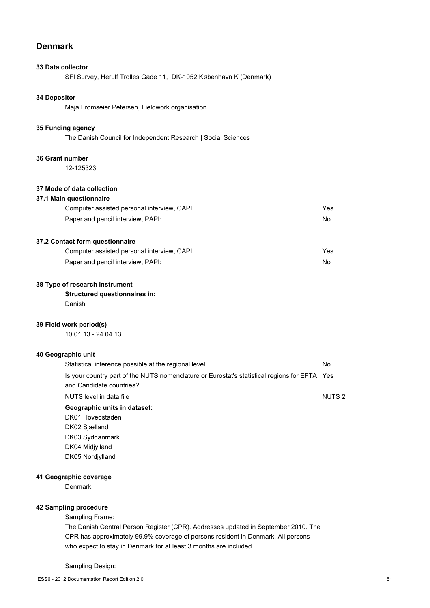# **Denmark**

### **33 Data collector**

SFI Survey, Herulf Trolles Gade 11, DK-1052 København K (Denmark)

# **34 Depositor**

Maja Fromseier Petersen, Fieldwork organisation

### **35 Funding agency**

The Danish Council for Independent Research | Social Sciences

### **36 Grant number**

12-125323

## **37 Mode of data collection**

## **37.1 Main questionnaire**

| Computer assisted personal interview, CAPI: | Yes |
|---------------------------------------------|-----|
| Paper and pencil interview, PAPI:           | No  |

# **37.2 Contact form questionnaire**

| Computer assisted personal interview, CAPI: | Yes |
|---------------------------------------------|-----|
| Paper and pencil interview, PAPI:           | No. |

## **38 Type of research instrument**

# **Structured questionnaires in:**

Danish

### **39 Field work period(s)**

10.01.13 - 24.04.13

### **40 Geographic unit**

| Statistical inference possible at the regional level:                                        | No                |
|----------------------------------------------------------------------------------------------|-------------------|
| Is your country part of the NUTS nomenclature or Eurostat's statistical regions for EFTA Yes |                   |
| and Candidate countries?                                                                     |                   |
| NUTS level in data file                                                                      | NUTS <sub>2</sub> |
| Geographic units in dataset:                                                                 |                   |
| DK01 Hovedstaden                                                                             |                   |
| DK02 Siælland                                                                                |                   |
| DK03 Syddanmark                                                                              |                   |
| DK04 Midiviland                                                                              |                   |
| DK05 Nordiviland                                                                             |                   |

### **41 Geographic coverage**

Denmark

### **42 Sampling procedure**

Sampling Frame:

The Danish Central Person Register (CPR). Addresses updated in September 2010. The CPR has approximately 99.9% coverage of persons resident in Denmark. All persons who expect to stay in Denmark for at least 3 months are included.

### Sampling Design: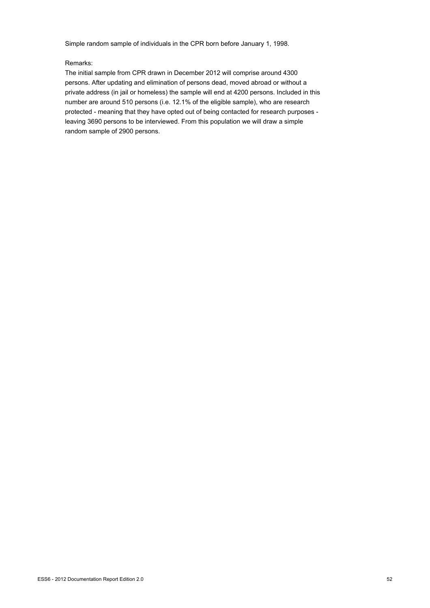Simple random sample of individuals in the CPR born before January 1, 1998.

### Remarks:

The initial sample from CPR drawn in December 2012 will comprise around 4300 persons. After updating and elimination of persons dead, moved abroad or without a private address (in jail or homeless) the sample will end at 4200 persons. Included in this number are around 510 persons (i.e. 12.1% of the eligible sample), who are research protected - meaning that they have opted out of being contacted for research purposes leaving 3690 persons to be interviewed. From this population we will draw a simple random sample of 2900 persons.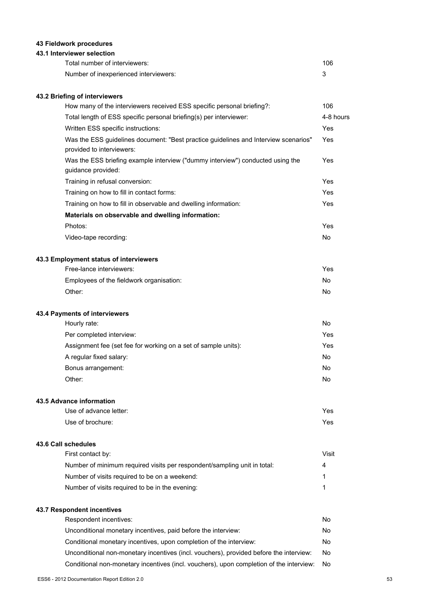# **43 Fieldwork procedures**

## **43.1 Interviewer selection**

| Total number of interviewers:         | 106 |
|---------------------------------------|-----|
| Number of inexperienced interviewers: |     |

### **43.2 Briefing of interviewers**

| How many of the interviewers received ESS specific personal briefing?:                                           | 106       |
|------------------------------------------------------------------------------------------------------------------|-----------|
| Total length of ESS specific personal briefing(s) per interviewer:                                               | 4-8 hours |
| Written ESS specific instructions:                                                                               | Yes       |
| Was the ESS guidelines document: "Best practice guidelines and Interview scenarios"<br>provided to interviewers: | Yes       |
| Was the ESS briefing example interview ("dummy interview") conducted using the<br>guidance provided:             | Yes       |
| Training in refusal conversion:                                                                                  | Yes       |
| Training on how to fill in contact forms:                                                                        | Yes       |
| Training on how to fill in observable and dwelling information:                                                  | Yes       |
| Materials on observable and dwelling information:                                                                |           |
| Photos:                                                                                                          | Yes       |
| Video-tape recording:                                                                                            | No.       |
| 43.3 Employment status of interviewers                                                                           |           |
| Free-lance interviewers:                                                                                         | Yes       |
| Employees of the fieldwork organisation:                                                                         | No.       |
| Other:                                                                                                           | No        |

### **43.4 Payments of interviewers**

| Hourly rate:                                                   | No  |
|----------------------------------------------------------------|-----|
| Per completed interview:                                       | Yes |
| Assignment fee (set fee for working on a set of sample units): | Yes |
| A regular fixed salary:                                        | No  |
| Bonus arrangement:                                             | No  |
| Other:                                                         | No  |

# **43.5 Advance information**

| Use of advance letter: | Yes |
|------------------------|-----|
| Use of brochure:       | Yes |

### **43.6 Call schedules**

| First contact by:                                                        | Visit |
|--------------------------------------------------------------------------|-------|
| Number of minimum required visits per respondent/sampling unit in total: |       |
| Number of visits required to be on a weekend:                            |       |
| Number of visits required to be in the evening:                          |       |
|                                                                          |       |

# **43.7 Respondent incentives**

| Respondent incentives:                                                                  | No. |
|-----------------------------------------------------------------------------------------|-----|
| Unconditional monetary incentives, paid before the interview:                           | No. |
| Conditional monetary incentives, upon completion of the interview:                      | No  |
| Unconditional non-monetary incentives (incl. vouchers), provided before the interview:  | No. |
| Conditional non-monetary incentives (incl. vouchers), upon completion of the interview: | No. |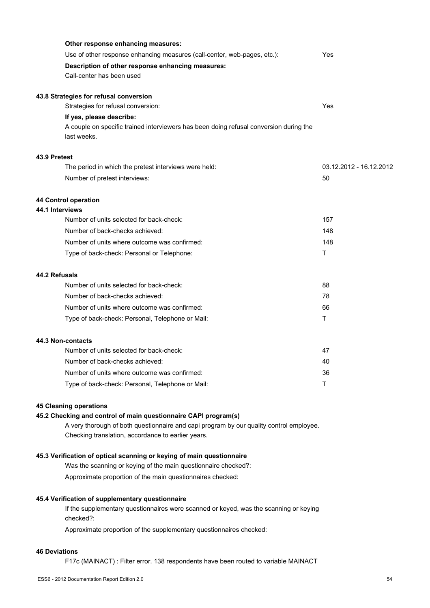| Other response enhancing measures:                                                                    |                         |
|-------------------------------------------------------------------------------------------------------|-------------------------|
| Use of other response enhancing measures (call-center, web-pages, etc.):                              | Yes                     |
| Description of other response enhancing measures:                                                     |                         |
| Call-center has been used                                                                             |                         |
| 43.8 Strategies for refusal conversion                                                                |                         |
| Strategies for refusal conversion:                                                                    | Yes                     |
| If yes, please describe:                                                                              |                         |
| A couple on specific trained interviewers has been doing refusal conversion during the<br>last weeks. |                         |
| 43.9 Pretest                                                                                          |                         |
| The period in which the pretest interviews were held:                                                 | 03.12.2012 - 16.12.2012 |
| Number of pretest interviews:                                                                         | 50                      |
| 44 Control operation                                                                                  |                         |
| 44.1 Interviews                                                                                       |                         |
| Number of units selected for back-check:                                                              | 157                     |
| Number of back-checks achieved:                                                                       | 148                     |
| Number of units where outcome was confirmed:                                                          | 148                     |
| Type of back-check: Personal or Telephone:                                                            | Τ                       |
| 44.2 Refusals                                                                                         |                         |
| Number of units selected for back-check:                                                              | 88                      |
| Number of back-checks achieved:                                                                       | 78                      |
| Number of units where outcome was confirmed:                                                          | 66                      |
| Type of back-check: Personal, Telephone or Mail:                                                      | T                       |
| 44.3 Non-contacts                                                                                     |                         |
| Number of units selected for back-check:                                                              | 47                      |
| Number of back-checks achieved:                                                                       | 40                      |
| Number of units where outcome was confirmed:                                                          | 36                      |
| Type of back-check: Personal, Telephone or Mail:                                                      | Τ                       |
|                                                                                                       |                         |

# **45 Cleaning operations**

# **45.2 Checking and control of main questionnaire CAPI program(s)**

A very thorough of both questionnaire and capi program by our quality control employee. Checking translation, accordance to earlier years.

### **45.3 Verification of optical scanning or keying of main questionnaire**

Was the scanning or keying of the main questionnaire checked?:

Approximate proportion of the main questionnaires checked:

### **45.4 Verification of supplementary questionnaire**

If the supplementary questionnaires were scanned or keyed, was the scanning or keying checked?:

Approximate proportion of the supplementary questionnaires checked:

# **46 Deviations**

F17c (MAINACT) : Filter error. 138 respondents have been routed to variable MAINACT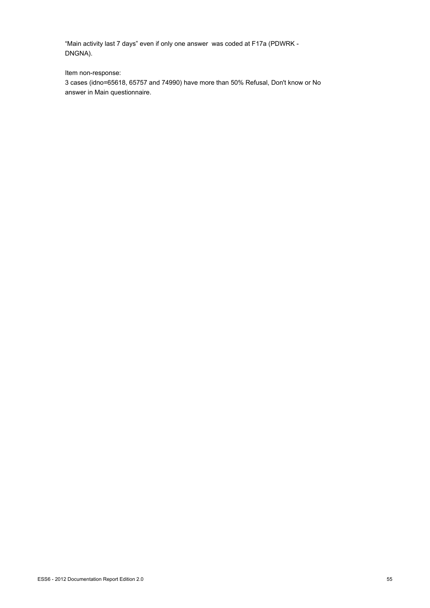"Main activity last 7 days" even if only one answer was coded at F17a (PDWRK - DNGNA).

Item non-response:

3 cases (idno=65618, 65757 and 74990) have more than 50% Refusal, Don't know or No answer in Main questionnaire.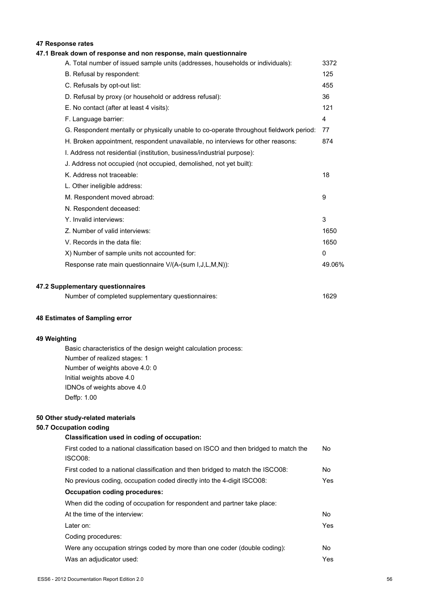# **47 Response rates**

# **47.1 Break down of response and non response, main questionnaire**

| A. Total number of issued sample units (addresses, households or individuals):         | 3372   |
|----------------------------------------------------------------------------------------|--------|
| B. Refusal by respondent:                                                              | 125    |
| C. Refusals by opt-out list:                                                           | 455    |
| D. Refusal by proxy (or household or address refusal):                                 | 36     |
| E. No contact (after at least 4 visits):                                               | 121    |
| F. Language barrier:                                                                   | 4      |
| G. Respondent mentally or physically unable to co-operate throughout fieldwork period: | 77     |
| H. Broken appointment, respondent unavailable, no interviews for other reasons:        | 874    |
| I. Address not residential (institution, business/industrial purpose):                 |        |
| J. Address not occupied (not occupied, demolished, not yet built):                     |        |
| K. Address not traceable:                                                              | 18     |
| L. Other ineligible address:                                                           |        |
| M. Respondent moved abroad:                                                            | 9      |
| N. Respondent deceased:                                                                |        |
| Y. Invalid interviews:                                                                 | 3      |
| Z. Number of valid interviews:                                                         | 1650   |
| V. Records in the data file:                                                           | 1650   |
| X) Number of sample units not accounted for:                                           | 0      |
| Response rate main questionnaire V/(A-(sum I, J, L, M, N)):                            | 49.06% |
|                                                                                        |        |
| 47.2 Supplementary questionnaires                                                      |        |

| Number of completed supplementary questionnaires: | 1629 |
|---------------------------------------------------|------|
|---------------------------------------------------|------|

### **48 Estimates of Sampling error**

### **49 Weighting**

Basic characteristics of the design weight calculation process: Number of realized stages: 1 Number of weights above 4.0: 0 Initial weights above 4.0 IDNOs of weights above 4.0 Deffp: 1.00

### **50 Other study-related materials**

### **50.7 Occupation coding**

# **Classification used in coding of occupation:** First coded to a national classification based on ISCO and then bridged to match the ISCO08: First coded to a national classification and then bridged to match the ISCO08: No No previous coding, occupation coded directly into the 4-digit ISCO08: Yes **Occupation coding procedures:** When did the coding of occupation for respondent and partner take place: At the time of the interview: No Later on: Yes Coding procedures: Were any occupation strings coded by more than one coder (double coding): No Was an adjudicator used:  $Y$ es

No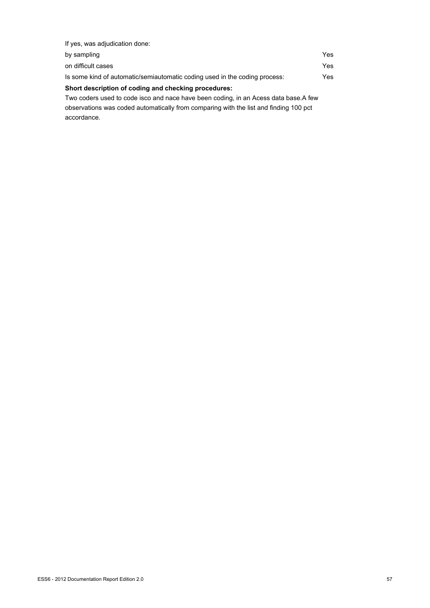| If yes, was adjudication done:                                                       |      |
|--------------------------------------------------------------------------------------|------|
| by sampling                                                                          | Yes. |
| on difficult cases                                                                   | Yes. |
| Is some kind of automatic/semiautomatic coding used in the coding process:           | Yes. |
| Short description of coding and checking procedures:                                 |      |
| Two coders used to code isco and nace have been coding, in an Acess data base. A few |      |

observations was coded automatically from comparing with the list and finding 100 pct accordance.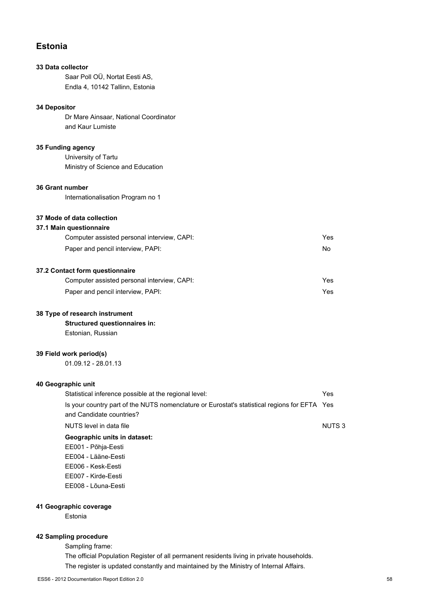# **Estonia**

# **33 Data collector**

Saar Poll OÜ, Nortat Eesti AS, Endla 4, 10142 Tallinn, Estonia

## **34 Depositor**

Dr Mare Ainsaar, National Coordinator and Kaur Lumiste

# **35 Funding agency**

University of Tartu Ministry of Science and Education

# **36 Grant number**

Internationalisation Program no 1

# **37 Mode of data collection**

## **37.1 Main questionnaire**

| Computer assisted personal interview, CAPI: | Yes |
|---------------------------------------------|-----|
| Paper and pencil interview, PAPI:           | No. |

# **37.2 Contact form questionnaire**

| Computer assisted personal interview, CAPI: | Yes |
|---------------------------------------------|-----|
| Paper and pencil interview, PAPI:           | Yes |

### **38 Type of research instrument**

**Structured questionnaires in:** Estonian, Russian

## **39 Field work period(s)**

01.09.12 - 28.01.13

# **40 Geographic unit**

| Statistical inference possible at the regional level:                                        | Yes          |
|----------------------------------------------------------------------------------------------|--------------|
| Is your country part of the NUTS nomenclature or Eurostat's statistical regions for EFTA Yes |              |
| and Candidate countries?                                                                     |              |
| NUTS level in data file                                                                      | <b>NUTS3</b> |
| Geographic units in dataset:                                                                 |              |
| EE001 - Põhja-Eesti                                                                          |              |
| EE004 - Lääne-Eesti                                                                          |              |
| EE006 - Kesk-Eesti                                                                           |              |
| EE007 - Kirde-Eesti                                                                          |              |

# EE008 - Lõuna-Eesti

# **41 Geographic coverage**

Estonia

### **42 Sampling procedure**

Sampling frame:

The official Population Register of all permanent residents living in private households. The register is updated constantly and maintained by the Ministry of Internal Affairs.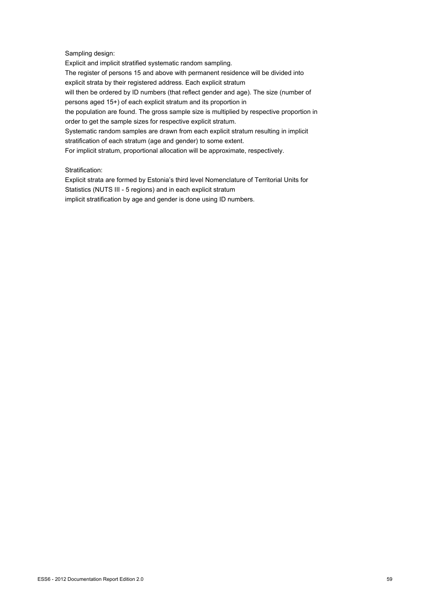# Sampling design:

Explicit and implicit stratified systematic random sampling. The register of persons 15 and above with permanent residence will be divided into explicit strata by their registered address. Each explicit stratum will then be ordered by ID numbers (that reflect gender and age). The size (number of persons aged 15+) of each explicit stratum and its proportion in the population are found. The gross sample size is multiplied by respective proportion in order to get the sample sizes for respective explicit stratum. Systematic random samples are drawn from each explicit stratum resulting in implicit stratification of each stratum (age and gender) to some extent. For implicit stratum, proportional allocation will be approximate, respectively.

## Stratification:

Explicit strata are formed by Estonia's third level Nomenclature of Territorial Units for Statistics (NUTS III - 5 regions) and in each explicit stratum implicit stratification by age and gender is done using ID numbers.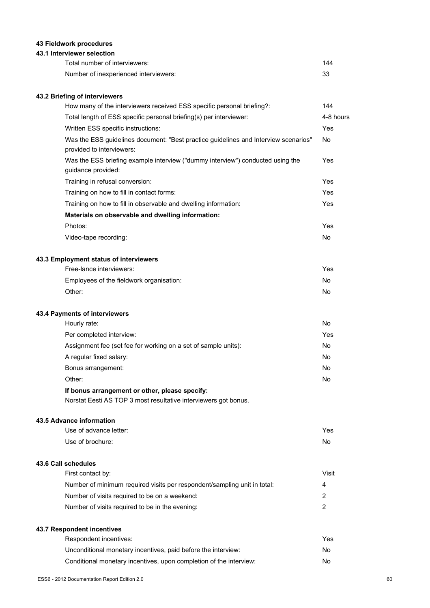# **43 Fieldwork procedures**

# **43.1 Interviewer selection**

| Total number of interviewers:         | 144 |
|---------------------------------------|-----|
| Number of inexperienced interviewers: |     |

# **43.2 Briefing of interviewers**

| How many of the interviewers received ESS specific personal briefing?:                                           | 144       |           |
|------------------------------------------------------------------------------------------------------------------|-----------|-----------|
| Total length of ESS specific personal briefing(s) per interviewer:                                               |           | 4-8 hours |
| Written ESS specific instructions:                                                                               | Yes       |           |
| Was the ESS guidelines document: "Best practice guidelines and Interview scenarios"<br>provided to interviewers: | <b>No</b> |           |
| Was the ESS briefing example interview ("dummy interview") conducted using the<br>guidance provided:             | Yes       |           |
| Training in refusal conversion:                                                                                  | Yes       |           |
| Training on how to fill in contact forms:                                                                        | Yes       |           |
| Training on how to fill in observable and dwelling information:                                                  | Yes       |           |
| Materials on observable and dwelling information:                                                                |           |           |
| Photos:                                                                                                          | Yes       |           |
| Video-tape recording:                                                                                            | <b>No</b> |           |
| 43.3 Employment status of interviewers                                                                           |           |           |
| Free-lance interviewers:                                                                                         | Yes       |           |
| Employees of the fieldwork organisation:                                                                         | No        |           |
| Other:                                                                                                           | No        |           |
| 43.4 Payments of interviewers                                                                                    |           |           |
| Hourly rate:                                                                                                     | No        |           |
| Per completed interview:                                                                                         | Yes       |           |
| Assignment fee (set fee for working on a set of sample units):                                                   | <b>No</b> |           |
| A regular fixed salary:                                                                                          | No        |           |
| Bonus arrangement:                                                                                               | No        |           |
| Other:                                                                                                           | <b>No</b> |           |
| If bonus arrangement or other, please specify:                                                                   |           |           |
| Norstat Eesti AS TOP 3 most resultative interviewers got bonus.                                                  |           |           |
| 43.5 Advance information                                                                                         |           |           |

| Use of advance letter: | Yes |
|------------------------|-----|
| Use of brochure:       | No. |

# **43.6 Call schedules**

| First contact by:                                                        | Visit |
|--------------------------------------------------------------------------|-------|
| Number of minimum required visits per respondent/sampling unit in total: | 4     |
| Number of visits required to be on a weekend:                            | 2     |
| Number of visits required to be in the evening:                          |       |

# **43.7 Respondent incentives**

| Respondent incentives:                                             | Yes |
|--------------------------------------------------------------------|-----|
| Unconditional monetary incentives, paid before the interview:      | No. |
| Conditional monetary incentives, upon completion of the interview: | No. |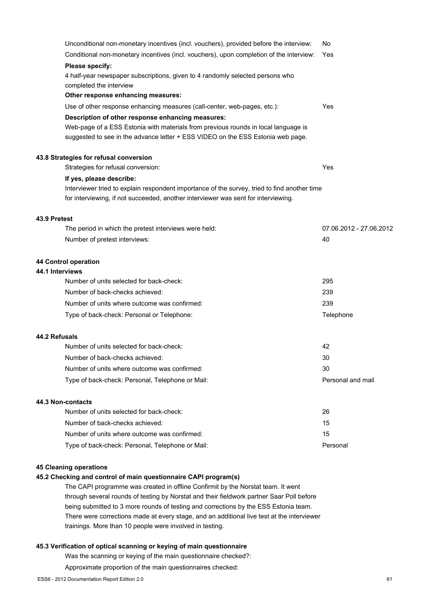| Unconditional non-monetary incentives (incl. vouchers), provided before the interview:                                                                                             | No                      |
|------------------------------------------------------------------------------------------------------------------------------------------------------------------------------------|-------------------------|
| Conditional non-monetary incentives (incl. vouchers), upon completion of the interview:                                                                                            | Yes                     |
| Please specify:                                                                                                                                                                    |                         |
| 4 half-year newspaper subscriptions, given to 4 randomly selected persons who<br>completed the interview                                                                           |                         |
| Other response enhancing measures:                                                                                                                                                 |                         |
| Use of other response enhancing measures (call-center, web-pages, etc.):                                                                                                           | Yes                     |
| Description of other response enhancing measures:                                                                                                                                  |                         |
| Web-page of a ESS Estonia with materials from previous rounds in local language is<br>suggested to see in the advance letter + ESS VIDEO on the ESS Estonia web page.              |                         |
| 43.8 Strategies for refusal conversion                                                                                                                                             |                         |
| Strategies for refusal conversion:                                                                                                                                                 | Yes                     |
| If yes, please describe:                                                                                                                                                           |                         |
| Interviewer tried to explain respondent importance of the survey, tried to find another time<br>for interviewing, if not succeeded, another interviewer was sent for interviewing. |                         |
| 43.9 Pretest                                                                                                                                                                       |                         |
| The period in which the pretest interviews were held:                                                                                                                              | 07.06.2012 - 27.06.2012 |
| Number of pretest interviews:                                                                                                                                                      | 40                      |
| 44 Control operation                                                                                                                                                               |                         |
| 44.1 Interviews                                                                                                                                                                    |                         |
| Number of units selected for back-check:                                                                                                                                           | 295                     |
| Number of back-checks achieved:                                                                                                                                                    | 239                     |
| Number of units where outcome was confirmed:                                                                                                                                       | 239                     |
| Type of back-check: Personal or Telephone:                                                                                                                                         | Telephone               |
| 44.2 Refusals                                                                                                                                                                      |                         |
| Number of units selected for back-check:                                                                                                                                           | 42                      |
| Number of back-checks achieved:                                                                                                                                                    | 30                      |
| Number of units where outcome was confirmed:                                                                                                                                       | 30                      |
| Type of back-check: Personal, Telephone or Mail:                                                                                                                                   | Personal and mail       |
| 44.3 Non-contacts                                                                                                                                                                  |                         |
| Number of units selected for back-check:                                                                                                                                           | 26                      |
| Number of back-checks achieved:                                                                                                                                                    | 15                      |
| Number of units where outcome was confirmed:                                                                                                                                       | 15                      |
| Type of back-check: Personal, Telephone or Mail:                                                                                                                                   | Personal                |

### **45 Cleaning operations**

## **45.2 Checking and control of main questionnaire CAPI program(s)**

The CAPI programme was created in offline Confirmit by the Norstat team. It went through several rounds of testing by Norstat and their fieldwork partner Saar Poll before being submitted to 3 more rounds of testing and corrections by the ESS Estonia team. There were corrections made at every stage, and an additional live test at the interviewer trainings. More than 10 people were involved in testing.

# **45.3 Verification of optical scanning or keying of main questionnaire**

Was the scanning or keying of the main questionnaire checked?:

Approximate proportion of the main questionnaires checked: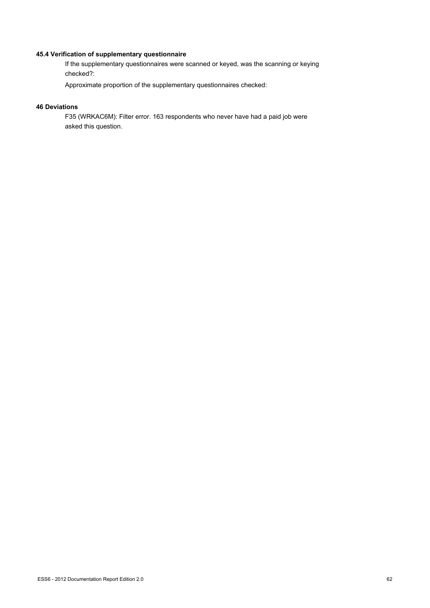# **45.4 Verification of supplementary questionnaire**

If the supplementary questionnaires were scanned or keyed, was the scanning or keying checked?:

Approximate proportion of the supplementary questionnaires checked:

# **46 Deviations**

F35 (WRKAC6M): Filter error. 163 respondents who never have had a paid job were asked this question.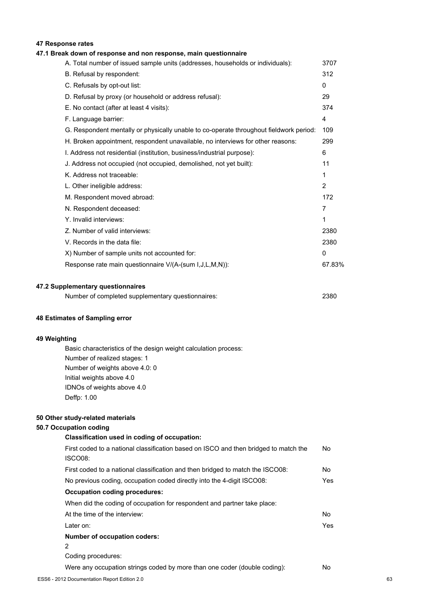# **47 Response rates**

# **47.1 Break down of response and non response, main questionnaire**

| A. Total number of issued sample units (addresses, households or individuals):         | 3707           |
|----------------------------------------------------------------------------------------|----------------|
| B. Refusal by respondent:                                                              | 312            |
| C. Refusals by opt-out list:                                                           | $\mathbf{0}$   |
| D. Refusal by proxy (or household or address refusal):                                 | 29             |
| E. No contact (after at least 4 visits):                                               | 374            |
| F. Language barrier:                                                                   | 4              |
| G. Respondent mentally or physically unable to co-operate throughout fieldwork period: | 109            |
| H. Broken appointment, respondent unavailable, no interviews for other reasons:        | 299            |
| I. Address not residential (institution, business/industrial purpose):                 | 6              |
| J. Address not occupied (not occupied, demolished, not yet built):                     | 11             |
| K. Address not traceable:                                                              | 1              |
| L. Other ineligible address:                                                           | $\overline{2}$ |
| M. Respondent moved abroad:                                                            | 172            |
| N. Respondent deceased:                                                                | 7              |
| Y. Invalid interviews:                                                                 | 1              |
| Z. Number of valid interviews:                                                         | 2380           |
| V. Records in the data file:                                                           | 2380           |
| X) Number of sample units not accounted for:                                           | 0              |
| Response rate main questionnaire V/(A-(sum I,J,L,M,N)):                                | 67.83%         |
|                                                                                        |                |

### **47.2 Supplementary questionnaires**

| Number of completed supplementary questionnaires: | 2380 |
|---------------------------------------------------|------|
|---------------------------------------------------|------|

### **48 Estimates of Sampling error**

### **49 Weighting**

Basic characteristics of the design weight calculation process: Number of realized stages: 1 Number of weights above 4.0: 0 Initial weights above 4.0 IDNOs of weights above 4.0 Deffp: 1.00

### **50 Other study-related materials**

### **50.7 Occupation coding**

| Classification used in coding of occupation:                                         |    |
|--------------------------------------------------------------------------------------|----|
| First coded to a national classification based on ISCO and then bridged to match the | No |
| ISCO08:                                                                              |    |
| First coded to a national classification and then bridged to match the ISCO08:       | No |

| No previous coding, occupation coded directly into the 4-digit ISCO08:   | Yes |
|--------------------------------------------------------------------------|-----|
| Occupation coding procedures:                                            |     |
| When did the coding of occupation for respondent and partner take place: |     |
| At the time of the interview:                                            | No. |
| Later on:                                                                | Yes |
| Number of occupation coders:                                             |     |
|                                                                          |     |
| Coding procedures:                                                       |     |

Were any occupation strings coded by more than one coder (double coding): No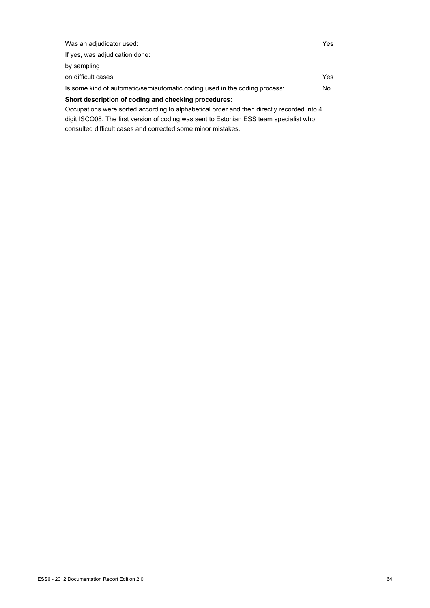| Was an adjudicator used:                                                                  | Yes |
|-------------------------------------------------------------------------------------------|-----|
| If yes, was adjudication done:                                                            |     |
| by sampling                                                                               |     |
| on difficult cases                                                                        | Yes |
| Is some kind of automatic/semiautomatic coding used in the coding process:                | No. |
| Short description of coding and checking procedures:                                      |     |
| Occupations were sorted according to alphabetical order and then directly recorded into 4 |     |
| digit ISCO08. The first version of coding was sent to Estonian ESS team specialist who    |     |

consulted difficult cases and corrected some minor mistakes.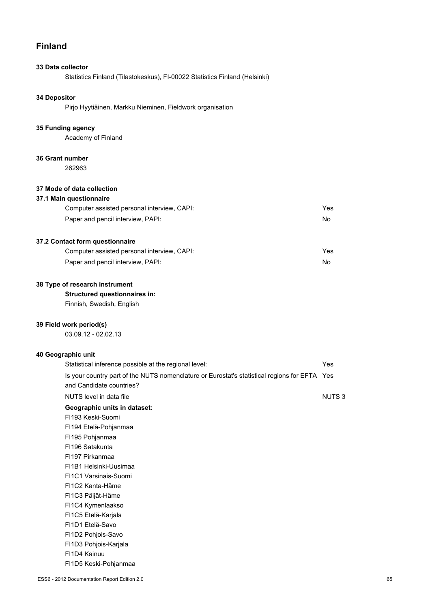# **Finland**

# **33 Data collector**

Statistics Finland (Tilastokeskus), FI-00022 Statistics Finland (Helsinki)

# **34 Depositor**

Pirjo Hyytiäinen, Markku Nieminen, Fieldwork organisation

### **35 Funding agency**

Academy of Finland

#### **36 Grant number**

262963

# **37 Mode of data collection**

### **37.1 Main questionnaire**

| Computer assisted personal interview, CAPI: | Yes |
|---------------------------------------------|-----|
| Paper and pencil interview, PAPI:           | No  |

# **37.2 Contact form questionnaire**

| Computer assisted personal interview, CAPI: | Yes |
|---------------------------------------------|-----|
| Paper and pencil interview, PAPI:           | No. |

# **38 Type of research instrument**

# **Structured questionnaires in:**

Finnish, Swedish, English

### **39 Field work period(s)**

03.09.12 - 02.02.13

# **40 Geographic unit**

| Statistical inference possible at the regional level:                                        | Yes          |
|----------------------------------------------------------------------------------------------|--------------|
| Is your country part of the NUTS nomenclature or Eurostat's statistical regions for EFTA Yes |              |
| and Candidate countries?                                                                     |              |
| NUTS level in data file                                                                      | <b>NUTS3</b> |
| Geographic units in dataset:                                                                 |              |
| FI193 Keski-Suomi                                                                            |              |
| FI194 Etelä-Pohjanmaa                                                                        |              |
| FI195 Pohjanmaa                                                                              |              |
| FI196 Satakunta                                                                              |              |
| FI197 Pirkanmaa                                                                              |              |
| FI1B1 Helsinki-Uusimaa                                                                       |              |
| FI1C1 Varsinais-Suomi                                                                        |              |
| FI1C2 Kanta-Häme                                                                             |              |
| FI1C3 Päijät-Häme                                                                            |              |
| FI1C4 Kymenlaakso                                                                            |              |
| FI1C5 Etelä-Karjala                                                                          |              |
| FI1D1 Etelä-Savo                                                                             |              |
| FI1D2 Pohjois-Savo                                                                           |              |
| FI1D3 Pohjois-Karjala                                                                        |              |
| FI1D4 Kainuu                                                                                 |              |
| FI1D5 Keski-Pohjanmaa                                                                        |              |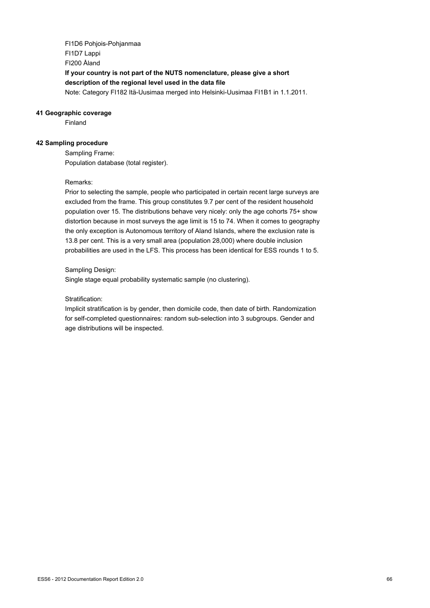FI1D6 Pohjois-Pohjanmaa FI1D7 Lappi FI200 Åland **If your country is not part of the NUTS nomenclature, please give a short description of the regional level used in the data file** Note: Category FI182 Itä-Uusimaa merged into Helsinki-Uusimaa FI1B1 in 1.1.2011.

### **41 Geographic coverage**

Finland

### **42 Sampling procedure**

Sampling Frame: Population database (total register).

### Remarks:

Prior to selecting the sample, people who participated in certain recent large surveys are excluded from the frame. This group constitutes 9.7 per cent of the resident household population over 15. The distributions behave very nicely: only the age cohorts 75+ show distortion because in most surveys the age limit is 15 to 74. When it comes to geography the only exception is Autonomous territory of Aland Islands, where the exclusion rate is 13.8 per cent. This is a very small area (population 28,000) where double inclusion probabilities are used in the LFS. This process has been identical for ESS rounds 1 to 5.

### Sampling Design:

Single stage equal probability systematic sample (no clustering).

## Stratification:

Implicit stratification is by gender, then domicile code, then date of birth. Randomization for self-completed questionnaires: random sub-selection into 3 subgroups. Gender and age distributions will be inspected.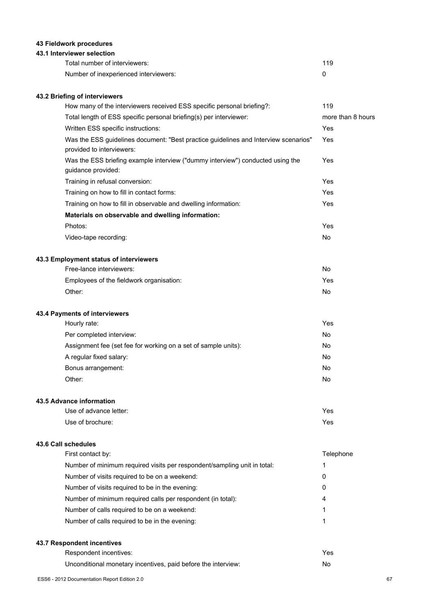# **43 Fieldwork procedures**

# **43.1 Interviewer selection**

| Total number of interviewers:         | 119 |
|---------------------------------------|-----|
| Number of inexperienced interviewers: |     |

# **43.2 Briefing of interviewers**

| How many of the interviewers received ESS specific personal briefing?:                                           | 119               |
|------------------------------------------------------------------------------------------------------------------|-------------------|
| Total length of ESS specific personal briefing(s) per interviewer:                                               | more than 8 hours |
| Written ESS specific instructions:                                                                               | Yes               |
| Was the ESS guidelines document: "Best practice guidelines and Interview scenarios"<br>provided to interviewers: | Yes               |
| Was the ESS briefing example interview ("dummy interview") conducted using the<br>guidance provided:             | Yes               |
| Training in refusal conversion:                                                                                  | Yes               |
| Training on how to fill in contact forms:                                                                        | Yes               |
| Training on how to fill in observable and dwelling information:                                                  | Yes               |
| Materials on observable and dwelling information:                                                                |                   |
| Photos:                                                                                                          | Yes               |
| Video-tape recording:                                                                                            | No                |
| 43.3 Employment status of interviewers                                                                           |                   |
| Free-lance interviewers:                                                                                         | No                |
| Employees of the fieldwork organisation:                                                                         | Yes               |
| Other:                                                                                                           | No                |
| 43.4 Payments of interviewers                                                                                    |                   |
| Hourly rate:                                                                                                     | Yes               |
| Per completed interview:                                                                                         | No                |
| Assignment fee (set fee for working on a set of sample units):                                                   | No                |
| المسملم مامدين تكسمان بممسا                                                                                      | $N =$             |

| A regular fixed salary: | No |
|-------------------------|----|
| Bonus arrangement:      | No |
| Other:                  | No |

# **43.5 Advance information**

| Use of advance letter: | Yes. |
|------------------------|------|
| Use of brochure:       | Yes. |

# **43.6 Call schedules**

| First contact by:                                                        | Telephone |
|--------------------------------------------------------------------------|-----------|
| Number of minimum required visits per respondent/sampling unit in total: |           |
| Number of visits required to be on a weekend:                            | 0         |
| Number of visits required to be in the evening:                          | 0         |
| Number of minimum required calls per respondent (in total):              | 4         |
| Number of calls required to be on a weekend:                             | 1         |
| Number of calls required to be in the evening:                           |           |
|                                                                          |           |

# **43.7 Respondent incentives**

| Respondent incentives:                                        | Yes |
|---------------------------------------------------------------|-----|
| Unconditional monetary incentives, paid before the interview: |     |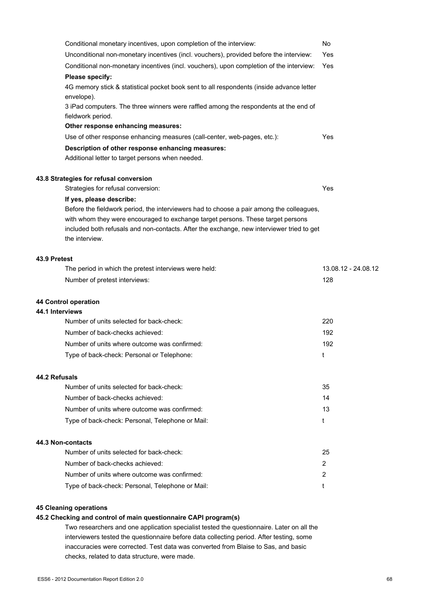|                 | Conditional monetary incentives, upon completion of the interview:                                          | No                  |
|-----------------|-------------------------------------------------------------------------------------------------------------|---------------------|
|                 | Unconditional non-monetary incentives (incl. vouchers), provided before the interview:                      | Yes                 |
|                 | Conditional non-monetary incentives (incl. vouchers), upon completion of the interview:                     | Yes                 |
|                 | Please specify:                                                                                             |                     |
|                 | 4G memory stick & statistical pocket book sent to all respondents (inside advance letter<br>envelope).      |                     |
|                 | 3 iPad computers. The three winners were raffled among the respondents at the end of<br>fieldwork period.   |                     |
|                 | Other response enhancing measures:                                                                          |                     |
|                 | Use of other response enhancing measures (call-center, web-pages, etc.):                                    | Yes                 |
|                 | Description of other response enhancing measures:<br>Additional letter to target persons when needed.       |                     |
|                 | 43.8 Strategies for refusal conversion                                                                      |                     |
|                 | Strategies for refusal conversion:                                                                          | Yes                 |
|                 | If yes, please describe:                                                                                    |                     |
|                 | Before the fieldwork period, the interviewers had to choose a pair among the colleagues,                    |                     |
|                 | with whom they were encouraged to exchange target persons. These target persons                             |                     |
|                 | included both refusals and non-contacts. After the exchange, new interviewer tried to get<br>the interview. |                     |
| 43.9 Pretest    |                                                                                                             |                     |
|                 | The period in which the pretest interviews were held:                                                       | 13.08.12 - 24.08.12 |
|                 | Number of pretest interviews:                                                                               | 128                 |
|                 | 44 Control operation                                                                                        |                     |
| 44.1 Interviews |                                                                                                             |                     |
|                 | Number of units selected for back-check:                                                                    | 220                 |
|                 | Number of back-checks achieved:                                                                             | 192                 |
|                 | Number of units where outcome was confirmed:                                                                | 192                 |
|                 | Type of back-check: Personal or Telephone:                                                                  | t                   |
| 44.2 Refusals   |                                                                                                             |                     |
|                 | Number of units selected for back-check:                                                                    | 35                  |
|                 | Number of back-checks achieved:                                                                             | 14                  |
|                 | Number of units where outcome was confirmed:                                                                | 13                  |
|                 | Type of back-check: Personal, Telephone or Mail:                                                            | t                   |
|                 | 44.3 Non-contacts                                                                                           |                     |
|                 | Number of units selected for back-check:                                                                    | 25                  |
|                 | Number of back-checks achieved:                                                                             | $\overline{2}$      |
|                 | Number of units where outcome was confirmed:                                                                | 2                   |
|                 | Type of back-check: Personal, Telephone or Mail:                                                            | t                   |
|                 |                                                                                                             |                     |

# **45 Cleaning operations**

# **45.2 Checking and control of main questionnaire CAPI program(s)**

Two researchers and one application specialist tested the questionnaire. Later on all the interviewers tested the questionnaire before data collecting period. After testing, some inaccuracies were corrected. Test data was converted from Blaise to Sas, and basic checks, related to data structure, were made.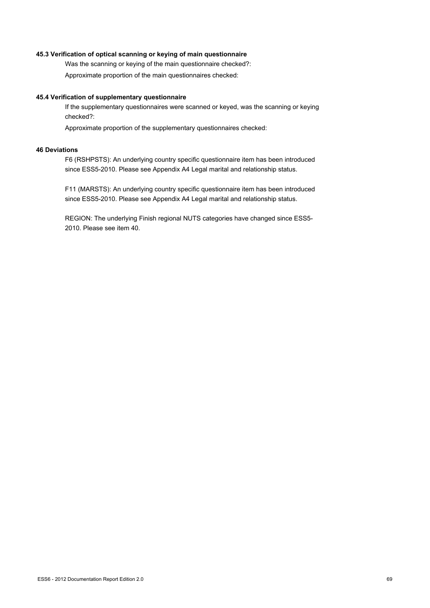## **45.3 Verification of optical scanning or keying of main questionnaire**

Was the scanning or keying of the main questionnaire checked?:

Approximate proportion of the main questionnaires checked:

### **45.4 Verification of supplementary questionnaire**

If the supplementary questionnaires were scanned or keyed, was the scanning or keying checked?:

Approximate proportion of the supplementary questionnaires checked:

# **46 Deviations**

F6 (RSHPSTS): An underlying country specific questionnaire item has been introduced since ESS5-2010. Please see Appendix A4 Legal marital and relationship status.

F11 (MARSTS): An underlying country specific questionnaire item has been introduced since ESS5-2010. Please see Appendix A4 Legal marital and relationship status.

REGION: The underlying Finish regional NUTS categories have changed since ESS5- 2010. Please see item 40.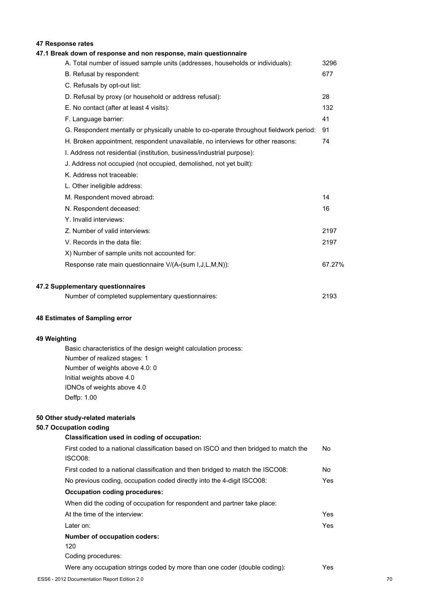# **47 Response rates**

| 47.1 Break down of response and non response, main questionnaire                       |        |
|----------------------------------------------------------------------------------------|--------|
| A. Total number of issued sample units (addresses, households or individuals):         | 3296   |
| B. Refusal by respondent:                                                              | 677    |
| C. Refusals by opt-out list:                                                           |        |
| D. Refusal by proxy (or household or address refusal):                                 | 28     |
| E. No contact (after at least 4 visits):                                               | 132    |
| F. Language barrier:                                                                   | 41     |
| G. Respondent mentally or physically unable to co-operate throughout fieldwork period: | 91     |
| H. Broken appointment, respondent unavailable, no interviews for other reasons:        | 74     |
| I. Address not residential (institution, business/industrial purpose):                 |        |
| J. Address not occupied (not occupied, demolished, not yet built):                     |        |
| K. Address not traceable:                                                              |        |
| L. Other ineligible address:                                                           |        |
| M. Respondent moved abroad:                                                            | 14     |
| N. Respondent deceased:                                                                | 16     |
| Y. Invalid interviews:                                                                 |        |
| Z. Number of valid interviews:                                                         | 2197   |
| V. Records in the data file:                                                           | 2197   |
| X) Number of sample units not accounted for:                                           |        |
| Response rate main questionnaire V/(A-(sum I, J, L, M, N)):                            | 67.27% |
| 47.2 Supplementary questionnaires                                                      |        |
| Number of completed supplementary questionnaires:                                      | 2193   |

### **48 Estimates of Sampling error**

# **49 Weighting**

Basic characteristics of the design weight calculation process: Number of realized stages: 1 Number of weights above 4.0: 0 Initial weights above 4.0 IDNOs of weights above 4.0 Deffp: 1.00

# **50 Other study-related materials**

# **50.7 Occupation coding**

| Classification used in coding of occupation:                                         |      |
|--------------------------------------------------------------------------------------|------|
| First coded to a national classification based on ISCO and then bridged to match the | No.  |
| ISCO08:                                                                              |      |
| First coded to a national classification and then bridged to match the ISCO08:       | No.  |
| No previous coding, occupation coded directly into the 4-digit ISCO08:               | Yes. |
| <b>Occupation coding procedures:</b>                                                 |      |
| When did the coding of occupation for respondent and partner take place:             |      |
| At the time of the interview:                                                        | Yes. |
| Later on:                                                                            | Yes. |
| <b>Number of occupation coders:</b>                                                  |      |
| 120                                                                                  |      |
| Coding procedures:                                                                   |      |
| Were any occupation strings coded by more than one coder (double coding):            | Yes. |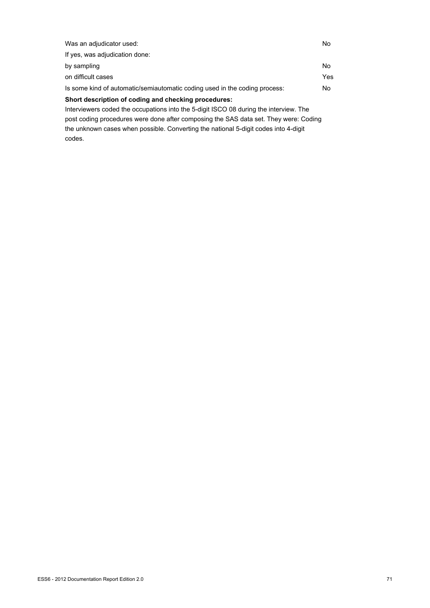| Was an adjudicator used:                                                              | No. |
|---------------------------------------------------------------------------------------|-----|
| If yes, was adjudication done:                                                        |     |
| by sampling                                                                           | No. |
| on difficult cases                                                                    | Yes |
| Is some kind of automatic/semiautomatic coding used in the coding process:            | No. |
| Short description of coding and checking procedures:                                  |     |
| Interviewers coded the occupations into the 5-digit ISCO 08 during the interview. The |     |
| post coding procedures were done after composing the SAS data set. They were: Coding  |     |

the unknown cases when possible. Converting the national 5-digit codes into 4-digit codes.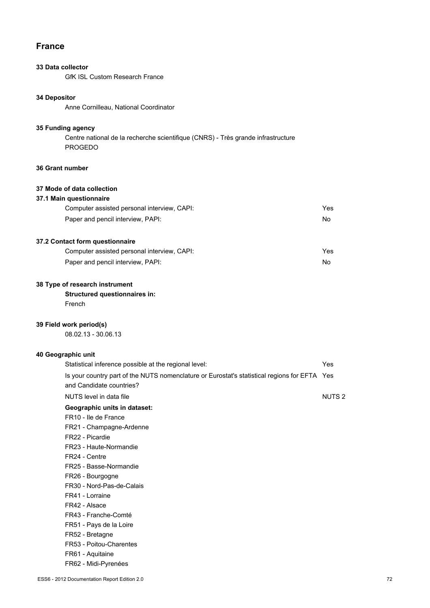# **France**

# **33 Data collector**

GfK ISL Custom Research France

# **34 Depositor**

Anne Cornilleau, National Coordinator

### **35 Funding agency**

Centre national de la recherche scientifique (CNRS) - Très grande infrastructure PROGEDO

# **36 Grant number**

# **37 Mode of data collection**

## **37.1 Main questionnaire**

| Computer assisted personal interview, CAPI: | Yes |
|---------------------------------------------|-----|
| Paper and pencil interview, PAPI:           | No  |

# **37.2 Contact form questionnaire**

| Computer assisted personal interview, CAPI: | Yes |
|---------------------------------------------|-----|
| Paper and pencil interview, PAPI:           | No. |

# **38 Type of research instrument**

# **Structured questionnaires in:**

French

# **39 Field work period(s)**

08.02.13 - 30.06.13

# **40 Geographic unit**

| Statistical inference possible at the regional level:                                                                    | Yes          |
|--------------------------------------------------------------------------------------------------------------------------|--------------|
| Is your country part of the NUTS nomenclature or Eurostat's statistical regions for EFTA Yes<br>and Candidate countries? |              |
| NUTS level in data file                                                                                                  | <b>NUTS2</b> |
| Geographic units in dataset:                                                                                             |              |
| FR <sub>10</sub> - Ile de France                                                                                         |              |
| FR21 - Champagne-Ardenne                                                                                                 |              |
| FR22 - Picardie                                                                                                          |              |
| FR23 - Haute-Normandie                                                                                                   |              |
| FR24 - Centre                                                                                                            |              |
| FR25 - Basse-Normandie                                                                                                   |              |
| FR26 - Bourgogne                                                                                                         |              |
| FR30 - Nord-Pas-de-Calais                                                                                                |              |
| FR41 - Lorraine                                                                                                          |              |
| FR42 - Alsace                                                                                                            |              |
| FR43 - Franche-Comté                                                                                                     |              |
| FR51 - Pays de la Loire                                                                                                  |              |
| FR52 - Bretagne                                                                                                          |              |
| FR53 - Poitou-Charentes                                                                                                  |              |
| FR61 - Aquitaine                                                                                                         |              |
| FR62 - Midi-Pyrenées                                                                                                     |              |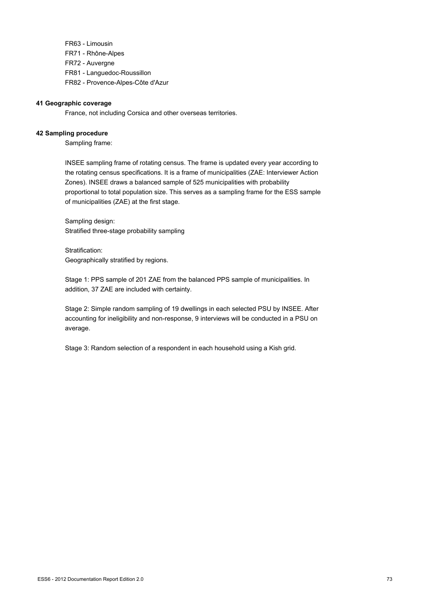FR63 - Limousin FR71 - Rhône-Alpes FR72 - Auvergne FR81 - Languedoc-Roussillon FR82 - Provence-Alpes-Côte d'Azur

#### **41 Geographic coverage**

France, not including Corsica and other overseas territories.

#### **42 Sampling procedure**

Sampling frame:

INSEE sampling frame of rotating census. The frame is updated every year according to the rotating census specifications. It is a frame of municipalities (ZAE: Interviewer Action Zones). INSEE draws a balanced sample of 525 municipalities with probability proportional to total population size. This serves as a sampling frame for the ESS sample of municipalities (ZAE) at the first stage.

Sampling design: Stratified three-stage probability sampling

Stratification: Geographically stratified by regions.

Stage 1: PPS sample of 201 ZAE from the balanced PPS sample of municipalities. In addition, 37 ZAE are included with certainty.

Stage 2: Simple random sampling of 19 dwellings in each selected PSU by INSEE. After accounting for ineligibility and non-response, 9 interviews will be conducted in a PSU on average.

Stage 3: Random selection of a respondent in each household using a Kish grid.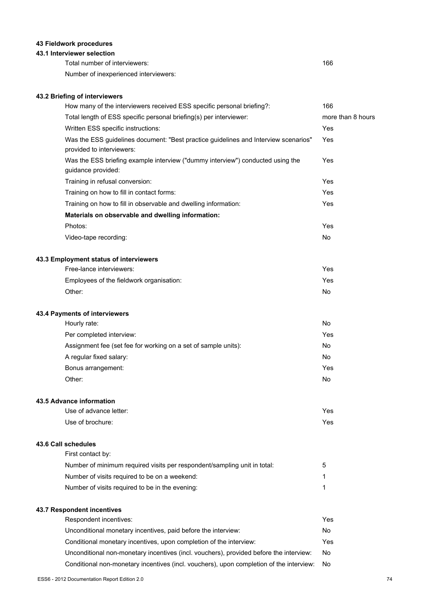### **43 Fieldwork procedures**

#### **43.1 Interviewer selection**

Total number of interviewers: 166

Number of inexperienced interviewers:

### **43.2 Briefing of interviewers**

| How many of the interviewers received ESS specific personal briefing?:                                                                                       | 166               |
|--------------------------------------------------------------------------------------------------------------------------------------------------------------|-------------------|
| Total length of ESS specific personal briefing(s) per interviewer:                                                                                           | more than 8 hours |
| Written ESS specific instructions:                                                                                                                           | Yes               |
| Was the ESS guidelines document: "Best practice guidelines and Interview scenarios"<br>provided to interviewers:                                             | Yes               |
| Was the ESS briefing example interview ("dummy interview") conducted using the<br>guidance provided:                                                         | Yes               |
| Training in refusal conversion:                                                                                                                              | Yes               |
| Training on how to fill in contact forms:                                                                                                                    | Yes               |
| Training on how to fill in observable and dwelling information:                                                                                              | Yes               |
| Materials on observable and dwelling information:                                                                                                            |                   |
| Photos:                                                                                                                                                      | Yes               |
| Video-tape recording:                                                                                                                                        | No                |
| 43.3 Employment status of interviewers                                                                                                                       |                   |
| Free-lance interviewers:                                                                                                                                     | Yes               |
| Employees of the fieldwork organisation:                                                                                                                     | Yes               |
| Other:                                                                                                                                                       | No                |
| 43.4 Payments of interviewers                                                                                                                                |                   |
| Hourly rate:                                                                                                                                                 | No                |
| Per completed interview:                                                                                                                                     | Yes               |
| Assignment fee (set fee for working on a set of sample units):                                                                                               | No                |
| A regular fixed salary:                                                                                                                                      | No                |
| Bonus arrangement:                                                                                                                                           | Yes               |
| Other:                                                                                                                                                       | No                |
| 43.5 Advance information                                                                                                                                     |                   |
| Use of advance letter:                                                                                                                                       | Yes               |
| Use of brochure:                                                                                                                                             | Yes               |
| 43.6 Call schedules                                                                                                                                          |                   |
| First contact by:                                                                                                                                            |                   |
| Number of minimum required visits per respondent/sampling unit in total:                                                                                     | 5                 |
| Number of visits required to be on a weekend:                                                                                                                | 1                 |
| Number of visits required to be in the evening:                                                                                                              | 1                 |
| 43.7 Respondent incentives                                                                                                                                   | Yes               |
| Respondent incentives:                                                                                                                                       | No                |
| Unconditional monetary incentives, paid before the interview:                                                                                                | Yes               |
| Conditional monetary incentives, upon completion of the interview:<br>Unconditional non-monetary incentives (incl. vouchers), provided before the interview: | No                |
| Conditional non-monetary incentives (incl. vouchers), upon completion of the interview:                                                                      | No                |
|                                                                                                                                                              |                   |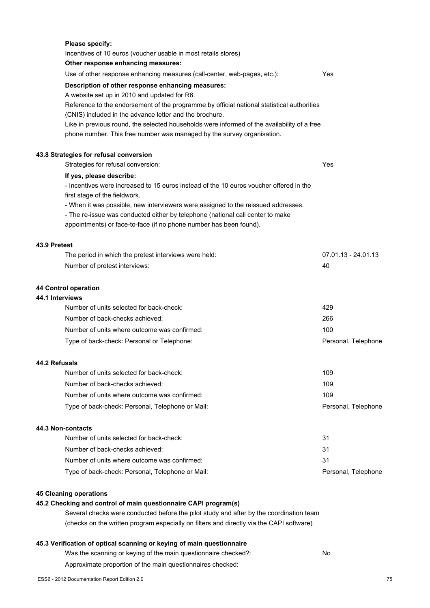| Please specify:<br>Incentives of 10 euros (voucher usable in most retails stores)                                                                                     |                     |
|-----------------------------------------------------------------------------------------------------------------------------------------------------------------------|---------------------|
| Other response enhancing measures:                                                                                                                                    |                     |
| Use of other response enhancing measures (call-center, web-pages, etc.):<br>Yes                                                                                       |                     |
| Description of other response enhancing measures:<br>A website set up in 2010 and updated for R6.                                                                     |                     |
| Reference to the endorsement of the programme by official national statistical authorities<br>(CNIS) included in the advance letter and the brochure.                 |                     |
| Like in previous round, the selected households were informed of the availability of a free<br>phone number. This free number was managed by the survey organisation. |                     |
| 43.8 Strategies for refusal conversion                                                                                                                                |                     |
| Strategies for refusal conversion:<br>Yes                                                                                                                             |                     |
| If yes, please describe:<br>- Incentives were increased to 15 euros instead of the 10 euros voucher offered in the<br>first stage of the fieldwork.                   |                     |
| - When it was possible, new interviewers were assigned to the reissued addresses.                                                                                     |                     |
| - The re-issue was conducted either by telephone (national call center to make<br>appointments) or face-to-face (if no phone number has been found).                  |                     |
| 43.9 Pretest                                                                                                                                                          |                     |
| The period in which the pretest interviews were held:                                                                                                                 | 07.01.13 - 24.01.13 |
| 40<br>Number of pretest interviews:                                                                                                                                   |                     |
| 44 Control operation<br>44.1 Interviews                                                                                                                               |                     |
| Number of units selected for back-check:<br>429                                                                                                                       |                     |
| Number of back-checks achieved:<br>266                                                                                                                                |                     |
| Number of units where outcome was confirmed:<br>100                                                                                                                   |                     |
| Type of back-check: Personal or Telephone:                                                                                                                            | Personal, Telephone |
| 44.2 Refusals                                                                                                                                                         |                     |
| Number of units selected for back-check:<br>109                                                                                                                       |                     |
| Number of back-checks achieved:<br>109                                                                                                                                |                     |
| Number of units where outcome was confirmed:<br>109                                                                                                                   |                     |
| Type of back-check: Personal, Telephone or Mail:                                                                                                                      | Personal, Telephone |
| 44.3 Non-contacts                                                                                                                                                     |                     |
| Number of units selected for back-check:<br>31                                                                                                                        |                     |
| Number of back-checks achieved:<br>31                                                                                                                                 |                     |
| Number of units where outcome was confirmed:<br>31                                                                                                                    |                     |
| Type of back-check: Personal, Telephone or Mail:                                                                                                                      | Personal, Telephone |
| <b>45 Cleaning operations</b>                                                                                                                                         |                     |
| 45.2 Checking and control of main questionnaire CAPI program(s)<br>Several checks were conducted before the pilot study and after by the coordination team            |                     |
| (checks on the written program especially on filters and directly via the CAPI software)                                                                              |                     |

## **45.3 Verification of optical scanning or keying of main questionnaire**

| Was the scanning or keying of the main questionnaire checked?: | No |
|----------------------------------------------------------------|----|
|----------------------------------------------------------------|----|

Approximate proportion of the main questionnaires checked: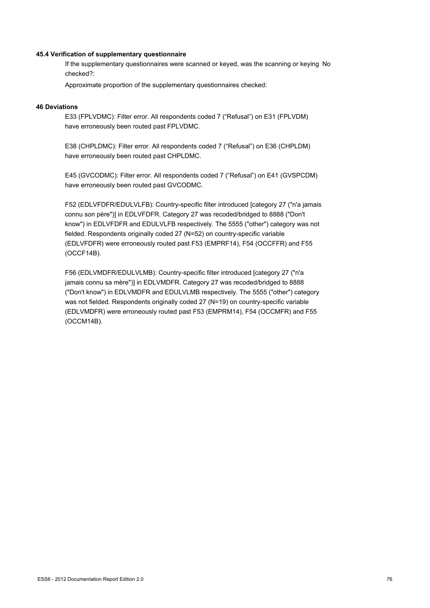#### **45.4 Verification of supplementary questionnaire**

If the supplementary questionnaires were scanned or keyed, was the scanning or keying No checked?:

Approximate proportion of the supplementary questionnaires checked:

#### **46 Deviations**

E33 (FPLVDMC): Filter error. All respondents coded 7 ("Refusal") on E31 (FPLVDM) have erroneously been routed past FPLVDMC.

E38 (CHPLDMC): Filter error. All respondents coded 7 ("Refusal") on E36 (CHPLDM) have erroneously been routed past CHPLDMC.

E45 (GVCODMC): Filter error. All respondents coded 7 ("Refusal") on E41 (GVSPCDM) have erroneously been routed past GVCODMC.

F52 (EDLVFDFR/EDULVLFB): Country-specific filter introduced [category 27 ("n'a jamais connu son père")] in EDLVFDFR. Category 27 was recoded/bridged to 8888 ("Don't know") in EDLVFDFR and EDULVLFB respectively. The 5555 ("other") category was not fielded. Respondents originally coded 27 (N=52) on country-specific variable (EDLVFDFR) were erroneously routed past F53 (EMPRF14), F54 (OCCFFR) and F55 (OCCF14B).

F56 (EDLVMDFR/EDULVLMB): Country-specific filter introduced [category 27 ("n'a jamais connu sa mère")] in EDLVMDFR. Category 27 was recoded/bridged to 8888 ("Don't know") in EDLVMDFR and EDULVLMB respectively. The 5555 ("other") category was not fielded. Respondents originally coded 27 (N=19) on country-specific variable (EDLVMDFR) were erroneously routed past F53 (EMPRM14), F54 (OCCMFR) and F55 (OCCM14B).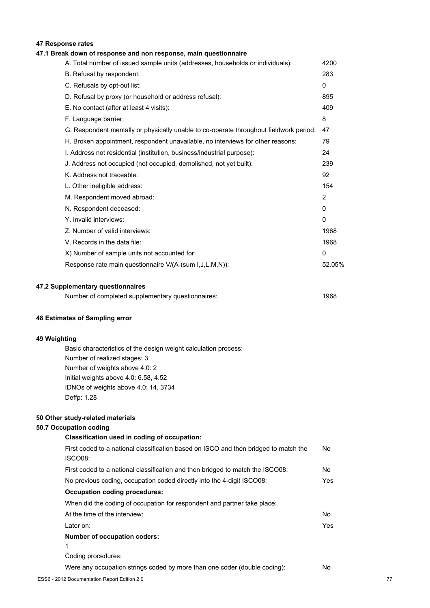### **47 Response rates**

#### **47.1 Break down of response and non response, main questionnaire**

| A. Total number of issued sample units (addresses, households or individuals):         | 4200         |
|----------------------------------------------------------------------------------------|--------------|
| B. Refusal by respondent:                                                              | 283          |
| C. Refusals by opt-out list:                                                           | $\mathbf{0}$ |
| D. Refusal by proxy (or household or address refusal):                                 | 895          |
| E. No contact (after at least 4 visits):                                               | 409          |
| F. Language barrier:                                                                   | 8            |
| G. Respondent mentally or physically unable to co-operate throughout fieldwork period: | 47           |
| H. Broken appointment, respondent unavailable, no interviews for other reasons:        | 79           |
| I. Address not residential (institution, business/industrial purpose):                 | 24           |
| J. Address not occupied (not occupied, demolished, not yet built):                     | 239          |
| K. Address not traceable:                                                              | 92           |
| L. Other ineligible address:                                                           | 154          |
| M. Respondent moved abroad:                                                            | 2            |
| N. Respondent deceased:                                                                | 0            |
| Y. Invalid interviews:                                                                 | 0            |
| Z. Number of valid interviews:                                                         | 1968         |
| V. Records in the data file:                                                           | 1968         |
| X) Number of sample units not accounted for:                                           | $\mathbf{0}$ |
| Response rate main questionnaire V/(A-(sum I,J,L,M,N)):                                | 52.05%       |
|                                                                                        |              |

#### **47.2 Supplementary questionnaires**

| Number of completed supplementary questionnaires: | 1968 |
|---------------------------------------------------|------|
|---------------------------------------------------|------|

#### **48 Estimates of Sampling error**

#### **49 Weighting**

Basic characteristics of the design weight calculation process: Number of realized stages: 3 Number of weights above 4.0: 2 Initial weights above 4.0: 6.58, 4.52 IDNOs of weights above 4.0: 14, 3734 Deffp: 1.28

#### **50 Other study-related materials**

#### **50.7 Occupation coding**

## **Classification used in coding of occupation:** First coded to a national classification based on ISCO and then bridged to match the ISCO08: No First coded to a national classification and then bridged to match the ISCO08: No No previous coding, occupation coded directly into the 4-digit ISCO08: Yes **Occupation coding procedures:** When did the coding of occupation for respondent and partner take place: At the time of the interview: No Later on: Yes **Number of occupation coders:** 1 Coding procedures: Were any occupation strings coded by more than one coder (double coding): No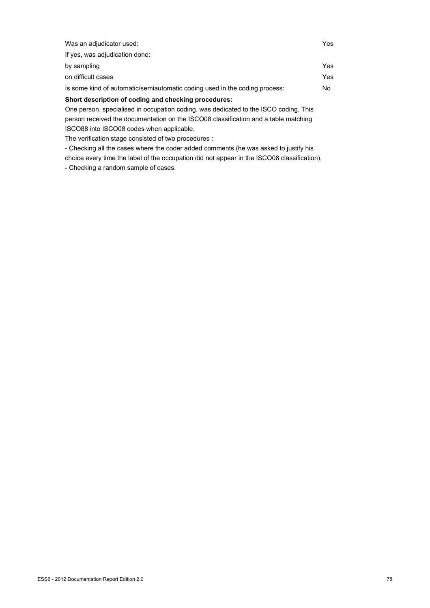| Was an adjudicator used:                                                                 | Yes |
|------------------------------------------------------------------------------------------|-----|
| If yes, was adjudication done:                                                           |     |
| by sampling                                                                              | Yes |
| on difficult cases                                                                       | Yes |
| Is some kind of automatic/semiautomatic coding used in the coding process:               | No. |
| Short description of coding and checking procedures:                                     |     |
| One person, specialised in occupation coding, was dedicated to the ISCO coding. This     |     |
| in a comparable and the collection of the IOOOOO almostication and a table in additional |     |

person received the documentation on the ISCO08 classification and a table matching ISCO88 into ISCO08 codes when applicable.

The verification stage consisted of two procedures :

- Checking all the cases where the coder added comments (he was asked to justify his choice every time the label of the occupation did not appear in the ISCO08 classification), - Checking a random sample of cases.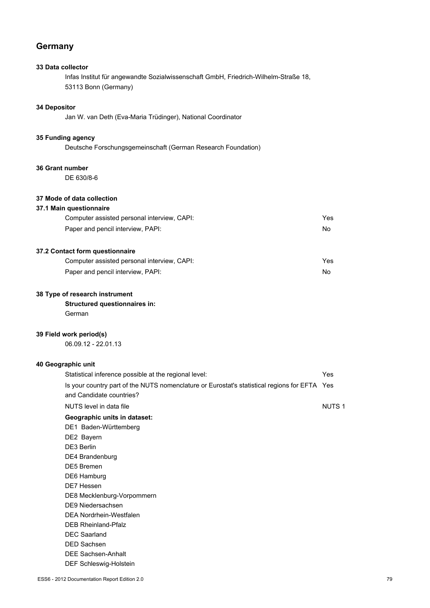### **Germany**

### **33 Data collector**

Infas Institut für angewandte Sozialwissenschaft GmbH, Friedrich-Wilhelm-Straße 18, 53113 Bonn (Germany)

### **34 Depositor**

Jan W. van Deth (Eva-Maria Trüdinger), National Coordinator

### **35 Funding agency**

Deutsche Forschungsgemeinschaft (German Research Foundation)

#### **36 Grant number**

DE 630/8-6

### **37 Mode of data collection**

#### **37.1 Main questionnaire**

| Computer assisted personal interview, CAPI: | Yes |
|---------------------------------------------|-----|
| Paper and pencil interview, PAPI:           | No. |

### **37.2 Contact form questionnaire**

| Computer assisted personal interview, CAPI: | Yes |
|---------------------------------------------|-----|
| Paper and pencil interview, PAPI:           | No. |

#### **38 Type of research instrument**

### **Structured questionnaires in:**

German

#### **39 Field work period(s)**

06.09.12 - 22.01.13

#### **40 Geographic unit**

| Statistical inference possible at the regional level:                                        | Yes               |
|----------------------------------------------------------------------------------------------|-------------------|
| Is your country part of the NUTS nomenclature or Eurostat's statistical regions for EFTA Yes |                   |
| and Candidate countries?                                                                     |                   |
| NUTS level in data file                                                                      | NUTS <sub>1</sub> |
| Geographic units in dataset:                                                                 |                   |
| DE1 Baden-Württemberg                                                                        |                   |
| DE2 Bayern                                                                                   |                   |
| DE3 Berlin                                                                                   |                   |
| DE4 Brandenburg                                                                              |                   |
| <b>DE5</b> Bremen                                                                            |                   |
| DE6 Hamburg                                                                                  |                   |
| DE7 Hessen                                                                                   |                   |
| DE8 Mecklenburg-Vorpommern                                                                   |                   |
| DE9 Niedersachsen                                                                            |                   |
| DFA Nordrhein-Westfalen                                                                      |                   |
| <b>DEB Rheinland-Pfalz</b>                                                                   |                   |
| <b>DEC Saarland</b>                                                                          |                   |
| <b>DED Sachsen</b>                                                                           |                   |
| <b>DEE Sachsen-Anhalt</b>                                                                    |                   |
| DEF Schleswig-Holstein                                                                       |                   |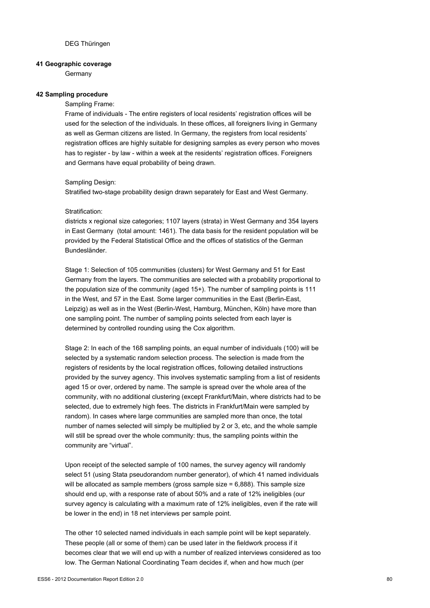#### **41 Geographic coverage**

**Germany** 

#### **42 Sampling procedure**

Sampling Frame:

Frame of individuals - The entire registers of local residents' registration offices will be used for the selection of the individuals. In these offices, all foreigners living in Germany as well as German citizens are listed. In Germany, the registers from local residents' registration offices are highly suitable for designing samples as every person who moves has to register - by law - within a week at the residents' registration offices. Foreigners and Germans have equal probability of being drawn.

#### Sampling Design:

Stratified two-stage probability design drawn separately for East and West Germany.

#### Stratification:

districts x regional size categories; 1107 layers (strata) in West Germany and 354 layers in East Germany (total amount: 1461). The data basis for the resident population will be provided by the Federal Statistical Office and the offices of statistics of the German Bundesländer.

Stage 1: Selection of 105 communities (clusters) for West Germany and 51 for East Germany from the layers. The communities are selected with a probability proportional to the population size of the community (aged 15+). The number of sampling points is 111 in the West, and 57 in the East. Some larger communities in the East (Berlin-East, Leipzig) as well as in the West (Berlin-West, Hamburg, München, Köln) have more than one sampling point. The number of sampling points selected from each layer is determined by controlled rounding using the Cox algorithm.

Stage 2: In each of the 168 sampling points, an equal number of individuals (100) will be selected by a systematic random selection process. The selection is made from the registers of residents by the local registration offices, following detailed instructions provided by the survey agency. This involves systematic sampling from a list of residents aged 15 or over, ordered by name. The sample is spread over the whole area of the community, with no additional clustering (except Frankfurt/Main, where districts had to be selected, due to extremely high fees. The districts in Frankfurt/Main were sampled by random). In cases where large communities are sampled more than once, the total number of names selected will simply be multiplied by 2 or 3, etc, and the whole sample will still be spread over the whole community: thus, the sampling points within the community are "virtual".

Upon receipt of the selected sample of 100 names, the survey agency will randomly select 51 (using Stata pseudorandom number generator), of which 41 named individuals will be allocated as sample members (gross sample size = 6,888). This sample size should end up, with a response rate of about 50% and a rate of 12% ineligibles (our survey agency is calculating with a maximum rate of 12% ineligibles, even if the rate will be lower in the end) in 18 net interviews per sample point.

The other 10 selected named individuals in each sample point will be kept separately. These people (all or some of them) can be used later in the fieldwork process if it becomes clear that we will end up with a number of realized interviews considered as too low. The German National Coordinating Team decides if, when and how much (per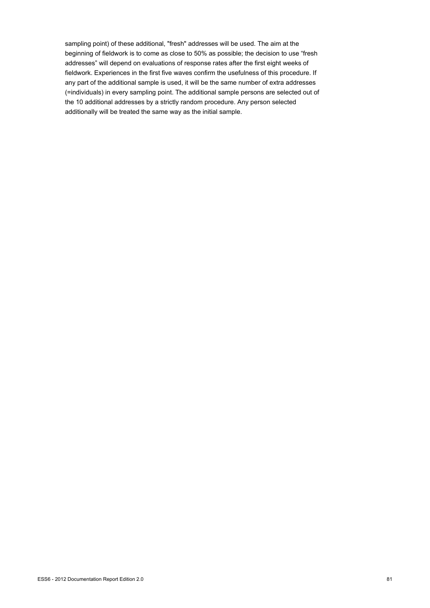sampling point) of these additional, "fresh" addresses will be used. The aim at the beginning of fieldwork is to come as close to 50% as possible; the decision to use "fresh addresses" will depend on evaluations of response rates after the first eight weeks of fieldwork. Experiences in the first five waves confirm the usefulness of this procedure. If any part of the additional sample is used, it will be the same number of extra addresses (=individuals) in every sampling point. The additional sample persons are selected out of the 10 additional addresses by a strictly random procedure. Any person selected additionally will be treated the same way as the initial sample.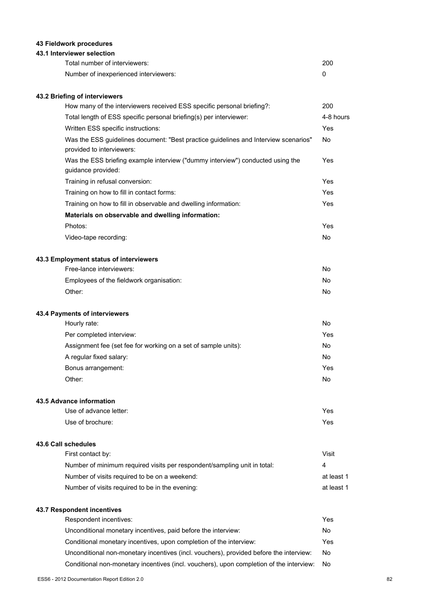### **43 Fieldwork procedures**

#### **43.1 Interviewer selection**

| Total number of interviewers:         | 200 |
|---------------------------------------|-----|
| Number of inexperienced interviewers: |     |

### **43.2 Briefing of interviewers**

| How many of the interviewers received ESS specific personal briefing?:                                           | 200       |
|------------------------------------------------------------------------------------------------------------------|-----------|
| Total length of ESS specific personal briefing(s) per interviewer:                                               | 4-8 hours |
| Written ESS specific instructions:                                                                               | Yes       |
| Was the ESS guidelines document: "Best practice guidelines and Interview scenarios"<br>provided to interviewers: | <b>No</b> |
| Was the ESS briefing example interview ("dummy interview") conducted using the<br>guidance provided:             | Yes       |
| Training in refusal conversion:                                                                                  | Yes       |
| Training on how to fill in contact forms:                                                                        | Yes       |
| Training on how to fill in observable and dwelling information:                                                  | Yes       |
| Materials on observable and dwelling information:                                                                |           |
| Photos:                                                                                                          | Yes       |
| Video-tape recording:                                                                                            | <b>No</b> |
| 43.3 Employment status of interviewers                                                                           |           |
| Free-lance interviewers:                                                                                         | <b>No</b> |
| Employees of the fieldwork organisation:                                                                         | No        |
| Other:                                                                                                           | <b>No</b> |
| 43.4 Payments of interviewers                                                                                    |           |
| Hourly rate:                                                                                                     | <b>No</b> |
| Per completed interview:                                                                                         | Yes       |
| Assignment fee (set fee for working on a set of sample units):                                                   | No        |
| A regular fixed salary:                                                                                          | <b>No</b> |
| Bonus arrangement:                                                                                               | Yes       |
| Other:                                                                                                           | No        |

#### **43.5 Advance information**

| Use of advance letter: | Yes |
|------------------------|-----|
| Use of brochure:       | Yes |

### **43.6 Call schedules**

| First contact by:                                                        | Visit      |
|--------------------------------------------------------------------------|------------|
| Number of minimum required visits per respondent/sampling unit in total: | 4          |
| Number of visits required to be on a weekend:                            | at least 1 |
| Number of visits required to be in the evening:                          | at least 1 |

### **43.7 Respondent incentives**

| Respondent incentives:                                                                  | Yes. |
|-----------------------------------------------------------------------------------------|------|
| Unconditional monetary incentives, paid before the interview:                           | No   |
| Conditional monetary incentives, upon completion of the interview:                      | Yes. |
| Unconditional non-monetary incentives (incl. vouchers), provided before the interview:  | No.  |
| Conditional non-monetary incentives (incl. vouchers), upon completion of the interview: | No.  |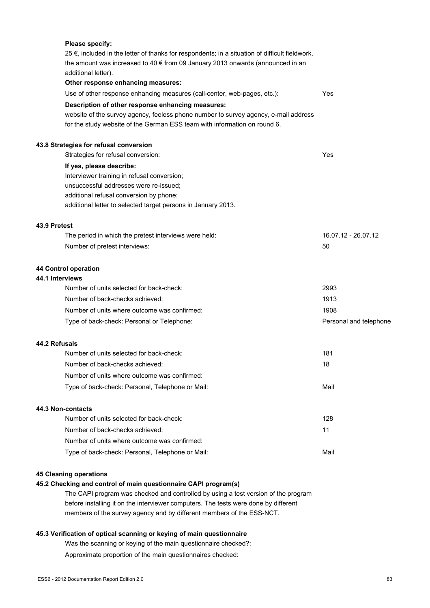|               | Please specify:                                                                                                                                                                     |                        |
|---------------|-------------------------------------------------------------------------------------------------------------------------------------------------------------------------------------|------------------------|
|               | 25 $∈$ , included in the letter of thanks for respondents; in a situation of difficult fieldwork,<br>the amount was increased to 40 € from 09 January 2013 onwards (announced in an |                        |
|               | additional letter).                                                                                                                                                                 |                        |
|               | Other response enhancing measures:                                                                                                                                                  |                        |
|               | Use of other response enhancing measures (call-center, web-pages, etc.):                                                                                                            | Yes                    |
|               | Description of other response enhancing measures:                                                                                                                                   |                        |
|               | website of the survey agency, feeless phone number to survey agency, e-mail address                                                                                                 |                        |
|               | for the study website of the German ESS team with information on round 6.                                                                                                           |                        |
|               | 43.8 Strategies for refusal conversion                                                                                                                                              |                        |
|               | Strategies for refusal conversion:                                                                                                                                                  | Yes                    |
|               | If yes, please describe:                                                                                                                                                            |                        |
|               | Interviewer training in refusal conversion;                                                                                                                                         |                        |
|               | unsuccessful addresses were re-issued;                                                                                                                                              |                        |
|               | additional refusal conversion by phone;                                                                                                                                             |                        |
|               | additional letter to selected target persons in January 2013.                                                                                                                       |                        |
| 43.9 Pretest  |                                                                                                                                                                                     |                        |
|               | The period in which the pretest interviews were held:                                                                                                                               | 16.07.12 - 26.07.12    |
|               | Number of pretest interviews:                                                                                                                                                       | 50                     |
|               | 44 Control operation                                                                                                                                                                |                        |
|               | 44.1 Interviews                                                                                                                                                                     |                        |
|               | Number of units selected for back-check:                                                                                                                                            | 2993                   |
|               | Number of back-checks achieved:                                                                                                                                                     | 1913                   |
|               | Number of units where outcome was confirmed:                                                                                                                                        | 1908                   |
|               | Type of back-check: Personal or Telephone:                                                                                                                                          | Personal and telephone |
| 44.2 Refusals |                                                                                                                                                                                     |                        |
|               | Number of units selected for back-check:                                                                                                                                            | 181                    |
|               | Number of back-checks achieved:                                                                                                                                                     | 18                     |
|               | Number of units where outcome was confirmed:                                                                                                                                        |                        |
|               | Type of back-check: Personal, Telephone or Mail:                                                                                                                                    | Mail                   |
|               | 44.3 Non-contacts                                                                                                                                                                   |                        |
|               | Number of units selected for back-check:                                                                                                                                            | 128                    |
|               | Number of back-checks achieved:                                                                                                                                                     | 11                     |
|               | Number of units where outcome was confirmed:                                                                                                                                        |                        |
|               | Type of back-check: Personal, Telephone or Mail:                                                                                                                                    | Mail                   |
|               | <b>45 Cleaning operations</b>                                                                                                                                                       |                        |
|               | 45.2 Checking and control of main questionnaire CAPI program(s)                                                                                                                     |                        |
|               | The CAPI program was checked and controlled by using a test version of the program                                                                                                  |                        |
|               | before installing it on the interviewer computers. The tests were done by different                                                                                                 |                        |

members of the survey agency and by different members of the ESS-NCT.

### **45.3 Verification of optical scanning or keying of main questionnaire**

Was the scanning or keying of the main questionnaire checked?:

Approximate proportion of the main questionnaires checked: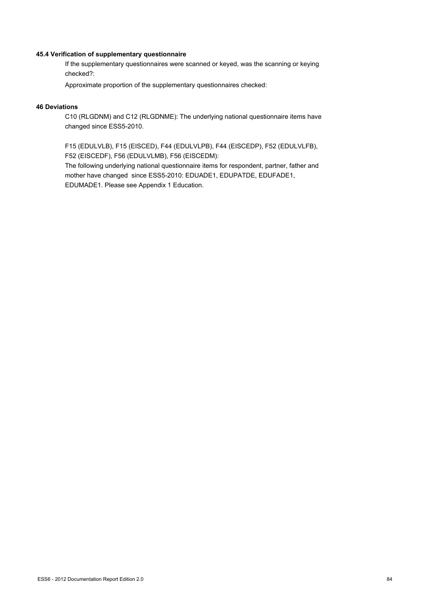#### **45.4 Verification of supplementary questionnaire**

If the supplementary questionnaires were scanned or keyed, was the scanning or keying checked?:

Approximate proportion of the supplementary questionnaires checked:

#### **46 Deviations**

C10 (RLGDNM) and C12 (RLGDNME): The underlying national questionnaire items have changed since ESS5-2010.

F15 (EDULVLB), F15 (EISCED), F44 (EDULVLPB), F44 (EISCEDP), F52 (EDULVLFB), F52 (EISCEDF), F56 (EDULVLMB), F56 (EISCEDM):

The following underlying national questionnaire items for respondent, partner, father and mother have changed since ESS5-2010: EDUADE1, EDUPATDE, EDUFADE1, EDUMADE1. Please see Appendix 1 Education.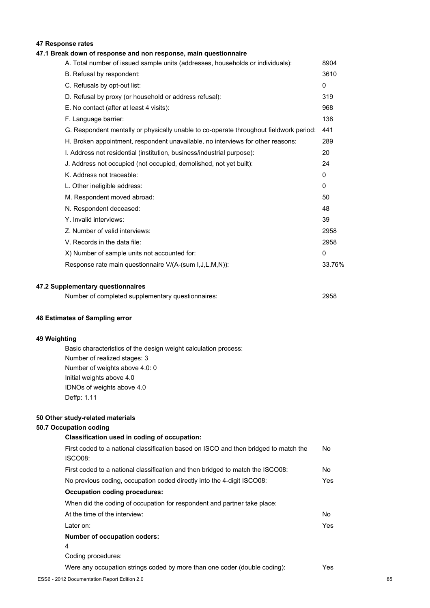### **47 Response rates**

#### **47.1 Break down of response and non response, main questionnaire**

| A. Total number of issued sample units (addresses, households or individuals):         | 8904         |
|----------------------------------------------------------------------------------------|--------------|
| B. Refusal by respondent:                                                              | 3610         |
| C. Refusals by opt-out list:                                                           | $\mathbf{0}$ |
| D. Refusal by proxy (or household or address refusal):                                 | 319          |
| E. No contact (after at least 4 visits):                                               | 968          |
| F. Language barrier:                                                                   | 138          |
| G. Respondent mentally or physically unable to co-operate throughout fieldwork period: | 441          |
| H. Broken appointment, respondent unavailable, no interviews for other reasons:        | 289          |
| I. Address not residential (institution, business/industrial purpose):                 | 20           |
| J. Address not occupied (not occupied, demolished, not yet built):                     | 24           |
| K. Address not traceable:                                                              | $\mathbf{0}$ |
| L. Other ineligible address:                                                           | 0            |
| M. Respondent moved abroad:                                                            | 50           |
| N. Respondent deceased:                                                                | 48           |
| Y. Invalid interviews:                                                                 | 39           |
| Z. Number of valid interviews:                                                         | 2958         |
| V. Records in the data file:                                                           | 2958         |
| X) Number of sample units not accounted for:                                           | $\mathbf{0}$ |
| Response rate main questionnaire V/(A-(sum I,J,L,M,N)):                                | 33.76%       |
|                                                                                        |              |

#### **47.2 Supplementary questionnaires**

| Number of completed supplementary questionnaires: | 2958 |
|---------------------------------------------------|------|
|                                                   |      |

#### **48 Estimates of Sampling error**

#### **49 Weighting**

Basic characteristics of the design weight calculation process: Number of realized stages: 3 Number of weights above 4.0: 0 Initial weights above 4.0 IDNOs of weights above 4.0 Deffp: 1.11

#### **50 Other study-related materials**

#### **50.7 Occupation coding**

## **Classification used in coding of occupation:** First coded to a national classification based on ISCO and then bridged to match the ISCO08: First coded to a national classification and then bridged to match the ISCO08: No

No previous coding, occupation coded directly into the 4-digit ISCO08: Yes **Occupation coding procedures:** When did the coding of occupation for respondent and partner take place: At the time of the interview: No Later on: Yes **Number of occupation coders:** 4

Coding procedures:

Were any occupation strings coded by more than one coder (double coding): Yes

No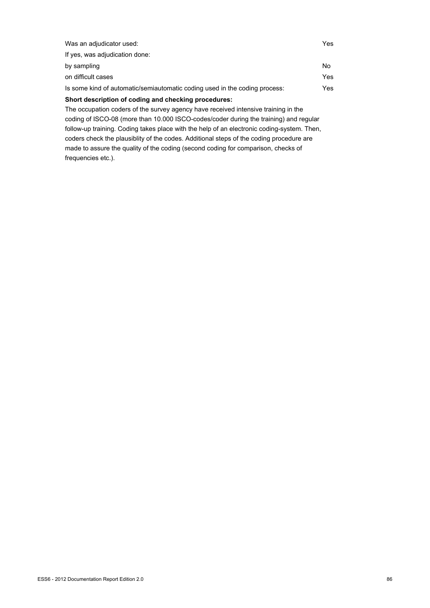| Was an adjudicator used:                                                           | Yes |
|------------------------------------------------------------------------------------|-----|
| If yes, was adjudication done:                                                     |     |
| by sampling                                                                        | No  |
| on difficult cases                                                                 | Yes |
| Is some kind of automatic/semiautomatic coding used in the coding process:         | Yes |
| Short description of coding and checking procedures:                               |     |
| The occupation coders of the survey agency have received intensive training in the |     |

coding of ISCO-08 (more than 10.000 ISCO-codes/coder during the training) and regular follow-up training. Coding takes place with the help of an electronic coding-system. Then, coders check the plausiblity of the codes. Additional steps of the coding procedure are made to assure the quality of the coding (second coding for comparison, checks of frequencies etc.).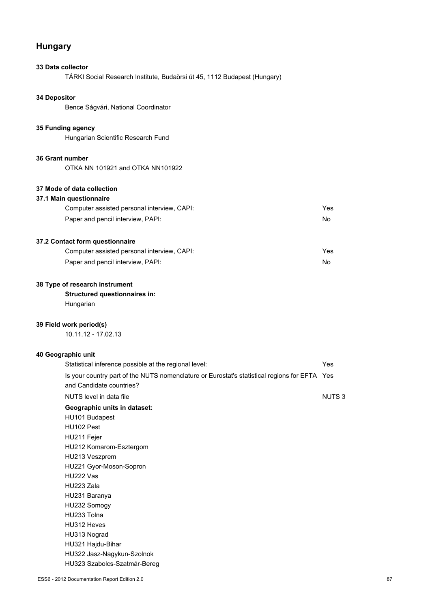## **Hungary**

# **33 Data collector** TÁRKI Social Research Institute, Budaörsi út 45, 1112 Budapest (Hungary) **34 Depositor** Bence Ságvári, National Coordinator **35 Funding agency** Hungarian Scientific Research Fund **36 Grant number** OTKA NN 101921 and OTKA NN101922 **37 Mode of data collection 37.1 Main questionnaire** Computer assisted personal interview, CAPI: Yes Paper and pencil interview, PAPI:  $N$ **37.2 Contact form questionnaire** Computer assisted personal interview, CAPI: Yes Paper and pencil interview, PAPI:  $N$ o

#### **38 Type of research instrument**

### **Structured questionnaires in:**

Hungarian

#### **39 Field work period(s)**

10.11.12 - 17.02.13

#### **40 Geographic unit**

| Statistical inference possible at the regional level:                                                                    | Yes          |
|--------------------------------------------------------------------------------------------------------------------------|--------------|
| Is your country part of the NUTS nomenclature or Eurostat's statistical regions for EFTA Yes<br>and Candidate countries? |              |
| NUTS level in data file                                                                                                  | <b>NUTS3</b> |
| Geographic units in dataset:                                                                                             |              |
| HU101 Budapest                                                                                                           |              |
| HU102 Pest                                                                                                               |              |
| HU211 Fejer                                                                                                              |              |
| HU212 Komarom-Esztergom                                                                                                  |              |
| HU213 Veszprem                                                                                                           |              |
| HU221 Gyor-Moson-Sopron                                                                                                  |              |
| HU222 Vas                                                                                                                |              |
| HU223 Zala                                                                                                               |              |
| HU231 Baranya                                                                                                            |              |
| HU232 Somogy                                                                                                             |              |
| HU233 Tolna                                                                                                              |              |
| HU312 Heves                                                                                                              |              |
| HU313 Nograd                                                                                                             |              |
| HU321 Hajdu-Bihar                                                                                                        |              |
| HU322 Jasz-Nagykun-Szolnok                                                                                               |              |
| HU323 Szabolcs-Szatmár-Bereg                                                                                             |              |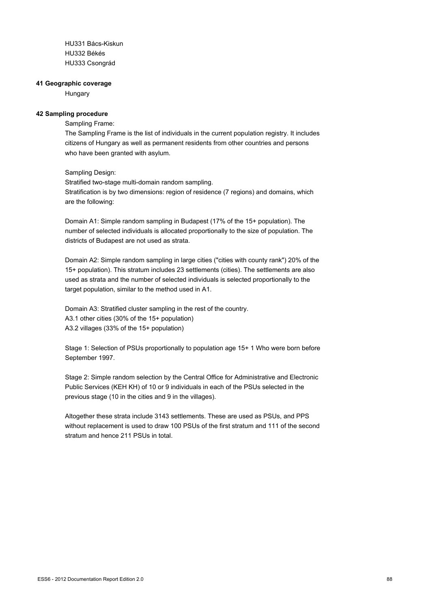HU331 Bács-Kiskun HU332 Békés HU333 Csongrád

#### **41 Geographic coverage**

**Hungary** 

### **42 Sampling procedure**

### Sampling Frame:

The Sampling Frame is the list of individuals in the current population registry. It includes citizens of Hungary as well as permanent residents from other countries and persons who have been granted with asylum.

### Sampling Design:

Stratified two-stage multi-domain random sampling. Stratification is by two dimensions: region of residence (7 regions) and domains, which are the following:

Domain A1: Simple random sampling in Budapest (17% of the 15+ population). The number of selected individuals is allocated proportionally to the size of population. The districts of Budapest are not used as strata.

Domain A2: Simple random sampling in large cities ("cities with county rank") 20% of the 15+ population). This stratum includes 23 settlements (cities). The settlements are also used as strata and the number of selected individuals is selected proportionally to the target population, similar to the method used in A1.

Domain A3: Stratified cluster sampling in the rest of the country. A3.1 other cities (30% of the 15+ population) A3.2 villages (33% of the 15+ population)

Stage 1: Selection of PSUs proportionally to population age 15+ 1 Who were born before September 1997.

Stage 2: Simple random selection by the Central Office for Administrative and Electronic Public Services (KEH KH) of 10 or 9 individuals in each of the PSUs selected in the previous stage (10 in the cities and 9 in the villages).

Altogether these strata include 3143 settlements. These are used as PSUs, and PPS without replacement is used to draw 100 PSUs of the first stratum and 111 of the second stratum and hence 211 PSUs in total.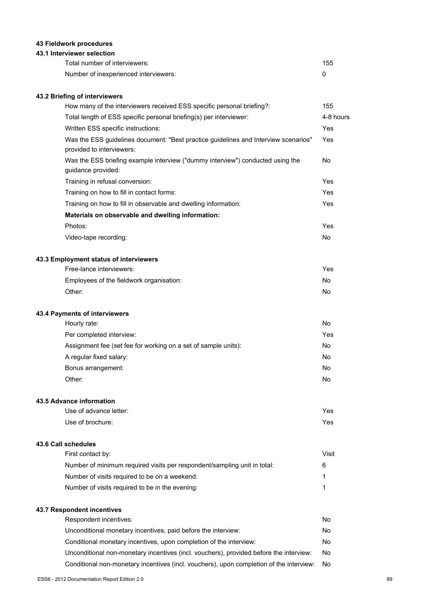### **43 Fieldwork procedures**

### **43.1 Interviewer selection**

| Total number of interviewers:         | 155 |
|---------------------------------------|-----|
| Number of inexperienced interviewers: |     |

### **43.2 Briefing of interviewers**

| How many of the interviewers received ESS specific personal briefing?:                                           | 155            |
|------------------------------------------------------------------------------------------------------------------|----------------|
| Total length of ESS specific personal briefing(s) per interviewer:                                               | 4-8 hours      |
| Written ESS specific instructions:                                                                               | Yes            |
| Was the ESS guidelines document: "Best practice guidelines and Interview scenarios"<br>provided to interviewers: | Yes            |
| Was the ESS briefing example interview ("dummy interview") conducted using the<br>guidance provided:             | No.            |
| Training in refusal conversion:                                                                                  | Yes            |
| Training on how to fill in contact forms:                                                                        | Yes            |
| Training on how to fill in observable and dwelling information:                                                  | Yes            |
| Materials on observable and dwelling information:                                                                |                |
| Photos:                                                                                                          | Yes            |
| Video-tape recording:                                                                                            | N <sub>0</sub> |
| 43.3 Employment status of interviewers                                                                           |                |
| Free-lance interviewers:                                                                                         | Yes            |
| Employees of the fieldwork organisation:                                                                         | No.            |
| Other:                                                                                                           | No             |
| 43.4 Payments of interviewers                                                                                    |                |
| Hourly rate:                                                                                                     | No             |

| Per completed interview:                                       | Yes |
|----------------------------------------------------------------|-----|
| Assignment fee (set fee for working on a set of sample units): | No. |
| A regular fixed salary:                                        | No  |
| Bonus arrangement:                                             | No  |
| Other:                                                         | No  |

#### **43.5 Advance information**

| Use of advance letter: | Yes |
|------------------------|-----|
| Use of brochure:       | Yes |

### **43.6 Call schedules**

| Number of minimum required visits per respondent/sampling unit in total:<br>Number of visits required to be on a weekend: | Visit |
|---------------------------------------------------------------------------------------------------------------------------|-------|
|                                                                                                                           | 6     |
|                                                                                                                           |       |
| Number of visits required to be in the evening:                                                                           |       |

### **43.7 Respondent incentives**

| Respondent incentives:                                                                  | No. |
|-----------------------------------------------------------------------------------------|-----|
| Unconditional monetary incentives, paid before the interview:                           | No. |
| Conditional monetary incentives, upon completion of the interview:                      | No. |
| Unconditional non-monetary incentives (incl. vouchers), provided before the interview:  | No. |
| Conditional non-monetary incentives (incl. vouchers), upon completion of the interview: | No  |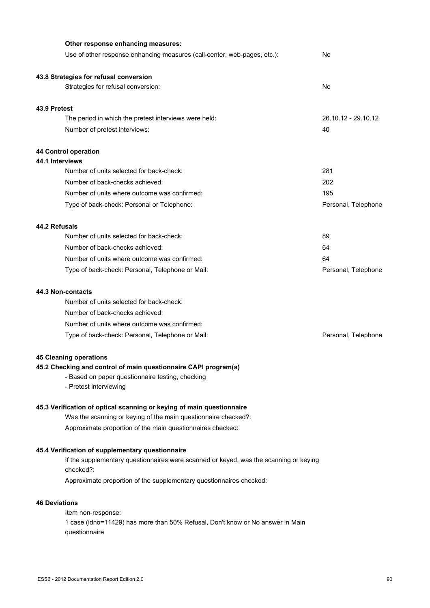| Other response enhancing measures:                                                                 |                     |
|----------------------------------------------------------------------------------------------------|---------------------|
| Use of other response enhancing measures (call-center, web-pages, etc.):                           | No                  |
| 43.8 Strategies for refusal conversion                                                             |                     |
| Strategies for refusal conversion:                                                                 | No                  |
| 43.9 Pretest                                                                                       |                     |
| The period in which the pretest interviews were held:                                              | 26.10.12 - 29.10.12 |
| Number of pretest interviews:                                                                      | 40                  |
| 44 Control operation                                                                               |                     |
| 44.1 Interviews                                                                                    |                     |
| Number of units selected for back-check:                                                           | 281                 |
| Number of back-checks achieved:                                                                    | 202                 |
| Number of units where outcome was confirmed:                                                       | 195                 |
| Type of back-check: Personal or Telephone:                                                         | Personal, Telephone |
| 44.2 Refusals                                                                                      |                     |
| Number of units selected for back-check:                                                           | 89                  |
| Number of back-checks achieved:                                                                    | 64                  |
| Number of units where outcome was confirmed:                                                       | 64                  |
| Type of back-check: Personal, Telephone or Mail:                                                   | Personal, Telephone |
| 44.3 Non-contacts                                                                                  |                     |
| Number of units selected for back-check:                                                           |                     |
| Number of back-checks achieved:                                                                    |                     |
| Number of units where outcome was confirmed:                                                       |                     |
| Type of back-check: Personal, Telephone or Mail:                                                   | Personal, Telephone |
| <b>45 Cleaning operations</b>                                                                      |                     |
| 45.2 Checking and control of main questionnaire CAPI program(s)                                    |                     |
| - Based on paper questionnaire testing, checking                                                   |                     |
| - Pretest interviewing                                                                             |                     |
| 45.3 Verification of optical scanning or keying of main questionnaire                              |                     |
| Was the scanning or keying of the main questionnaire checked?:                                     |                     |
| Approximate proportion of the main questionnaires checked:                                         |                     |
| 45.4 Verification of supplementary questionnaire                                                   |                     |
| If the supplementary questionnaires were scanned or keyed, was the scanning or keying<br>checked?: |                     |
| Approximate proportion of the supplementary questionnaires checked:                                |                     |

### **46 Deviations**

Item non-response: 1 case (idno=11429) has more than 50% Refusal, Don't know or No answer in Main questionnaire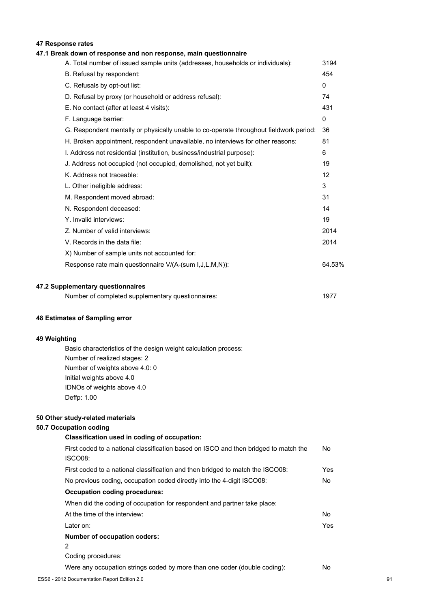### **47 Response rates**

### **47.1 Break down of response and non response, main questionnaire**

| A. Total number of issued sample units (addresses, households or individuals):         | 3194         |
|----------------------------------------------------------------------------------------|--------------|
| B. Refusal by respondent:                                                              | 454          |
| C. Refusals by opt-out list:                                                           | 0            |
| D. Refusal by proxy (or household or address refusal):                                 | 74           |
| E. No contact (after at least 4 visits):                                               | 431          |
| F. Language barrier:                                                                   | $\mathbf{0}$ |
| G. Respondent mentally or physically unable to co-operate throughout fieldwork period: | 36           |
| H. Broken appointment, respondent unavailable, no interviews for other reasons:        | 81           |
| I. Address not residential (institution, business/industrial purpose):                 | 6            |
| J. Address not occupied (not occupied, demolished, not yet built):                     | 19           |
| K. Address not traceable:                                                              | 12           |
| L. Other ineligible address:                                                           | 3            |
| M. Respondent moved abroad:                                                            | 31           |
| N. Respondent deceased:                                                                | 14           |
| Y. Invalid interviews:                                                                 | 19           |
| Z. Number of valid interviews:                                                         | 2014         |
| V. Records in the data file:                                                           | 2014         |
| X) Number of sample units not accounted for:                                           |              |
| Response rate main questionnaire V/(A-(sum I,J,L,M,N)):                                | 64.53%       |
|                                                                                        |              |
| 47.2 Supplementary questionnaires                                                      |              |

| Number of completed supplementary questionnaires: | 1977 |
|---------------------------------------------------|------|
|---------------------------------------------------|------|

#### **48 Estimates of Sampling error**

#### **49 Weighting**

Basic characteristics of the design weight calculation process: Number of realized stages: 2 Number of weights above 4.0: 0 Initial weights above 4.0 IDNOs of weights above 4.0 Deffp: 1.00

#### **50 Other study-related materials**

#### **50.7 Occupation coding**

| Classification used in coding of occupation:                                                           |     |
|--------------------------------------------------------------------------------------------------------|-----|
| First coded to a national classification based on ISCO and then bridged to match the<br><b>ISCO08:</b> | No. |
| First coded to a national classification and then bridged to match the ISCO08:                         | Yes |
| No previous coding, occupation coded directly into the 4-digit ISCO08:                                 | No. |
| <b>Occupation coding procedures:</b>                                                                   |     |
| When did the coding of occupation for respondent and partner take place:                               |     |
| At the time of the interview:                                                                          | No  |
| Later on:                                                                                              | Yes |
| <b>Number of occupation coders:</b>                                                                    |     |
| 2                                                                                                      |     |
| Coding procedures:                                                                                     |     |
| Were any occupation strings coded by more than one coder (double coding):                              | No  |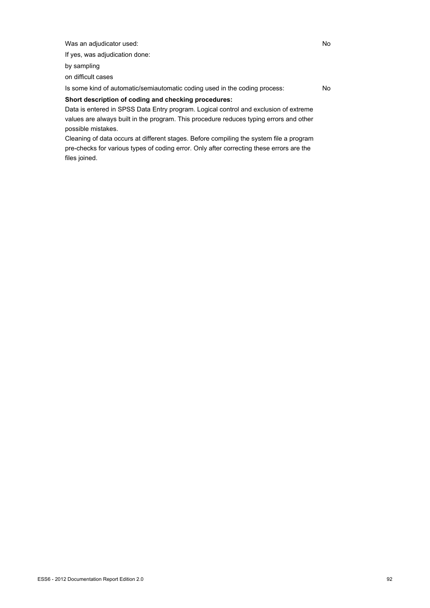Was an adjudicator used: No

If yes, was adjudication done:

by sampling

on difficult cases

Is some kind of automatic/semiautomatic coding used in the coding process: No

### **Short description of coding and checking procedures:**

Data is entered in SPSS Data Entry program. Logical control and exclusion of extreme values are always built in the program. This procedure reduces typing errors and other possible mistakes.

Cleaning of data occurs at different stages. Before compiling the system file a program pre-checks for various types of coding error. Only after correcting these errors are the files joined.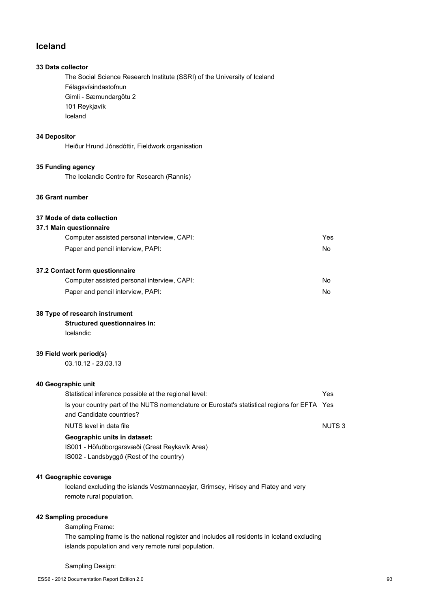### **Iceland**

### **33 Data collector**

The Social Science Research Institute (SSRI) of the University of Iceland Félagsvísindastofnun Gimli - Sæmundargötu 2 101 Reykjavík Iceland

### **34 Depositor**

Heiður Hrund Jónsdóttir, Fieldwork organisation

#### **35 Funding agency**

The Icelandic Centre for Research (Rannís)

### **36 Grant number**

### **37 Mode of data collection**

### **37.1 Main questionnaire**

| Computer assisted personal interview, CAPI: | Yes |
|---------------------------------------------|-----|
| Paper and pencil interview, PAPI:           | No. |
|                                             |     |

### **37.2 Contact form questionnaire**

| Computer assisted personal interview, CAPI: | No |
|---------------------------------------------|----|
| Paper and pencil interview, PAPI:           | No |

#### **38 Type of research instrument**

**Structured questionnaires in:** Icelandic

### **39 Field work period(s)**

03.10.12 - 23.03.13

### **40 Geographic unit**

| Statistical inference possible at the regional level:                                        | Yes               |
|----------------------------------------------------------------------------------------------|-------------------|
| Is your country part of the NUTS nomenclature or Eurostat's statistical regions for EFTA Yes |                   |
| and Candidate countries?                                                                     |                   |
| NUTS level in data file                                                                      | NUTS <sub>3</sub> |
| Geographic units in dataset:                                                                 |                   |
| IS001 - Höfuðborgarsvæði (Great Reykavík Area)                                               |                   |

IS002 - Landsbyggð (Rest of the country)

### **41 Geographic coverage**

Iceland excluding the islands Vestmannaeyjar, Grimsey, Hrisey and Flatey and very remote rural population.

### **42 Sampling procedure**

Sampling Frame:

The sampling frame is the national register and includes all residents in Iceland excluding islands population and very remote rural population.

#### Sampling Design: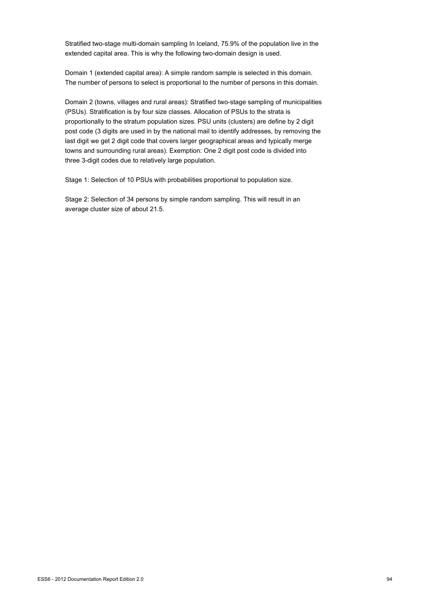Stratified two-stage multi-domain sampling In Iceland, 75.9% of the population live in the extended capital area. This is why the following two-domain design is used.

Domain 1 (extended capital area): A simple random sample is selected in this domain. The number of persons to select is proportional to the number of persons in this domain.

Domain 2 (towns, villages and rural areas): Stratified two-stage sampling of municipalities (PSUs). Stratification is by four size classes. Allocation of PSUs to the strata is proportionally to the stratum population sizes. PSU units (clusters) are define by 2 digit post code (3 digits are used in by the national mail to identify addresses, by removing the last digit we get 2 digit code that covers larger geographical areas and typically merge towns and surrounding rural areas). Exemption: One 2 digit post code is divided into three 3-digit codes due to relatively large population.

Stage 1: Selection of 10 PSUs with probabilities proportional to population size.

Stage 2: Selection of 34 persons by simple random sampling. This will result in an average cluster size of about 21.5.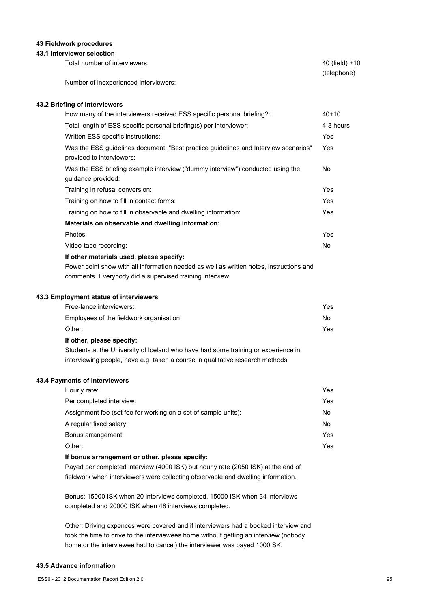#### **43 Fieldwork procedures**

#### **43.1 Interviewer selection**

| Total number of interviewers:         | 40 (field) +10 |
|---------------------------------------|----------------|
|                                       | (telephone)    |
| Number of inexperienced interviewers: |                |

#### **43.2 Briefing of interviewers**

| How many of the interviewers received ESS specific personal briefing?:                                           | $40+10$    |
|------------------------------------------------------------------------------------------------------------------|------------|
| Total length of ESS specific personal briefing(s) per interviewer:                                               | 4-8 hours  |
| Written ESS specific instructions:                                                                               | Yes        |
| Was the ESS quidelines document: "Best practice quidelines and Interview scenarios"<br>provided to interviewers: | Yes        |
| Was the ESS briefing example interview ("dummy interview") conducted using the<br>guidance provided:             | No.        |
| Training in refusal conversion:                                                                                  | Yes        |
| Training on how to fill in contact forms:                                                                        | <b>Yes</b> |
| Training on how to fill in observable and dwelling information:                                                  | Yes        |
| Materials on observable and dwelling information:                                                                |            |
| Photos:                                                                                                          | Yes        |
| Video-tape recording:                                                                                            | No.        |
| If other materials used, please specify:                                                                         |            |
| Power point show with all information needed as well as written notes, instructions and                          |            |
| comments. Everybody did a supervised training interview.                                                         |            |

#### **43.3 Employment status of interviewers**

| Free-lance interviewers:                 | Yes |
|------------------------------------------|-----|
| Employees of the fieldwork organisation: | No. |
| Other:                                   | Yes |
| If other, please specify:                |     |

Students at the University of Iceland who have had some training or experience in interviewing people, have e.g. taken a course in qualitative research methods.

#### **43.4 Payments of interviewers**

| Hourly rate:                                                   | Yes |
|----------------------------------------------------------------|-----|
| Per completed interview:                                       | Yes |
| Assignment fee (set fee for working on a set of sample units): | No. |
| A regular fixed salary:                                        | No. |
| Bonus arrangement:                                             | Yes |
| Other:                                                         | Yes |
|                                                                |     |

#### **If bonus arrangement or other, please specify:**

Payed per completed interview (4000 ISK) but hourly rate (2050 ISK) at the end of fieldwork when interviewers were collecting observable and dwelling information.

Bonus: 15000 ISK when 20 interviews completed, 15000 ISK when 34 interviews completed and 20000 ISK when 48 interviews completed.

Other: Driving expences were covered and if interviewers had a booked interview and took the time to drive to the interviewees home without getting an interview (nobody home or the interviewee had to cancel) the interviewer was payed 1000ISK.

#### **43.5 Advance information**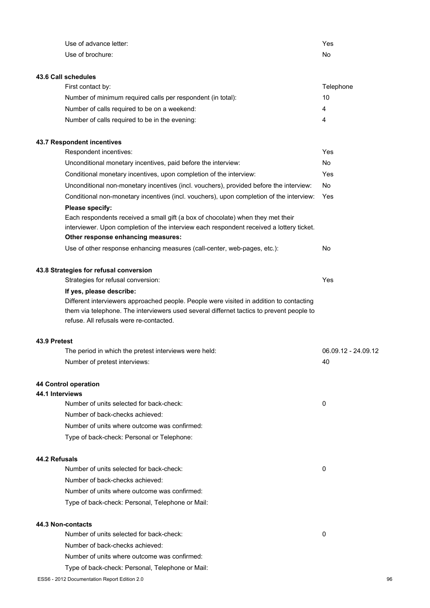| Use of advance letter:                                                                                                              | Yes                 |
|-------------------------------------------------------------------------------------------------------------------------------------|---------------------|
| Use of brochure:                                                                                                                    | No                  |
|                                                                                                                                     |                     |
| 43.6 Call schedules                                                                                                                 |                     |
| First contact by:                                                                                                                   | Telephone           |
| Number of minimum required calls per respondent (in total):                                                                         | 10                  |
| Number of calls required to be on a weekend:                                                                                        | 4                   |
| Number of calls required to be in the evening:                                                                                      | 4                   |
| 43.7 Respondent incentives                                                                                                          |                     |
| Respondent incentives:                                                                                                              | Yes                 |
| Unconditional monetary incentives, paid before the interview:                                                                       | No                  |
| Conditional monetary incentives, upon completion of the interview:                                                                  | Yes                 |
| Unconditional non-monetary incentives (incl. vouchers), provided before the interview:                                              | No                  |
| Conditional non-monetary incentives (incl. vouchers), upon completion of the interview:                                             | Yes                 |
| Please specify:                                                                                                                     |                     |
| Each respondents received a small gift (a box of chocolate) when they met their                                                     |                     |
| interviewer. Upon completion of the interview each respondent received a lottery ticket.                                            |                     |
| Other response enhancing measures:                                                                                                  |                     |
| Use of other response enhancing measures (call-center, web-pages, etc.):                                                            | No                  |
| 43.8 Strategies for refusal conversion                                                                                              |                     |
| Strategies for refusal conversion:                                                                                                  | Yes                 |
| If yes, please describe:                                                                                                            |                     |
| Different interviewers approached people. People were visited in addition to contacting                                             |                     |
| them via telephone. The interviewers used several differnet tactics to prevent people to<br>refuse. All refusals were re-contacted. |                     |
| 43.9 Pretest                                                                                                                        |                     |
| The period in which the pretest interviews were held:                                                                               | 06.09.12 - 24.09.12 |
| Number of pretest interviews:                                                                                                       | 40                  |
| 44 Control operation                                                                                                                |                     |
| 44.1 Interviews                                                                                                                     |                     |
| Number of units selected for back-check:                                                                                            | 0                   |
| Number of back-checks achieved:                                                                                                     |                     |
| Number of units where outcome was confirmed:                                                                                        |                     |
| Type of back-check: Personal or Telephone:                                                                                          |                     |
| 44.2 Refusals                                                                                                                       |                     |
| Number of units selected for back-check:                                                                                            | 0                   |
| Number of back-checks achieved:                                                                                                     |                     |
| Number of units where outcome was confirmed:                                                                                        |                     |
| Type of back-check: Personal, Telephone or Mail:                                                                                    |                     |
| 44.3 Non-contacts                                                                                                                   |                     |
| Number of units selected for back-check:                                                                                            | 0                   |
| Number of back-checks achieved:                                                                                                     |                     |
| Number of units where outcome was confirmed:                                                                                        |                     |
| Type of back-check: Personal, Telephone or Mail:                                                                                    |                     |
| ESS6 - 2012 Documentation Report Edition 2.0                                                                                        | 96                  |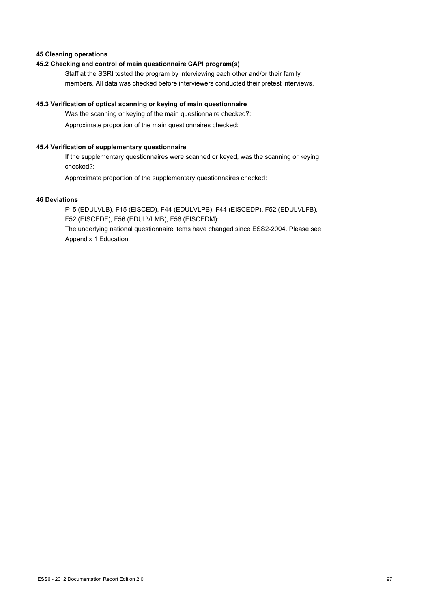### **45 Cleaning operations**

### **45.2 Checking and control of main questionnaire CAPI program(s)**

Staff at the SSRI tested the program by interviewing each other and/or their family members. All data was checked before interviewers conducted their pretest interviews.

### **45.3 Verification of optical scanning or keying of main questionnaire**

Was the scanning or keying of the main questionnaire checked?: Approximate proportion of the main questionnaires checked:

### **45.4 Verification of supplementary questionnaire**

If the supplementary questionnaires were scanned or keyed, was the scanning or keying checked?:

Approximate proportion of the supplementary questionnaires checked:

#### **46 Deviations**

F15 (EDULVLB), F15 (EISCED), F44 (EDULVLPB), F44 (EISCEDP), F52 (EDULVLFB), F52 (EISCEDF), F56 (EDULVLMB), F56 (EISCEDM): The underlying national questionnaire items have changed since ESS2-2004. Please see

Appendix 1 Education.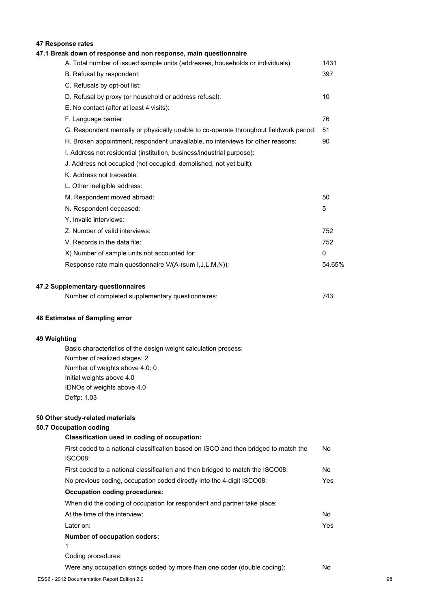### **47 Response rates**

| 47.1 Break down of response and non response, main questionnaire                       |        |
|----------------------------------------------------------------------------------------|--------|
| A. Total number of issued sample units (addresses, households or individuals):         | 1431   |
| B. Refusal by respondent:                                                              | 397    |
| C. Refusals by opt-out list:                                                           |        |
| D. Refusal by proxy (or household or address refusal):                                 | 10     |
| E. No contact (after at least 4 visits):                                               |        |
| F. Language barrier:                                                                   | 76     |
| G. Respondent mentally or physically unable to co-operate throughout fieldwork period: | 51     |
| H. Broken appointment, respondent unavailable, no interviews for other reasons:        | 90     |
| I. Address not residential (institution, business/industrial purpose):                 |        |
| J. Address not occupied (not occupied, demolished, not yet built):                     |        |
| K. Address not traceable:                                                              |        |
| L. Other ineligible address:                                                           |        |
| M. Respondent moved abroad:                                                            | 50     |
| N. Respondent deceased:                                                                | 5      |
| Y. Invalid interviews:                                                                 |        |
| Z. Number of valid interviews:                                                         | 752    |
| V. Records in the data file:                                                           | 752    |
| X) Number of sample units not accounted for:                                           | 0      |
| Response rate main questionnaire V/(A-(sum I, J, L, M, N)):                            | 54.65% |
| 47.2 Supplementary questionnaires                                                      |        |
|                                                                                        |        |

| Number of completed supplementary questionnaires: | 743 |
|---------------------------------------------------|-----|
|                                                   |     |

#### **48 Estimates of Sampling error**

### **49 Weighting**

Basic characteristics of the design weight calculation process: Number of realized stages: 2 Number of weights above 4.0: 0 Initial weights above 4.0 IDNOs of weights above 4.0 Deffp: 1.03

### **50 Other study-related materials**

## **50.7 Occupation coding**

| upation couniq                                                                                  |     |
|-------------------------------------------------------------------------------------------------|-----|
| Classification used in coding of occupation:                                                    |     |
| First coded to a national classification based on ISCO and then bridged to match the<br>ISCO08: | No. |
| First coded to a national classification and then bridged to match the ISCO08:                  | No  |
| No previous coding, occupation coded directly into the 4-digit ISCO08:                          | Yes |
| <b>Occupation coding procedures:</b>                                                            |     |
| When did the coding of occupation for respondent and partner take place:                        |     |
| At the time of the interview:                                                                   | No. |
| Later on:                                                                                       | Yes |
| Number of occupation coders:                                                                    |     |
| 1                                                                                               |     |
| Coding procedures:                                                                              |     |
| Were any occupation strings coded by more than one coder (double coding):                       | No  |
|                                                                                                 |     |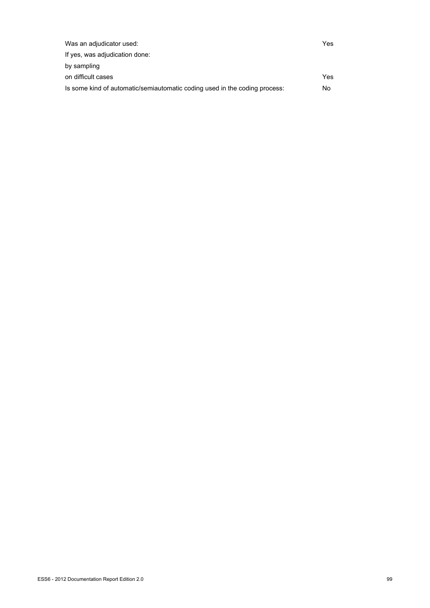| Was an adjudicator used:                                                   | Yes |
|----------------------------------------------------------------------------|-----|
| If yes, was adjudication done:                                             |     |
| by sampling                                                                |     |
| on difficult cases                                                         | Yes |
| Is some kind of automatic/semiautomatic coding used in the coding process: | No  |
|                                                                            |     |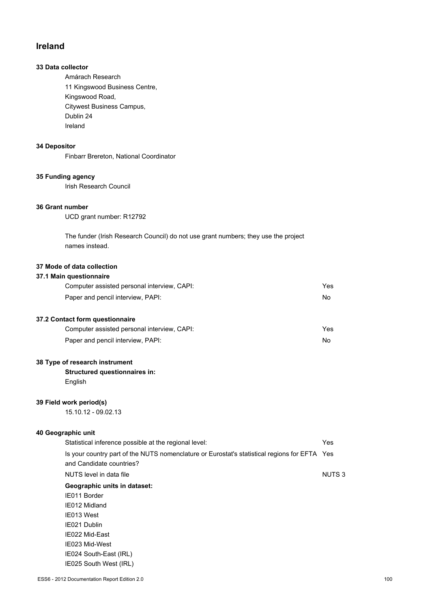## **Ireland**

### **33 Data collector**

Amárach Research 11 Kingswood Business Centre, Kingswood Road, Citywest Business Campus, Dublin 24 Ireland

### **34 Depositor**

Finbarr Brereton, National Coordinator

### **35 Funding agency**

Irish Research Council

#### **36 Grant number**

UCD grant number: R12792

The funder (Irish Research Council) do not use grant numbers; they use the project names instead.

## **37 Mode of data collection**

### **37.1 Main questionnaire**

| Computer assisted personal interview, CAPI: | Yes |
|---------------------------------------------|-----|
| Paper and pencil interview, PAPI:           | No. |
| 37.2 Contact form questionnaire             |     |
| Computer assisted personal interview, CAPI: | Yes |

Paper and pencil interview, PAPI:  $N$ 

#### **38 Type of research instrument**

**Structured questionnaires in:** English

#### **39 Field work period(s)**

15.10.12 - 09.02.13

# **40 Geographic unit**

| Statistical inference possible at the regional level:                                        | Yes    |
|----------------------------------------------------------------------------------------------|--------|
| Is your country part of the NUTS nomenclature or Eurostat's statistical regions for EFTA Yes |        |
| and Candidate countries?                                                                     |        |
| NUTS level in data file                                                                      | NUTS 3 |
| Geographic units in dataset:                                                                 |        |
| IE011 Border                                                                                 |        |
| IE012 Midland                                                                                |        |
| IE013 West                                                                                   |        |
| IE021 Dublin                                                                                 |        |
| IE022 Mid-East                                                                               |        |
| IE023 Mid-West                                                                               |        |
| IE024 South-East (IRL)                                                                       |        |

IE025 South West (IRL)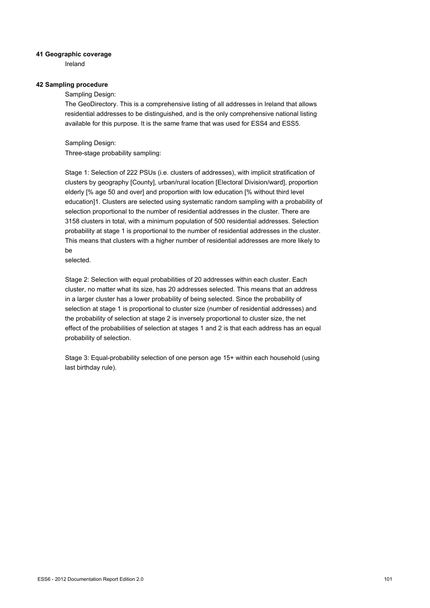#### **41 Geographic coverage**

Ireland

#### **42 Sampling procedure**

Sampling Design:

The GeoDirectory. This is a comprehensive listing of all addresses in Ireland that allows residential addresses to be distinguished, and is the only comprehensive national listing available for this purpose. It is the same frame that was used for ESS4 and ESS5.

Sampling Design: Three-stage probability sampling:

Stage 1: Selection of 222 PSUs (i.e. clusters of addresses), with implicit stratification of clusters by geography [County], urban/rural location [Electoral Division/ward], proportion elderly [% age 50 and over] and proportion with low education [% without third level education]1. Clusters are selected using systematic random sampling with a probability of selection proportional to the number of residential addresses in the cluster. There are 3158 clusters in total, with a minimum population of 500 residential addresses. Selection probability at stage 1 is proportional to the number of residential addresses in the cluster. This means that clusters with a higher number of residential addresses are more likely to be

selected.

Stage 2: Selection with equal probabilities of 20 addresses within each cluster. Each cluster, no matter what its size, has 20 addresses selected. This means that an address in a larger cluster has a lower probability of being selected. Since the probability of selection at stage 1 is proportional to cluster size (number of residential addresses) and the probability of selection at stage 2 is inversely proportional to cluster size, the net effect of the probabilities of selection at stages 1 and 2 is that each address has an equal probability of selection.

Stage 3: Equal-probability selection of one person age 15+ within each household (using last birthday rule).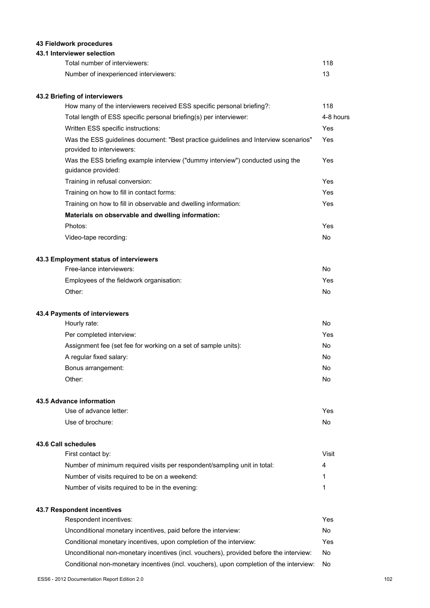### **43 Fieldwork procedures**

### **43.1 Interviewer selection**

| Total number of interviewers:         | 118 |
|---------------------------------------|-----|
| Number of inexperienced interviewers: |     |

### **43.2 Briefing of interviewers**

| How many of the interviewers received ESS specific personal briefing?:                                           | 118            |
|------------------------------------------------------------------------------------------------------------------|----------------|
| Total length of ESS specific personal briefing(s) per interviewer:                                               | 4-8 hours      |
| Written ESS specific instructions:                                                                               | Yes            |
| Was the ESS guidelines document: "Best practice guidelines and Interview scenarios"<br>provided to interviewers: | Yes            |
| Was the ESS briefing example interview ("dummy interview") conducted using the<br>guidance provided:             | Yes            |
| Training in refusal conversion:                                                                                  | Yes            |
| Training on how to fill in contact forms:                                                                        | Yes            |
| Training on how to fill in observable and dwelling information:                                                  | Yes            |
| Materials on observable and dwelling information:                                                                |                |
| Photos:                                                                                                          | Yes            |
| Video-tape recording:                                                                                            | N <sub>0</sub> |
| 43.3 Employment status of interviewers                                                                           |                |
| Free-lance interviewers:                                                                                         | No             |
| Employees of the fieldwork organisation:                                                                         | Yes            |
| Other:                                                                                                           | No             |
| 43.4 Payments of interviewers                                                                                    |                |
| Hourly rate:                                                                                                     | No             |

| Per completed interview:                                       | Yes |
|----------------------------------------------------------------|-----|
| Assignment fee (set fee for working on a set of sample units): | No. |
| A regular fixed salary:                                        | No  |
| Bonus arrangement:                                             | No  |
| Other:                                                         | No  |

#### **43.5 Advance information**

| Use of advance letter: | Yes |
|------------------------|-----|
| Use of brochure:       | No  |

#### **43.6 Call schedules**

| First contact by:                                                        | Visit |
|--------------------------------------------------------------------------|-------|
| Number of minimum required visits per respondent/sampling unit in total: | 4     |
| Number of visits required to be on a weekend:                            |       |
| Number of visits required to be in the evening:                          |       |

### **43.7 Respondent incentives**

| Respondent incentives:                                                                  | Yes |
|-----------------------------------------------------------------------------------------|-----|
| Unconditional monetary incentives, paid before the interview:                           | No. |
| Conditional monetary incentives, upon completion of the interview:                      | Yes |
| Unconditional non-monetary incentives (incl. vouchers), provided before the interview:  | No. |
| Conditional non-monetary incentives (incl. vouchers), upon completion of the interview: | No. |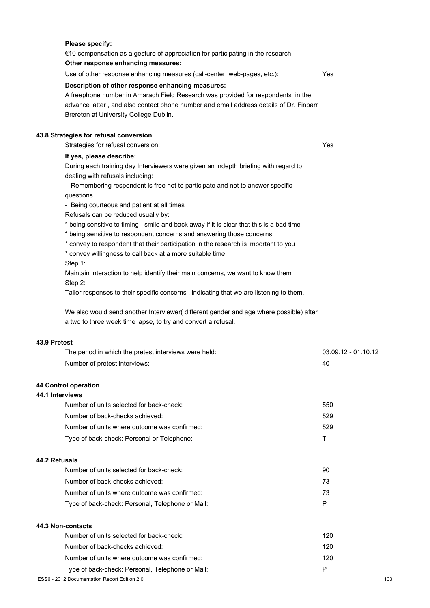## **Please specify:** €10 compensation as a gesture of appreciation for participating in the research. **Other response enhancing measures:** Use of other response enhancing measures (call-center, web-pages, etc.): Yes **Description of other response enhancing measures:** A freephone number in Amarach Field Research was provided for respondents in the advance latter , and also contact phone number and email address details of Dr. Finbarr Brereton at University College Dublin. **43.8 Strategies for refusal conversion** Strategies for refusal conversion: Yes **If yes, please describe:** During each training day Interviewers were given an indepth briefing with regard to dealing with refusals including: - Remembering respondent is free not to participate and not to answer specific questions. - Being courteous and patient at all times Refusals can be reduced usually by: \* being sensitive to timing - smile and back away if it is clear that this is a bad time \* being sensitive to respondent concerns and answering those concerns \* convey to respondent that their participation in the research is important to you \* convey willingness to call back at a more suitable time Step 1: Maintain interaction to help identify their main concerns, we want to know them Step 2: Tailor responses to their specific concerns , indicating that we are listening to them. We also would send another Interviewer( different gender and age where possible) after a two to three week time lapse, to try and convert a refusal. **43.9 Pretest** The period in which the pretest interviews were held: 03.09.12 - 01.10.12 Number of pretest interviews: 40

### **44 Control operation**

#### **44.1 Interviews**

| Number of units selected for back-check:     | 550 |
|----------------------------------------------|-----|
| Number of back-checks achieved:              | 529 |
| Number of units where outcome was confirmed: | 529 |
| Type of back-check: Personal or Telephone:   |     |

#### **44.2 Refusals**

| Number of units selected for back-check:         | 90  |
|--------------------------------------------------|-----|
| Number of back-checks achieved:                  | 73. |
| Number of units where outcome was confirmed:     | 73. |
| Type of back-check: Personal, Telephone or Mail: | D   |
|                                                  |     |

### **44.3 Non-contacts**

| Number of units selected for back-check:         | 120 |
|--------------------------------------------------|-----|
| Number of back-checks achieved:                  | 120 |
| Number of units where outcome was confirmed:     | 120 |
| Type of back-check: Personal, Telephone or Mail: | P   |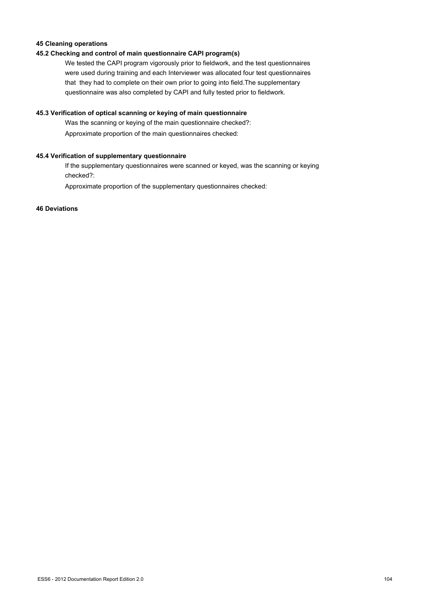### **45 Cleaning operations**

### **45.2 Checking and control of main questionnaire CAPI program(s)**

We tested the CAPI program vigorously prior to fieldwork, and the test questionnaires were used during training and each Interviewer was allocated four test questionnaires that they had to complete on their own prior to going into field.The supplementary questionnaire was also completed by CAPI and fully tested prior to fieldwork.

#### **45.3 Verification of optical scanning or keying of main questionnaire**

Was the scanning or keying of the main questionnaire checked?: Approximate proportion of the main questionnaires checked:

#### **45.4 Verification of supplementary questionnaire**

If the supplementary questionnaires were scanned or keyed, was the scanning or keying checked?:

Approximate proportion of the supplementary questionnaires checked:

#### **46 Deviations**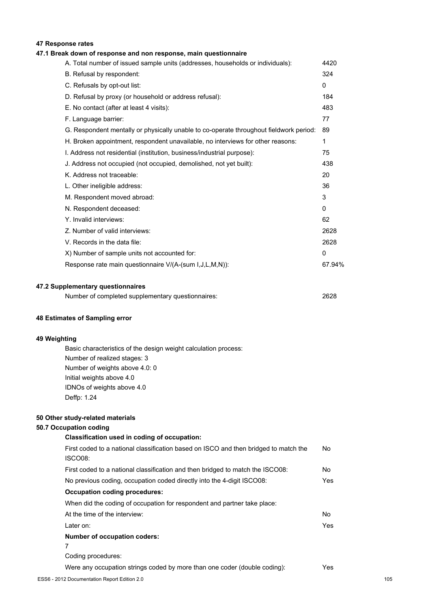### **47 Response rates**

#### **47.1 Break down of response and non response, main questionnaire**

| A. Total number of issued sample units (addresses, households or individuals):         | 4420         |
|----------------------------------------------------------------------------------------|--------------|
| B. Refusal by respondent:                                                              | 324          |
| C. Refusals by opt-out list:                                                           | $\mathbf{0}$ |
| D. Refusal by proxy (or household or address refusal):                                 | 184          |
| E. No contact (after at least 4 visits):                                               | 483          |
| F. Language barrier:                                                                   | 77           |
| G. Respondent mentally or physically unable to co-operate throughout fieldwork period: | 89           |
| H. Broken appointment, respondent unavailable, no interviews for other reasons:        | 1            |
| I. Address not residential (institution, business/industrial purpose):                 | 75           |
| J. Address not occupied (not occupied, demolished, not yet built):                     | 438          |
| K. Address not traceable:                                                              | 20           |
| L. Other ineligible address:                                                           | 36           |
| M. Respondent moved abroad:                                                            | 3            |
| N. Respondent deceased:                                                                | 0            |
| Y. Invalid interviews:                                                                 | 62           |
| Z. Number of valid interviews:                                                         | 2628         |
| V. Records in the data file:                                                           | 2628         |
| X) Number of sample units not accounted for:                                           | $\Omega$     |
| Response rate main questionnaire V/(A-(sum I,J,L,M,N)):                                | 67.94%       |
|                                                                                        |              |

#### **47.2 Supplementary questionnaires**

| Number of completed supplementary questionnaires: | 2628 |
|---------------------------------------------------|------|
|                                                   |      |

#### **48 Estimates of Sampling error**

#### **49 Weighting**

Basic characteristics of the design weight calculation process: Number of realized stages: 3 Number of weights above 4.0: 0 Initial weights above 4.0 IDNOs of weights above 4.0 Deffp: 1.24

#### **50 Other study-related materials**

#### **50.7 Occupation coding**

## **Classification used in coding of occupation:** First coded to a national classification based on ISCO and then bridged to match the ISCO08: No First coded to a national classification and then bridged to match the ISCO08: No No previous coding, occupation coded directly into the 4-digit ISCO08: Yes **Occupation coding procedures:** When did the coding of occupation for respondent and partner take place: At the time of the interview: No Later on: Yes **Number of occupation coders:** 7 Coding procedures: Were any occupation strings coded by more than one coder (double coding): Yes ESS6 - 2012 Documentation Report Edition 2.0 105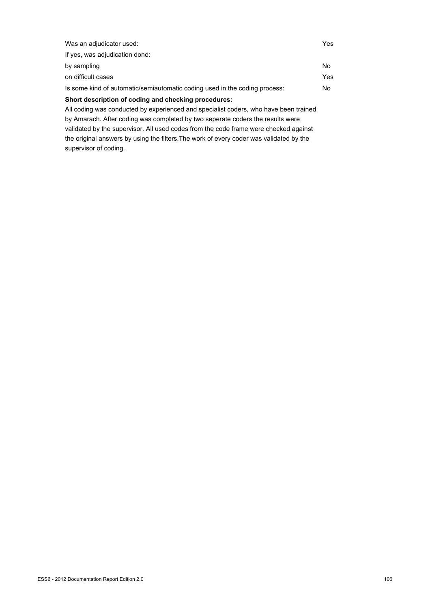| Was an adjudicator used:                                                             | Yes |
|--------------------------------------------------------------------------------------|-----|
| If yes, was adjudication done:                                                       |     |
| by sampling                                                                          | No. |
| on difficult cases                                                                   | Yes |
| Is some kind of automatic/semiautomatic coding used in the coding process:           | No. |
| Short description of coding and checking procedures:                                 |     |
| All coding was conducted by experienced and specialist coders, who have been trained |     |
| by Amarach. After coding was completed by two seperate coders the results were       |     |
| validated by the supervisor. All used codes from the code frame were checked against |     |

the original answers by using the filters.The work of every coder was validated by the

ESS6 - 2012 Documentation Report Edition 2.0 106

supervisor of coding.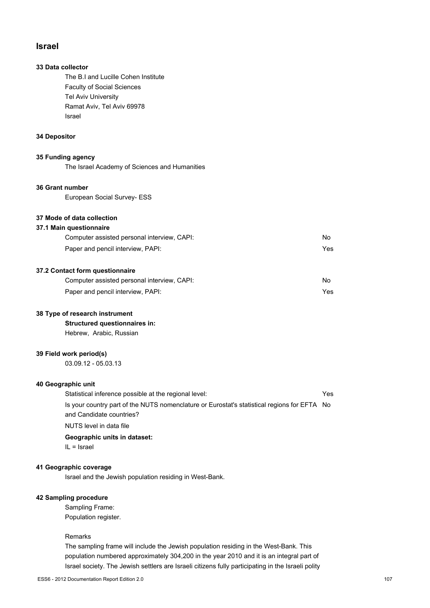### **Israel**

### **33 Data collector**

The B.I and Lucille Cohen Institute Faculty of Social Sciences Tel Aviv University Ramat Aviv, Tel Aviv 69978 Israel

### **34 Depositor**

#### **35 Funding agency**

The Israel Academy of Sciences and Humanities

### **36 Grant number**

European Social Survey- ESS

### **37 Mode of data collection**

### **37.1 Main questionnaire**

| Computer assisted personal interview, CAPI: | No. |
|---------------------------------------------|-----|
| Paper and pencil interview, PAPI:           | Yes |

#### **37.2 Contact form questionnaire**

| Computer assisted personal interview, CAPI: | No  |
|---------------------------------------------|-----|
| Paper and pencil interview, PAPI:           | Yes |

#### **38 Type of research instrument**

**Structured questionnaires in:** Hebrew, Arabic, Russian

#### **39 Field work period(s)**

03.09.12 - 05.03.13

### **40 Geographic unit**

| Statistical inference possible at the regional level:                                       | Yes. |
|---------------------------------------------------------------------------------------------|------|
| Is your country part of the NUTS nomenclature or Eurostat's statistical regions for EFTA No |      |
| and Candidate countries?                                                                    |      |
| NUTS level in data file                                                                     |      |

#### **Geographic units in dataset:**

IL = Israel

#### **41 Geographic coverage**

Israel and the Jewish population residing in West-Bank.

### **42 Sampling procedure**

Sampling Frame: Population register.

#### Remarks

The sampling frame will include the Jewish population residing in the West-Bank. This population numbered approximately 304,200 in the year 2010 and it is an integral part of Israel society. The Jewish settlers are Israeli citizens fully participating in the Israeli polity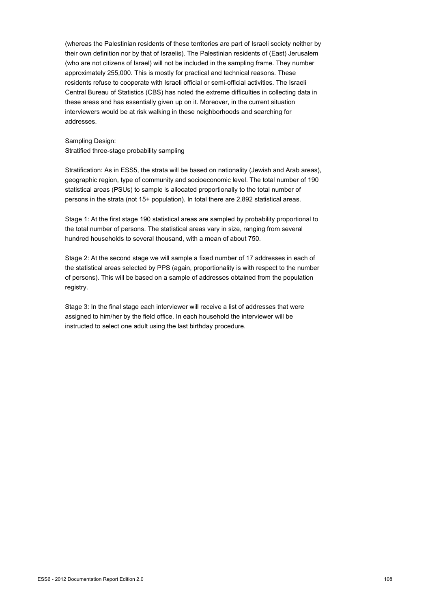(whereas the Palestinian residents of these territories are part of Israeli society neither by their own definition nor by that of Israelis). The Palestinian residents of (East) Jerusalem (who are not citizens of Israel) will not be included in the sampling frame. They number approximately 255,000. This is mostly for practical and technical reasons. These residents refuse to cooperate with Israeli official or semi-official activities. The Israeli Central Bureau of Statistics (CBS) has noted the extreme difficulties in collecting data in these areas and has essentially given up on it. Moreover, in the current situation interviewers would be at risk walking in these neighborhoods and searching for addresses.

## Sampling Design:

Stratified three-stage probability sampling

Stratification: As in ESS5, the strata will be based on nationality (Jewish and Arab areas), geographic region, type of community and socioeconomic level. The total number of 190 statistical areas (PSUs) to sample is allocated proportionally to the total number of persons in the strata (not 15+ population). In total there are 2,892 statistical areas.

Stage 1: At the first stage 190 statistical areas are sampled by probability proportional to the total number of persons. The statistical areas vary in size, ranging from several hundred households to several thousand, with a mean of about 750.

Stage 2: At the second stage we will sample a fixed number of 17 addresses in each of the statistical areas selected by PPS (again, proportionality is with respect to the number of persons). This will be based on a sample of addresses obtained from the population registry.

Stage 3: In the final stage each interviewer will receive a list of addresses that were assigned to him/her by the field office. In each household the interviewer will be instructed to select one adult using the last birthday procedure.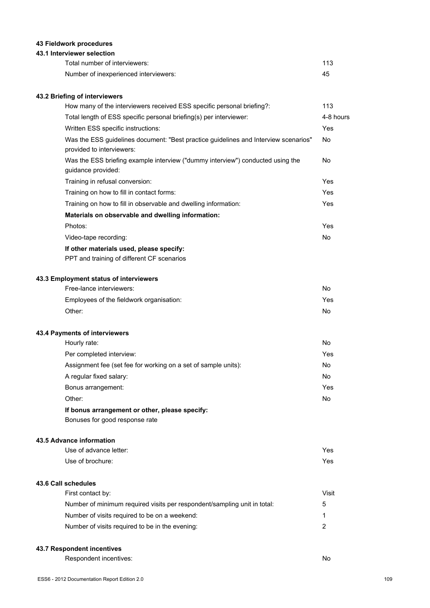## **43 Fieldwork procedures**

## **43.1 Interviewer selection**

| Total number of interviewers:         | 113 |
|---------------------------------------|-----|
| Number of inexperienced interviewers: | 45  |

## **43.2 Briefing of interviewers**

| How many of the interviewers received ESS specific personal briefing?:                                           | 113       |
|------------------------------------------------------------------------------------------------------------------|-----------|
| Total length of ESS specific personal briefing(s) per interviewer:                                               | 4-8 hours |
| Written ESS specific instructions:                                                                               | Yes       |
| Was the ESS guidelines document: "Best practice guidelines and Interview scenarios"<br>provided to interviewers: | No.       |
| Was the ESS briefing example interview ("dummy interview") conducted using the<br>guidance provided:             | No.       |
| Training in refusal conversion:                                                                                  | Yes       |
| Training on how to fill in contact forms:                                                                        | Yes       |
| Training on how to fill in observable and dwelling information:                                                  | Yes       |
| Materials on observable and dwelling information:                                                                |           |
| Photos:                                                                                                          | Yes       |
| Video-tape recording:                                                                                            | No.       |
| If other materials used, please specify:                                                                         |           |
| PPT and training of different CF scenarios                                                                       |           |

## **43.3 Employment status of interviewers**

| Free-lance interviewers:                 | No   |
|------------------------------------------|------|
| Employees of the fieldwork organisation: | Yes. |
| Other:                                   | No   |

#### **43.4 Payments of interviewers**

| Hourly rate:                                                                       | No   |
|------------------------------------------------------------------------------------|------|
| Per completed interview:                                                           | Yes. |
| Assignment fee (set fee for working on a set of sample units):                     | No.  |
| A regular fixed salary:                                                            | No   |
| Bonus arrangement:                                                                 | Yes. |
| Other:                                                                             | No   |
| 10 la statuta i statuta al statuta della fatta della fatta i statuta del Catalunio |      |

## **If bonus arrangement or other, please specify:**

Bonuses for good response rate

### **43.5 Advance information**

| Use of advance letter: | Yes |
|------------------------|-----|
| Use of brochure:       | Yes |

#### **43.6 Call schedules**

| First contact by:                                                        | Visit |
|--------------------------------------------------------------------------|-------|
| Number of minimum required visits per respondent/sampling unit in total: | 5     |
| Number of visits required to be on a weekend:                            |       |
| Number of visits required to be in the evening:                          | ົ     |

## **43.7 Respondent incentives**

Respondent incentives: No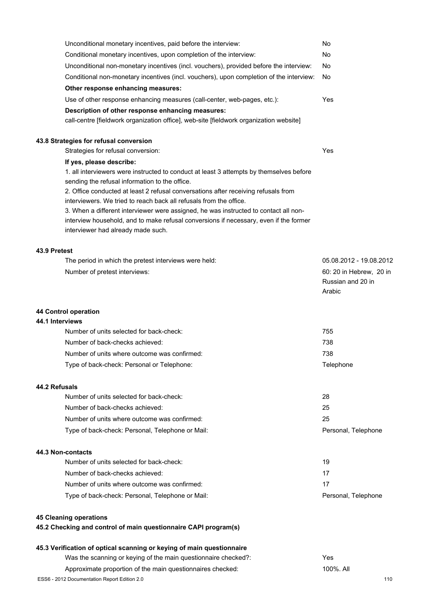|              | Unconditional monetary incentives, paid before the interview:                                                                                              | No                                                     |
|--------------|------------------------------------------------------------------------------------------------------------------------------------------------------------|--------------------------------------------------------|
|              | Conditional monetary incentives, upon completion of the interview:                                                                                         | No                                                     |
|              | Unconditional non-monetary incentives (incl. vouchers), provided before the interview:                                                                     | No                                                     |
|              | Conditional non-monetary incentives (incl. vouchers), upon completion of the interview:                                                                    | No                                                     |
|              | Other response enhancing measures:                                                                                                                         |                                                        |
|              | Use of other response enhancing measures (call-center, web-pages, etc.):                                                                                   | Yes                                                    |
|              | Description of other response enhancing measures:                                                                                                          |                                                        |
|              | call-centre [fieldwork organization office], web-site [fieldwork organization website]                                                                     |                                                        |
|              | 43.8 Strategies for refusal conversion                                                                                                                     |                                                        |
|              | Strategies for refusal conversion:                                                                                                                         | Yes                                                    |
|              | If yes, please describe:                                                                                                                                   |                                                        |
|              | 1. all interviewers were instructed to conduct at least 3 attempts by themselves before                                                                    |                                                        |
|              | sending the refusal information to the office.                                                                                                             |                                                        |
|              | 2. Office conducted at least 2 refusal conversations after receiving refusals from                                                                         |                                                        |
|              | interviewers. We tried to reach back all refusals from the office.<br>3. When a different interviewer were assigned, he was instructed to contact all non- |                                                        |
|              | interview household, and to make refusal conversions if necessary, even if the former                                                                      |                                                        |
|              | interviewer had already made such.                                                                                                                         |                                                        |
| 43.9 Pretest |                                                                                                                                                            |                                                        |
|              | The period in which the pretest interviews were held:                                                                                                      | 05.08.2012 - 19.08.2012                                |
|              | Number of pretest interviews:                                                                                                                              | 60: 20 in Hebrew, 20 in<br>Russian and 20 in<br>Arabic |
|              |                                                                                                                                                            |                                                        |
|              | 44 Control operation                                                                                                                                       |                                                        |
|              | 44.1 Interviews<br>Number of units selected for back-check:                                                                                                | 755                                                    |
|              | Number of back-checks achieved:                                                                                                                            | 738                                                    |
|              |                                                                                                                                                            | 738                                                    |
|              | Number of units where outcome was confirmed:                                                                                                               |                                                        |
|              | Type of back-check: Personal or Telephone:                                                                                                                 | Telephone                                              |
|              | 44.2 Refusals                                                                                                                                              |                                                        |
|              | Number of units selected for back-check:                                                                                                                   | 28                                                     |
|              | Number of back-checks achieved:                                                                                                                            | 25                                                     |
|              | Number of units where outcome was confirmed:                                                                                                               | 25                                                     |
|              | Type of back-check: Personal, Telephone or Mail:                                                                                                           | Personal, Telephone                                    |
|              | 44.3 Non-contacts                                                                                                                                          |                                                        |
|              | Number of units selected for back-check:                                                                                                                   | 19                                                     |
|              | Number of back-checks achieved:                                                                                                                            | 17                                                     |
|              | Number of units where outcome was confirmed:                                                                                                               | 17                                                     |
|              | Type of back-check: Personal, Telephone or Mail:                                                                                                           | Personal, Telephone                                    |
|              | <b>45 Cleaning operations</b>                                                                                                                              |                                                        |
|              | 45.2 Checking and control of main questionnaire CAPI program(s)                                                                                            |                                                        |
|              | 45.3 Verification of optical scanning or keying of main questionnaire                                                                                      |                                                        |
|              | Was the scanning or keying of the main questionnaire checked?:                                                                                             | Yes                                                    |
|              | Approximate proportion of the main questionnaires checked:                                                                                                 | 100%. All                                              |
|              | ESS6 - 2012 Documentation Report Edition 2.0                                                                                                               | 110                                                    |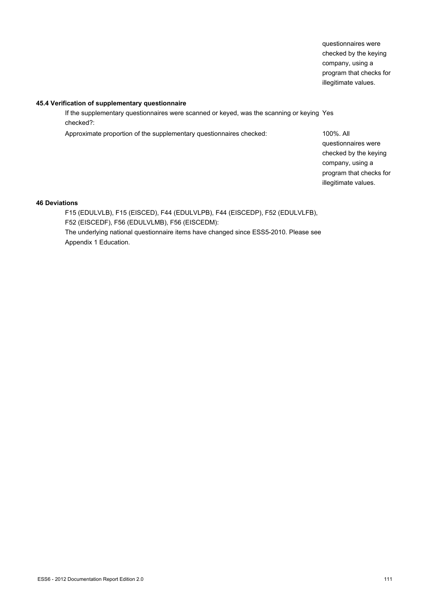questionnaires were checked by the keying company, using a program that checks for illegitimate values.

#### **45.4 Verification of supplementary questionnaire**

If the supplementary questionnaires were scanned or keyed, was the scanning or keying Yes checked?:

Approximate proportion of the supplementary questionnaires checked: 100%. All

questionnaires were checked by the keying company, using a program that checks for illegitimate values.

## **46 Deviations**

F15 (EDULVLB), F15 (EISCED), F44 (EDULVLPB), F44 (EISCEDP), F52 (EDULVLFB), F52 (EISCEDF), F56 (EDULVLMB), F56 (EISCEDM): The underlying national questionnaire items have changed since ESS5-2010. Please see Appendix 1 Education.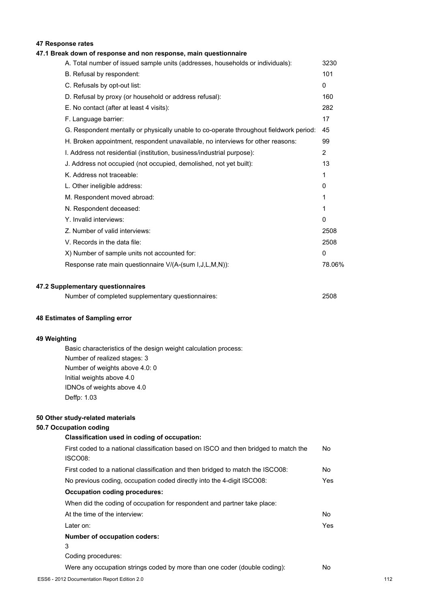## **47 Response rates**

## **47.1 Break down of response and non response, main questionnaire**

| A. Total number of issued sample units (addresses, households or individuals):         | 3230           |
|----------------------------------------------------------------------------------------|----------------|
| B. Refusal by respondent:                                                              | 101            |
| C. Refusals by opt-out list:                                                           | $\mathbf{0}$   |
| D. Refusal by proxy (or household or address refusal):                                 | 160            |
| E. No contact (after at least 4 visits):                                               | 282            |
| F. Language barrier:                                                                   | 17             |
| G. Respondent mentally or physically unable to co-operate throughout fieldwork period: | 45             |
| H. Broken appointment, respondent unavailable, no interviews for other reasons:        | 99             |
| I. Address not residential (institution, business/industrial purpose):                 | $\overline{2}$ |
| J. Address not occupied (not occupied, demolished, not yet built):                     | 13             |
| K. Address not traceable:                                                              | 1              |
| L. Other ineligible address:                                                           | 0              |
| M. Respondent moved abroad:                                                            | 1              |
| N. Respondent deceased:                                                                | 1              |
| Y. Invalid interviews:                                                                 | $\mathbf{0}$   |
| Z. Number of valid interviews:                                                         | 2508           |
| V. Records in the data file:                                                           | 2508           |
| X) Number of sample units not accounted for:                                           | 0              |
| Response rate main questionnaire V/(A-(sum I,J,L,M,N)):                                | 78.06%         |
|                                                                                        |                |
|                                                                                        |                |

#### **47.2 Supplementary questionnaires**

| Number of completed supplementary questionnaires: | 2508 |
|---------------------------------------------------|------|
|---------------------------------------------------|------|

#### **48 Estimates of Sampling error**

#### **49 Weighting**

Basic characteristics of the design weight calculation process: Number of realized stages: 3 Number of weights above 4.0: 0 Initial weights above 4.0 IDNOs of weights above 4.0 Deffp: 1.03

#### **50 Other study-related materials**

#### **50.7 Occupation coding**

# **Classification used in coding of occupation:** First coded to a national classification based on ISCO and then bridged to match the ISCO08: No First coded to a national classification and then bridged to match the ISCO08: No No previous coding, occupation coded directly into the 4-digit ISCO08: Yes **Occupation coding procedures:** When did the coding of occupation for respondent and partner take place: At the time of the interview: No Later on: Yes **Number of occupation coders:** 3 Coding procedures: Were any occupation strings coded by more than one coder (double coding): No ESS6 - 2012 Documentation Report Edition 2.0 112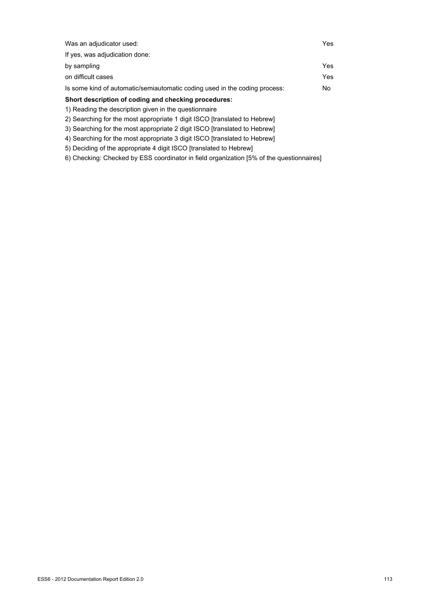| Was an adjudicator used:                                                   | Yes |
|----------------------------------------------------------------------------|-----|
| If yes, was adjudication done:                                             |     |
| by sampling                                                                | Yes |
| on difficult cases                                                         | Yes |
| Is some kind of automatic/semiautomatic coding used in the coding process: | No. |
| Short description of coding and checking procedures:                       |     |
| 1) Reading the description given in the questionnaire                      |     |
| 2) Searching for the most appropriate 1 digit ISCO [translated to Hebrew]  |     |

- 2) Searching for the most appropriate 1 digit ISCO [translated to Hebrew]
- 3) Searching for the most appropriate 2 digit ISCO [translated to Hebrew] 4) Searching for the most appropriate 3 digit ISCO [translated to Hebrew]
- 5) Deciding of the appropriate 4 digit ISCO [translated to Hebrew]
- 6) Checking: Checked by ESS coordinator in field organization [5% of the questionnaires]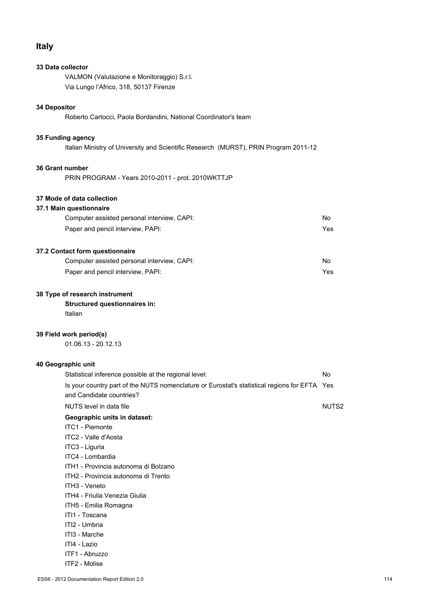## **Italy**

## **33 Data collector**

VALMON (Valutazione e Monitoraggio) S.r.l. Via Lungo l'Africo, 318, 50137 Firenze

## **34 Depositor**

Roberto Cartocci, Paola Bordandini, National Coordinator's team

## **35 Funding agency**

Italian Ministry of University and Scientific Research (MURST), PRIN Program 2011-12

### **36 Grant number**

PRIN PROGRAM - Years 2010-2011 - prot. 2010WKTTJP

#### **37 Mode of data collection**

#### **37.1 Main questionnaire**

| Computer assisted personal interview, CAPI: | No. |
|---------------------------------------------|-----|
| Paper and pencil interview, PAPI:           | Yes |

## **37.2 Contact form questionnaire**

| Computer assisted personal interview, CAPI: | No  |
|---------------------------------------------|-----|
| Paper and pencil interview, PAPI:           | Yes |

#### **38 Type of research instrument**

## **Structured questionnaires in:**

Italian

#### **39 Field work period(s)**

01.06.13 - 20.12.13

#### **40 Geographic unit**

| Statistical inference possible at the regional level:                                        | No                |
|----------------------------------------------------------------------------------------------|-------------------|
| Is your country part of the NUTS nomenclature or Eurostat's statistical regions for EFTA Yes |                   |
| and Candidate countries?                                                                     |                   |
| NUTS level in data file                                                                      | NUTS <sub>2</sub> |
| Geographic units in dataset:                                                                 |                   |
| <b>ITC1 - Piemonte</b>                                                                       |                   |
| ITC2 - Valle d'Aosta                                                                         |                   |
| ITC3 - Liguria                                                                               |                   |
| ITC4 - Lombardia                                                                             |                   |
| ITH1 - Provincia autonoma di Bolzano                                                         |                   |
| ITH2 - Provincia autonoma di Trento                                                          |                   |
| ITH <sub>3</sub> - Veneto                                                                    |                   |
| ITH4 - Friulia Venezia Giulia                                                                |                   |
| ITH5 - Emilia Romagna                                                                        |                   |
| ITI1 - Toscana                                                                               |                   |
| ITI2 - Umbria                                                                                |                   |
| ITI3 - Marche                                                                                |                   |
| ITI4 - Lazio                                                                                 |                   |
| ITF1 - Abruzzo                                                                               |                   |
| ITF2 - Molise                                                                                |                   |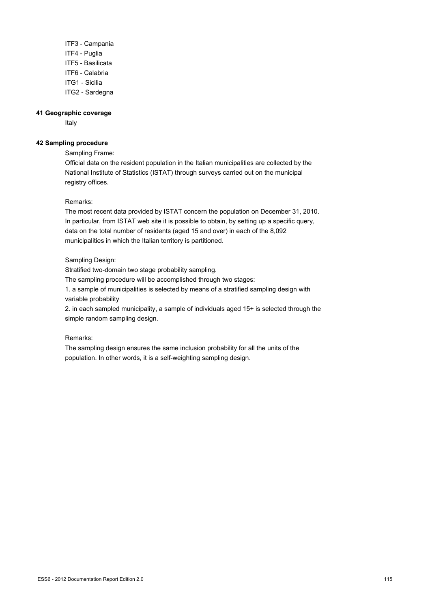ITF3 - Campania ITF4 - Puglia ITF5 - Basilicata ITF6 - Calabria ITG1 - Sicilia ITG2 - Sardegna

#### **41 Geographic coverage**

Italy

#### **42 Sampling procedure**

Sampling Frame:

Official data on the resident population in the Italian municipalities are collected by the National Institute of Statistics (ISTAT) through surveys carried out on the municipal registry offices.

## Remarks:

The most recent data provided by ISTAT concern the population on December 31, 2010. In particular, from ISTAT web site it is possible to obtain, by setting up a specific query, data on the total number of residents (aged 15 and over) in each of the 8,092 municipalities in which the Italian territory is partitioned.

## Sampling Design:

Stratified two-domain two stage probability sampling.

The sampling procedure will be accomplished through two stages:

1. a sample of municipalities is selected by means of a stratified sampling design with variable probability

2. in each sampled municipality, a sample of individuals aged 15+ is selected through the simple random sampling design.

## Remarks:

The sampling design ensures the same inclusion probability for all the units of the population. In other words, it is a self-weighting sampling design.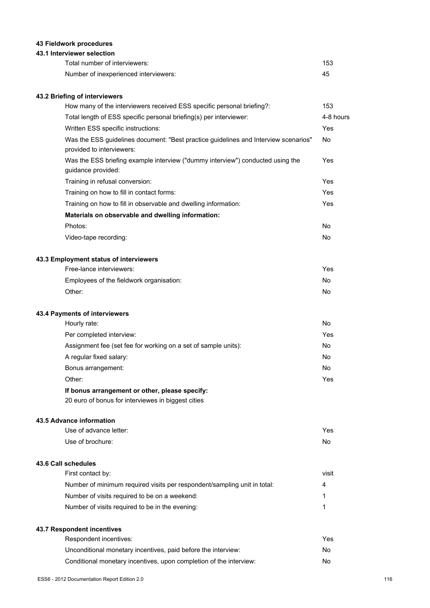## **43 Fieldwork procedures**

## **43.1 Interviewer selection**

| Total number of interviewers:         | 153 |
|---------------------------------------|-----|
| Number of inexperienced interviewers: | 45  |

## **43.2 Briefing of interviewers**

| How many of the interviewers received ESS specific personal briefing?:                                           | 153       |
|------------------------------------------------------------------------------------------------------------------|-----------|
| Total length of ESS specific personal briefing(s) per interviewer:                                               | 4-8 hours |
| Written ESS specific instructions:                                                                               | Yes       |
| Was the ESS guidelines document: "Best practice guidelines and Interview scenarios"<br>provided to interviewers: | <b>No</b> |
| Was the ESS briefing example interview ("dummy interview") conducted using the<br>guidance provided:             | Yes       |
| Training in refusal conversion:                                                                                  | Yes       |
| Training on how to fill in contact forms:                                                                        | Yes       |
| Training on how to fill in observable and dwelling information:                                                  | Yes       |
| Materials on observable and dwelling information:                                                                |           |
| Photos:                                                                                                          | No        |
| Video-tape recording:                                                                                            | <b>No</b> |
| 43.3 Employment status of interviewers                                                                           |           |
| Free-lance interviewers:                                                                                         | Yes       |
| Employees of the fieldwork organisation:                                                                         | <b>No</b> |
| Other:                                                                                                           | No        |
| 43.4 Payments of interviewers                                                                                    |           |
| Hourly rate:                                                                                                     | <b>No</b> |
| Per completed interview:                                                                                         | Yes       |
| Assignment fee (set fee for working on a set of sample units):                                                   | <b>No</b> |
| A regular fixed salary:                                                                                          | No        |
| Bonus arrangement:                                                                                               | <b>No</b> |
| Other:                                                                                                           | Yes       |
| If bonus arrangement or other, please specify:                                                                   |           |

20 euro of bonus for interviewes in biggest cities

## **43.5 Advance information**

| Use of advance letter: | Yes |
|------------------------|-----|
| Use of brochure:       | No  |

## **43.6 Call schedules**

| First contact by:                                                        | visit |
|--------------------------------------------------------------------------|-------|
| Number of minimum required visits per respondent/sampling unit in total: | 4     |
| Number of visits required to be on a weekend:                            |       |
| Number of visits required to be in the evening:                          |       |

## **43.7 Respondent incentives**

| Respondent incentives:                                             | Yes |
|--------------------------------------------------------------------|-----|
| Unconditional monetary incentives, paid before the interview:      | No. |
| Conditional monetary incentives, upon completion of the interview: | No. |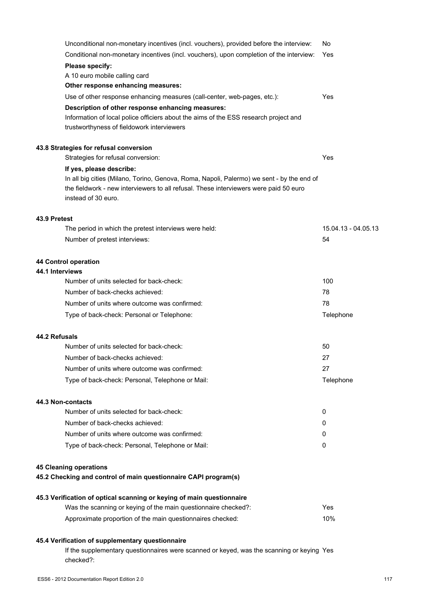| Unconditional non-monetary incentives (incl. vouchers), provided before the interview:                                                                                                                    | No                  |
|-----------------------------------------------------------------------------------------------------------------------------------------------------------------------------------------------------------|---------------------|
| Conditional non-monetary incentives (incl. vouchers), upon completion of the interview:                                                                                                                   | Yes                 |
| Please specify:                                                                                                                                                                                           |                     |
| A 10 euro mobile calling card                                                                                                                                                                             |                     |
| Other response enhancing measures:                                                                                                                                                                        |                     |
| Use of other response enhancing measures (call-center, web-pages, etc.):                                                                                                                                  | Yes                 |
| Description of other response enhancing measures:<br>Information of local police officiers about the aims of the ESS research project and<br>trustworthyness of fieldowork interviewers                   |                     |
| 43.8 Strategies for refusal conversion                                                                                                                                                                    |                     |
| Strategies for refusal conversion:                                                                                                                                                                        | Yes                 |
| If yes, please describe:                                                                                                                                                                                  |                     |
| In all big cities (Milano, Torino, Genova, Roma, Napoli, Palermo) we sent - by the end of<br>the fieldwork - new interviewers to all refusal. These interviewers were paid 50 euro<br>instead of 30 euro. |                     |
| 43.9 Pretest                                                                                                                                                                                              |                     |
| The period in which the pretest interviews were held:                                                                                                                                                     | 15.04.13 - 04.05.13 |
| Number of pretest interviews:                                                                                                                                                                             | 54                  |
| 44 Control operation<br>44.1 Interviews                                                                                                                                                                   |                     |
| Number of units selected for back-check:                                                                                                                                                                  | 100                 |
| Number of back-checks achieved:                                                                                                                                                                           | 78                  |
| Number of units where outcome was confirmed:                                                                                                                                                              | 78                  |
| Type of back-check: Personal or Telephone:                                                                                                                                                                | Telephone           |
| 44.2 Refusals                                                                                                                                                                                             |                     |
| Number of units selected for back-check:                                                                                                                                                                  | 50                  |
| Number of back-checks achieved:                                                                                                                                                                           | 27                  |
| Number of units where outcome was confirmed:                                                                                                                                                              | 27                  |
| Type of back-check: Personal, Telephone or Mail:                                                                                                                                                          | Telephone           |
| 44.3 Non-contacts                                                                                                                                                                                         |                     |
| Number of units selected for back-check:                                                                                                                                                                  | 0                   |
| Number of back-checks achieved:                                                                                                                                                                           | 0                   |
| Number of units where outcome was confirmed:                                                                                                                                                              | 0                   |
| Type of back-check: Personal, Telephone or Mail:                                                                                                                                                          | 0                   |
| <b>45 Cleaning operations</b><br>45.2 Checking and control of main questionnaire CAPI program(s)                                                                                                          |                     |
| 45.3 Verification of optical scanning or keying of main questionnaire                                                                                                                                     |                     |
| Was the scanning or keying of the main questionnaire checked?:                                                                                                                                            | Yes                 |
| Approximate proportion of the main questionnaires checked:                                                                                                                                                | 10%                 |
| 45.4 Verification of supplementary questionnaire                                                                                                                                                          |                     |

If the supplementary questionnaires were scanned or keyed, was the scanning or keying Yes checked?: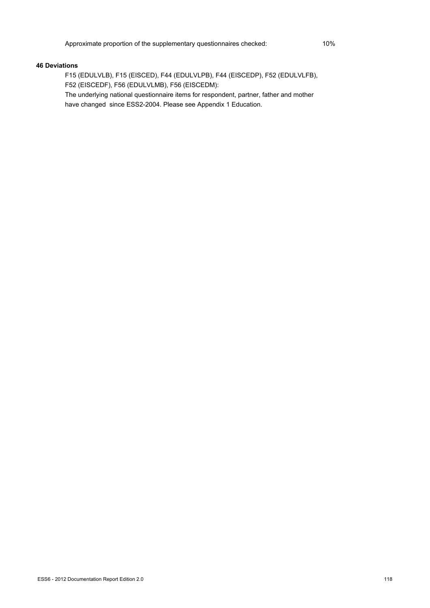#### **46 Deviations**

F15 (EDULVLB), F15 (EISCED), F44 (EDULVLPB), F44 (EISCEDP), F52 (EDULVLFB), F52 (EISCEDF), F56 (EDULVLMB), F56 (EISCEDM):

The underlying national questionnaire items for respondent, partner, father and mother have changed since ESS2-2004. Please see Appendix 1 Education.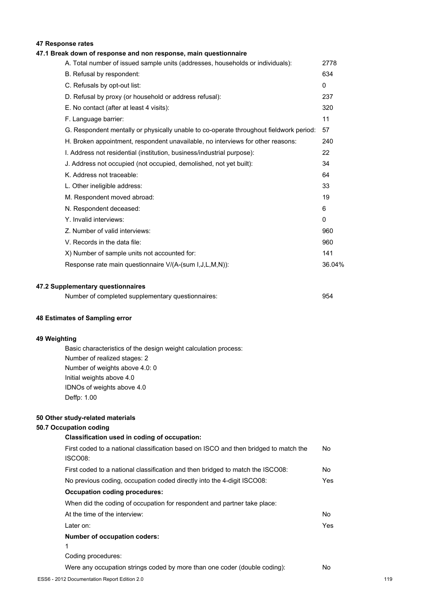## **47 Response rates**

## **47.1 Break down of response and non response, main questionnaire**

| A. Total number of issued sample units (addresses, households or individuals):         | 2778         |
|----------------------------------------------------------------------------------------|--------------|
| B. Refusal by respondent:                                                              | 634          |
| C. Refusals by opt-out list:                                                           | $\mathbf{0}$ |
| D. Refusal by proxy (or household or address refusal):                                 | 237          |
| E. No contact (after at least 4 visits):                                               | 320          |
| F. Language barrier:                                                                   | 11           |
| G. Respondent mentally or physically unable to co-operate throughout fieldwork period: | 57           |
| H. Broken appointment, respondent unavailable, no interviews for other reasons:        | 240          |
| I. Address not residential (institution, business/industrial purpose):                 | 22           |
| J. Address not occupied (not occupied, demolished, not yet built):                     | 34           |
| K. Address not traceable:                                                              | 64           |
| L. Other ineligible address:                                                           | 33           |
| M. Respondent moved abroad:                                                            | 19           |
| N. Respondent deceased:                                                                | 6            |
| Y. Invalid interviews:                                                                 | $\mathbf{0}$ |
| Z. Number of valid interviews:                                                         | 960          |
| V. Records in the data file:                                                           | 960          |
| X) Number of sample units not accounted for:                                           | 141          |
| Response rate main questionnaire V/(A-(sum I,J,L,M,N)):                                | 36.04%       |
|                                                                                        |              |

#### **47.2 Supplementary questionnaires**

| Number of completed supplementary questionnaires: | 954 |
|---------------------------------------------------|-----|
|                                                   |     |

#### **48 Estimates of Sampling error**

#### **49 Weighting**

Basic characteristics of the design weight calculation process: Number of realized stages: 2 Number of weights above 4.0: 0 Initial weights above 4.0 IDNOs of weights above 4.0 Deffp: 1.00

#### **50 Other study-related materials**

#### **50.7 Occupation coding**

# **Classification used in coding of occupation:** First coded to a national classification based on ISCO and then bridged to match the ISCO08: No First coded to a national classification and then bridged to match the ISCO08: No No previous coding, occupation coded directly into the 4-digit ISCO08: Yes **Occupation coding procedures:** When did the coding of occupation for respondent and partner take place: At the time of the interview: No Later on: Yes **Number of occupation coders:** 1 Coding procedures: Were any occupation strings coded by more than one coder (double coding): No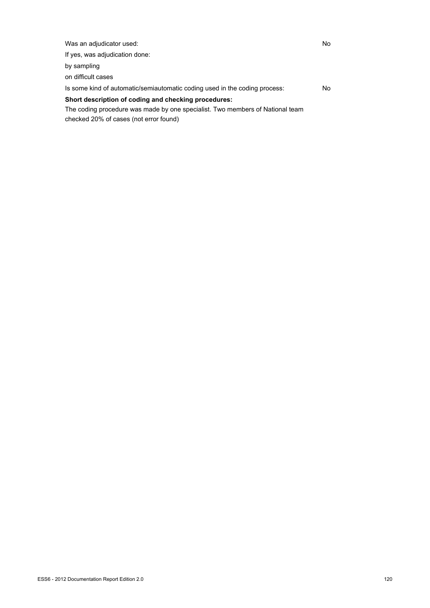| Was an adjudicator used:                                                      | No |
|-------------------------------------------------------------------------------|----|
| If yes, was adjudication done:                                                |    |
| by sampling                                                                   |    |
| on difficult cases                                                            |    |
| Is some kind of automatic/semiautomatic coding used in the coding process:    | No |
| Short description of coding and checking procedures:                          |    |
| The coding procedure was made by one specialist. Two members of National team |    |

checked 20% of cases (not error found)

ESS6 - 2012 Documentation Report Edition 2.0 120 120 and the state of the state of the state of the state of the state of the state of the state of the state of the state of the state of the state of the state of the state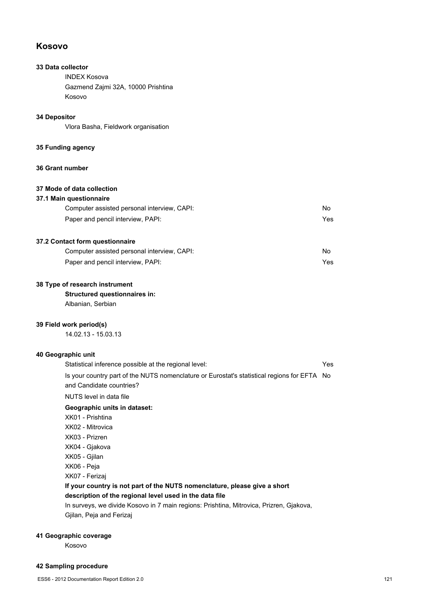## **Kosovo**

## **33 Data collector**

INDEX Kosova Gazmend Zajmi 32A, 10000 Prishtina Kosovo

## **34 Depositor**

Vlora Basha, Fieldwork organisation

## **35 Funding agency**

#### **36 Grant number**

## **37 Mode of data collection**

#### **37.1 Main questionnaire**

| Computer assisted personal interview, CAPI: | No  |
|---------------------------------------------|-----|
| Paper and pencil interview, PAPI:           | Yes |

## **37.2 Contact form questionnaire**

| Computer assisted personal interview, CAPI: | No  |
|---------------------------------------------|-----|
| Paper and pencil interview, PAPI:           | Yes |

#### **38 Type of research instrument**

#### **Structured questionnaires in:**

Albanian, Serbian

#### **39 Field work period(s)**

14.02.13 - 15.03.13

## **40 Geographic unit**

| Statistical inference possible at the regional level:                                                                   | Yes |
|-------------------------------------------------------------------------------------------------------------------------|-----|
| Is your country part of the NUTS nomenclature or Eurostat's statistical regions for EFTA No<br>and Candidate countries? |     |
| NUTS level in data file                                                                                                 |     |
| Geographic units in dataset:                                                                                            |     |
| XK01 - Prishtina                                                                                                        |     |
| XK02 - Mitrovica                                                                                                        |     |
| XK03 - Prizren                                                                                                          |     |
| XK04 - Giakova                                                                                                          |     |
| XK05 - Gjilan                                                                                                           |     |
| XK06 - Peja                                                                                                             |     |
| XK07 - Ferizaj                                                                                                          |     |
| If your country is not part of the NUTS nomenclature, please give a short                                               |     |
| description of the regional level used in the data file                                                                 |     |
| The company of the Most of the company of the Contract of Most of the Contract of the Contract of the Contract          |     |

In surveys, we divide Kosovo in 7 main regions: Prishtina, Mitrovica, Prizren, Gjakova, Gjilan, Peja and Ferizaj

## **41 Geographic coverage**

Kosovo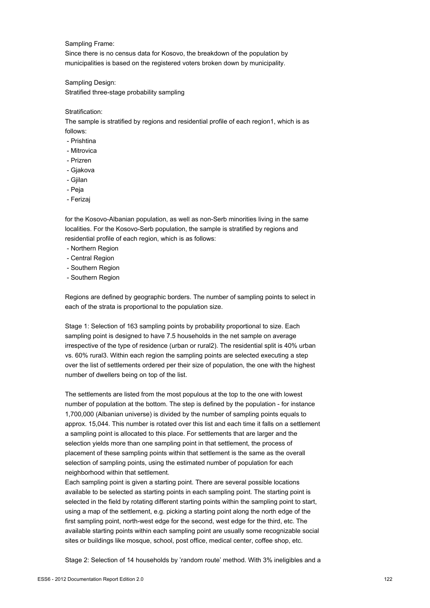#### Sampling Frame:

Since there is no census data for Kosovo, the breakdown of the population by municipalities is based on the registered voters broken down by municipality.

Sampling Design: Stratified three-stage probability sampling

#### Stratification:

The sample is stratified by regions and residential profile of each region1, which is as follows:

- Prishtina
- Mitrovica
- Prizren
- Gjakova
- Gjilan
- Peja
- Ferizaj

for the Kosovo-Albanian population, as well as non-Serb minorities living in the same localities. For the Kosovo-Serb population, the sample is stratified by regions and residential profile of each region, which is as follows:

- Northern Region
- Central Region
- Southern Region
- Southern Region

Regions are defined by geographic borders. The number of sampling points to select in each of the strata is proportional to the population size.

Stage 1: Selection of 163 sampling points by probability proportional to size. Each sampling point is designed to have 7.5 households in the net sample on average irrespective of the type of residence (urban or rural2). The residential split is 40% urban vs. 60% rural3. Within each region the sampling points are selected executing a step over the list of settlements ordered per their size of population, the one with the highest number of dwellers being on top of the list.

The settlements are listed from the most populous at the top to the one with lowest number of population at the bottom. The step is defined by the population - for instance 1,700,000 (Albanian universe) is divided by the number of sampling points equals to approx. 15,044. This number is rotated over this list and each time it falls on a settlement a sampling point is allocated to this place. For settlements that are larger and the selection yields more than one sampling point in that settlement, the process of placement of these sampling points within that settlement is the same as the overall selection of sampling points, using the estimated number of population for each neighborhood within that settlement.

Each sampling point is given a starting point. There are several possible locations available to be selected as starting points in each sampling point. The starting point is selected in the field by rotating different starting points within the sampling point to start, using a map of the settlement, e.g. picking a starting point along the north edge of the first sampling point, north-west edge for the second, west edge for the third, etc. The available starting points within each sampling point are usually some recognizable social sites or buildings like mosque, school, post office, medical center, coffee shop, etc.

Stage 2: Selection of 14 households by 'random route' method. With 3% ineligibles and a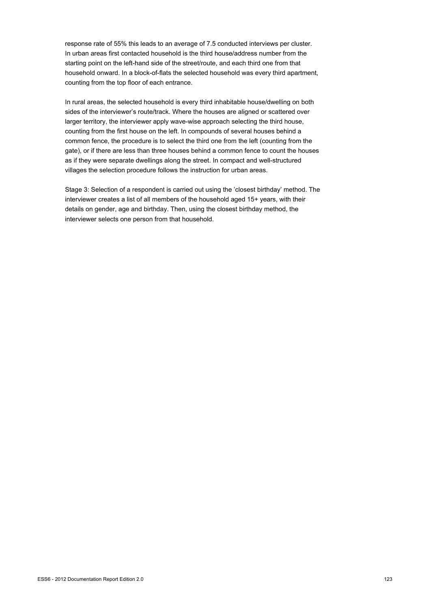response rate of 55% this leads to an average of 7.5 conducted interviews per cluster. In urban areas first contacted household is the third house/address number from the starting point on the left-hand side of the street/route, and each third one from that household onward. In a block-of-flats the selected household was every third apartment, counting from the top floor of each entrance.

In rural areas, the selected household is every third inhabitable house/dwelling on both sides of the interviewer's route/track. Where the houses are aligned or scattered over larger territory, the interviewer apply wave-wise approach selecting the third house, counting from the first house on the left. In compounds of several houses behind a common fence, the procedure is to select the third one from the left (counting from the gate), or if there are less than three houses behind a common fence to count the houses as if they were separate dwellings along the street. In compact and well-structured villages the selection procedure follows the instruction for urban areas.

Stage 3: Selection of a respondent is carried out using the 'closest birthday' method. The interviewer creates a list of all members of the household aged 15+ years, with their details on gender, age and birthday. Then, using the closest birthday method, the interviewer selects one person from that household.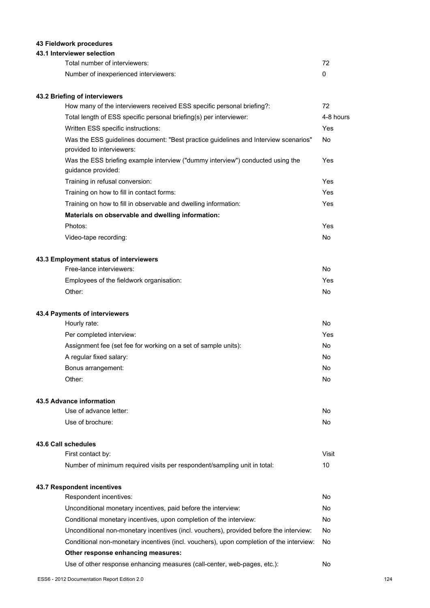## **43 Fieldwork procedures**

## **43.1 Interviewer selection**

| Total number of interviewers:         | 72 |
|---------------------------------------|----|
| Number of inexperienced interviewers: |    |

## **43.2 Briefing of interviewers**

| How many of the interviewers received ESS specific personal briefing?:                                           | 72        |
|------------------------------------------------------------------------------------------------------------------|-----------|
| Total length of ESS specific personal briefing(s) per interviewer:                                               | 4-8 hours |
| Written ESS specific instructions:                                                                               | Yes       |
| Was the ESS guidelines document: "Best practice guidelines and Interview scenarios"<br>provided to interviewers: | No        |
| Was the ESS briefing example interview ("dummy interview") conducted using the<br>guidance provided:             | Yes       |
| Training in refusal conversion:                                                                                  | Yes       |
| Training on how to fill in contact forms:                                                                        | Yes       |
| Training on how to fill in observable and dwelling information:                                                  | Yes       |
| Materials on observable and dwelling information:                                                                |           |
| Photos:                                                                                                          | Yes       |
| Video-tape recording:                                                                                            | No        |
| 43.3 Employment status of interviewers                                                                           |           |
| Free-lance interviewers:                                                                                         | No.       |
| Employees of the fieldwork organisation:                                                                         | Yes       |
| Other:                                                                                                           | No        |
| 43.4 Payments of interviewers                                                                                    |           |

| Hourly rate:                                                   | No. |
|----------------------------------------------------------------|-----|
| Per completed interview:                                       | Yes |
| Assignment fee (set fee for working on a set of sample units): | No. |
| A regular fixed salary:                                        | No  |
| Bonus arrangement:                                             | No  |
| Other:                                                         | No  |

#### **43.5 Advance information**

| Use of advance letter: | No. |
|------------------------|-----|
| Use of brochure:       | No. |

## **43.6 Call schedules**

| First contact by:                                                        | Visit |
|--------------------------------------------------------------------------|-------|
| Number of minimum required visits per respondent/sampling unit in total: |       |

## **43.7 Respondent incentives**

| Respondent incentives:                                                                  | No  |
|-----------------------------------------------------------------------------------------|-----|
| Unconditional monetary incentives, paid before the interview:                           | No. |
| Conditional monetary incentives, upon completion of the interview:                      | No. |
| Unconditional non-monetary incentives (incl. vouchers), provided before the interview:  | No. |
| Conditional non-monetary incentives (incl. vouchers), upon completion of the interview: | No. |
| Other response enhancing measures:                                                      |     |
| Use of other response enhancing measures (call-center, web-pages, etc.):                | No. |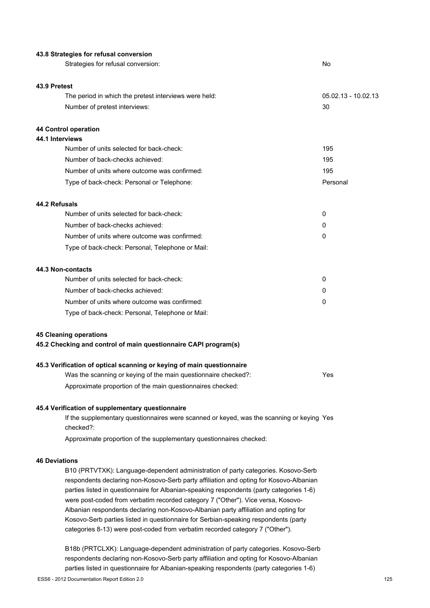| 43.8 Strategies for refusal conversion                                                                 |                       |
|--------------------------------------------------------------------------------------------------------|-----------------------|
| Strategies for refusal conversion:                                                                     | No                    |
|                                                                                                        |                       |
| 43.9 Pretest                                                                                           |                       |
| The period in which the pretest interviews were held:                                                  | $05.02.13 - 10.02.13$ |
| Number of pretest interviews:                                                                          | 30                    |
| 44 Control operation                                                                                   |                       |
| 44.1 Interviews                                                                                        |                       |
| Number of units selected for back-check:                                                               | 195                   |
| Number of back-checks achieved:                                                                        | 195                   |
| Number of units where outcome was confirmed:                                                           | 195                   |
| Type of back-check: Personal or Telephone:                                                             | Personal              |
| 44.2 Refusals                                                                                          |                       |
| Number of units selected for back-check:                                                               | 0                     |
| Number of back-checks achieved:                                                                        | 0                     |
| Number of units where outcome was confirmed:                                                           | 0                     |
| Type of back-check: Personal, Telephone or Mail:                                                       |                       |
| 44.3 Non-contacts                                                                                      |                       |
| Number of units selected for back-check:                                                               | 0                     |
| Number of back-checks achieved:                                                                        | 0                     |
| Number of units where outcome was confirmed:                                                           | 0                     |
| Type of back-check: Personal, Telephone or Mail:                                                       |                       |
| <b>45 Cleaning operations</b>                                                                          |                       |
| 45.2 Checking and control of main questionnaire CAPI program(s)                                        |                       |
| 45.3 Verification of optical scanning or keying of main questionnaire                                  |                       |
| Was the scanning or keying of the main questionnaire checked?:                                         | Yes                   |
| Approximate proportion of the main questionnaires checked:                                             |                       |
| 45.4 Verification of supplementary questionnaire                                                       |                       |
| If the supplementary questionnaires were scanned or keyed, was the scanning or keying Yes<br>checked?: |                       |
| Approximate proportion of the supplementary questionnaires checked:                                    |                       |
| <b>46 Deviations</b>                                                                                   |                       |
| B10 (PRTVTXK): Language-dependent administration of party categories. Kosovo-Serb                      |                       |
| respondents declaring non-Kosovo-Serb party affiliation and opting for Kosovo-Albanian                 |                       |

parties listed in questionnaire for Albanian-speaking respondents (party categories 1-6) were post-coded from verbatim recorded category 7 ("Other"). Vice versa, Kosovo-Albanian respondents declaring non-Kosovo-Albanian party affiliation and opting for Kosovo-Serb parties listed in questionnaire for Serbian-speaking respondents (party categories 8-13) were post-coded from verbatim recorded category 7 ("Other").

B18b (PRTCLXK): Language-dependent administration of party categories. Kosovo-Serb respondents declaring non-Kosovo-Serb party affiliation and opting for Kosovo-Albanian parties listed in questionnaire for Albanian-speaking respondents (party categories 1-6)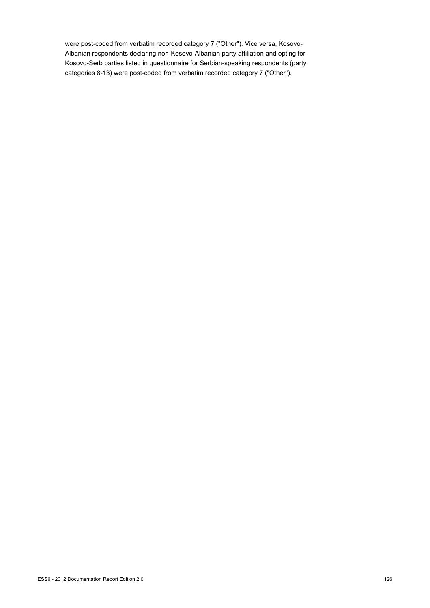were post-coded from verbatim recorded category 7 ("Other"). Vice versa, Kosovo-Albanian respondents declaring non-Kosovo-Albanian party affiliation and opting for Kosovo-Serb parties listed in questionnaire for Serbian-speaking respondents (party categories 8-13) were post-coded from verbatim recorded category 7 ("Other").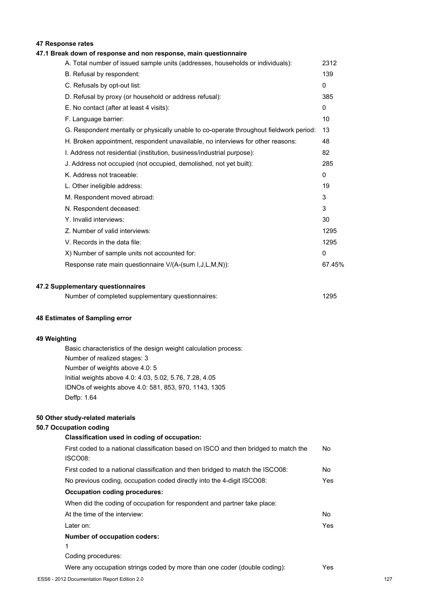## **47 Response rates**

## **47.1 Break down of response and non response, main questionnaire**

| A. Total number of issued sample units (addresses, households or individuals):         | 2312         |
|----------------------------------------------------------------------------------------|--------------|
| B. Refusal by respondent:                                                              | 139          |
| C. Refusals by opt-out list:                                                           | $\mathbf{0}$ |
| D. Refusal by proxy (or household or address refusal):                                 | 385          |
| E. No contact (after at least 4 visits):                                               | $\mathbf{0}$ |
| F. Language barrier:                                                                   | 10           |
| G. Respondent mentally or physically unable to co-operate throughout fieldwork period: | 13           |
| H. Broken appointment, respondent unavailable, no interviews for other reasons:        | 48           |
| I. Address not residential (institution, business/industrial purpose):                 | 82           |
| J. Address not occupied (not occupied, demolished, not yet built):                     | 285          |
| K. Address not traceable:                                                              | $\mathbf{0}$ |
| L. Other ineligible address:                                                           | 19           |
| M. Respondent moved abroad:                                                            | 3            |
| N. Respondent deceased:                                                                | 3            |
| Y. Invalid interviews:                                                                 | 30           |
| Z. Number of valid interviews:                                                         | 1295         |
| V. Records in the data file:                                                           | 1295         |
| X) Number of sample units not accounted for:                                           | 0            |
| Response rate main questionnaire V/(A-(sum I, J, L, M, N)):                            | 67.45%       |
|                                                                                        |              |

#### **47.2 Supplementary questionnaires**

| Number of completed supplementary questionnaires: | 1295 |
|---------------------------------------------------|------|
|---------------------------------------------------|------|

#### **48 Estimates of Sampling error**

#### **49 Weighting**

Basic characteristics of the design weight calculation process: Number of realized stages: 3 Number of weights above 4.0: 5 Initial weights above 4.0: 4.03, 5.02, 5.76, 7.28, 4.05 IDNOs of weights above 4.0: 581, 853, 970, 1143, 1305 Deffp: 1.64

#### **50 Other study-related materials**

## **50.7 Occupation coding**

| Classification used in coding of occupation:                                         |     |
|--------------------------------------------------------------------------------------|-----|
| First coded to a national classification based on ISCO and then bridged to match the | No. |
| ISCO08:                                                                              |     |
| First coded to a national classification and then bridged to match the ISCO08:       | No. |
| No previous coding, occupation coded directly into the 4-digit ISCO08:               | Yes |
| <b>Occupation coding procedures:</b>                                                 |     |
| When did the coding of occupation for respondent and partner take place:             |     |
| At the time of the interview:                                                        | No. |
| Later on:                                                                            | Yes |
| <b>Number of occupation coders:</b>                                                  |     |
| 1                                                                                    |     |
| Coding procedures:                                                                   |     |
| Were any occupation strings coded by more than one coder (double coding):            | Yes |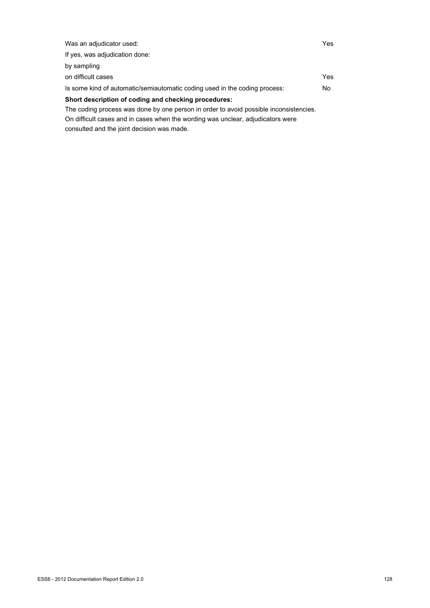| Was an adjudicator used:                                                              | Yes |
|---------------------------------------------------------------------------------------|-----|
| If yes, was adjudication done:                                                        |     |
| by sampling                                                                           |     |
| on difficult cases                                                                    | Yes |
| Is some kind of automatic/semiautomatic coding used in the coding process:            | No. |
| Short description of coding and checking procedures:                                  |     |
| The coding process was done by one person in order to avoid possible inconsistencies. |     |
| On difficult cases and in cases when the wording was unclear, adjudicators were       |     |

consulted and the joint decision was made.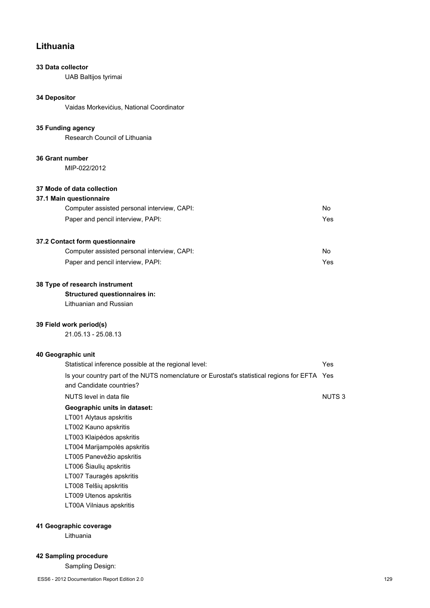# **Lithuania**

## **33 Data collector**

UAB Baltijos tyrimai

#### **34 Depositor**

Vaidas Morkeviċius, National Coordinator

#### **35 Funding agency**

Research Council of Lithuania

## **36 Grant number**

MIP-022/2012

## **37 Mode of data collection**

## **37.1 Main questionnaire**

| Computer assisted personal interview, CAPI: | No  |
|---------------------------------------------|-----|
| Paper and pencil interview, PAPI:           | Yes |

## **37.2 Contact form questionnaire**

| Computer assisted personal interview, CAPI: | No. |
|---------------------------------------------|-----|
| Paper and pencil interview, PAPI:           | Yes |

## **38 Type of research instrument**

## **Structured questionnaires in:**

Lithuanian and Russian

## **39 Field work period(s)**

21.05.13 - 25.08.13

## **40 Geographic unit**

| Statistical inference possible at the regional level:                                                                    | Yes          |
|--------------------------------------------------------------------------------------------------------------------------|--------------|
| Is your country part of the NUTS nomenclature or Eurostat's statistical regions for EFTA Yes<br>and Candidate countries? |              |
| NUTS level in data file                                                                                                  | <b>NUTS3</b> |
| Geographic units in dataset:                                                                                             |              |
| LT001 Alytaus apskritis                                                                                                  |              |
| LT002 Kauno apskritis                                                                                                    |              |
| LT003 Klaipėdos apskritis                                                                                                |              |
| LT004 Marijampolės apskritis                                                                                             |              |
| LT005 Panevėžio apskritis                                                                                                |              |
| LT006 Šiaulių apskritis                                                                                                  |              |
| LT007 Tauragės apskritis                                                                                                 |              |
| LT008 Telšių apskritis                                                                                                   |              |
| LT009 Utenos apskritis                                                                                                   |              |
| LT00A Vilniaus apskritis                                                                                                 |              |
|                                                                                                                          |              |

## **41 Geographic coverage**

Lithuania

## **42 Sampling procedure**

Sampling Design: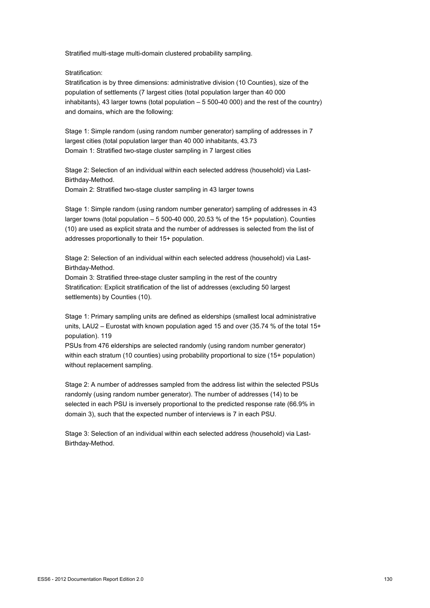Stratified multi-stage multi-domain clustered probability sampling.

Stratification:

Stratification is by three dimensions: administrative division (10 Counties), size of the population of settlements (7 largest cities (total population larger than 40 000 inhabitants), 43 larger towns (total population – 5 500-40 000) and the rest of the country) and domains, which are the following:

Stage 1: Simple random (using random number generator) sampling of addresses in 7 largest cities (total population larger than 40 000 inhabitants, 43.73 Domain 1: Stratified two-stage cluster sampling in 7 largest cities

Stage 2: Selection of an individual within each selected address (household) via Last-Birthday-Method.

Domain 2: Stratified two-stage cluster sampling in 43 larger towns

Stage 1: Simple random (using random number generator) sampling of addresses in 43 larger towns (total population – 5 500-40 000, 20.53 % of the 15+ population). Counties (10) are used as explicit strata and the number of addresses is selected from the list of addresses proportionally to their 15+ population.

Stage 2: Selection of an individual within each selected address (household) via Last-Birthday-Method.

Domain 3: Stratified three-stage cluster sampling in the rest of the country Stratification: Explicit stratification of the list of addresses (excluding 50 largest settlements) by Counties (10).

Stage 1: Primary sampling units are defined as elderships (smallest local administrative units, LAU2 – Eurostat with known population aged 15 and over (35.74 % of the total 15+ population). 119

PSUs from 476 elderships are selected randomly (using random number generator) within each stratum (10 counties) using probability proportional to size (15+ population) without replacement sampling.

Stage 2: A number of addresses sampled from the address list within the selected PSUs randomly (using random number generator). The number of addresses (14) to be selected in each PSU is inversely proportional to the predicted response rate (66.9% in domain 3), such that the expected number of interviews is 7 in each PSU.

Stage 3: Selection of an individual within each selected address (household) via Last-Birthday-Method.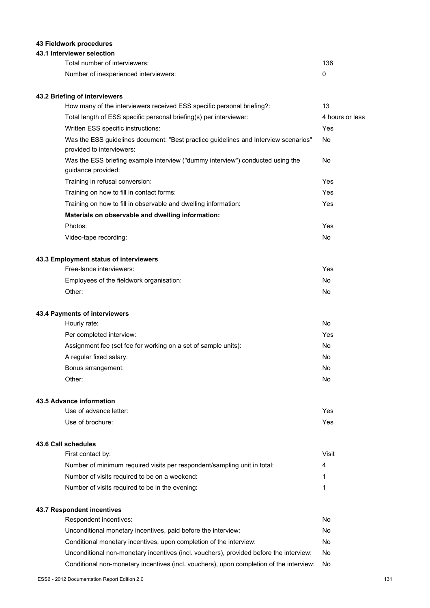## **43 Fieldwork procedures**

## **43.1 Interviewer selection**

| Total number of interviewers:         | 136 |
|---------------------------------------|-----|
| Number of inexperienced interviewers: |     |

## **43.2 Briefing of interviewers**

| How many of the interviewers received ESS specific personal briefing?:                                           | 13              |
|------------------------------------------------------------------------------------------------------------------|-----------------|
| Total length of ESS specific personal briefing(s) per interviewer:                                               | 4 hours or less |
| Written ESS specific instructions:                                                                               | Yes             |
| Was the ESS guidelines document: "Best practice guidelines and Interview scenarios"<br>provided to interviewers: | No              |
| Was the ESS briefing example interview ("dummy interview") conducted using the<br>guidance provided:             | <b>No</b>       |
| Training in refusal conversion:                                                                                  | <b>Yes</b>      |
| Training on how to fill in contact forms:                                                                        | Yes             |
| Training on how to fill in observable and dwelling information:                                                  | <b>Yes</b>      |
| Materials on observable and dwelling information:                                                                |                 |
| Photos:                                                                                                          | Yes             |
| Video-tape recording:                                                                                            | No              |
| 43.3 Employment status of interviewers                                                                           |                 |
| Free-lance interviewers:                                                                                         | Yes             |
| Employees of the fieldwork organisation:                                                                         | No              |
| Other:                                                                                                           | No              |
| 43.4 Payments of interviewers                                                                                    |                 |
| Hourly rate:                                                                                                     | <b>No</b>       |
| Per completed interview:                                                                                         | Yes             |
| Assignment fee (set fee for working on a set of sample units):                                                   | <b>No</b>       |
| A regular fixed salary:                                                                                          | <b>No</b>       |
| Bonus arrangement:                                                                                               | <b>No</b>       |
| Other:                                                                                                           | <b>No</b>       |
| 43.5 Advance information                                                                                         |                 |

| Use of advance letter: | Yes |
|------------------------|-----|
| Use of brochure:       | Yes |

## **43.6 Call schedules**

| First contact by:                                                        | Visit |
|--------------------------------------------------------------------------|-------|
| Number of minimum required visits per respondent/sampling unit in total: | 4     |
| Number of visits required to be on a weekend:                            |       |
| Number of visits required to be in the evening:                          |       |
|                                                                          |       |

# **43.7 Respondent incentives**

| Respondent incentives:                                                                  | No. |
|-----------------------------------------------------------------------------------------|-----|
| Unconditional monetary incentives, paid before the interview:                           | No. |
| Conditional monetary incentives, upon completion of the interview:                      | No. |
| Unconditional non-monetary incentives (incl. vouchers), provided before the interview:  | No. |
| Conditional non-monetary incentives (incl. vouchers), upon completion of the interview: | No  |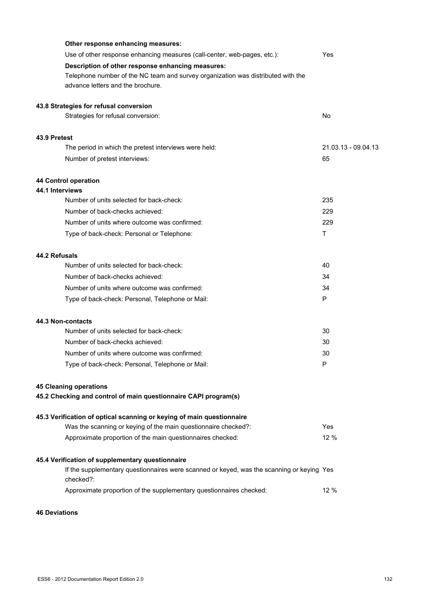|               | Other response enhancing measures:                                                                     |                     |
|---------------|--------------------------------------------------------------------------------------------------------|---------------------|
|               | Use of other response enhancing measures (call-center, web-pages, etc.):                               | Yes                 |
|               | Description of other response enhancing measures:                                                      |                     |
|               | Telephone number of the NC team and survey organization was distributed with the                       |                     |
|               | advance letters and the brochure.                                                                      |                     |
|               | 43.8 Strategies for refusal conversion                                                                 |                     |
|               | Strategies for refusal conversion:                                                                     | No                  |
| 43.9 Pretest  |                                                                                                        |                     |
|               | The period in which the pretest interviews were held:                                                  | 21.03.13 - 09.04.13 |
|               | Number of pretest interviews:                                                                          | 65                  |
|               | 44 Control operation                                                                                   |                     |
|               | 44.1 Interviews                                                                                        |                     |
|               | Number of units selected for back-check:                                                               | 235                 |
|               | Number of back-checks achieved:                                                                        | 229                 |
|               | Number of units where outcome was confirmed:                                                           | 229                 |
|               | Type of back-check: Personal or Telephone:                                                             | т                   |
| 44.2 Refusals |                                                                                                        |                     |
|               | Number of units selected for back-check:                                                               | 40                  |
|               | Number of back-checks achieved:                                                                        | 34                  |
|               | Number of units where outcome was confirmed:                                                           | 34                  |
|               | Type of back-check: Personal, Telephone or Mail:                                                       | P                   |
|               | 44.3 Non-contacts                                                                                      |                     |
|               | Number of units selected for back-check:                                                               | 30                  |
|               | Number of back-checks achieved:                                                                        | 30                  |
|               | Number of units where outcome was confirmed:                                                           | 30                  |
|               | Type of back-check: Personal, Telephone or Mail:                                                       |                     |
|               | <b>45 Cleaning operations</b>                                                                          |                     |
|               | 45.2 Checking and control of main questionnaire CAPI program(s)                                        |                     |
|               | 45.3 Verification of optical scanning or keying of main questionnaire                                  |                     |
|               | Was the scanning or keying of the main questionnaire checked?:                                         | Yes                 |
|               | Approximate proportion of the main questionnaires checked:                                             | 12 %                |
|               | 45.4 Verification of supplementary questionnaire                                                       |                     |
|               | If the supplementary questionnaires were scanned or keyed, was the scanning or keying Yes<br>checked?: |                     |
|               | Approximate proportion of the supplementary questionnaires checked:                                    | 12 %                |
|               |                                                                                                        |                     |

## **46 Deviations**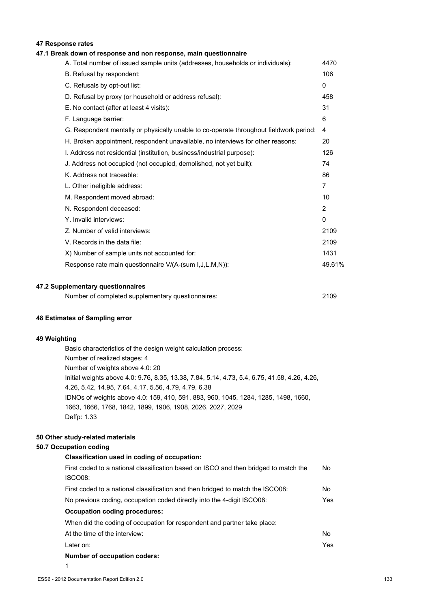## **47 Response rates**

## **47.1 Break down of response and non response, main questionnaire**

| A. Total number of issued sample units (addresses, households or individuals):         | 4470           |
|----------------------------------------------------------------------------------------|----------------|
| B. Refusal by respondent:                                                              | 106            |
| C. Refusals by opt-out list:                                                           | $\mathbf{0}$   |
| D. Refusal by proxy (or household or address refusal):                                 | 458            |
| E. No contact (after at least 4 visits):                                               | 31             |
| F. Language barrier:                                                                   | 6              |
| G. Respondent mentally or physically unable to co-operate throughout fieldwork period: | 4              |
| H. Broken appointment, respondent unavailable, no interviews for other reasons:        | 20             |
| I. Address not residential (institution, business/industrial purpose):                 | 126            |
| J. Address not occupied (not occupied, demolished, not yet built):                     | 74             |
| K. Address not traceable:                                                              | 86             |
| L. Other ineligible address:                                                           | $\overline{7}$ |
| M. Respondent moved abroad:                                                            | 10             |
| N. Respondent deceased:                                                                | 2              |
| Y. Invalid interviews:                                                                 | $\mathbf{0}$   |
| Z. Number of valid interviews:                                                         | 2109           |
| V. Records in the data file:                                                           | 2109           |
| X) Number of sample units not accounted for:                                           | 1431           |
| Response rate main questionnaire V/(A-(sum I, J, L, M, N)):                            | 49.61%         |
|                                                                                        |                |

#### **47.2 Supplementary questionnaires**

| Number of completed supplementary questionnaires: | 2109 |
|---------------------------------------------------|------|
|                                                   |      |

#### **48 Estimates of Sampling error**

#### **49 Weighting**

Basic characteristics of the design weight calculation process: Number of realized stages: 4 Number of weights above 4.0: 20 Initial weights above 4.0: 9.76, 8.35, 13.38, 7.84, 5.14, 4.73, 5.4, 6.75, 41.58, 4.26, 4.26, 4.26, 5.42, 14.95, 7.64, 4.17, 5.56, 4.79, 4.79, 6.38 IDNOs of weights above 4.0: 159, 410, 591, 883, 960, 1045, 1284, 1285, 1498, 1660, 1663, 1666, 1768, 1842, 1899, 1906, 1908, 2026, 2027, 2029 Deffp: 1.33

## **50 Other study-related materials**

## **50.7 Occupation coding**

#### **Classification used in coding of occupation:**

| First coded to a national classification based on ISCO and then bridged to match the | No. |
|--------------------------------------------------------------------------------------|-----|
| ISCO08:                                                                              |     |
| First coded to a national classification and then bridged to match the ISCO08:       | No. |
| No previous coding, occupation coded directly into the 4-digit ISCO08:               | Yes |
| Occupation coding procedures:                                                        |     |
| When did the coding of occupation for respondent and partner take place:             |     |
| At the time of the interview:                                                        | No  |
| Later on:                                                                            | Yes |
| Number of occupation coders:                                                         |     |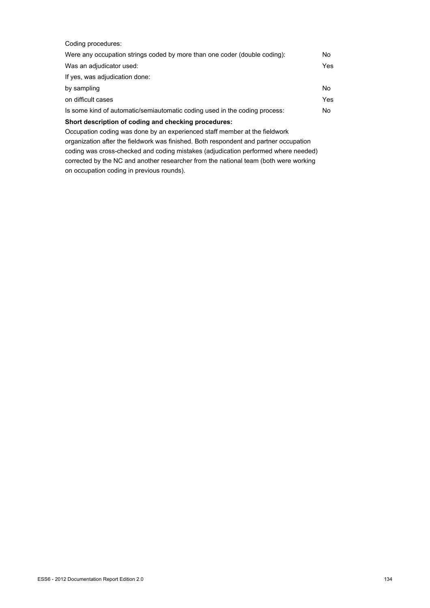| Coding procedures:                                                         |     |
|----------------------------------------------------------------------------|-----|
| Were any occupation strings coded by more than one coder (double coding):  | No. |
| Was an adjudicator used:                                                   | Yes |
| If yes, was adjudication done:                                             |     |
| by sampling                                                                | No. |
| on difficult cases                                                         | Yes |
| Is some kind of automatic/semiautomatic coding used in the coding process: | No  |
| Short description of coding and checking procedures:                       |     |
| Occupation coding was done by an experienced staff member at the fieldwork |     |

organization after the fieldwork was finished. Both respondent and partner occupation coding was cross-checked and coding mistakes (adjudication performed where needed) corrected by the NC and another researcher from the national team (both were working on occupation coding in previous rounds).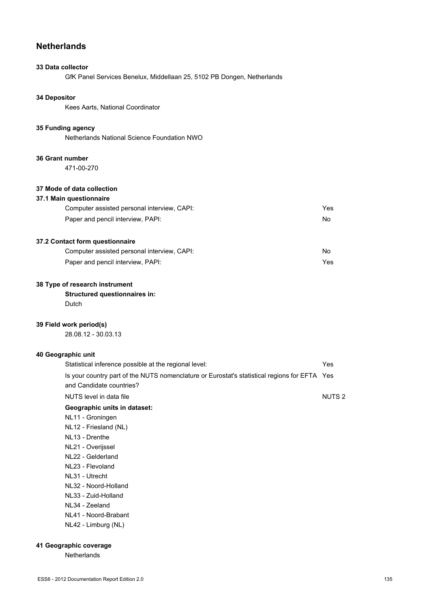# **Netherlands**

## **33 Data collector**

GfK Panel Services Benelux, Middellaan 25, 5102 PB Dongen, Netherlands

## **34 Depositor**

Kees Aarts, National Coordinator

#### **35 Funding agency**

Netherlands National Science Foundation NWO

#### **36 Grant number**

471-00-270

## **37 Mode of data collection**

## **37.1 Main questionnaire**

| Computer assisted personal interview, CAPI: | Yes |
|---------------------------------------------|-----|
| Paper and pencil interview, PAPI:           | No  |

## **37.2 Contact form questionnaire**

| Computer assisted personal interview, CAPI: | No  |
|---------------------------------------------|-----|
| Paper and pencil interview, PAPI:           | Yes |

#### **38 Type of research instrument**

## **Structured questionnaires in:**

Dutch

## **39 Field work period(s)**

28.08.12 - 30.03.13

## **40 Geographic unit**

| Statistical inference possible at the regional level:                                                                    |                   |
|--------------------------------------------------------------------------------------------------------------------------|-------------------|
| Is your country part of the NUTS nomenclature or Eurostat's statistical regions for EFTA Yes<br>and Candidate countries? |                   |
| NUTS level in data file                                                                                                  | NUTS <sub>2</sub> |
| Geographic units in dataset:                                                                                             |                   |
| NL11 - Groningen                                                                                                         |                   |
| NL12 - Friesland (NL)                                                                                                    |                   |
| NL13 - Drenthe                                                                                                           |                   |
| NL21 - Overijssel                                                                                                        |                   |
| NL22 - Gelderland                                                                                                        |                   |
| NL23 - Flevoland                                                                                                         |                   |
| NL31 - Utrecht                                                                                                           |                   |
| NL32 - Noord-Holland                                                                                                     |                   |
| NL33 - Zuid-Holland                                                                                                      |                   |
| NL34 - Zeeland                                                                                                           |                   |
| NL41 - Noord-Brabant                                                                                                     |                   |
|                                                                                                                          |                   |

## NL42 - Limburg (NL)

## **41 Geographic coverage**

Netherlands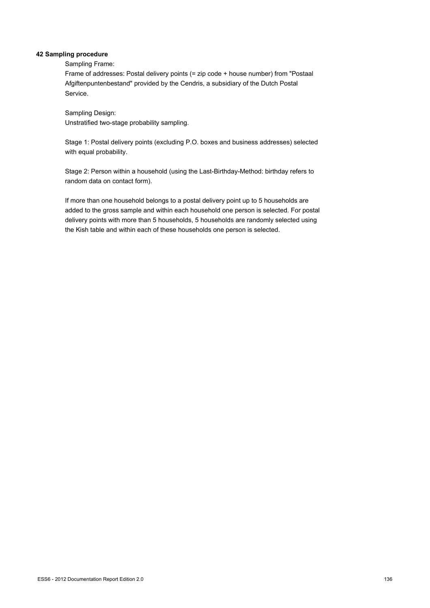## **42 Sampling procedure**

Sampling Frame:

Frame of addresses: Postal delivery points (= zip code + house number) from "Postaal Afgiftenpuntenbestand" provided by the Cendris, a subsidiary of the Dutch Postal Service.

Sampling Design: Unstratified two-stage probability sampling.

Stage 1: Postal delivery points (excluding P.O. boxes and business addresses) selected with equal probability.

Stage 2: Person within a household (using the Last-Birthday-Method: birthday refers to random data on contact form).

If more than one household belongs to a postal delivery point up to 5 households are added to the gross sample and within each household one person is selected. For postal delivery points with more than 5 households, 5 households are randomly selected using the Kish table and within each of these households one person is selected.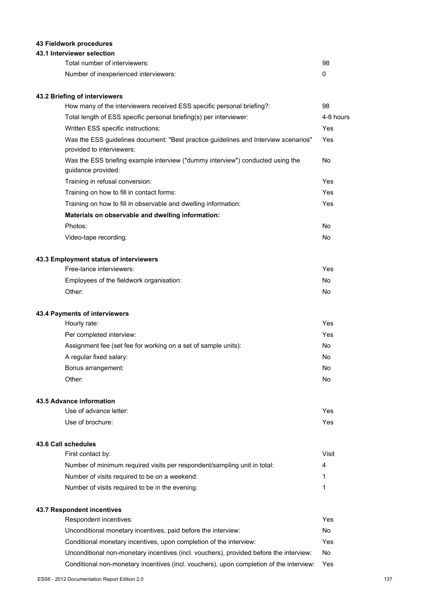## **43 Fieldwork procedures**

## **43.1 Interviewer selection**

| Total number of interviewers:         | 98 |
|---------------------------------------|----|
| Number of inexperienced interviewers: |    |

## **43.2 Briefing of interviewers**

| How many of the interviewers received ESS specific personal briefing?:                                           | 98        |
|------------------------------------------------------------------------------------------------------------------|-----------|
| Total length of ESS specific personal briefing(s) per interviewer:                                               | 4-8 hours |
| Written ESS specific instructions:                                                                               | Yes       |
| Was the ESS guidelines document: "Best practice guidelines and Interview scenarios"<br>provided to interviewers: | Yes       |
| Was the ESS briefing example interview ("dummy interview") conducted using the<br>guidance provided:             | No.       |
| Training in refusal conversion:                                                                                  | Yes       |
| Training on how to fill in contact forms:                                                                        | Yes       |
| Training on how to fill in observable and dwelling information:                                                  | Yes       |
| Materials on observable and dwelling information:                                                                |           |
| Photos:                                                                                                          | No.       |
| Video-tape recording:                                                                                            | No.       |
| 43.3 Employment status of interviewers                                                                           |           |
| Free-lance interviewers:                                                                                         | Yes       |

|                                          | .   |
|------------------------------------------|-----|
| Employees of the fieldwork organisation: | No. |
| Other:                                   | No. |

#### **43.4 Payments of interviewers**

| Hourly rate:                                                   | Yes. |
|----------------------------------------------------------------|------|
| Per completed interview:                                       | Yes. |
| Assignment fee (set fee for working on a set of sample units): | No   |
| A regular fixed salary:                                        | No   |
| Bonus arrangement:                                             | No   |
| Other:                                                         | No   |

#### **43.5 Advance information**

| Use of advance letter: | Yes |
|------------------------|-----|
| Use of brochure:       | Yes |

#### **43.6 Call schedules**

| First contact by:                                                        | Visit |
|--------------------------------------------------------------------------|-------|
| Number of minimum required visits per respondent/sampling unit in total: | 4     |
| Number of visits required to be on a weekend:                            |       |
| Number of visits required to be in the evening:                          |       |

## **43.7 Respondent incentives**

| Respondent incentives:                                                                  | Yes |
|-----------------------------------------------------------------------------------------|-----|
| Unconditional monetary incentives, paid before the interview:                           | No. |
| Conditional monetary incentives, upon completion of the interview:                      | Yes |
| Unconditional non-monetary incentives (incl. vouchers), provided before the interview:  | No  |
| Conditional non-monetary incentives (incl. vouchers), upon completion of the interview: | Yes |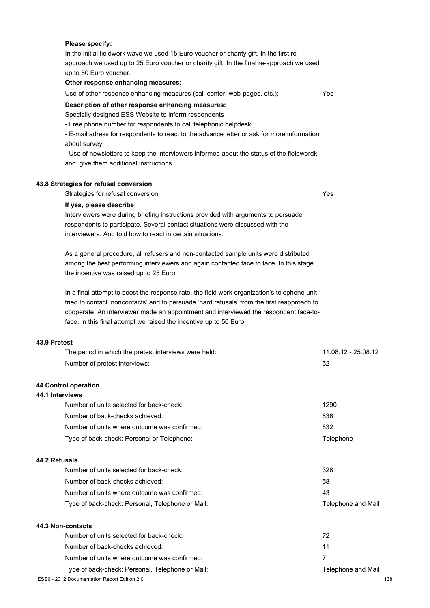#### **Please specify:**

In the initial fieldwork wave we used 15 Euro voucher or charity gift. In the first reapproach we used up to 25 Euro voucher or charity gift. In the final re-approach we used up to 50 Euro voucher.

#### **Other response enhancing measures:**

Use of other response enhancing measures (call-center, web-pages, etc.): Yes

#### **Description of other response enhancing measures:**

Specially designed ESS Website to inform respondents

- Free phone number for respondents to call telephonic helpdesk

- E-mail adress for respondents to react to the advance letter or ask for more information about survey

- Use of newsletters to keep the interviewers informed about the status of the fieldwordk and give them additional instructions

#### **43.8 Strategies for refusal conversion**

Strategies for refusal conversion: Yes

## **If yes, please describe:**

Interviewers were during briefing instructions provided with arguments to persuade respondents to participate. Several contact situations were discussed with the interviewers. And told how to react in certain situations.

As a general procedure, all refusers and non-contacted sample units were distributed among the best performing interviewers and again contacted face to face. In this stage the incentive was raised up to 25 Euro

In a final attempt to boost the response rate, the field work organization's telephone unit tried to contact 'noncontacts' and to persuade 'hard refusals' from the first reapproach to cooperate. An interviewer made an appointment and interviewed the respondent face-toface. In this final attempt we raised the incentive up to 50 Euro.

#### **43.9 Pretest**

| The period in which the pretest interviews were held: | 11.08.12 - 25.08.12 |
|-------------------------------------------------------|---------------------|
| Number of pretest interviews:                         | 52                  |
| 44 Control operation                                  |                     |
| 44.1 Interviews                                       |                     |
| Number of units selected for back-check:              | 1290                |
| Number of back-checks achieved:                       | 836                 |
| Number of units where outcome was confirmed:          | 832                 |
| Type of back-check: Personal or Telephone:            | Telephone           |
| 44.2 Refusals                                         |                     |
| Number of units selected for back-check:              | 328                 |
| Number of back-checks achieved:                       | 58                  |
| Number of units where outcome was confirmed:          | 43                  |
| Type of back-check: Personal, Telephone or Mail:      | Telephone and Mail  |
| 44.3 Non-contacts                                     |                     |
| Number of units selected for back-check:              | 72                  |
| Number of back-checks achieved:                       | 11                  |
| Number of units where outcome was confirmed:          | 7                   |
| Type of back-check: Personal, Telephone or Mail:      | Telephone and Mail  |
| ESS6 - 2012 Documentation Report Edition 2.0          | 138                 |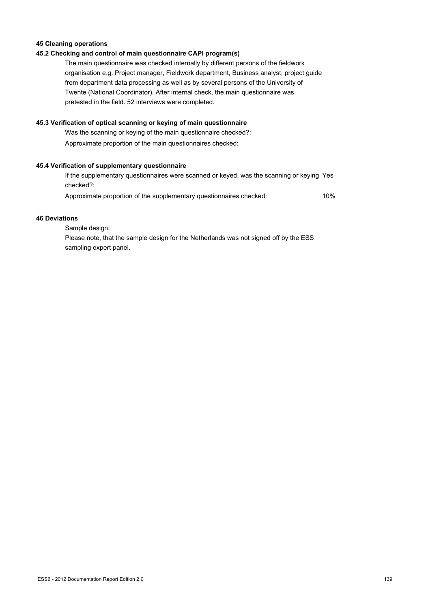## **45 Cleaning operations**

## **45.2 Checking and control of main questionnaire CAPI program(s)**

The main questionnaire was checked internally by different persons of the fieldwork organisation e.g. Project manager, Fieldwork department, Business analyst, project guide from department data processing as well as by several persons of the University of Twente (National Coordinator). After internal check, the main questionnaire was pretested in the field. 52 interviews were completed.

## **45.3 Verification of optical scanning or keying of main questionnaire**

Was the scanning or keying of the main questionnaire checked?: Approximate proportion of the main questionnaires checked:

## **45.4 Verification of supplementary questionnaire**

| If the supplementary questionnaires were scanned or keyed, was the scanning or keying Yes |     |
|-------------------------------------------------------------------------------------------|-----|
| checked?:                                                                                 |     |
| Approximate proportion of the supplementary questionnaires checked:                       | 10% |

### **46 Deviations**

Sample design: Please note, that the sample design for the Netherlands was not signed off by the ESS sampling expert panel.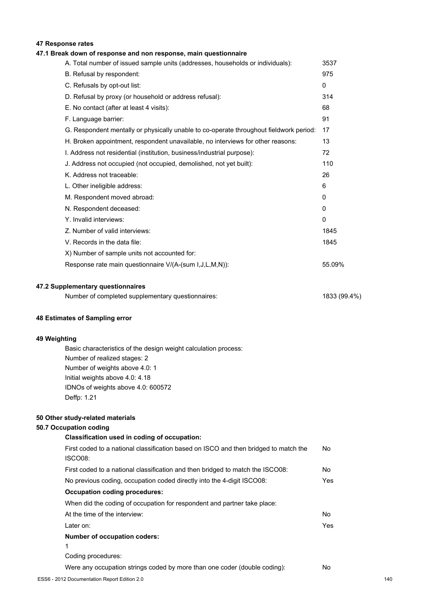## **47 Response rates**

## **47.1 Break down of response and non response, main questionnaire**

| A. Total number of issued sample units (addresses, households or individuals):         | 3537   |
|----------------------------------------------------------------------------------------|--------|
| B. Refusal by respondent:                                                              | 975    |
| C. Refusals by opt-out list:                                                           | 0      |
| D. Refusal by proxy (or household or address refusal):                                 | 314    |
| E. No contact (after at least 4 visits):                                               | 68     |
| F. Language barrier:                                                                   | 91     |
| G. Respondent mentally or physically unable to co-operate throughout fieldwork period: | 17     |
| H. Broken appointment, respondent unavailable, no interviews for other reasons:        | 13     |
| I. Address not residential (institution, business/industrial purpose):                 | 72     |
| J. Address not occupied (not occupied, demolished, not yet built):                     | 110    |
| K. Address not traceable:                                                              | 26     |
| L. Other ineligible address:                                                           | 6      |
| M. Respondent moved abroad:                                                            | 0      |
| N. Respondent deceased:                                                                | 0      |
| Y. Invalid interviews:                                                                 | 0      |
| Z. Number of valid interviews:                                                         | 1845   |
| V. Records in the data file:                                                           | 1845   |
| X) Number of sample units not accounted for:                                           |        |
| Response rate main questionnaire V/(A-(sum I,J,L,M,N)):                                | 55.09% |
|                                                                                        |        |
| 47.2 Supplementary questionnaires                                                      |        |

| Number of completed supplementary questionnaires: | 1833 (99.4%) |
|---------------------------------------------------|--------------|
|---------------------------------------------------|--------------|

#### **48 Estimates of Sampling error**

### **49 Weighting**

Basic characteristics of the design weight calculation process: Number of realized stages: 2 Number of weights above 4.0: 1 Initial weights above 4.0: 4.18 IDNOs of weights above 4.0: 600572 Deffp: 1.21

#### **50 Other study-related materials**

## **50.7 Occupation coding**

| Classification used in coding of occupation:                                                    |     |
|-------------------------------------------------------------------------------------------------|-----|
| First coded to a national classification based on ISCO and then bridged to match the<br>ISCO08: | No. |
| First coded to a national classification and then bridged to match the ISCO08:                  | No  |
| No previous coding, occupation coded directly into the 4-digit ISCO08:                          | Yes |
| <b>Occupation coding procedures:</b>                                                            |     |
| When did the coding of occupation for respondent and partner take place:                        |     |
| At the time of the interview:                                                                   | No. |
| Later on:                                                                                       | Yes |
| <b>Number of occupation coders:</b>                                                             |     |
| 1                                                                                               |     |
| Coding procedures:                                                                              |     |
| Were any occupation strings coded by more than one coder (double coding):                       | No  |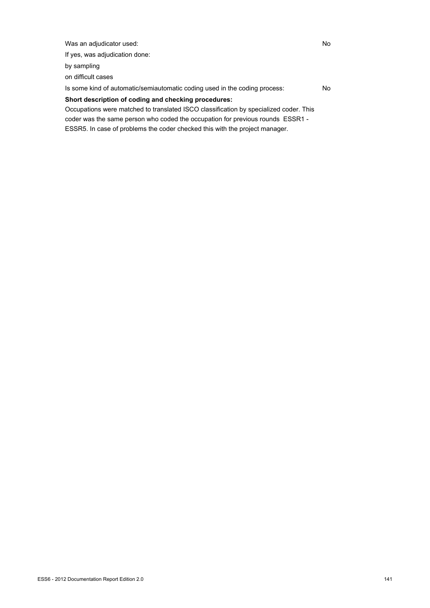Was an adjudicator used: No If yes, was adjudication done: by sampling on difficult cases Is some kind of automatic/semiautomatic coding used in the coding process: No **Short description of coding and checking procedures:** Occupations were matched to translated ISCO classification by specialized coder. This

coder was the same person who coded the occupation for previous rounds ESSR1 - ESSR5. In case of problems the coder checked this with the project manager.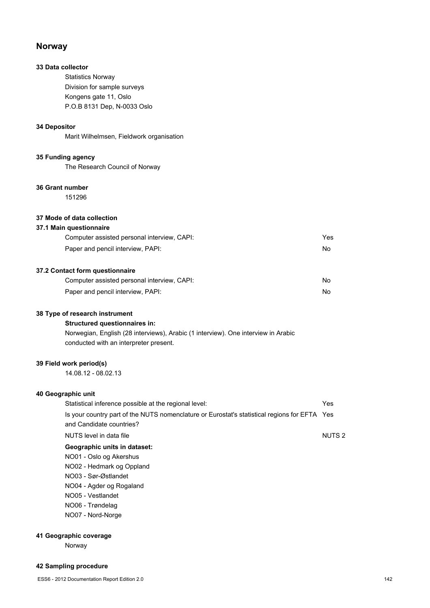## **Norway**

## **33 Data collector**

Statistics Norway Division for sample surveys Kongens gate 11, Oslo P.O.B 8131 Dep, N-0033 Oslo

## **34 Depositor**

Marit Wilhelmsen, Fieldwork organisation

## **35 Funding agency**

The Research Council of Norway

## **36 Grant number**

151296

## **37 Mode of data collection**

# **37.1 Main questionnaire**

| Computer assisted personal interview, CAPI: | Yes |
|---------------------------------------------|-----|
| Paper and pencil interview, PAPI:           | No. |
|                                             |     |

## **37.2 Contact form questionnaire**

| Computer assisted personal interview, CAPI: | No |
|---------------------------------------------|----|
| Paper and pencil interview, PAPI:           | No |

#### **38 Type of research instrument**

## **Structured questionnaires in:**

Norwegian, English (28 interviews), Arabic (1 interview). One interview in Arabic conducted with an interpreter present.

## **39 Field work period(s)**

14.08.12 - 08.02.13

# **40 Geographic unit**

| Statistical inference possible at the regional level:                                                                    | Yes               |
|--------------------------------------------------------------------------------------------------------------------------|-------------------|
| Is your country part of the NUTS nomenclature or Eurostat's statistical regions for EFTA Yes<br>and Candidate countries? |                   |
| NUTS level in data file                                                                                                  | NUTS <sub>2</sub> |
| Geographic units in dataset:                                                                                             |                   |
| NO01 - Oslo og Akershus                                                                                                  |                   |
| NO02 - Hedmark og Oppland                                                                                                |                   |
| NO03 - Sør-Østlandet                                                                                                     |                   |
| NO04 - Agder og Rogaland                                                                                                 |                   |
| NO05 - Vestlandet                                                                                                        |                   |
|                                                                                                                          |                   |

NO06 - Trøndelag

NO07 - Nord-Norge

## **41 Geographic coverage**

Norway

#### **42 Sampling procedure**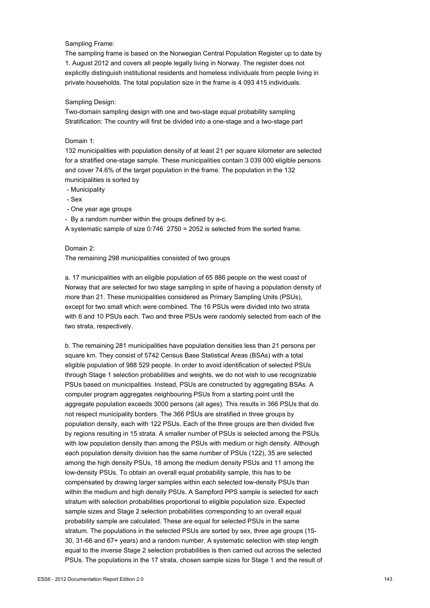#### Sampling Frame:

The sampling frame is based on the Norwegian Central Population Register up to date by 1. August 2012 and covers all people legally living in Norway. The register does not explicitly distinguish institutional residents and homeless individuals from people living in private households. The total population size in the frame is 4 093 415 individuals.

#### Sampling Design:

Two-domain sampling design with one and two-stage equal probability sampling Stratification: The country will first be divided into a one-stage and a two-stage part

#### Domain 1:

132 municipalities with population density of at least 21 per square kilometer are selected for a stratified one-stage sample. These municipalities contain 3 039 000 eligible persons and cover 74.6% of the target population in the frame. The population in the 132 municipalities is sorted by

- Municipality
- Sex
- One year age groups
- By a random number within the groups defined by a-c.

A systematic sample of size 0:746 2750 = 2052 is selected from the sorted frame.

#### Domain 2:

The remaining 298 municipalities consisted of two groups

a. 17 municipalities with an eligible population of 65 886 people on the west coast of Norway that are selected for two stage sampling in spite of having a population density of more than 21. These municipalities considered as Primary Sampling Units (PSUs), except for two small which were combined. The 16 PSUs were divided into two strata with 6 and 10 PSUs each. Two and three PSUs were randomly selected from each of the two strata, respectively.

b. The remaining 281 municipalities have population densities less than 21 persons per square km. They consist of 5742 Census Base Statistical Areas (BSAs) with a total eligible population of 988 529 people. In order to avoid identification of selected PSUs through Stage 1 selection probabilities and weights, we do not wish to use recognizable PSUs based on municipalities. Instead, PSUs are constructed by aggregating BSAs. A computer program aggregates neighbouring PSUs from a starting point until the aggregate population exceeds 3000 persons (all ages). This results in 366 PSUs that do not respect municipality borders. The 366 PSUs are stratified in three groups by population density, each with 122 PSUs. Each of the three groups are then divided five by regions resulting in 15 strata. A smaller number of PSUs is selected among the PSUs with low population density than among the PSUs with medium or high density. Although each population density division has the same number of PSUs (122), 35 are selected among the high density PSUs, 18 among the medium density PSUs and 11 among the low-density PSUs. To obtain an overall equal probability sample, this has to be compensated by drawing larger samples within each selected low-density PSUs than within the medium and high density PSUs. A Sampford PPS sample is selected for each stratum with selection probabilities proportional to eligible population size. Expected sample sizes and Stage 2 selection probabilities corresponding to an overall equal probability sample are calculated. These are equal for selected PSUs in the same stratum. The populations in the selected PSUs are sorted by sex, three age groups (15- 30, 31-66 and 67+ years) and a random number. A systematic selection with step length equal to the inverse Stage 2 selection probabilities is then carried out across the selected PSUs. The populations in the 17 strata, chosen sample sizes for Stage 1 and the result of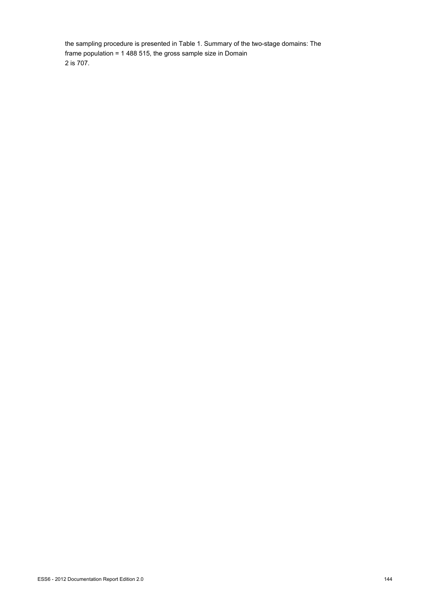the sampling procedure is presented in Table 1. Summary of the two-stage domains: The frame population = 1 488 515, the gross sample size in Domain 2 is 707.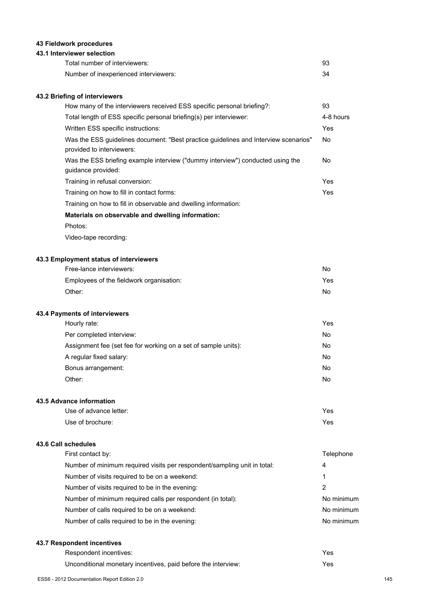# **43 Fieldwork procedures**

### **43.1 Interviewer selection**

| Total number of interviewers:         | 93 |
|---------------------------------------|----|
| Number of inexperienced interviewers: | 34 |

# **43.2 Briefing of interviewers**

| How many of the interviewers received ESS specific personal briefing?:                                           | 93        |
|------------------------------------------------------------------------------------------------------------------|-----------|
| Total length of ESS specific personal briefing(s) per interviewer:                                               | 4-8 hours |
| Written ESS specific instructions:                                                                               | Yes       |
| Was the ESS quidelines document: "Best practice quidelines and Interview scenarios"<br>provided to interviewers: | No.       |
| Was the ESS briefing example interview ("dummy interview") conducted using the<br>guidance provided:             | No.       |
| Training in refusal conversion:                                                                                  | Yes       |
| Training on how to fill in contact forms:                                                                        | Yes       |
| Training on how to fill in observable and dwelling information:                                                  |           |
| Materials on observable and dwelling information:                                                                |           |
|                                                                                                                  |           |

Photos:

Video-tape recording:

### **43.3 Employment status of interviewers**

| Free-lance interviewers:                 | No  |
|------------------------------------------|-----|
| Employees of the fieldwork organisation: | Yes |
| Other:                                   | No  |

### **43.4 Payments of interviewers**

| Hourly rate:                                                   | Yes |
|----------------------------------------------------------------|-----|
| Per completed interview:                                       | No  |
| Assignment fee (set fee for working on a set of sample units): | No  |
| A regular fixed salary:                                        | No  |
| Bonus arrangement:                                             | No  |
| Other:                                                         | No  |

#### **43.5 Advance information**

| Use of advance letter: | Yes. |
|------------------------|------|
| Use of brochure:       | Yes. |

#### **43.6 Call schedules**

| First contact by:                                                        | Telephone  |
|--------------------------------------------------------------------------|------------|
| Number of minimum required visits per respondent/sampling unit in total: | 4          |
| Number of visits required to be on a weekend:                            | 1          |
| Number of visits required to be in the evening:                          | 2          |
| Number of minimum required calls per respondent (in total):              | No minimum |
| Number of calls required to be on a weekend:                             | No minimum |
| Number of calls required to be in the evening:                           | No minimum |
|                                                                          |            |

# **43.7 Respondent incentives**

| Respondent incentives:                                        | Yes  |
|---------------------------------------------------------------|------|
| Unconditional monetary incentives, paid before the interview: | Yes: |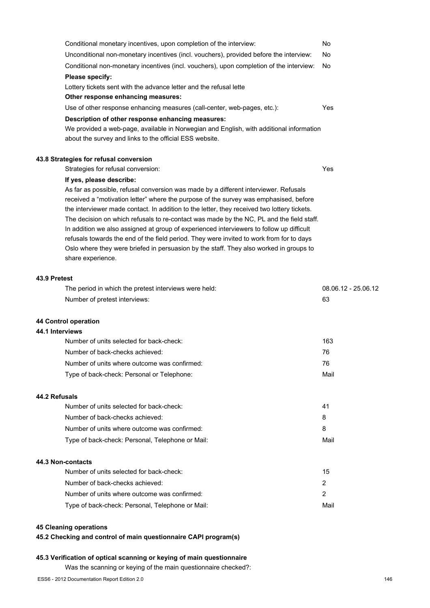|                 | Conditional monetary incentives, upon completion of the interview:                                                                                                                 | No                  |
|-----------------|------------------------------------------------------------------------------------------------------------------------------------------------------------------------------------|---------------------|
|                 | Unconditional non-monetary incentives (incl. vouchers), provided before the interview:                                                                                             | No                  |
|                 | Conditional non-monetary incentives (incl. vouchers), upon completion of the interview:                                                                                            | No                  |
|                 | Please specify:                                                                                                                                                                    |                     |
|                 | Lottery tickets sent with the advance letter and the refusal lette                                                                                                                 |                     |
|                 | Other response enhancing measures:                                                                                                                                                 |                     |
|                 | Use of other response enhancing measures (call-center, web-pages, etc.):                                                                                                           | Yes                 |
|                 | Description of other response enhancing measures:                                                                                                                                  |                     |
|                 | We provided a web-page, available in Norwegian and English, with additional information                                                                                            |                     |
|                 | about the survey and links to the official ESS website.                                                                                                                            |                     |
|                 | 43.8 Strategies for refusal conversion                                                                                                                                             |                     |
|                 | Strategies for refusal conversion:                                                                                                                                                 | Yes                 |
|                 | If yes, please describe:                                                                                                                                                           |                     |
|                 | As far as possible, refusal conversion was made by a different interviewer. Refusals                                                                                               |                     |
|                 | received a "motivation letter" where the purpose of the survey was emphasised, before                                                                                              |                     |
|                 | the interviewer made contact. In addition to the letter, they received two lottery tickets.                                                                                        |                     |
|                 | The decision on which refusals to re-contact was made by the NC, PL and the field staff.                                                                                           |                     |
|                 | In addition we also assigned at group of experienced interviewers to follow up difficult                                                                                           |                     |
|                 | refusals towards the end of the field period. They were invited to work from for to days<br>Oslo where they were briefed in persuasion by the staff. They also worked in groups to |                     |
|                 | share experience.                                                                                                                                                                  |                     |
|                 |                                                                                                                                                                                    |                     |
| 43.9 Pretest    |                                                                                                                                                                                    |                     |
|                 | The period in which the pretest interviews were held:                                                                                                                              | 08.06.12 - 25.06.12 |
|                 | Number of pretest interviews:                                                                                                                                                      | 63                  |
|                 | 44 Control operation                                                                                                                                                               |                     |
| 44.1 Interviews |                                                                                                                                                                                    |                     |
|                 | Number of units selected for back-check:                                                                                                                                           | 163                 |
|                 | Number of back-checks achieved:                                                                                                                                                    | 76                  |
|                 | Number of units where outcome was confirmed:                                                                                                                                       | 76                  |
|                 | Type of back-check: Personal or Telephone:                                                                                                                                         | Mail                |
| 44.2 Refusals   |                                                                                                                                                                                    |                     |
|                 | Number of units selected for back-check:                                                                                                                                           | 41                  |
|                 | Number of back-checks achieved:                                                                                                                                                    | 8                   |
|                 | Number of units where outcome was confirmed:                                                                                                                                       | 8                   |
|                 | Type of back-check: Personal, Telephone or Mail:                                                                                                                                   | Mail                |
|                 |                                                                                                                                                                                    |                     |
|                 | 44.3 Non-contacts                                                                                                                                                                  |                     |
|                 | Number of units selected for back-check:                                                                                                                                           | 15                  |
|                 | Number of back-checks achieved:                                                                                                                                                    | $\overline{2}$      |
|                 | Number of units where outcome was confirmed:                                                                                                                                       | $\overline{2}$      |
|                 | Type of back-check: Personal, Telephone or Mail:                                                                                                                                   | Mail                |

# **45 Cleaning operations**

**45.2 Checking and control of main questionnaire CAPI program(s)**

# **45.3 Verification of optical scanning or keying of main questionnaire**

Was the scanning or keying of the main questionnaire checked?: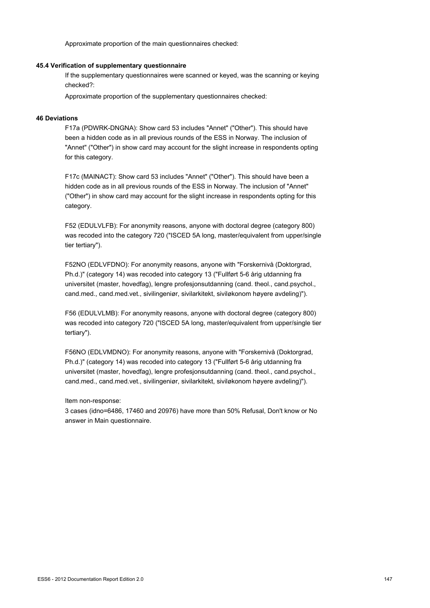Approximate proportion of the main questionnaires checked:

#### **45.4 Verification of supplementary questionnaire**

If the supplementary questionnaires were scanned or keyed, was the scanning or keying checked?:

Approximate proportion of the supplementary questionnaires checked:

#### **46 Deviations**

F17a (PDWRK-DNGNA): Show card 53 includes "Annet" ("Other"). This should have been a hidden code as in all previous rounds of the ESS in Norway. The inclusion of "Annet" ("Other") in show card may account for the slight increase in respondents opting for this category.

F17c (MAINACT): Show card 53 includes "Annet" ("Other"). This should have been a hidden code as in all previous rounds of the ESS in Norway. The inclusion of "Annet" ("Other") in show card may account for the slight increase in respondents opting for this category.

F52 (EDULVLFB): For anonymity reasons, anyone with doctoral degree (category 800) was recoded into the category 720 ("ISCED 5A long, master/equivalent from upper/single tier tertiary").

F52NO (EDLVFDNO): For anonymity reasons, anyone with "Forskernivå (Doktorgrad, Ph.d.)" (category 14) was recoded into category 13 ("Fullført 5-6 årig utdanning fra universitet (master, hovedfag), lengre profesjonsutdanning (cand. theol., cand.psychol., cand.med., cand.med.vet., sivilingeniør, sivilarkitekt, siviløkonom høyere avdeling)").

F56 (EDULVLMB): For anonymity reasons, anyone with doctoral degree (category 800) was recoded into category 720 ("ISCED 5A long, master/equivalent from upper/single tier tertiary").

F56NO (EDLVMDNO): For anonymity reasons, anyone with "Forskernivå (Doktorgrad, Ph.d.)" (category 14) was recoded into category 13 ("Fullført 5-6 årig utdanning fra universitet (master, hovedfag), lengre profesjonsutdanning (cand. theol., cand.psychol., cand.med., cand.med.vet., sivilingeniør, sivilarkitekt, siviløkonom høyere avdeling)").

Item non-response:

3 cases (idno=6486, 17460 and 20976) have more than 50% Refusal, Don't know or No answer in Main questionnaire.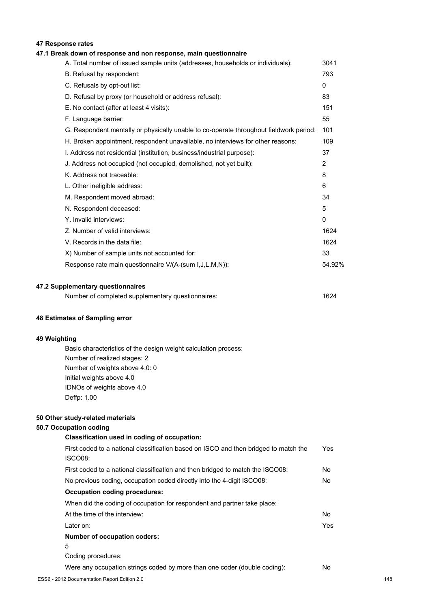# **47 Response rates**

# **47.1 Break down of response and non response, main questionnaire**

| A. Total number of issued sample units (addresses, households or individuals):         | 3041         |
|----------------------------------------------------------------------------------------|--------------|
| B. Refusal by respondent:                                                              | 793          |
| C. Refusals by opt-out list:                                                           | $\mathbf{0}$ |
| D. Refusal by proxy (or household or address refusal):                                 | 83           |
| E. No contact (after at least 4 visits):                                               | 151          |
| F. Language barrier:                                                                   | 55           |
| G. Respondent mentally or physically unable to co-operate throughout fieldwork period: | 101          |
| H. Broken appointment, respondent unavailable, no interviews for other reasons:        | 109          |
| I. Address not residential (institution, business/industrial purpose):                 | 37           |
| J. Address not occupied (not occupied, demolished, not yet built):                     | 2            |
| K. Address not traceable:                                                              | 8            |
| L. Other ineligible address:                                                           | 6            |
| M. Respondent moved abroad:                                                            | 34           |
| N. Respondent deceased:                                                                | 5            |
| Y. Invalid interviews:                                                                 | 0            |
| Z. Number of valid interviews:                                                         | 1624         |
| V. Records in the data file:                                                           | 1624         |
| X) Number of sample units not accounted for:                                           | 33           |
| Response rate main questionnaire V/(A-(sum I,J,L,M,N)):                                | 54.92%       |
|                                                                                        |              |

### **47.2 Supplementary questionnaires**

| Number of completed supplementary questionnaires: | 1624 |
|---------------------------------------------------|------|
|---------------------------------------------------|------|

#### **48 Estimates of Sampling error**

#### **49 Weighting**

Basic characteristics of the design weight calculation process: Number of realized stages: 2 Number of weights above 4.0: 0 Initial weights above 4.0 IDNOs of weights above 4.0 Deffp: 1.00

#### **50 Other study-related materials**

#### **50.7 Occupation coding**

# **Classification used in coding of occupation:**

| First coded to a national classification based on ISCO and then bridged to match the<br>ISCO08: | Yes        |
|-------------------------------------------------------------------------------------------------|------------|
| First coded to a national classification and then bridged to match the ISCO08:                  | No         |
| No previous coding, occupation coded directly into the 4-digit ISCO08:                          | No.        |
| Occupation coding procedures:                                                                   |            |
| When did the coding of occupation for respondent and partner take place:                        |            |
| At the time of the interview:                                                                   | No.        |
| Later on:                                                                                       | <b>Yes</b> |
| <b>Number of occupation coders:</b>                                                             |            |
| 5                                                                                               |            |
| Coding procedures:                                                                              |            |
| Were any occupation strings coded by more than one coder (double coding):                       | No         |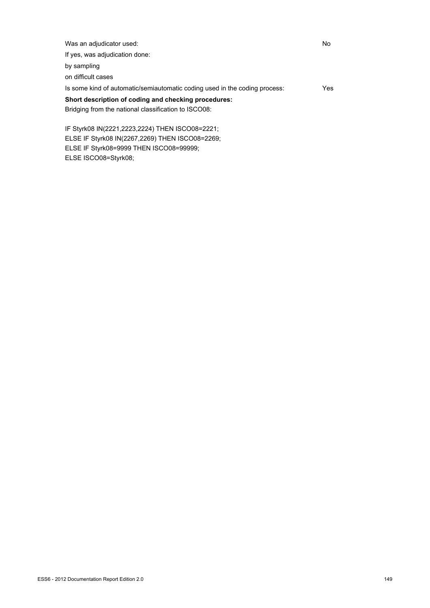| Was an adjudicator used:                                                   | No   |
|----------------------------------------------------------------------------|------|
| If yes, was adjudication done:                                             |      |
| by sampling                                                                |      |
| on difficult cases                                                         |      |
| Is some kind of automatic/semiautomatic coding used in the coding process: | Yes. |
| Short description of coding and checking procedures:                       |      |
| Bridging from the national classification to ISCO08:                       |      |
|                                                                            |      |

IF Styrk08 IN(2221,2223,2224) THEN ISCO08=2221; ELSE IF Styrk08 IN(2267,2269) THEN ISCO08=2269; ELSE IF Styrk08=9999 THEN ISCO08=99999; ELSE ISCO08=Styrk08;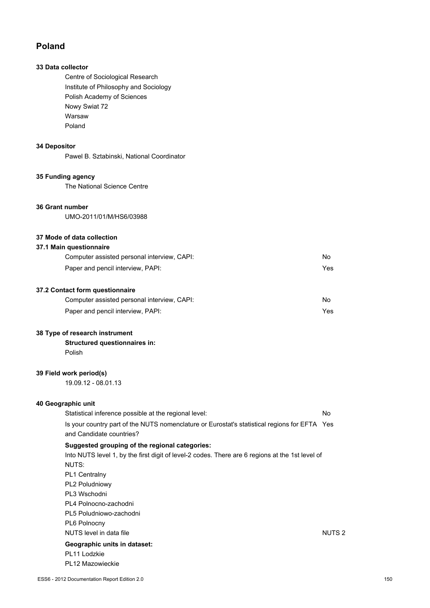# **Poland**

# **33 Data collector**

Centre of Sociological Research Institute of Philosophy and Sociology Polish Academy of Sciences Nowy Swiat 72 Warsaw Poland

# **34 Depositor**

Pawel B. Sztabinski, National Coordinator

# **35 Funding agency**

The National Science Centre

#### **36 Grant number**

UMO-2011/01/M/HS6/03988

# **37 Mode of data collection**

#### **37.1 Main questionnaire**

| Computer assisted personal interview, CAPI: | No. |
|---------------------------------------------|-----|
| Paper and pencil interview, PAPI:           | Yes |
| 37.2 Contact form questionnaire             |     |
| Computer assisted personal interview, CAPI: | No  |

| $\sim$                            | .   |
|-----------------------------------|-----|
| Paper and pencil interview, PAPI: | Yes |

#### **38 Type of research instrument**

**Structured questionnaires in:** Polish

# **39 Field work period(s)**

19.09.12 - 08.01.13

# **40 Geographic unit**

Statistical inference possible at the regional level: No Is your country part of the NUTS nomenclature or Eurostat's statistical regions for EFTA Yes and Candidate countries? **Suggested grouping of the regional categories:**

# Into NUTS level 1, by the first digit of level-2 codes. There are 6 regions at the 1st level of NUTS: PL1 Centralny PL2 Poludniowy PL3 Wschodni PL4 Polnocno-zachodni PL5 Poludniowo-zachodni PL6 Polnocny NUTS level in data file Number 2 and 2 and 2 and 2 and 2 and 2 and 2 and 2 and 2 and 2 and 2 and 2 and 2 and 2 and 2 and 2 and 2 and 2 and 2 and 2 and 2 and 2 and 2 and 2 and 2 and 2 and 2 and 2 and 2 and 2 and 2 and 2 and **Geographic units in dataset:** PL11 Lodzkie PL12 Mazowieckie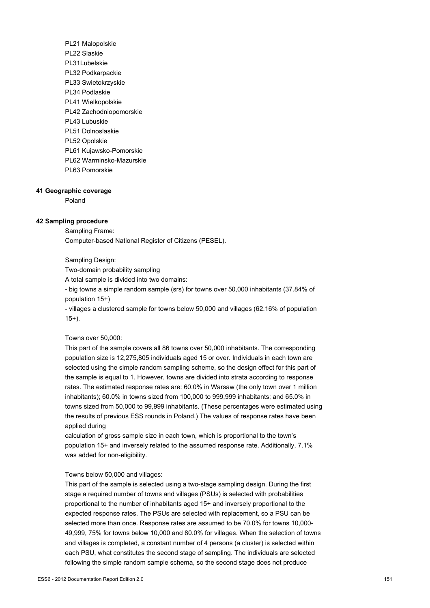PL21 Malopolskie PL22 Slaskie PL31Lubelskie PL32 Podkarpackie PL33 Swietokrzyskie PL34 Podlaskie PL41 Wielkopolskie PL42 Zachodniopomorskie PL43 Lubuskie PL51 Dolnoslaskie PL52 Opolskie PL61 Kujawsko-Pomorskie PL62 Warminsko-Mazurskie PL63 Pomorskie

#### **41 Geographic coverage**

Poland

#### **42 Sampling procedure**

Sampling Frame: Computer-based National Register of Citizens (PESEL).

Sampling Design:

Two-domain probability sampling

A total sample is divided into two domains:

- big towns a simple random sample (srs) for towns over 50,000 inhabitants (37.84% of population 15+)

- villages a clustered sample for towns below 50,000 and villages (62.16% of population 15+).

#### Towns over 50,000:

This part of the sample covers all 86 towns over 50,000 inhabitants. The corresponding population size is 12,275,805 individuals aged 15 or over. Individuals in each town are selected using the simple random sampling scheme, so the design effect for this part of the sample is equal to 1. However, towns are divided into strata according to response rates. The estimated response rates are: 60.0% in Warsaw (the only town over 1 million inhabitants); 60.0% in towns sized from 100,000 to 999,999 inhabitants; and 65.0% in towns sized from 50,000 to 99,999 inhabitants. (These percentages were estimated using the results of previous ESS rounds in Poland.) The values of response rates have been applied during

calculation of gross sample size in each town, which is proportional to the town's population 15+ and inversely related to the assumed response rate. Additionally, 7.1% was added for non-eligibility.

#### Towns below 50,000 and villages:

This part of the sample is selected using a two-stage sampling design. During the first stage a required number of towns and villages (PSUs) is selected with probabilities proportional to the number of inhabitants aged 15+ and inversely proportional to the expected response rates. The PSUs are selected with replacement, so a PSU can be selected more than once. Response rates are assumed to be 70.0% for towns 10,000- 49,999, 75% for towns below 10,000 and 80.0% for villages. When the selection of towns and villages is completed, a constant number of 4 persons (a cluster) is selected within each PSU, what constitutes the second stage of sampling. The individuals are selected following the simple random sample schema, so the second stage does not produce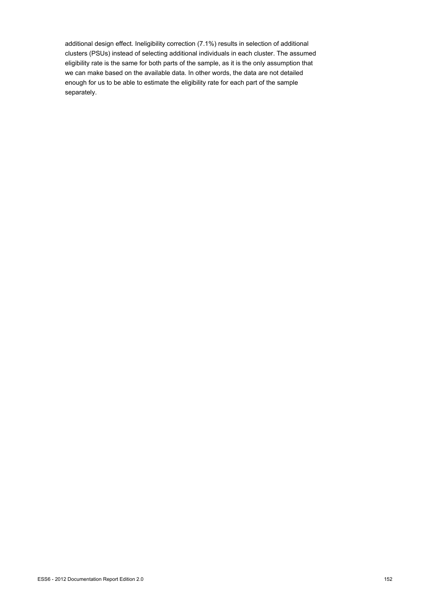additional design effect. Ineligibility correction (7.1%) results in selection of additional clusters (PSUs) instead of selecting additional individuals in each cluster. The assumed eligibility rate is the same for both parts of the sample, as it is the only assumption that we can make based on the available data. In other words, the data are not detailed enough for us to be able to estimate the eligibility rate for each part of the sample separately.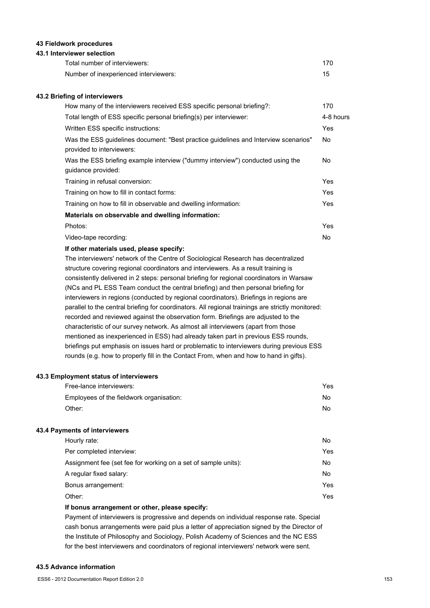#### **43 Fieldwork procedures**

#### **43.1 Interviewer selection**

| Total number of interviewers:         | 170 |
|---------------------------------------|-----|
| Number of inexperienced interviewers: |     |

#### **43.2 Briefing of interviewers**

| How many of the interviewers received ESS specific personal briefing?:                   | 170       |
|------------------------------------------------------------------------------------------|-----------|
| Total length of ESS specific personal briefing(s) per interviewer:                       | 4-8 hours |
| Written ESS specific instructions:                                                       | Yes       |
| Was the ESS guidelines document: "Best practice guidelines and Interview scenarios"      | No.       |
| provided to interviewers:                                                                |           |
| Was the ESS briefing example interview ("dummy interview") conducted using the           | No.       |
| guidance provided:                                                                       |           |
| Training in refusal conversion:                                                          | Yes       |
| Training on how to fill in contact forms:                                                | Yes       |
| Training on how to fill in observable and dwelling information:                          | Yes       |
| Materials on observable and dwelling information:                                        |           |
| Photos:                                                                                  | Yes       |
| Video-tape recording:                                                                    | No        |
| If other materials used, please specify:                                                 |           |
| The interviewers' network of the Centre of Sociological Research has decentralized       |           |
| structure covering regional coordinators and interviewers. As a result training is       |           |
| consistently delivered in 2 steps: personal briefing for regional coordinators in Warsaw |           |
| (NCs and PL ESS Team conduct the central briefing) and then personal briefing for        |           |
| interviewers in regions (conducted by regional coordinators). Briefings in regions are   |           |

parallel to the central briefing for coordinators. All regional trainings are strictly monitored: recorded and reviewed against the observation form. Briefings are adjusted to the characteristic of our survey network. As almost all interviewers (apart from those mentioned as inexperienced in ESS) had already taken part in previous ESS rounds, briefings put emphasis on issues hard or problematic to interviewers during previous ESS rounds (e.g. how to properly fill in the Contact From, when and how to hand in gifts).

#### **43.3 Employment status of interviewers**

| Free-lance interviewers:                 | Yes |
|------------------------------------------|-----|
| Employees of the fieldwork organisation: | No. |
| Other:                                   | No. |

#### **43.4 Payments of interviewers**

| Hourly rate:                                                   | No. |
|----------------------------------------------------------------|-----|
| Per completed interview:                                       | Yes |
| Assignment fee (set fee for working on a set of sample units): | No. |
| A regular fixed salary:                                        | No. |
| Bonus arrangement:                                             | Yes |
| Other:                                                         | Yes |

#### **If bonus arrangement or other, please specify:**

Payment of interviewers is progressive and depends on individual response rate. Special cash bonus arrangements were paid plus a letter of appreciation signed by the Director of the Institute of Philosophy and Sociology, Polish Academy of Sciences and the NC ESS for the best interviewers and coordinators of regional interviewers' network were sent.

#### **43.5 Advance information**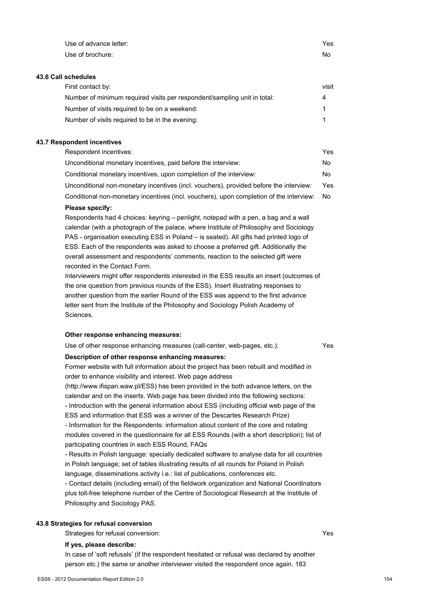| Use of advance letter:                                                                                                                                                                                                                                                                                                                                                                                                                                                                                                                                                                                                                                                                                                                                                                                                                                                                                                                                                                                                                                                                                                                                                                                                                                                                       | Yes   |
|----------------------------------------------------------------------------------------------------------------------------------------------------------------------------------------------------------------------------------------------------------------------------------------------------------------------------------------------------------------------------------------------------------------------------------------------------------------------------------------------------------------------------------------------------------------------------------------------------------------------------------------------------------------------------------------------------------------------------------------------------------------------------------------------------------------------------------------------------------------------------------------------------------------------------------------------------------------------------------------------------------------------------------------------------------------------------------------------------------------------------------------------------------------------------------------------------------------------------------------------------------------------------------------------|-------|
| Use of brochure:                                                                                                                                                                                                                                                                                                                                                                                                                                                                                                                                                                                                                                                                                                                                                                                                                                                                                                                                                                                                                                                                                                                                                                                                                                                                             | No.   |
| 43.6 Call schedules                                                                                                                                                                                                                                                                                                                                                                                                                                                                                                                                                                                                                                                                                                                                                                                                                                                                                                                                                                                                                                                                                                                                                                                                                                                                          |       |
| First contact by:                                                                                                                                                                                                                                                                                                                                                                                                                                                                                                                                                                                                                                                                                                                                                                                                                                                                                                                                                                                                                                                                                                                                                                                                                                                                            | visit |
| Number of minimum required visits per respondent/sampling unit in total:                                                                                                                                                                                                                                                                                                                                                                                                                                                                                                                                                                                                                                                                                                                                                                                                                                                                                                                                                                                                                                                                                                                                                                                                                     | 4     |
| Number of visits required to be on a weekend:                                                                                                                                                                                                                                                                                                                                                                                                                                                                                                                                                                                                                                                                                                                                                                                                                                                                                                                                                                                                                                                                                                                                                                                                                                                | 1     |
| Number of visits required to be in the evening:                                                                                                                                                                                                                                                                                                                                                                                                                                                                                                                                                                                                                                                                                                                                                                                                                                                                                                                                                                                                                                                                                                                                                                                                                                              | 1     |
| 43.7 Respondent incentives                                                                                                                                                                                                                                                                                                                                                                                                                                                                                                                                                                                                                                                                                                                                                                                                                                                                                                                                                                                                                                                                                                                                                                                                                                                                   |       |
| Respondent incentives:                                                                                                                                                                                                                                                                                                                                                                                                                                                                                                                                                                                                                                                                                                                                                                                                                                                                                                                                                                                                                                                                                                                                                                                                                                                                       | Yes   |
| Unconditional monetary incentives, paid before the interview:                                                                                                                                                                                                                                                                                                                                                                                                                                                                                                                                                                                                                                                                                                                                                                                                                                                                                                                                                                                                                                                                                                                                                                                                                                | No    |
| Conditional monetary incentives, upon completion of the interview:                                                                                                                                                                                                                                                                                                                                                                                                                                                                                                                                                                                                                                                                                                                                                                                                                                                                                                                                                                                                                                                                                                                                                                                                                           | No    |
| Unconditional non-monetary incentives (incl. vouchers), provided before the interview:                                                                                                                                                                                                                                                                                                                                                                                                                                                                                                                                                                                                                                                                                                                                                                                                                                                                                                                                                                                                                                                                                                                                                                                                       | Yes   |
| Conditional non-monetary incentives (incl. vouchers), upon completion of the interview:                                                                                                                                                                                                                                                                                                                                                                                                                                                                                                                                                                                                                                                                                                                                                                                                                                                                                                                                                                                                                                                                                                                                                                                                      | No    |
| Please specify:                                                                                                                                                                                                                                                                                                                                                                                                                                                                                                                                                                                                                                                                                                                                                                                                                                                                                                                                                                                                                                                                                                                                                                                                                                                                              |       |
| Respondents had 4 choices: keyring - penlight, notepad with a pen, a bag and a wall<br>calendar (with a photograph of the palace, where Institute of Philosophy and Sociology<br>PAS - organisation executing ESS in Poland - is seated). All gifts had printed logo of<br>ESS. Each of the respondents was asked to choose a preferred gift. Additionally the<br>overall assessment and respondents' comments, reaction to the selected gift were<br>recorded in the Contact Form.<br>Interviewers might offer respondents interested in the ESS results an insert (outcomes of<br>the one question from previous rounds of the ESS). Insert illustrating responses to<br>another question from the earlier Round of the ESS was append to the first advance<br>letter sent from the Institute of the Philosophy and Sociology Polish Academy of<br>Sciences.                                                                                                                                                                                                                                                                                                                                                                                                                               |       |
| Other response enhancing measures:                                                                                                                                                                                                                                                                                                                                                                                                                                                                                                                                                                                                                                                                                                                                                                                                                                                                                                                                                                                                                                                                                                                                                                                                                                                           |       |
| Use of other response enhancing measures (call-center, web-pages, etc.):                                                                                                                                                                                                                                                                                                                                                                                                                                                                                                                                                                                                                                                                                                                                                                                                                                                                                                                                                                                                                                                                                                                                                                                                                     | Yes   |
| Description of other response enhancing measures:<br>Former website with full information about the project has been rebuilt and modified in<br>order to enhance visibility and interest. Web page address<br>(http://www.ifispan.waw.pl/ESS) has been provided in the both advance letters, on the<br>calendar and on the inserts. Web page has been divided into the following sections:<br>- Introduction with the general information about ESS (including official web page of the<br>ESS and information that ESS was a winner of the Descartes Research Prize)<br>- Information for the Respondents: information about content of the core and rotating<br>modules covered in the questionnaire for all ESS Rounds (with a short description); list of<br>participating countries in each ESS Round, FAQs<br>- Results in Polish language: specially dedicated software to analyse data for all countries<br>in Polish language; set of tables illustrating results of all rounds for Poland in Polish<br>language, disseminations activity i.e.: list of publications, conferences etc.<br>- Contact details (including email) of the fieldwork organization and National Coordinators<br>plus toll-free telephone number of the Centre of Sociological Research at the Institute of |       |
| Philosophy and Sociology PAS.                                                                                                                                                                                                                                                                                                                                                                                                                                                                                                                                                                                                                                                                                                                                                                                                                                                                                                                                                                                                                                                                                                                                                                                                                                                                |       |

# **43.8 Strategies for refusal conversion**

Strategies for refusal conversion: Yes

## **If yes, please describe:**

In case of 'soft refusals' (if the respondent hesitated or refusal was declared by another person etc.) the same or another interviewer visited the respondent once again. 183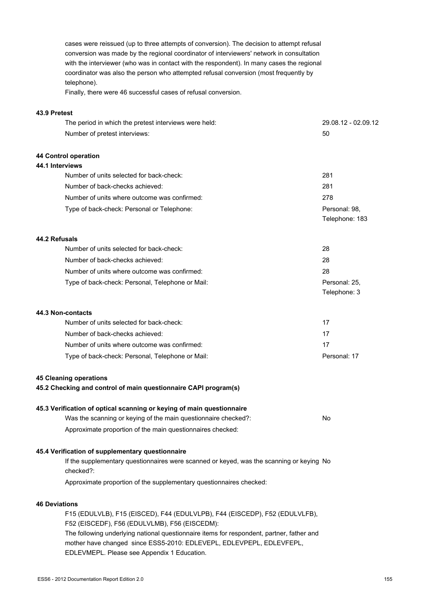cases were reissued (up to three attempts of conversion). The decision to attempt refusal conversion was made by the regional coordinator of interviewers' network in consultation with the interviewer (who was in contact with the respondent). In many cases the regional coordinator was also the person who attempted refusal conversion (most frequently by telephone).

Finally, there were 46 successful cases of refusal conversion.

#### **43.9 Pretest**

| The period in which the pretest interviews were held:                                                                                   | 29.08.12 - 02.09.12             |
|-----------------------------------------------------------------------------------------------------------------------------------------|---------------------------------|
| Number of pretest interviews:                                                                                                           | 50                              |
| 44 Control operation                                                                                                                    |                                 |
| 44.1 Interviews                                                                                                                         |                                 |
| Number of units selected for back-check:                                                                                                | 281                             |
| Number of back-checks achieved:                                                                                                         | 281                             |
| Number of units where outcome was confirmed:                                                                                            | 278                             |
| Type of back-check: Personal or Telephone:                                                                                              | Personal: 98,<br>Telephone: 183 |
| 44.2 Refusals                                                                                                                           |                                 |
| Number of units selected for back-check:                                                                                                | 28                              |
| Number of back-checks achieved:                                                                                                         | 28                              |
| Number of units where outcome was confirmed:                                                                                            | 28                              |
| Type of back-check: Personal, Telephone or Mail:                                                                                        | Personal: 25,<br>Telephone: 3   |
| 44.3 Non-contacts                                                                                                                       |                                 |
| Number of units selected for back-check:                                                                                                | 17                              |
| Number of back-checks achieved:                                                                                                         | 17                              |
| Number of units where outcome was confirmed:                                                                                            | 17                              |
| Type of back-check: Personal, Telephone or Mail:                                                                                        | Personal: 17                    |
| <b>45 Cleaning operations</b><br>45.2 Checking and control of main questionnaire CAPI program(s)                                        |                                 |
| 45.3 Verification of optical scanning or keying of main questionnaire<br>Was the scanning or keying of the main questionnaire checked?: | No                              |
| Approximate proportion of the main questionnaires checked:                                                                              |                                 |
| 45.4 Verification of supplementary questionnaire                                                                                        |                                 |
| If the supplementary questionnaires were scanned or keyed, was the scanning or keying No<br>checked?:                                   |                                 |
| Approximate proportion of the supplementary questionnaires checked:                                                                     |                                 |
| <b>46 Deviations</b>                                                                                                                    |                                 |
| F15 (EDULVLB), F15 (EISCED), F44 (EDULVLPB), F44 (EISCEDP), F52 (EDULVLFB),<br>F52 (EISCEDF), F56 (EDULVLMB), F56 (EISCEDM):            |                                 |
| The following underlying national questionnaire items for respondent nartner father and                                                 |                                 |

The following underlying national questionnaire items for respondent, partner, father and mother have changed since ESS5-2010: EDLEVEPL, EDLEVPEPL, EDLEVFEPL, EDLEVMEPL. Please see Appendix 1 Education.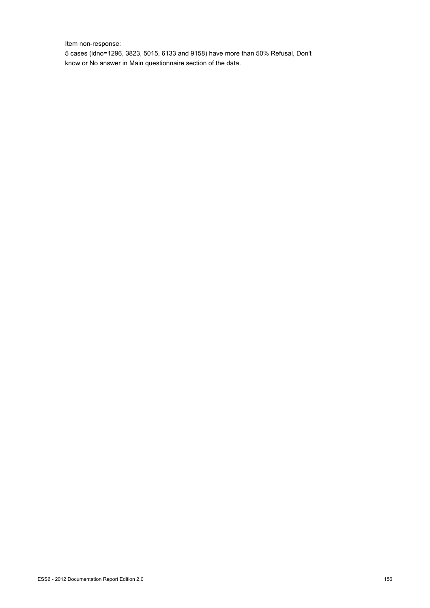Item non-response:

5 cases (idno=1296, 3823, 5015, 6133 and 9158) have more than 50% Refusal, Don't know or No answer in Main questionnaire section of the data.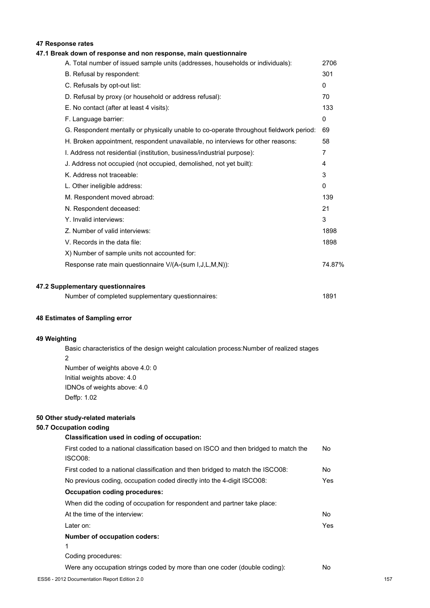# **47 Response rates**

# **47.1 Break down of response and non response, main questionnaire**

| A. Total number of issued sample units (addresses, households or individuals):         | 2706         |
|----------------------------------------------------------------------------------------|--------------|
| B. Refusal by respondent:                                                              | 301          |
| C. Refusals by opt-out list:                                                           | 0            |
| D. Refusal by proxy (or household or address refusal):                                 | 70           |
| E. No contact (after at least 4 visits):                                               | 133          |
| F. Language barrier:                                                                   | 0            |
| G. Respondent mentally or physically unable to co-operate throughout fieldwork period: | 69           |
| H. Broken appointment, respondent unavailable, no interviews for other reasons:        | 58           |
| I. Address not residential (institution, business/industrial purpose):                 | 7            |
| J. Address not occupied (not occupied, demolished, not yet built):                     | 4            |
| K. Address not traceable:                                                              | 3            |
| L. Other ineligible address:                                                           | $\mathbf{0}$ |
| M. Respondent moved abroad:                                                            | 139          |
| N. Respondent deceased:                                                                | 21           |
| Y. Invalid interviews:                                                                 | 3            |
| Z. Number of valid interviews:                                                         | 1898         |
| V. Records in the data file:                                                           | 1898         |
| X) Number of sample units not accounted for:                                           |              |
| Response rate main questionnaire V/(A-(sum I,J,L,M,N)):                                | 74.87%       |
|                                                                                        |              |
| 47.2 Supplementary questionnaires                                                      |              |

| 1891 |
|------|
|      |

#### **48 Estimates of Sampling error**

#### **49 Weighting**

Basic characteristics of the design weight calculation process:Number of realized stages 2 Number of weights above 4.0: 0 Initial weights above: 4.0 IDNOs of weights above: 4.0 Deffp: 1.02

#### **50 Other study-related materials**

### **50.7 Occupation coding**

| Classification used in coding of occupation:                                         |
|--------------------------------------------------------------------------------------|
| First coded to a national classification based on ISCO and then bridged to match the |
| ISCO08:                                                                              |

| First coded to a national classification and then bridged to match the ISCO08: | No. |
|--------------------------------------------------------------------------------|-----|
| No previous coding, occupation coded directly into the 4-digit ISCO08:         | Yes |
| Occupation coding procedures:                                                  |     |
| When did the coding of occupation for respondent and partner take place:       |     |
| At the time of the interview:                                                  | No. |
| Later on:                                                                      | Yes |
| Number of occupation coders:                                                   |     |
|                                                                                |     |

1

Coding procedures:

Were any occupation strings coded by more than one coder (double coding): No

No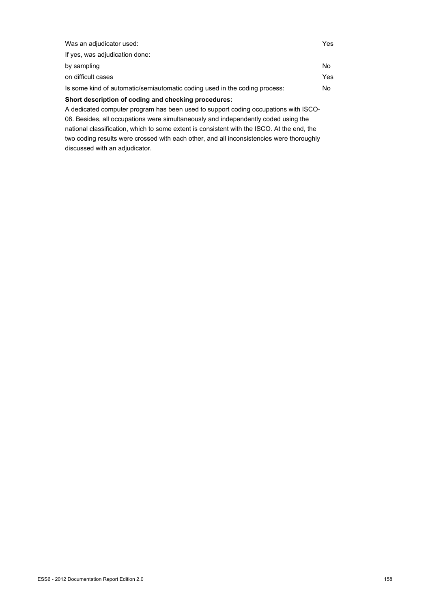| Was an adjudicator used:                                                            | Yes |
|-------------------------------------------------------------------------------------|-----|
| If yes, was adjudication done:                                                      |     |
| by sampling                                                                         | No. |
| on difficult cases                                                                  | Yes |
| Is some kind of automatic/semiautomatic coding used in the coding process:          | No. |
| Short description of coding and checking procedures:                                |     |
| A dedicated computer program has been used to support coding occupations with ISCO- |     |
|                                                                                     |     |

08. Besides, all occupations were simultaneously and independently coded using the national classification, which to some extent is consistent with the ISCO. At the end, the two coding results were crossed with each other, and all inconsistencies were thoroughly discussed with an adjudicator.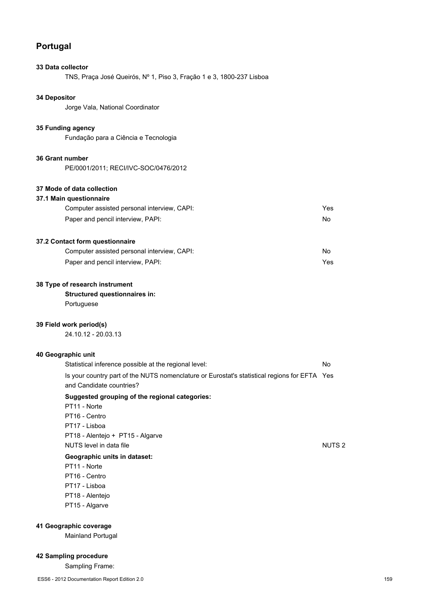# **Portugal**

#### **33 Data collector**

TNS, Praça José Queirós, Nº 1, Piso 3, Fração 1 e 3, 1800-237 Lisboa

### **34 Depositor**

Jorge Vala, National Coordinator

### **35 Funding agency**

Fundação para a Ciência e Tecnologia

#### **36 Grant number**

PE/0001/2011; RECI/IVC-SOC/0476/2012

### **37 Mode of data collection**

#### **37.1 Main questionnaire**

| Computer assisted personal interview, CAPI: | Yes |
|---------------------------------------------|-----|
| Paper and pencil interview, PAPI:           | No. |

## **37.2 Contact form questionnaire**

| Computer assisted personal interview, CAPI: | No  |
|---------------------------------------------|-----|
| Paper and pencil interview, PAPI:           | Yes |

#### **38 Type of research instrument**

### **Structured questionnaires in:**

Portuguese

#### **39 Field work period(s)**

24.10.12 - 20.03.13

### **40 Geographic unit**

| Suggested grouping of the regional categories:                                               |    |
|----------------------------------------------------------------------------------------------|----|
| and Candidate countries?                                                                     |    |
| Is your country part of the NUTS nomenclature or Eurostat's statistical regions for EFTA Yes |    |
| Statistical inference possible at the regional level:                                        | N٥ |

- **Suggested grouping of the regional categories:** PT11 - Norte
- PT16 Centro PT17 - Lisboa PT18 - Alentejo + PT15 - Algarve NUTS level in data file Number 2 and 2 and 2 and 2 and 2 and 2 and 2 and 2 and 2 and 2 and 2 and 2 and 2 and 2 and 2 and 2 and 2 and 2 and 2 and 2 and 2 and 2 and 2 and 2 and 2 and 2 and 2 and 2 and 2 and 2 and 2 and 2 and

#### **Geographic units in dataset:**

- PT11 Norte PT16 - Centro
- PT17 Lisboa
- 
- PT18 Alentejo PT15 - Algarve

# **41 Geographic coverage**

Mainland Portugal

# **42 Sampling procedure**

Sampling Frame: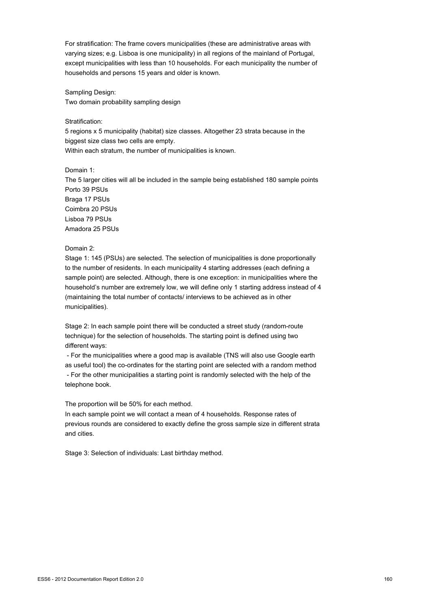For stratification: The frame covers municipalities (these are administrative areas with varying sizes; e.g. Lisboa is one municipality) in all regions of the mainland of Portugal, except municipalities with less than 10 households. For each municipality the number of households and persons 15 years and older is known.

Sampling Design: Two domain probability sampling design

Stratification:

5 regions x 5 municipality (habitat) size classes. Altogether 23 strata because in the biggest size class two cells are empty. Within each stratum, the number of municipalities is known.

Domain 1:

The 5 larger cities will all be included in the sample being established 180 sample points Porto 39 PSUs Braga 17 PSUs Coimbra 20 PSUs Lisboa 79 PSUs Amadora 25 PSUs

### Domain 2:

Stage 1: 145 (PSUs) are selected. The selection of municipalities is done proportionally to the number of residents. In each municipality 4 starting addresses (each defining a sample point) are selected. Although, there is one exception: in municipalities where the household's number are extremely low, we will define only 1 starting address instead of 4 (maintaining the total number of contacts/ interviews to be achieved as in other municipalities).

Stage 2: In each sample point there will be conducted a street study (random-route technique) for the selection of households. The starting point is defined using two different ways:

 - For the municipalities where a good map is available (TNS will also use Google earth as useful tool) the co-ordinates for the starting point are selected with a random method - For the other municipalities a starting point is randomly selected with the help of the telephone book.

The proportion will be 50% for each method.

In each sample point we will contact a mean of 4 households. Response rates of previous rounds are considered to exactly define the gross sample size in different strata and cities.

Stage 3: Selection of individuals: Last birthday method.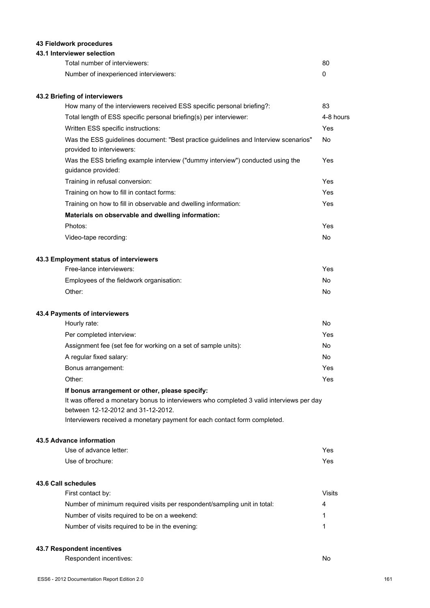# **43 Fieldwork procedures**

### **43.1 Interviewer selection**

| Total number of interviewers:         | 80 |
|---------------------------------------|----|
| Number of inexperienced interviewers: |    |

# **43.2 Briefing of interviewers**

| How many of the interviewers received ESS specific personal briefing?:                                           | 83        |
|------------------------------------------------------------------------------------------------------------------|-----------|
| Total length of ESS specific personal briefing(s) per interviewer:                                               | 4-8 hours |
| Written ESS specific instructions:                                                                               | Yes       |
| Was the ESS guidelines document: "Best practice guidelines and Interview scenarios"<br>provided to interviewers: | <b>No</b> |
| Was the ESS briefing example interview ("dummy interview") conducted using the<br>guidance provided:             | Yes       |
| Training in refusal conversion:                                                                                  | Yes       |
| Training on how to fill in contact forms:                                                                        | Yes       |
| Training on how to fill in observable and dwelling information:                                                  | Yes       |
| Materials on observable and dwelling information:                                                                |           |
| Photos:                                                                                                          | Yes       |
| Video-tape recording:                                                                                            | <b>No</b> |
| 43.3 Employment status of interviewers                                                                           |           |
| Free-lance interviewers:                                                                                         | Yes       |
| Employees of the fieldwork organisation:                                                                         | No        |
| Other:                                                                                                           | No        |
| 43.4 Payments of interviewers                                                                                    |           |
| Hourly rate:                                                                                                     | <b>No</b> |
| Per completed interview:                                                                                         | Yes       |
| Assignment fee (set fee for working on a set of sample units):                                                   | No        |
| A regular fixed salary:                                                                                          | <b>No</b> |
| Bonus arrangement:                                                                                               | Yes       |
| Other:                                                                                                           | Yes       |

# **If bonus arrangement or other, please specify:**

It was offered a monetary bonus to interviewers who completed 3 valid interviews per day between 12-12-2012 and 31-12-2012.

Interviewers received a monetary payment for each contact form completed.

### **43.5 Advance information**

| Use of advance letter: | Yes |
|------------------------|-----|
| Use of brochure:       | Yes |

# **43.6 Call schedules**

| First contact by:                                                        | Visits |
|--------------------------------------------------------------------------|--------|
| Number of minimum required visits per respondent/sampling unit in total: | 4      |
| Number of visits required to be on a weekend:                            |        |
| Number of visits required to be in the evening:                          |        |

#### **43.7 Respondent incentives**

Respondent incentives: No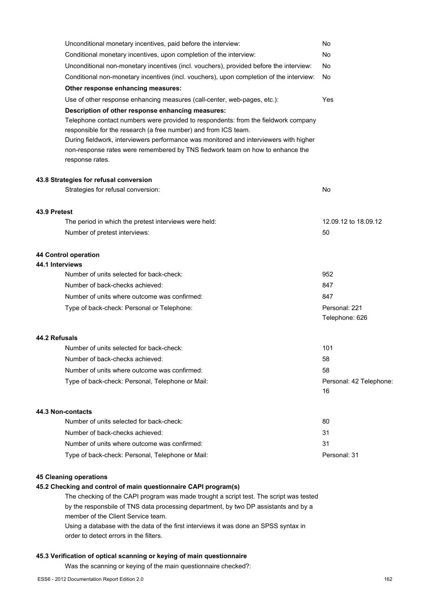|                 | Unconditional monetary incentives, paid before the interview:                                    | No                      |
|-----------------|--------------------------------------------------------------------------------------------------|-------------------------|
|                 | Conditional monetary incentives, upon completion of the interview:                               | No                      |
|                 | Unconditional non-monetary incentives (incl. vouchers), provided before the interview:           | No                      |
|                 | Conditional non-monetary incentives (incl. vouchers), upon completion of the interview:          | No                      |
|                 | Other response enhancing measures:                                                               |                         |
|                 | Use of other response enhancing measures (call-center, web-pages, etc.):                         | Yes                     |
|                 | Description of other response enhancing measures:                                                |                         |
|                 | Telephone contact numbers were provided to respondents: from the fieldwork company               |                         |
|                 | responsible for the research (a free number) and from ICS team.                                  |                         |
|                 | During fieldwork, interviewers performance was monitored and interviewers with higher            |                         |
|                 | non-response rates were remembered by TNS fiedwork team on how to enhance the<br>response rates. |                         |
|                 |                                                                                                  |                         |
|                 | 43.8 Strategies for refusal conversion                                                           |                         |
|                 | Strategies for refusal conversion:                                                               | No                      |
| 43.9 Pretest    |                                                                                                  |                         |
|                 | The period in which the pretest interviews were held:                                            | 12.09.12 to 18.09.12    |
|                 | Number of pretest interviews:                                                                    | 50                      |
|                 | 44 Control operation                                                                             |                         |
| 44.1 Interviews |                                                                                                  |                         |
|                 | Number of units selected for back-check:                                                         | 952                     |
|                 | Number of back-checks achieved:                                                                  | 847                     |
|                 | Number of units where outcome was confirmed:                                                     | 847                     |
|                 | Type of back-check: Personal or Telephone:                                                       | Personal: 221           |
|                 |                                                                                                  | Telephone: 626          |
| 44.2 Refusals   |                                                                                                  |                         |
|                 | Number of units selected for back-check:                                                         | 101                     |
|                 | Number of back-checks achieved:                                                                  | 58                      |
|                 | Number of units where outcome was confirmed:                                                     | 58                      |
|                 | Type of back-check: Personal, Telephone or Mail:                                                 | Personal: 42 Telephone: |
|                 |                                                                                                  | 16                      |
|                 | <b>44.3 Non-contacts</b>                                                                         |                         |
|                 | Number of units selected for back-check:                                                         | 80                      |
|                 | Number of back-checks achieved:                                                                  | 31                      |
|                 | Number of units where outcome was confirmed:                                                     | 31                      |
|                 | Type of back-check: Personal, Telephone or Mail:                                                 | Personal: 31            |
|                 |                                                                                                  |                         |

# **45 Cleaning operations**

# **45.2 Checking and control of main questionnaire CAPI program(s)**

The checking of the CAPI program was made trought a script test. The script was tested by the responsbile of TNS data processing department, by two DP assistants and by a member of the Client Service team.

Using a database with the data of the first interviews it was done an SPSS syntax in order to detect errors in the filters.

# **45.3 Verification of optical scanning or keying of main questionnaire**

Was the scanning or keying of the main questionnaire checked?: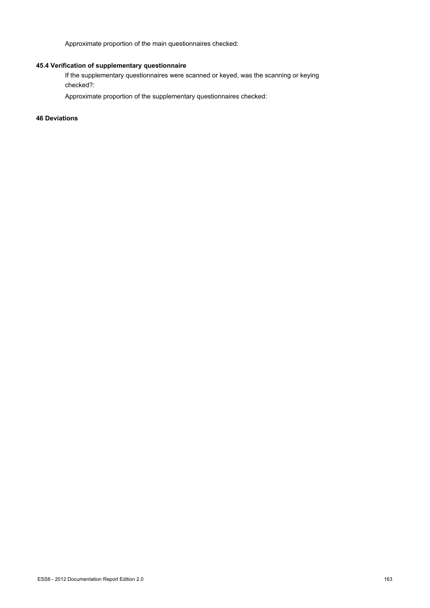Approximate proportion of the main questionnaires checked:

# **45.4 Verification of supplementary questionnaire**

If the supplementary questionnaires were scanned or keyed, was the scanning or keying checked?:

Approximate proportion of the supplementary questionnaires checked:

**46 Deviations**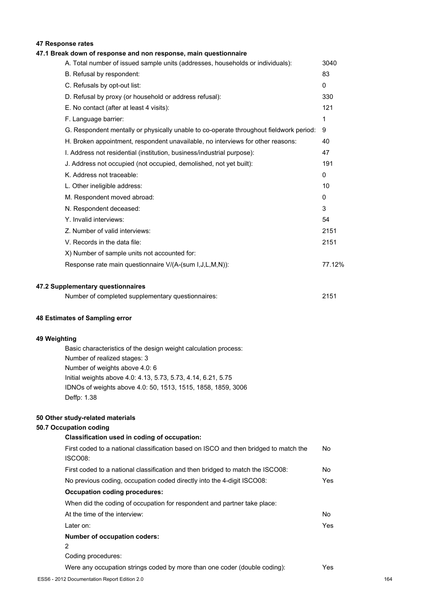# **47 Response rates**

# **47.1 Break down of response and non response, main questionnaire**

| A. Total number of issued sample units (addresses, households or individuals):         | 3040         |
|----------------------------------------------------------------------------------------|--------------|
| B. Refusal by respondent:                                                              | 83           |
| C. Refusals by opt-out list:                                                           | $\mathbf{0}$ |
| D. Refusal by proxy (or household or address refusal):                                 | 330          |
| E. No contact (after at least 4 visits):                                               | 121          |
| F. Language barrier:                                                                   | 1            |
| G. Respondent mentally or physically unable to co-operate throughout fieldwork period: | 9            |
| H. Broken appointment, respondent unavailable, no interviews for other reasons:        | 40           |
| I. Address not residential (institution, business/industrial purpose):                 | 47           |
| J. Address not occupied (not occupied, demolished, not yet built):                     | 191          |
| K. Address not traceable:                                                              | 0            |
| L. Other ineligible address:                                                           | 10           |
| M. Respondent moved abroad:                                                            | 0            |
| N. Respondent deceased:                                                                | 3            |
| Y. Invalid interviews:                                                                 | 54           |
| Z. Number of valid interviews:                                                         | 2151         |
| V. Records in the data file:                                                           | 2151         |
| X) Number of sample units not accounted for:                                           |              |
| Response rate main questionnaire V/(A-(sum I, J, L, M, N)):                            | 77.12%       |
|                                                                                        |              |
| 47.2 Supplementary questionnaires                                                      |              |

| Number of completed supplementary questionnaires: | 2151 |
|---------------------------------------------------|------|
|---------------------------------------------------|------|

#### **48 Estimates of Sampling error**

### **49 Weighting**

Basic characteristics of the design weight calculation process: Number of realized stages: 3 Number of weights above 4.0: 6 Initial weights above 4.0: 4.13, 5.73, 5.73, 4.14, 6.21, 5.75 IDNOs of weights above 4.0: 50, 1513, 1515, 1858, 1859, 3006 Deffp: 1.38

#### **50 Other study-related materials**

### **50.7 Occupation coding**

| Classification used in coding of occupation:                                         |            |
|--------------------------------------------------------------------------------------|------------|
| First coded to a national classification based on ISCO and then bridged to match the | No.        |
| ISCO08:                                                                              |            |
| First coded to a national classification and then bridged to match the ISCO08:       | No.        |
| No previous coding, occupation coded directly into the 4-digit ISCO08:               | Yes.       |
| <b>Occupation coding procedures:</b>                                                 |            |
| When did the coding of occupation for respondent and partner take place:             |            |
| At the time of the interview:                                                        | No.        |
| Later on:                                                                            | <b>Yes</b> |
| Number of occupation coders:                                                         |            |
| 2                                                                                    |            |
| Coding procedures:                                                                   |            |
| Were any occupation strings coded by more than one coder (double coding):            | Yes.       |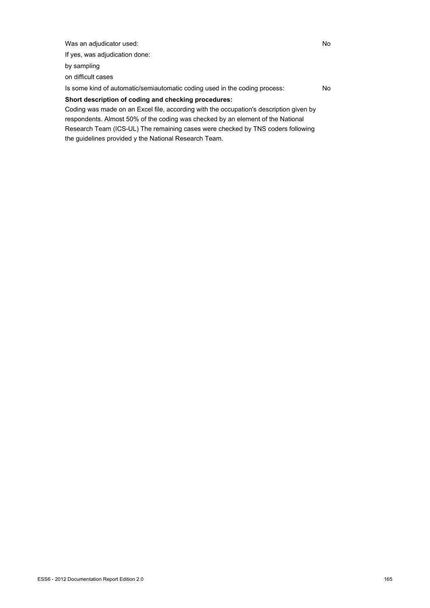Was an adjudicator used: No

If yes, was adjudication done:

by sampling

on difficult cases

Is some kind of automatic/semiautomatic coding used in the coding process: No

# **Short description of coding and checking procedures:**

Coding was made on an Excel file, according with the occupation's description given by respondents. Almost 50% of the coding was checked by an element of the National Research Team (ICS-UL) The remaining cases were checked by TNS coders following the guidelines provided y the National Research Team.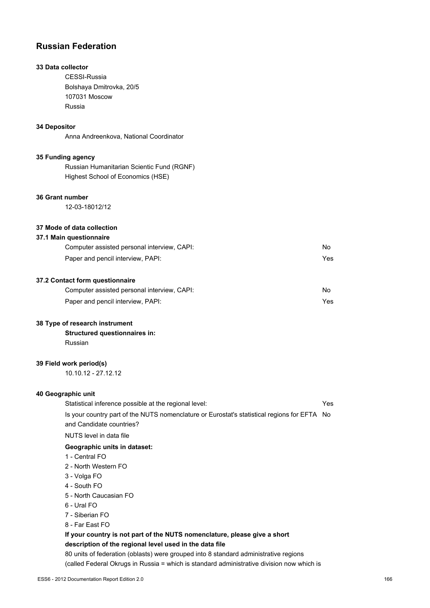# **Russian Federation**

# **33 Data collector**

CESSI-Russia Bolshaya Dmitrovka, 20/5 107031 Moscow Russia

#### **34 Depositor**

Anna Andreenkova, National Coordinator

#### **35 Funding agency**

Russian Humanitarian Scientic Fund (RGNF) Highest School of Economics (HSE)

#### **36 Grant number**

12-03-18012/12

### **37 Mode of data collection**

#### **37.1 Main questionnaire**

| Computer assisted personal interview, CAPI: | No. |
|---------------------------------------------|-----|
| Paper and pencil interview, PAPI:           |     |
|                                             |     |

# **37.2 Contact form questionnaire**

| Computer assisted personal interview, CAPI: | No  |
|---------------------------------------------|-----|
| Paper and pencil interview, PAPI:           | Yes |

#### **38 Type of research instrument**

**Structured questionnaires in:** Russian

#### **39 Field work period(s)**

10.10.12 - 27.12.12

### **40 Geographic unit**

Statistical inference possible at the regional level: Yes Is your country part of the NUTS nomenclature or Eurostat's statistical regions for EFTA No and Candidate countries? NUTS level in data file **Geographic units in dataset:** 1 - Central FO 2 - North Western FO 3 - Volga FO 4 - South FO 5 - North Caucasian FO 6 - Ural FO 7 - Siberian FO 8 - Far East FO **If your country is not part of the NUTS nomenclature, please give a short description of the regional level used in the data file** 80 units of federation (oblasts) were grouped into 8 standard administrative regions (called Federal Okrugs in Russia = which is standard administrative division now which is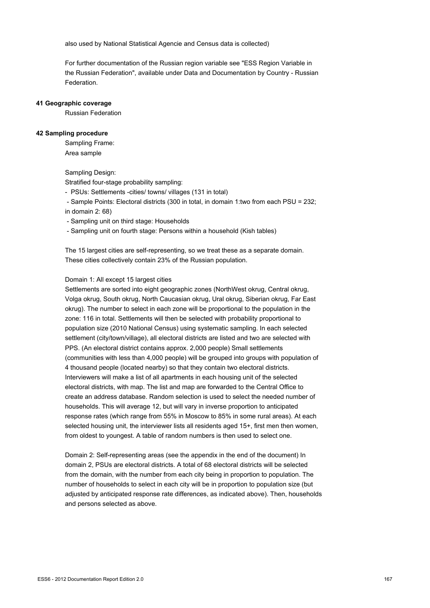also used by National Statistical Agencie and Census data is collected)

For further documentation of the Russian region variable see "ESS Region Variable in the Russian Federation", available under Data and Documentation by Country - Russian Federation.

#### **41 Geographic coverage**

Russian Federation

#### **42 Sampling procedure**

Sampling Frame: Area sample

#### Sampling Design:

Stratified four-stage probability sampling:

- PSUs: Settlements -cities/ towns/ villages (131 in total)
- Sample Points: Electoral districts (300 in total, in domain 1:two from each PSU = 232; in domain 2: 68)
- Sampling unit on third stage: Households
- Sampling unit on fourth stage: Persons within a household (Kish tables)

The 15 largest cities are self-representing, so we treat these as a separate domain. These cities collectively contain 23% of the Russian population.

#### Domain 1: All except 15 largest cities

Settlements are sorted into eight geographic zones (NorthWest okrug, Central okrug, Volga okrug, South okrug, North Caucasian okrug, Ural okrug, Siberian okrug, Far East okrug). The number to select in each zone will be proportional to the population in the zone: 116 in total. Settlements will then be selected with probability proportional to population size (2010 National Census) using systematic sampling. In each selected settlement (city/town/village), all electoral districts are listed and two are selected with PPS. (An electoral district contains approx. 2,000 people) Small settlements (communities with less than 4,000 people) will be grouped into groups with population of 4 thousand people (located nearby) so that they contain two electoral districts. Interviewers will make a list of all apartments in each housing unit of the selected electoral districts, with map. The list and map are forwarded to the Central Office to create an address database. Random selection is used to select the needed number of households. This will average 12, but will vary in inverse proportion to anticipated response rates (which range from 55% in Moscow to 85% in some rural areas). At each selected housing unit, the interviewer lists all residents aged 15+, first men then women, from oldest to youngest. A table of random numbers is then used to select one.

Domain 2: Self-representing areas (see the appendix in the end of the document) In domain 2, PSUs are electoral districts. A total of 68 electoral districts will be selected from the domain, with the number from each city being in proportion to population. The number of households to select in each city will be in proportion to population size (but adjusted by anticipated response rate differences, as indicated above). Then, households and persons selected as above.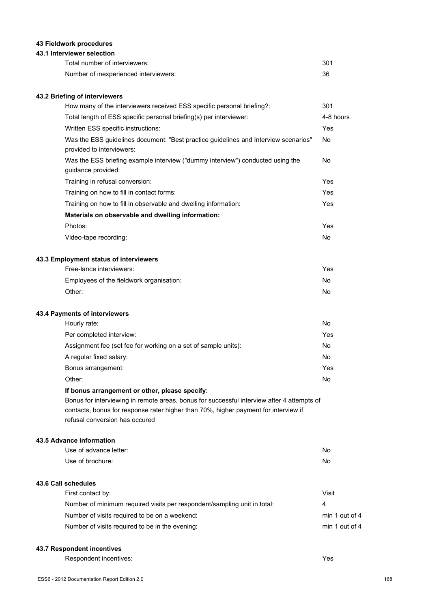# **43 Fieldwork procedures**

### **43.1 Interviewer selection**

| Total number of interviewers:         | 301 |
|---------------------------------------|-----|
| Number of inexperienced interviewers: | 36  |

## **43.2 Briefing of interviewers**

| How many of the interviewers received ESS specific personal briefing?:                                                                                                            | 301       |
|-----------------------------------------------------------------------------------------------------------------------------------------------------------------------------------|-----------|
| Total length of ESS specific personal briefing(s) per interviewer:                                                                                                                | 4-8 hours |
| Written ESS specific instructions:                                                                                                                                                | Yes       |
| Was the ESS guidelines document: "Best practice guidelines and Interview scenarios"<br>provided to interviewers:                                                                  | <b>No</b> |
| Was the ESS briefing example interview ("dummy interview") conducted using the<br>guidance provided:                                                                              | No        |
| Training in refusal conversion:                                                                                                                                                   | Yes       |
| Training on how to fill in contact forms:                                                                                                                                         | Yes       |
| Training on how to fill in observable and dwelling information:                                                                                                                   | Yes       |
| Materials on observable and dwelling information:                                                                                                                                 |           |
| Photos:                                                                                                                                                                           | Yes       |
| Video-tape recording:                                                                                                                                                             | <b>No</b> |
| 43.3 Employment status of interviewers                                                                                                                                            |           |
| Free-lance interviewers:                                                                                                                                                          | Yes       |
| Employees of the fieldwork organisation:                                                                                                                                          | <b>No</b> |
| Other:                                                                                                                                                                            | <b>No</b> |
| 43.4 Payments of interviewers                                                                                                                                                     |           |
| Hourly rate:                                                                                                                                                                      | <b>No</b> |
| Per completed interview:                                                                                                                                                          | Yes       |
| Assignment fee (set fee for working on a set of sample units):                                                                                                                    | <b>No</b> |
| A regular fixed salary:                                                                                                                                                           | <b>No</b> |
| Bonus arrangement:                                                                                                                                                                | Yes       |
| Other:                                                                                                                                                                            | No        |
| If bonus arrangement or other, please specify:                                                                                                                                    |           |
| Bonus for interviewing in remote areas, bonus for successful interview after 4 attempts of<br>contacts, bonus for response rater higher than 70%, higher payment for interview if |           |

refusal conversion has occured

#### **43.5 Advance information**

| Use of advance letter:                                                   | No             |
|--------------------------------------------------------------------------|----------------|
| Use of brochure:                                                         | No             |
| 43.6 Call schedules                                                      |                |
| First contact by:                                                        | Visit          |
| Number of minimum required visits per respondent/sampling unit in total: | 4              |
| Number of visits required to be on a weekend:                            | min 1 out of 4 |
| Number of visits required to be in the evening:                          | min 1 out of 4 |
|                                                                          |                |

#### **43.7 Respondent incentives**

Respondent incentives: Yes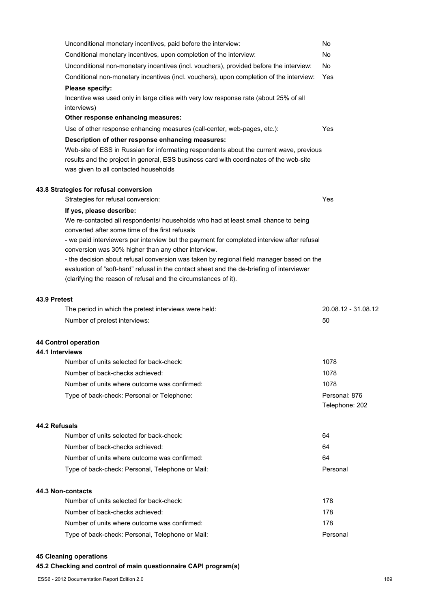|                 | Unconditional monetary incentives, paid before the interview:                              | No                  |
|-----------------|--------------------------------------------------------------------------------------------|---------------------|
|                 | Conditional monetary incentives, upon completion of the interview:                         | No                  |
|                 | Unconditional non-monetary incentives (incl. vouchers), provided before the interview:     | No.                 |
|                 | Conditional non-monetary incentives (incl. vouchers), upon completion of the interview:    | Yes                 |
|                 | Please specify:                                                                            |                     |
|                 | Incentive was used only in large cities with very low response rate (about 25% of all      |                     |
|                 | interviews)                                                                                |                     |
|                 | Other response enhancing measures:                                                         |                     |
|                 | Use of other response enhancing measures (call-center, web-pages, etc.):                   | Yes                 |
|                 | Description of other response enhancing measures:                                          |                     |
|                 | Web-site of ESS in Russian for informating respondents about the current wave, previous    |                     |
|                 | results and the project in general, ESS business card with coordinates of the web-site     |                     |
|                 | was given to all contacted households                                                      |                     |
|                 | 43.8 Strategies for refusal conversion                                                     |                     |
|                 | Strategies for refusal conversion:                                                         | Yes                 |
|                 | If yes, please describe:                                                                   |                     |
|                 | We re-contacted all respondents/ households who had at least small chance to being         |                     |
|                 | converted after some time of the first refusals                                            |                     |
|                 | - we paid interviewers per interview but the payment for completed interview after refusal |                     |
|                 | conversion was 30% higher than any other interview.                                        |                     |
|                 | - the decision about refusal conversion was taken by regional field manager based on the   |                     |
|                 | evaluation of "soft-hard" refusal in the contact sheet and the de-briefing of interviewer  |                     |
|                 | (clarifying the reason of refusal and the circumstances of it).                            |                     |
| 43.9 Pretest    |                                                                                            |                     |
|                 | The period in which the pretest interviews were held:                                      | 20.08.12 - 31.08.12 |
|                 | Number of pretest interviews:                                                              | 50                  |
|                 |                                                                                            |                     |
|                 | <b>44 Control operation</b>                                                                |                     |
| 44.1 Interviews |                                                                                            |                     |
|                 | Number of units selected for back-check:                                                   | 1078                |
|                 | Number of back-checks achieved:                                                            | 1078                |
|                 | Number of units where outcome was confirmed:                                               | 1078                |
|                 | Type of back-check: Personal or Telephone:                                                 | Personal: 876       |
|                 |                                                                                            | Telephone: 202      |
| 44.2 Refusals   |                                                                                            |                     |
|                 | Number of units selected for back-check:                                                   | 64                  |
|                 | Number of back-checks achieved:                                                            | 64                  |
|                 | Number of units where outcome was confirmed:                                               | 64                  |
|                 | Type of back-check: Personal, Telephone or Mail:                                           | Personal            |
|                 |                                                                                            |                     |
|                 | 44.3 Non-contacts                                                                          |                     |
|                 | Number of units selected for back-check:                                                   | 178                 |
|                 | Number of back-checks achieved:                                                            | 178                 |
|                 | Number of units where outcome was confirmed:                                               | 178                 |
|                 | Type of back-check: Personal, Telephone or Mail:                                           | Personal            |
|                 |                                                                                            |                     |

# **45 Cleaning operations**

# **45.2 Checking and control of main questionnaire CAPI program(s)**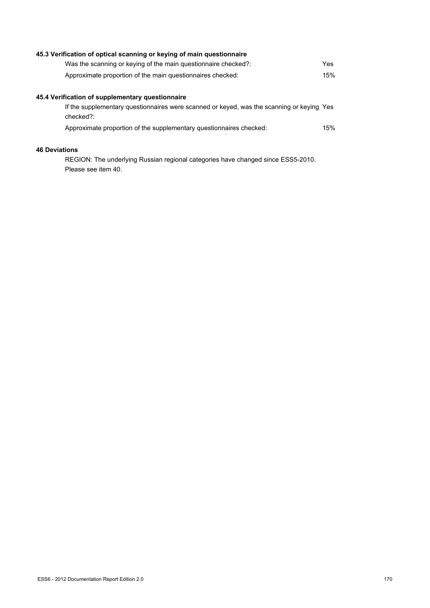| 45.3 Verification of optical scanning or keying of main questionnaire                                  |     |
|--------------------------------------------------------------------------------------------------------|-----|
| Was the scanning or keying of the main questionnaire checked?:                                         | Yes |
| Approximate proportion of the main questionnaires checked:                                             | 15% |
| 45.4 Verification of supplementary questionnaire                                                       |     |
| If the supplementary questionnaires were scanned or keyed, was the scanning or keying Yes<br>checked?: |     |
| Approximate proportion of the supplementary questionnaires checked:                                    | 15% |
| <b>46 Deviations</b>                                                                                   |     |

REGION: The underlying Russian regional categories have changed since ESS5-2010. Please see item 40.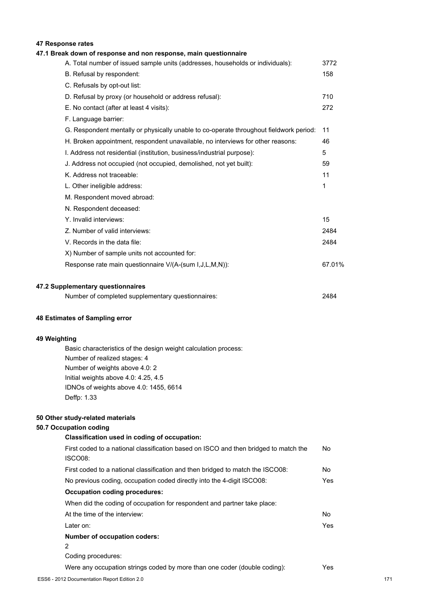# **47 Response rates**

| 47.1 Break down of response and non response, main questionnaire                       |        |
|----------------------------------------------------------------------------------------|--------|
| A. Total number of issued sample units (addresses, households or individuals):         | 3772   |
| B. Refusal by respondent:                                                              | 158    |
| C. Refusals by opt-out list:                                                           |        |
| D. Refusal by proxy (or household or address refusal):                                 | 710    |
| E. No contact (after at least 4 visits):                                               | 272    |
| F. Language barrier:                                                                   |        |
| G. Respondent mentally or physically unable to co-operate throughout fieldwork period: | 11     |
| H. Broken appointment, respondent unavailable, no interviews for other reasons:        | 46     |
| I. Address not residential (institution, business/industrial purpose):                 | 5      |
| J. Address not occupied (not occupied, demolished, not yet built):                     | 59     |
| K. Address not traceable:                                                              | 11     |
| L. Other ineligible address:                                                           | 1      |
| M. Respondent moved abroad:                                                            |        |
| N. Respondent deceased:                                                                |        |
| Y. Invalid interviews:                                                                 | 15     |
| Z. Number of valid interviews:                                                         | 2484   |
| V. Records in the data file:                                                           | 2484   |
| X) Number of sample units not accounted for:                                           |        |
| Response rate main questionnaire V/(A-(sum I, J, L, M, N)):                            | 67.01% |
| 47.2 Supplementary questionnaires                                                      |        |
| Number of completed supplementary questionnaires:                                      | 2484   |

#### **48 Estimates of Sampling error**

# **49 Weighting**

Basic characteristics of the design weight calculation process: Number of realized stages: 4 Number of weights above 4.0: 2 Initial weights above 4.0: 4.25, 4.5 IDNOs of weights above 4.0: 1455, 6614 Deffp: 1.33

#### **50 Other study-related materials**

### **50.7 Occupation coding**

| Classification used in coding of occupation:                                         |      |
|--------------------------------------------------------------------------------------|------|
| First coded to a national classification based on ISCO and then bridged to match the | No.  |
| ISCO08:                                                                              |      |
| First coded to a national classification and then bridged to match the ISCO08:       | No.  |
| No previous coding, occupation coded directly into the 4-digit ISCO08:               | Yes  |
| <b>Occupation coding procedures:</b>                                                 |      |
| When did the coding of occupation for respondent and partner take place:             |      |
| At the time of the interview:                                                        | No.  |
| Later on:                                                                            | Yes. |
| <b>Number of occupation coders:</b>                                                  |      |
| 2                                                                                    |      |
| Coding procedures:                                                                   |      |
| Were any occupation strings coded by more than one coder (double coding):            | Yes. |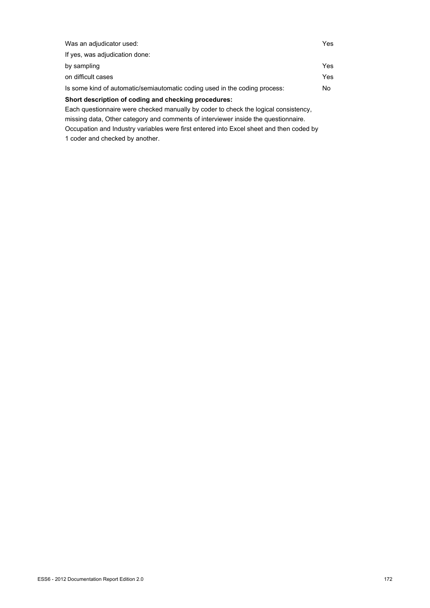| Was an adjudicator used:                                                            | Yes |
|-------------------------------------------------------------------------------------|-----|
| If yes, was adjudication done:                                                      |     |
| by sampling                                                                         | Yes |
| on difficult cases                                                                  | Yes |
| Is some kind of automatic/semiautomatic coding used in the coding process:          | No  |
| Short description of coding and checking procedures:                                |     |
| Each questionnaire were checked manually by coder to check the logical consistency. |     |
|                                                                                     |     |

missing data, Other category and comments of interviewer inside the questionnaire. Occupation and Industry variables were first entered into Excel sheet and then coded by 1 coder and checked by another.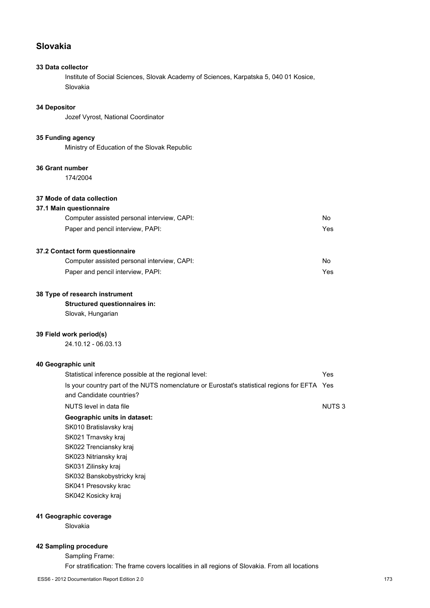# **Slovakia**

# **33 Data collector**

Institute of Social Sciences, Slovak Academy of Sciences, Karpatska 5, 040 01 Kosice, Slovakia

### **34 Depositor**

Jozef Vyrost, National Coordinator

#### **35 Funding agency**

Ministry of Education of the Slovak Republic

#### **36 Grant number**

174/2004

# **37 Mode of data collection**

#### **37.1 Main questionnaire**

| Computer assisted personal interview, CAPI: | No  |
|---------------------------------------------|-----|
| Paper and pencil interview, PAPI:           | Yes |

# **37.2 Contact form questionnaire**

| Computer assisted personal interview, CAPI: | No  |
|---------------------------------------------|-----|
| Paper and pencil interview, PAPI:           | Yes |

#### **38 Type of research instrument**

# **Structured questionnaires in:**

Slovak, Hungarian

#### **39 Field work period(s)**

24.10.12 - 06.03.13

#### **40 Geographic unit**

| Statistical inference possible at the regional level:                                        | Yes          |
|----------------------------------------------------------------------------------------------|--------------|
| Is your country part of the NUTS nomenclature or Eurostat's statistical regions for EFTA Yes |              |
| and Candidate countries?                                                                     |              |
| NUTS level in data file                                                                      | <b>NUTS3</b> |
| Geographic units in dataset:                                                                 |              |
| SK010 Bratislavsky kraj                                                                      |              |
| SK021 Trnavsky kraj                                                                          |              |
| SK022 Trenciansky kraj                                                                       |              |
| SK023 Nitriansky kraj                                                                        |              |
| SK031 Zilinsky kraj                                                                          |              |
| SK032 Banskobystricky kraj                                                                   |              |
| SK041 Presovsky krac                                                                         |              |
| SK042 Kosicky kraj                                                                           |              |
|                                                                                              |              |

#### **41 Geographic coverage**

Slovakia

## **42 Sampling procedure**

Sampling Frame:

For stratification: The frame covers localities in all regions of Slovakia. From all locations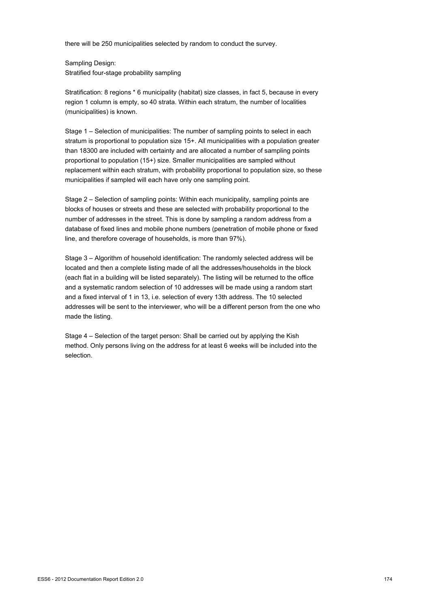there will be 250 municipalities selected by random to conduct the survey.

Sampling Design: Stratified four-stage probability sampling

Stratification: 8 regions \* 6 municipality (habitat) size classes, in fact 5, because in every region 1 column is empty, so 40 strata. Within each stratum, the number of localities (municipalities) is known.

Stage 1 – Selection of municipalities: The number of sampling points to select in each stratum is proportional to population size 15+. All municipalities with a population greater than 18300 are included with certainty and are allocated a number of sampling points proportional to population (15+) size. Smaller municipalities are sampled without replacement within each stratum, with probability proportional to population size, so these municipalities if sampled will each have only one sampling point.

Stage 2 – Selection of sampling points: Within each municipality, sampling points are blocks of houses or streets and these are selected with probability proportional to the number of addresses in the street. This is done by sampling a random address from a database of fixed lines and mobile phone numbers (penetration of mobile phone or fixed line, and therefore coverage of households, is more than 97%).

Stage 3 – Algorithm of household identification: The randomly selected address will be located and then a complete listing made of all the addresses/households in the block (each flat in a building will be listed separately). The listing will be returned to the office and a systematic random selection of 10 addresses will be made using a random start and a fixed interval of 1 in 13, i.e. selection of every 13th address. The 10 selected addresses will be sent to the interviewer, who will be a different person from the one who made the listing.

Stage 4 – Selection of the target person: Shall be carried out by applying the Kish method. Only persons living on the address for at least 6 weeks will be included into the selection.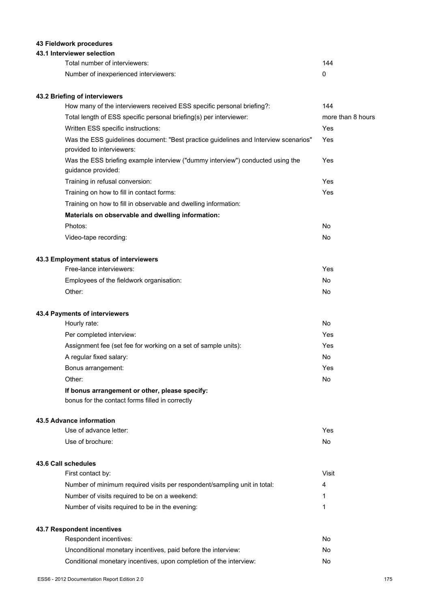# **43 Fieldwork procedures**

# **43.1 Interviewer selection**

| Total number of interviewers:         | 144 |
|---------------------------------------|-----|
| Number of inexperienced interviewers: |     |

# **43.2 Briefing of interviewers**

| How many of the interviewers received ESS specific personal briefing?:                                           | 144               |
|------------------------------------------------------------------------------------------------------------------|-------------------|
| Total length of ESS specific personal briefing(s) per interviewer:                                               | more than 8 hours |
| Written ESS specific instructions:                                                                               | Yes               |
| Was the ESS guidelines document: "Best practice guidelines and Interview scenarios"<br>provided to interviewers: | Yes               |
| Was the ESS briefing example interview ("dummy interview") conducted using the<br>guidance provided:             | Yes               |
| Training in refusal conversion:                                                                                  | Yes               |
| Training on how to fill in contact forms:                                                                        | Yes               |
| Training on how to fill in observable and dwelling information:                                                  |                   |
| Materials on observable and dwelling information:                                                                |                   |
| Photos:                                                                                                          | No                |
| Video-tape recording:                                                                                            | No                |
| 43.3 Employment status of interviewers                                                                           |                   |
| Free-lance interviewers:                                                                                         | Yes               |
| Employees of the fieldwork organisation:                                                                         | No                |
| Other:                                                                                                           | No                |
| 43.4 Payments of interviewers                                                                                    |                   |
| Hourly rate:                                                                                                     | No                |
| Per completed interview:                                                                                         | Yes               |
| Assignment fee (set fee for working on a set of sample units):                                                   | Yes               |
| A regular fixed salary:                                                                                          | No                |
| Bonus arrangement:                                                                                               | Yes               |
| Other:                                                                                                           | No                |
| If bonus arrangement or other, please specify:<br>bonus for the contact forms filled in correctly                |                   |
| 43.5 Advance information                                                                                         |                   |
| Use of advance letter:                                                                                           | Yes               |
| Use of brochure:                                                                                                 | No                |
| 43.6 Call schedules                                                                                              |                   |
| First contact by:                                                                                                | <b>Visit</b>      |
| Number of minimum required visits per respondent/sampling unit in total:                                         | 4                 |
| Number of visits required to be on a weekend:                                                                    | 1                 |
| Number of visits required to be in the evening:                                                                  | 1                 |

# **43.7 Respondent incentives**

| Respondent incentives:                                             | N٥ |
|--------------------------------------------------------------------|----|
| Unconditional monetary incentives, paid before the interview:      | N٥ |
| Conditional monetary incentives, upon completion of the interview: | N٥ |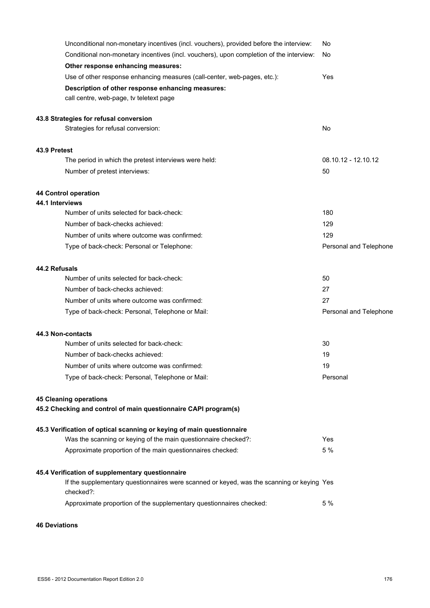| Unconditional non-monetary incentives (incl. vouchers), provided before the interview:                 | No                     |
|--------------------------------------------------------------------------------------------------------|------------------------|
| Conditional non-monetary incentives (incl. vouchers), upon completion of the interview:                | No                     |
| Other response enhancing measures:                                                                     |                        |
| Use of other response enhancing measures (call-center, web-pages, etc.):                               | Yes                    |
| Description of other response enhancing measures:                                                      |                        |
| call centre, web-page, tv teletext page                                                                |                        |
| 43.8 Strategies for refusal conversion                                                                 |                        |
| Strategies for refusal conversion:                                                                     | No                     |
| 43.9 Pretest                                                                                           |                        |
| The period in which the pretest interviews were held:                                                  | 08.10.12 - 12.10.12    |
| Number of pretest interviews:                                                                          | 50                     |
| <b>44 Control operation</b>                                                                            |                        |
| 44.1 Interviews                                                                                        |                        |
| Number of units selected for back-check:                                                               | 180                    |
| Number of back-checks achieved:                                                                        | 129                    |
| Number of units where outcome was confirmed:                                                           | 129                    |
| Type of back-check: Personal or Telephone:                                                             | Personal and Telephone |
| 44.2 Refusals                                                                                          |                        |
| Number of units selected for back-check:                                                               | 50                     |
| Number of back-checks achieved:                                                                        | 27                     |
| Number of units where outcome was confirmed:                                                           | 27                     |
| Type of back-check: Personal, Telephone or Mail:                                                       | Personal and Telephone |
| 44.3 Non-contacts                                                                                      |                        |
| Number of units selected for back-check:                                                               | 30                     |
| Number of back-checks achieved:                                                                        | 19                     |
| Number of units where outcome was confirmed:                                                           | 19                     |
| Type of back-check: Personal, Telephone or Mail:                                                       | Personal               |
| <b>45 Cleaning operations</b>                                                                          |                        |
| 45.2 Checking and control of main questionnaire CAPI program(s)                                        |                        |
| 45.3 Verification of optical scanning or keying of main questionnaire                                  |                        |
| Was the scanning or keying of the main questionnaire checked?:                                         | Yes                    |
| Approximate proportion of the main questionnaires checked:                                             | 5 %                    |
| 45.4 Verification of supplementary questionnaire                                                       |                        |
| If the supplementary questionnaires were scanned or keyed, was the scanning or keying Yes<br>checked?: |                        |
| Approximate proportion of the supplementary questionnaires checked:                                    | 5 %                    |
|                                                                                                        |                        |

**46 Deviations**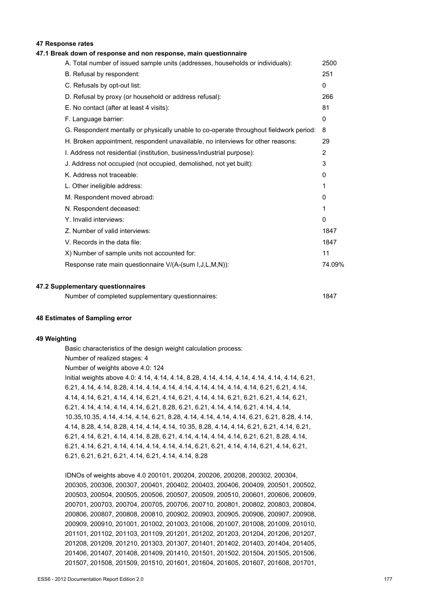#### **47 Response rates**

#### **47.1 Break down of response and non response, main questionnaire**

| A. Total number of issued sample units (addresses, households or individuals):         | 2500         |
|----------------------------------------------------------------------------------------|--------------|
| B. Refusal by respondent:                                                              | 251          |
| C. Refusals by opt-out list:                                                           | $\mathbf{0}$ |
| D. Refusal by proxy (or household or address refusal):                                 | 266          |
| E. No contact (after at least 4 visits):                                               | 81           |
| F. Language barrier:                                                                   | $\mathbf{0}$ |
| G. Respondent mentally or physically unable to co-operate throughout fieldwork period: | 8            |
| H. Broken appointment, respondent unavailable, no interviews for other reasons:        | 29           |
| I. Address not residential (institution, business/industrial purpose):                 | 2            |
| J. Address not occupied (not occupied, demolished, not yet built):                     | 3            |
| K. Address not traceable:                                                              | 0            |
| L. Other ineligible address:                                                           | 1            |
| M. Respondent moved abroad:                                                            | 0            |
| N. Respondent deceased:                                                                | 1            |
| Y. Invalid interviews:                                                                 | 0            |
| Z. Number of valid interviews:                                                         | 1847         |
| V. Records in the data file:                                                           | 1847         |
| X) Number of sample units not accounted for:                                           | 11           |
| Response rate main questionnaire V/(A-(sum I,J,L,M,N)):                                | 74.09%       |
|                                                                                        |              |

#### **47.2 Supplementary questionnaires**

| Number of completed supplementary questionnaires: | 1847 |
|---------------------------------------------------|------|
|---------------------------------------------------|------|

#### **48 Estimates of Sampling error**

#### **49 Weighting**

Basic characteristics of the design weight calculation process: Number of realized stages: 4 Number of weights above 4.0: 124 Initial weights above 4.0: 4.14, 4.14, 4.14, 8.28, 4.14, 4.14, 4.14, 4.14, 4.14, 4.14, 6.21, 6.21, 4.14, 4.14, 8.28, 4.14, 4.14, 4.14, 4.14, 4.14, 4.14, 4.14, 4.14, 6.21, 6.21, 4.14, 4.14, 4.14, 6.21, 4.14, 4.14, 6.21, 4.14, 6.21, 4.14, 4.14, 6.21, 6.21, 6.21, 4.14, 6.21, 6.21, 4.14, 4.14, 4.14, 4.14, 6.21, 8.28, 6.21, 6.21, 4.14, 4.14, 6.21, 4.14, 4.14, 10.35,10.35, 4.14, 4.14, 4.14, 6.21, 8.28, 4.14, 4.14, 4.14, 4.14, 6.21, 6.21, 8.28, 4.14, 4.14, 8.28, 4.14, 8.28, 4.14, 4.14, 4.14, 10.35, 8.28, 4.14, 4.14, 6.21, 6.21, 4.14, 6.21, 6.21, 4.14, 6.21, 4.14, 4.14, 8.28, 6.21, 4.14, 4.14, 4.14, 4.14, 6.21, 6.21, 8.28, 4.14, 6.21, 4.14, 6.21, 4.14, 4.14, 4.14, 4.14, 4.14, 6.21, 6.21, 4.14, 4.14, 6.21, 4.14, 6.21, 6.21, 6.21, 6.21, 6.21, 4.14, 6.21, 4.14, 4.14, 8.28

IDNOs of weights above 4.0 200101, 200204, 200206, 200208, 200302, 200304, 200305, 200306, 200307, 200401, 200402, 200403, 200406, 200409, 200501, 200502, 200503, 200504, 200505, 200506, 200507, 200509, 200510, 200601, 200606, 200609, 200701, 200703, 200704, 200705, 200706, 200710, 200801, 200802, 200803, 200804, 200806, 200807, 200808, 200810, 200902, 200903, 200905, 200906, 200907, 200908, 200909, 200910, 201001, 201002, 201003, 201006, 201007, 201008, 201009, 201010, 201101, 201102, 201103, 201109, 201201, 201202, 201203, 201204, 201206, 201207, 201208, 201209, 201210, 201303, 201307, 201401, 201402, 201403, 201404, 201405, 201406, 201407, 201408, 201409, 201410, 201501, 201502, 201504, 201505, 201506, 201507, 201508, 201509, 201510, 201601, 201604, 201605, 201607, 201608, 201701,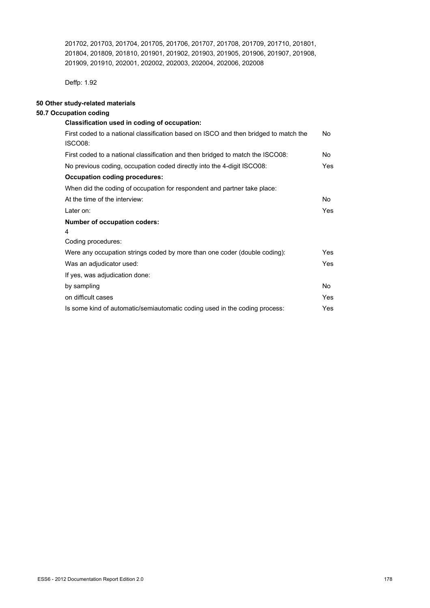201702, 201703, 201704, 201705, 201706, 201707, 201708, 201709, 201710, 201801, 201804, 201809, 201810, 201901, 201902, 201903, 201905, 201906, 201907, 201908, 201909, 201910, 202001, 202002, 202003, 202004, 202006, 202008

Deffp: 1.92

# **50 Other study-related materials**

# **50.7 Occupation coding**

| Classification used in coding of occupation:                                                    |            |
|-------------------------------------------------------------------------------------------------|------------|
| First coded to a national classification based on ISCO and then bridged to match the<br>ISCO08: | No         |
| First coded to a national classification and then bridged to match the ISCO08:                  | No.        |
| No previous coding, occupation coded directly into the 4-digit ISCO08:                          | Yes.       |
| <b>Occupation coding procedures:</b>                                                            |            |
| When did the coding of occupation for respondent and partner take place:                        |            |
| At the time of the interview:                                                                   | No.        |
| Later on:                                                                                       | Yes.       |
| <b>Number of occupation coders:</b>                                                             |            |
| 4                                                                                               |            |
| Coding procedures:                                                                              |            |
| Were any occupation strings coded by more than one coder (double coding):                       | Yes        |
| Was an adjudicator used:                                                                        | <b>Yes</b> |
| If yes, was adjudication done:                                                                  |            |
| by sampling                                                                                     | No.        |
| on difficult cases                                                                              | Yes        |
| Is some kind of automatic/semiautomatic coding used in the coding process:                      | Yes        |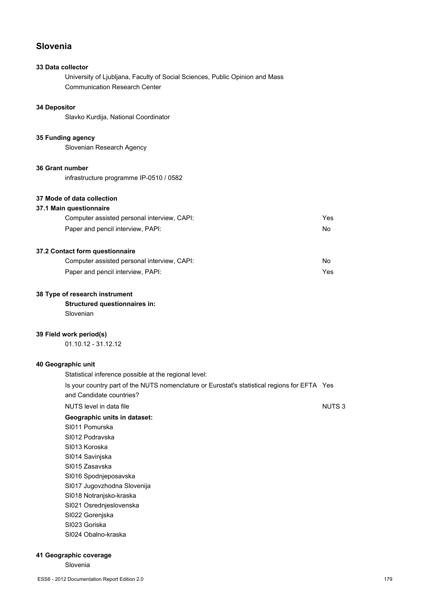# **Slovenia**

# **33 Data collector**

University of Ljubljana, Faculty of Social Sciences, Public Opinion and Mass Communication Research Center

# **34 Depositor**

Slavko Kurdija, National Coordinator

# **35 Funding agency**

Slovenian Research Agency

#### **36 Grant number**

infrastructure programme IP-0510 / 0582

# **37 Mode of data collection**

### **37.1 Main questionnaire**

| Computer assisted personal interview, CAPI: | Yes |
|---------------------------------------------|-----|
| Paper and pencil interview, PAPI:           | No. |

# **37.2 Contact form questionnaire**

| Computer assisted personal interview, CAPI: | No. |
|---------------------------------------------|-----|
| Paper and pencil interview, PAPI:           | Yes |

#### **38 Type of research instrument**

# **Structured questionnaires in:**

Slovenian

#### **39 Field work period(s)**

01.10.12 - 31.12.12

#### **40 Geographic unit**

| Statistical inference possible at the regional level:                                                                    |              |
|--------------------------------------------------------------------------------------------------------------------------|--------------|
| Is your country part of the NUTS nomenclature or Eurostat's statistical regions for EFTA Yes<br>and Candidate countries? |              |
| NUTS level in data file                                                                                                  | <b>NUTS3</b> |
| Geographic units in dataset:                                                                                             |              |
| SI011 Pomurska                                                                                                           |              |
| SI012 Podravska                                                                                                          |              |
| SI013 Koroska                                                                                                            |              |
| SI014 Savinjska                                                                                                          |              |
| SI015 Zasavska                                                                                                           |              |
| SI016 Spodnjeposavska                                                                                                    |              |
| SI017 Jugovzhodna Slovenija                                                                                              |              |
| SI018 Notranjsko-kraska                                                                                                  |              |
| SI021 Osrednjeslovenska                                                                                                  |              |
| SI022 Goreniska                                                                                                          |              |
| SI023 Goriska                                                                                                            |              |
| SI024 Obalno-kraska                                                                                                      |              |
|                                                                                                                          |              |

# **41 Geographic coverage**

Slovenia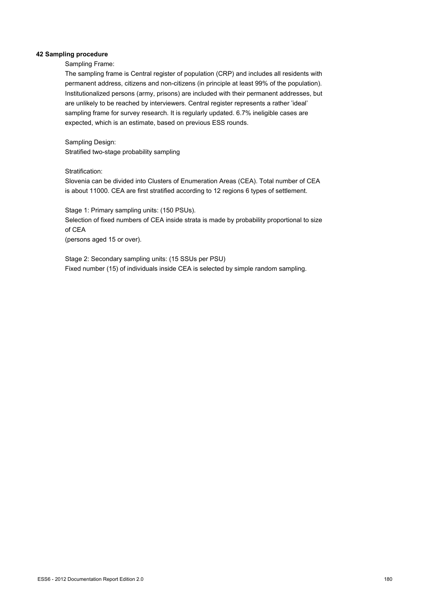#### **42 Sampling procedure**

Sampling Frame:

The sampling frame is Central register of population (CRP) and includes all residents with permanent address, citizens and non-citizens (in principle at least 99% of the population). Institutionalized persons (army, prisons) are included with their permanent addresses, but are unlikely to be reached by interviewers. Central register represents a rather 'ideal' sampling frame for survey research. It is regularly updated. 6.7% ineligible cases are expected, which is an estimate, based on previous ESS rounds.

Sampling Design: Stratified two-stage probability sampling

Stratification:

Slovenia can be divided into Clusters of Enumeration Areas (CEA). Total number of CEA is about 11000. CEA are first stratified according to 12 regions 6 types of settlement.

Stage 1: Primary sampling units: (150 PSUs). Selection of fixed numbers of CEA inside strata is made by probability proportional to size of CEA (persons aged 15 or over).

Stage 2: Secondary sampling units: (15 SSUs per PSU) Fixed number (15) of individuals inside CEA is selected by simple random sampling.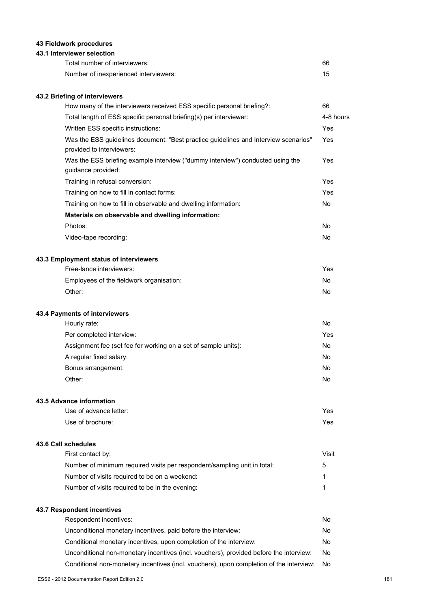## **43 Fieldwork procedures**

## **43.1 Interviewer selection**

| Total number of interviewers:         | 66 |
|---------------------------------------|----|
| Number of inexperienced interviewers: |    |

## **43.2 Briefing of interviewers**

| How many of the interviewers received ESS specific personal briefing?:                                           | 66        |
|------------------------------------------------------------------------------------------------------------------|-----------|
| Total length of ESS specific personal briefing(s) per interviewer:                                               | 4-8 hours |
| Written ESS specific instructions:                                                                               | Yes       |
| Was the ESS guidelines document: "Best practice guidelines and Interview scenarios"<br>provided to interviewers: | Yes       |
| Was the ESS briefing example interview ("dummy interview") conducted using the<br>guidance provided:             | Yes       |
| Training in refusal conversion:                                                                                  | Yes       |
| Training on how to fill in contact forms:                                                                        | Yes       |
| Training on how to fill in observable and dwelling information:                                                  | No.       |
| Materials on observable and dwelling information:                                                                |           |
| Photos:                                                                                                          | No.       |
| Video-tape recording:                                                                                            | No.       |
| 43.3 Employment status of interviewers                                                                           |           |
| Free-lance interviewers:                                                                                         | Yes       |
| Employees of the fieldwork organisation:                                                                         | No.       |

#### **43.4 Payments of interviewers**

| Hourly rate:                                                   | No  |
|----------------------------------------------------------------|-----|
| Per completed interview:                                       | Yes |
| Assignment fee (set fee for working on a set of sample units): | No  |
| A regular fixed salary:                                        | No  |
| Bonus arrangement:                                             | No  |
| Other:                                                         | No  |

Other: No

#### **43.5 Advance information**

| Use of advance letter: | Yes |
|------------------------|-----|
| Use of brochure:       | Yes |

#### **43.6 Call schedules**

| First contact by:                                                        | Visit |
|--------------------------------------------------------------------------|-------|
| Number of minimum required visits per respondent/sampling unit in total: | 5     |
| Number of visits required to be on a weekend:                            |       |
| Number of visits required to be in the evening:                          |       |
|                                                                          |       |

## **43.7 Respondent incentives**

| Respondent incentives:                                                                  | No. |
|-----------------------------------------------------------------------------------------|-----|
| Unconditional monetary incentives, paid before the interview:                           | No  |
| Conditional monetary incentives, upon completion of the interview:                      | No  |
| Unconditional non-monetary incentives (incl. vouchers), provided before the interview:  | No. |
| Conditional non-monetary incentives (incl. vouchers), upon completion of the interview: | No  |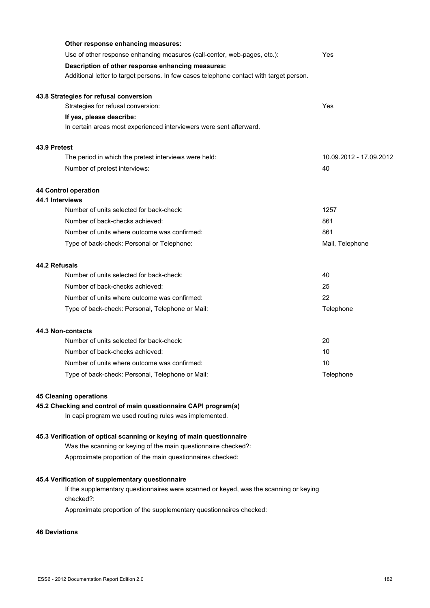|              | Other response enhancing measures:                                                      |                         |
|--------------|-----------------------------------------------------------------------------------------|-------------------------|
|              | Use of other response enhancing measures (call-center, web-pages, etc.):                | Yes                     |
|              | Description of other response enhancing measures:                                       |                         |
|              | Additional letter to target persons. In few cases telephone contact with target person. |                         |
|              | 43.8 Strategies for refusal conversion                                                  |                         |
|              | Strategies for refusal conversion:                                                      | Yes                     |
|              | If yes, please describe:                                                                |                         |
|              | In certain areas most experienced interviewers were sent afterward.                     |                         |
| 43.9 Pretest |                                                                                         |                         |
|              | The period in which the pretest interviews were held:                                   | 10.09.2012 - 17.09.2012 |
|              | Number of pretest interviews:                                                           | 40                      |
|              | 44 Control operation                                                                    |                         |
|              | 44.1 Interviews<br>Number of units selected for back-check:                             | 1257                    |
|              | Number of back-checks achieved:                                                         | 861                     |
|              | Number of units where outcome was confirmed:                                            | 861                     |
|              | Type of back-check: Personal or Telephone:                                              | Mail, Telephone         |
|              |                                                                                         |                         |
|              | 44.2 Refusals<br>Number of units selected for back-check:                               | 40                      |
|              | Number of back-checks achieved:                                                         | 25                      |
|              | Number of units where outcome was confirmed:                                            | 22                      |
|              | Type of back-check: Personal, Telephone or Mail:                                        | Telephone               |
|              | <b>44.3 Non-contacts</b>                                                                |                         |
|              | Number of units selected for back-check:                                                | 20                      |
|              | Number of back-checks achieved:                                                         | 10                      |
|              | Number of units where outcome was confirmed:                                            | 10                      |
|              | Type of back-check: Personal, Telephone or Mail:                                        | Telephone               |
|              | <b>45 Cleaning operations</b>                                                           |                         |
|              | 45.2 Checking and control of main questionnaire CAPI program(s)                         |                         |
|              | In capi program we used routing rules was implemented.                                  |                         |
|              | 45.3 Verification of optical scanning or keying of main questionnaire                   |                         |
|              | Was the scanning or keying of the main questionnaire checked?:                          |                         |

Approximate proportion of the main questionnaires checked:

# **45.4 Verification of supplementary questionnaire**

If the supplementary questionnaires were scanned or keyed, was the scanning or keying checked?:

Approximate proportion of the supplementary questionnaires checked:

## **46 Deviations**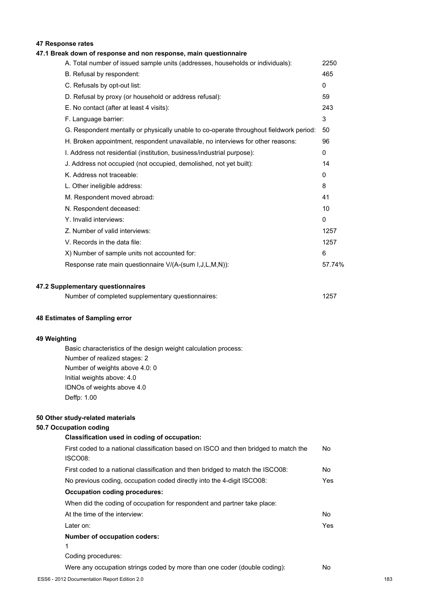## **47 Response rates**

## **47.1 Break down of response and non response, main questionnaire**

| A. Total number of issued sample units (addresses, households or individuals):         | 2250         |
|----------------------------------------------------------------------------------------|--------------|
| B. Refusal by respondent:                                                              | 465          |
| C. Refusals by opt-out list:                                                           | $\mathbf{0}$ |
| D. Refusal by proxy (or household or address refusal):                                 | 59           |
| E. No contact (after at least 4 visits):                                               | 243          |
| F. Language barrier:                                                                   | 3            |
| G. Respondent mentally or physically unable to co-operate throughout fieldwork period: | 50           |
| H. Broken appointment, respondent unavailable, no interviews for other reasons:        | 96           |
| I. Address not residential (institution, business/industrial purpose):                 | $\mathbf{0}$ |
| J. Address not occupied (not occupied, demolished, not yet built):                     | 14           |
| K. Address not traceable:                                                              | 0            |
| L. Other ineligible address:                                                           | 8            |
| M. Respondent moved abroad:                                                            | 41           |
| N. Respondent deceased:                                                                | 10           |
| Y. Invalid interviews:                                                                 | $\mathbf{0}$ |
| Z. Number of valid interviews:                                                         | 1257         |
| V. Records in the data file:                                                           | 1257         |
| X) Number of sample units not accounted for:                                           | 6            |
| Response rate main questionnaire V/(A-(sum I,J,L,M,N)):                                | 57.74%       |
|                                                                                        |              |

#### **47.2 Supplementary questionnaires**

| Number of completed supplementary questionnaires: | 1257 |
|---------------------------------------------------|------|
|---------------------------------------------------|------|

#### **48 Estimates of Sampling error**

#### **49 Weighting**

Basic characteristics of the design weight calculation process: Number of realized stages: 2 Number of weights above 4.0: 0 Initial weights above: 4.0 IDNOs of weights above 4.0 Deffp: 1.00

#### **50 Other study-related materials**

#### **50.7 Occupation coding**

# **Classification used in coding of occupation:** First coded to a national classification based on ISCO and then bridged to match the ISCO08: No First coded to a national classification and then bridged to match the ISCO08: No No previous coding, occupation coded directly into the 4-digit ISCO08: Yes **Occupation coding procedures:** When did the coding of occupation for respondent and partner take place: At the time of the interview: No Later on: Yes **Number of occupation coders:** 1 Coding procedures: Were any occupation strings coded by more than one coder (double coding): No ESS6 - 2012 Documentation Report Edition 2.0 183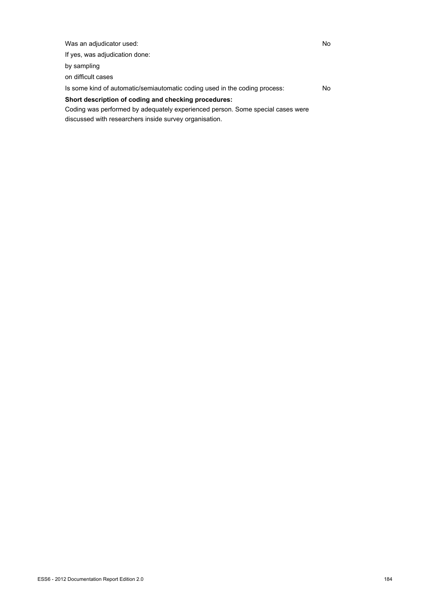Was an adjudicator used: No If yes, was adjudication done: by sampling on difficult cases Is some kind of automatic/semiautomatic coding used in the coding process: No **Short description of coding and checking procedures:**

Coding was performed by adequately experienced person. Some special cases were discussed with researchers inside survey organisation.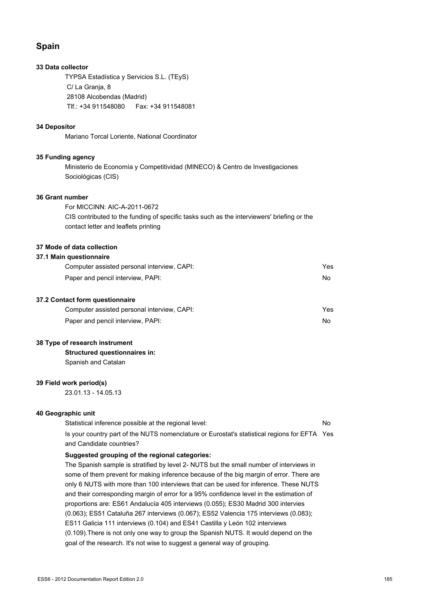## **Spain**

### **33 Data collector**

TYPSA Estadística y Servicios S.L. (TEyS) C/ La Granja, 8 28108 Alcobendas (Madrid) Tlf.: +34 911548080 Fax: +34 911548081

#### **34 Depositor**

Mariano Torcal Loriente, National Coordinator

#### **35 Funding agency**

Ministerio de Economía y Competitividad (MINECO) & Centro de Investigaciones Sociológicas (CIS)

#### **36 Grant number**

For MICCINN: AIC-A-2011-0672 CIS contributed to the funding of specific tasks such as the interviewers' briefing or the contact letter and leaflets printing

#### **37 Mode of data collection**

#### **37.1 Main questionnaire**

| Computer assisted personal interview, CAPI: | Yes |
|---------------------------------------------|-----|
| Paper and pencil interview, PAPI:           | No. |
|                                             |     |

#### **37.2 Contact form questionnaire**

| Computer assisted personal interview, CAPI: | Yes |
|---------------------------------------------|-----|
| Paper and pencil interview, PAPI:           | No. |

#### **38 Type of research instrument**

**Structured questionnaires in:** Spanish and Catalan

#### **39 Field work period(s)**

23.01.13 - 14.05.13

#### **40 Geographic unit**

| Statistical inference possible at the regional level:                                        | N٥ |
|----------------------------------------------------------------------------------------------|----|
| Is your country part of the NUTS nomenclature or Eurostat's statistical regions for EFTA Yes |    |
| and Candidate countries?                                                                     |    |

#### **Suggested grouping of the regional categories:**

The Spanish sample is stratified by level 2- NUTS but the small number of interviews in some of them prevent for making inference because of the big margin of error. There are only 6 NUTS with more than 100 interviews that can be used for inference. These NUTS and their corresponding margin of error for a 95% confidence level in the estimation of proportions are: ES61 Andalucía 405 interviews (0.055); ES30 Madrid 300 intervies (0.063); ES51 Cataluña 267 interviews (0.067); ES52 Valencia 175 interviews (0.083); ES11 Galicia 111 interviews (0.104) and ES41 Castilla y León 102 interviews (0.109).There is not only one way to group the Spanish NUTS. It would depend on the goal of the research. It's not wise to suggest a general way of grouping.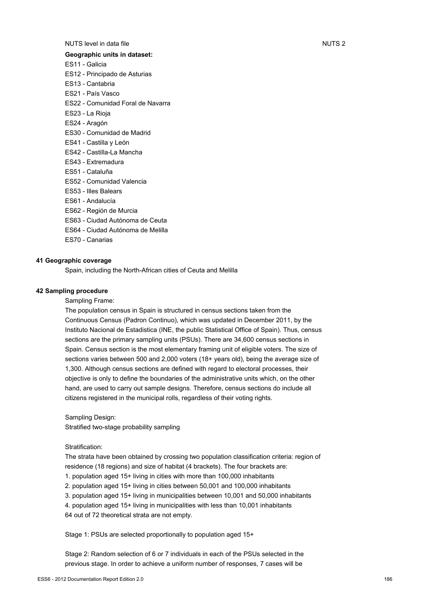## NUTS level in data file Number 2 and 2 and 2 and 2 and 2 and 2 and 2 and 2 and 2 and 2 and 2 and 2 and 2 and 2 and 2 and 2 and 2 and 2 and 2 and 2 and 2 and 2 and 2 and 2 and 2 and 2 and 2 and 2 and 2 and 2 and 2 and 2 and

### **Geographic units in dataset:**

- ES11 Galicia
- ES12 Principado de Asturias
- ES13 Cantabria
- ES21 País Vasco
- ES22 Comunidad Foral de Navarra
- ES23 La Rioja
- ES24 Aragón
- ES30 Comunidad de Madrid
- ES41 Castilla y León
- ES42 Castilla-La Mancha
- ES43 Extremadura
- ES51 Cataluña
- ES52 Comunidad Valencia
- ES53 Illes Balears
- ES61 Andalucía
- ES62 Región de Murcia
- ES63 Ciudad Autónoma de Ceuta
- ES64 Ciudad Autónoma de Melilla
- ES70 Canarias

## **41 Geographic coverage**

Spain, including the North-African cities of Ceuta and Melilla

#### **42 Sampling procedure**

Sampling Frame:

The population census in Spain is structured in census sections taken from the Continuous Census (Padron Continuo), which was updated in December 2011, by the Instituto Nacional de Estadistica (INE, the public Statistical Office of Spain). Thus, census sections are the primary sampling units (PSUs). There are 34,600 census sections in Spain. Census section is the most elementary framing unit of eligible voters. The size of sections varies between 500 and 2,000 voters (18+ years old), being the average size of 1,300. Although census sections are defined with regard to electoral processes, their objective is only to define the boundaries of the administrative units which, on the other hand, are used to carry out sample designs. Therefore, census sections do include all citizens registered in the municipal rolls, regardless of their voting rights.

Sampling Design: Stratified two-stage probability sampling

#### Stratification:

The strata have been obtained by crossing two population classification criteria: region of residence (18 regions) and size of habitat (4 brackets). The four brackets are: 1. population aged 15+ living in cities with more than 100,000 inhabitants 2. population aged 15+ living in cities between 50,001 and 100,000 inhabitants 3. population aged 15+ living in municipalities between 10,001 and 50,000 inhabitants 4. population aged 15+ living in municipalities with less than 10,001 inhabitants

64 out of 72 theoretical strata are not empty.

Stage 1: PSUs are selected proportionally to population aged 15+

Stage 2: Random selection of 6 or 7 individuals in each of the PSUs selected in the previous stage. In order to achieve a uniform number of responses, 7 cases will be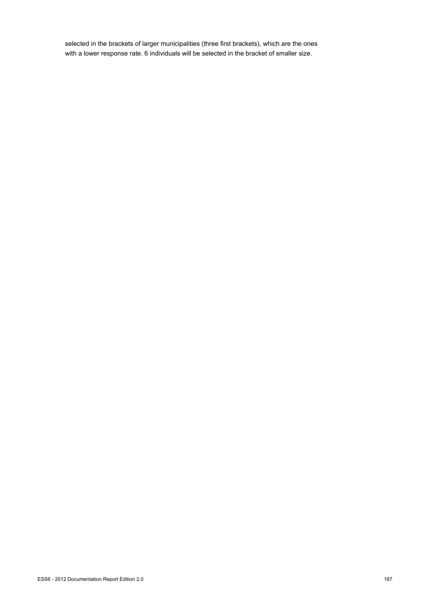selected in the brackets of larger municipalities (three first brackets), which are the ones with a lower response rate. 6 individuals will be selected in the bracket of smaller size.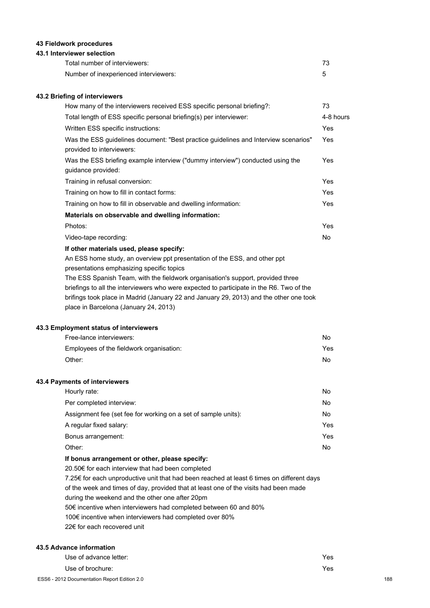## **43 Fieldwork procedures**

#### **43.1 Interviewer selection**

| Total number of interviewers:         |  |
|---------------------------------------|--|
| Number of inexperienced interviewers: |  |

#### **43.2 Briefing of interviewers**

| How many of the interviewers received ESS specific personal briefing?:                                                 | 73             |
|------------------------------------------------------------------------------------------------------------------------|----------------|
| Total length of ESS specific personal briefing(s) per interviewer:                                                     | 4-8 hours      |
| Written ESS specific instructions:                                                                                     | Yes            |
| Was the ESS guidelines document: "Best practice guidelines and Interview scenarios"<br>provided to interviewers:       | Yes            |
| Was the ESS briefing example interview ("dummy interview") conducted using the<br>guidance provided:                   | Yes            |
| Training in refusal conversion:                                                                                        | Yes            |
| Training on how to fill in contact forms:                                                                              | Yes            |
| Training on how to fill in observable and dwelling information:                                                        | Yes            |
| Materials on observable and dwelling information:                                                                      |                |
| Photos:                                                                                                                | Yes            |
| Video-tape recording:                                                                                                  | N <sub>0</sub> |
| If other materials used, please specify:                                                                               |                |
| An ESS home study, an overview ppt presentation of the ESS, and other ppt<br>presentations emphasizing specific topics |                |
| The ESS Spanish Team, with the fieldwork organisation's support, provided three                                        |                |
| briefings to all the interviewers who were expected to participate in the R6. Two of the                               |                |
| brifings took place in Madrid (January 22 and January 29, 2013) and the other one took                                 |                |
| place in Barcelona (January 24, 2013)                                                                                  |                |

#### **43.3 Employment status of interviewers**

| Free-lance interviewers:                 | No  |
|------------------------------------------|-----|
| Employees of the fieldwork organisation: | Yes |
| Other:                                   | No  |

#### **43.4 Payments of interviewers**

| Hourly rate:                                                   | No. |
|----------------------------------------------------------------|-----|
| Per completed interview:                                       | No. |
| Assignment fee (set fee for working on a set of sample units): | No. |
| A regular fixed salary:                                        | Yes |
| Bonus arrangement:                                             | Yes |
| Other:                                                         | No. |
|                                                                |     |

## **If bonus arrangement or other, please specify:**

20.50€ for each interview that had been completed 7.25€ for each unproductive unit that had been reached at least 6 times on different days of the week and times of day, provided that at least one of the visits had been made during the weekend and the other one after 20pm 50€ incentive when interviewers had completed between 60 and 80% 100€ incentive when interviewers had completed over 80% 22€ for each recovered unit

#### **43.5 Advance information**

| Use of advance letter:                       | Yes |
|----------------------------------------------|-----|
| Use of brochure:                             | Yes |
| ESS6 - 2012 Documentation Report Edition 2.0 | 188 |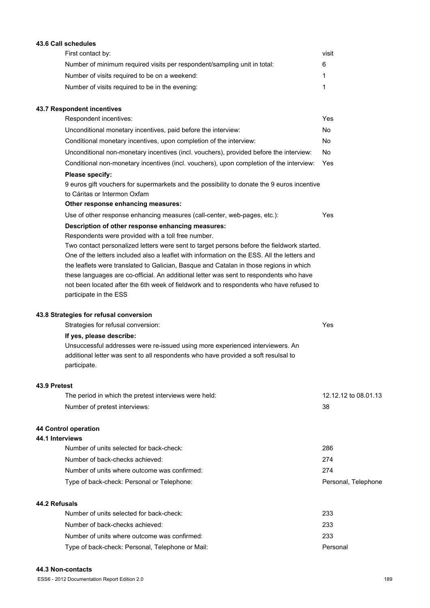| First contact by:                                                                                              | visit                |
|----------------------------------------------------------------------------------------------------------------|----------------------|
| Number of minimum required visits per respondent/sampling unit in total:                                       | 6                    |
| Number of visits required to be on a weekend:                                                                  | 1                    |
| Number of visits required to be in the evening:                                                                | 1                    |
| 43.7 Respondent incentives                                                                                     |                      |
| Respondent incentives:                                                                                         | Yes                  |
| Unconditional monetary incentives, paid before the interview:                                                  | No                   |
| Conditional monetary incentives, upon completion of the interview:                                             | No                   |
| Unconditional non-monetary incentives (incl. vouchers), provided before the interview:                         | No.                  |
| Conditional non-monetary incentives (incl. vouchers), upon completion of the interview:                        | Yes                  |
| Please specify:                                                                                                |                      |
| 9 euros gift vouchers for supermarkets and the possibility to donate the 9 euros incentive                     |                      |
| to Cáritas or Intermon Oxfam                                                                                   |                      |
| Other response enhancing measures:<br>Use of other response enhancing measures (call-center, web-pages, etc.): | Yes                  |
|                                                                                                                |                      |
| Description of other response enhancing measures:<br>Respondents were provided with a toll free number.        |                      |
| Two contact personalized letters were sent to target persons before the fieldwork started.                     |                      |
| One of the letters included also a leaflet with information on the ESS. All the letters and                    |                      |
| the leaflets were translated to Galician, Basque and Catalan in those regions in which                         |                      |
| these languages are co-official. An additional letter was sent to respondents who have                         |                      |
| not been located after the 6th week of fieldwork and to respondents who have refused to                        |                      |
| participate in the ESS                                                                                         |                      |
| 43.8 Strategies for refusal conversion                                                                         |                      |
| Strategies for refusal conversion:                                                                             | Yes                  |
| If yes, please describe:                                                                                       |                      |
| Unsuccessful addresses were re-issued using more experienced interviewers. An                                  |                      |
| additional letter was sent to all respondents who have provided a soft resulsal to<br>participate.             |                      |
| 43.9 Pretest                                                                                                   |                      |
| The period in which the pretest interviews were held:                                                          | 12.12.12 to 08.01.13 |
| Number of pretest interviews:                                                                                  | 38                   |
| 44 Control operation                                                                                           |                      |
| 44.1 Interviews                                                                                                |                      |
| Number of units selected for back-check:                                                                       | 286                  |
| Number of back-checks achieved:                                                                                | 274                  |
| Number of units where outcome was confirmed:                                                                   | 274                  |
| Type of back-check: Personal or Telephone:                                                                     | Personal, Telephone  |
| 44.2 Refusals                                                                                                  |                      |
| Number of units selected for back-check:                                                                       | 233                  |
| Number of back-checks achieved:                                                                                | 233                  |
| Number of units where outcome was confirmed:                                                                   | 233                  |
| Type of back-check: Personal, Telephone or Mail:                                                               | Personal             |

#### **44.3 Non-contacts**

**43.6 Call schedules**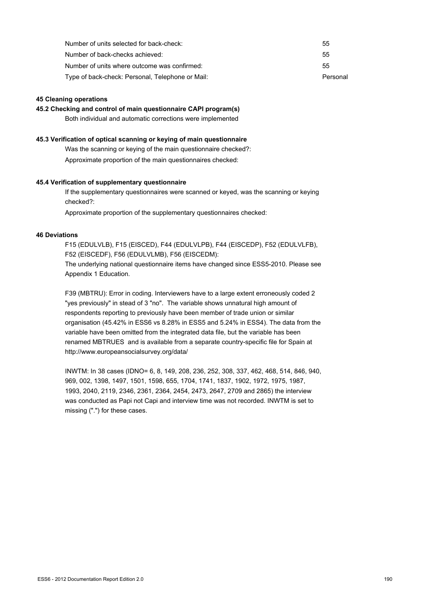| Number of units selected for back-check:         | 55       |
|--------------------------------------------------|----------|
| Number of back-checks achieved:                  | 55       |
| Number of units where outcome was confirmed:     | 55       |
| Type of back-check: Personal, Telephone or Mail: | Personal |

#### **45 Cleaning operations**

**45.2 Checking and control of main questionnaire CAPI program(s)**

Both individual and automatic corrections were implemented

#### **45.3 Verification of optical scanning or keying of main questionnaire**

Was the scanning or keying of the main questionnaire checked?:

Approximate proportion of the main questionnaires checked:

#### **45.4 Verification of supplementary questionnaire**

If the supplementary questionnaires were scanned or keyed, was the scanning or keying checked?:

Approximate proportion of the supplementary questionnaires checked:

#### **46 Deviations**

F15 (EDULVLB), F15 (EISCED), F44 (EDULVLPB), F44 (EISCEDP), F52 (EDULVLFB), F52 (EISCEDF), F56 (EDULVLMB), F56 (EISCEDM): The underlying national questionnaire items have changed since ESS5-2010. Please see Appendix 1 Education.

F39 (MBTRU): Error in coding. Interviewers have to a large extent erroneously coded 2 "yes previously" in stead of 3 "no". The variable shows unnatural high amount of respondents reporting to previously have been member of trade union or similar organisation (45.42% in ESS6 vs 8.28% in ESS5 and 5.24% in ESS4). The data from the variable have been omitted from the integrated data file, but the variable has been renamed MBTRUES and is available from a separate country-specific file for Spain at http://www.europeansocialsurvey.org/data/

INWTM: In 38 cases (IDNO= 6, 8, 149, 208, 236, 252, 308, 337, 462, 468, 514, 846, 940, 969, 002, 1398, 1497, 1501, 1598, 655, 1704, 1741, 1837, 1902, 1972, 1975, 1987, 1993, 2040, 2119, 2346, 2361, 2364, 2454, 2473, 2647, 2709 and 2865) the interview was conducted as Papi not Capi and interview time was not recorded. INWTM is set to missing (".") for these cases.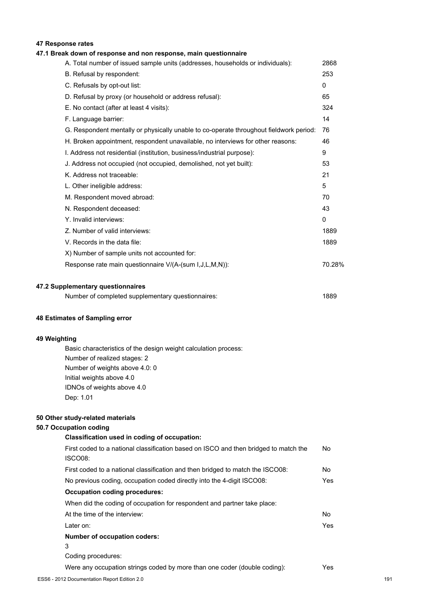## **47 Response rates**

## **47.1 Break down of response and non response, main questionnaire**

| A. Total number of issued sample units (addresses, households or individuals):         | 2868         |
|----------------------------------------------------------------------------------------|--------------|
| B. Refusal by respondent:                                                              | 253          |
| C. Refusals by opt-out list:                                                           | $\mathbf{0}$ |
| D. Refusal by proxy (or household or address refusal):                                 | 65           |
| E. No contact (after at least 4 visits):                                               | 324          |
| F. Language barrier:                                                                   | 14           |
| G. Respondent mentally or physically unable to co-operate throughout fieldwork period: | 76           |
| H. Broken appointment, respondent unavailable, no interviews for other reasons:        | 46           |
| I. Address not residential (institution, business/industrial purpose):                 | 9            |
| J. Address not occupied (not occupied, demolished, not yet built):                     | 53           |
| K. Address not traceable:                                                              | 21           |
| L. Other ineligible address:                                                           | 5            |
| M. Respondent moved abroad:                                                            | 70           |
| N. Respondent deceased:                                                                | 43           |
| Y. Invalid interviews:                                                                 | $\Omega$     |
| Z. Number of valid interviews:                                                         | 1889         |
| V. Records in the data file:                                                           | 1889         |
| X) Number of sample units not accounted for:                                           |              |
| Response rate main questionnaire V/(A-(sum I, J, L, M, N)):                            | 70.28%       |
| 47.2 Supplementary questionnaires                                                      |              |

| Number of completed supplementary questionnaires: | 1889 |
|---------------------------------------------------|------|
|---------------------------------------------------|------|

#### **48 Estimates of Sampling error**

### **49 Weighting**

Basic characteristics of the design weight calculation process: Number of realized stages: 2 Number of weights above 4.0: 0 Initial weights above 4.0 IDNOs of weights above 4.0 Dep: 1.01

#### **50 Other study-related materials**

### **50.7 Occupation coding**

| Classification used in coding of occupation:                                         |     |
|--------------------------------------------------------------------------------------|-----|
| First coded to a national classification based on ISCO and then bridged to match the | No  |
| ISCO08:                                                                              |     |
| First coded to a national classification and then bridged to match the ISCO08:       | No  |
| No previous coding, occupation coded directly into the 4-digit ISCO08:               | Yes |
| <b>Occupation coding procedures:</b>                                                 |     |
| When did the coding of occupation for respondent and partner take place:             |     |
| At the time of the interview:                                                        | No. |
| Later on:                                                                            | Yes |
| Number of occupation coders:                                                         |     |
| 3                                                                                    |     |
| Coding procedures:                                                                   |     |
| Were any occupation strings coded by more than one coder (double coding):            | Yes |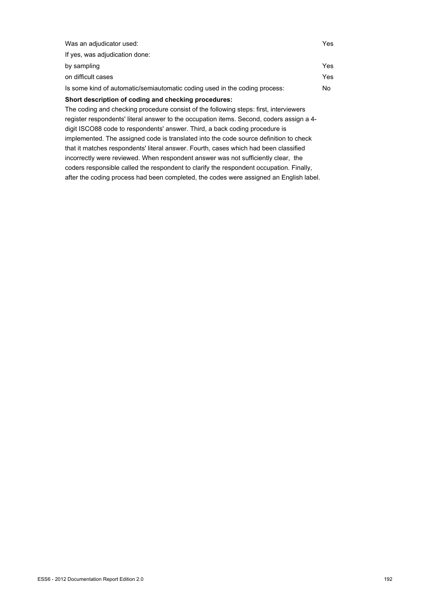| Was an adjudicator used:                                                                 | Yes |
|------------------------------------------------------------------------------------------|-----|
| If yes, was adjudication done:                                                           |     |
| by sampling                                                                              | Yes |
| on difficult cases                                                                       | Yes |
| Is some kind of automatic/semiautomatic coding used in the coding process:               | No. |
| Short description of coding and checking procedures:                                     |     |
| The coding and checking procedure consist of the following steps: first, interviewers    |     |
| register respondents' literal answer to the occupation items. Second, coders assign a 4- |     |
|                                                                                          |     |

digit ISCO88 code to respondents' answer. Third, a back coding procedure is implemented. The assigned code is translated into the code source definition to check that it matches respondents' literal answer. Fourth, cases which had been classified incorrectly were reviewed. When respondent answer was not sufficiently clear, the coders responsible called the respondent to clarify the respondent occupation. Finally, after the coding process had been completed, the codes were assigned an English label.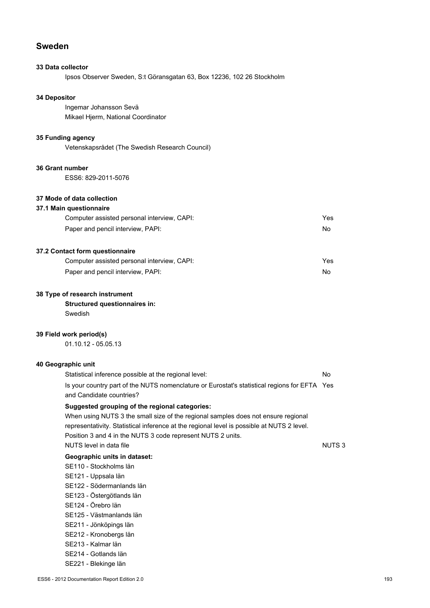# **Sweden**

## **33 Data collector**

Ipsos Observer Sweden, S:t Göransgatan 63, Box 12236, 102 26 Stockholm

## **34 Depositor**

Ingemar Johansson Sevä Mikael Hjerm, National Coordinator

### **35 Funding agency**

Vetenskapsrådet (The Swedish Research Council)

#### **36 Grant number**

ESS6: 829-2011-5076

#### **37 Mode of data collection**

#### **37.1 Main questionnaire**

| Computer assisted personal interview, CAPI: | Yes |
|---------------------------------------------|-----|
| Paper and pencil interview, PAPI:           | No. |

## **37.2 Contact form questionnaire**

| Computer assisted personal interview, CAPI: | Yes |
|---------------------------------------------|-----|
| Paper and pencil interview, PAPI:           | No. |

#### **38 Type of research instrument**

**Structured questionnaires in:**

Swedish

#### **39 Field work period(s)**

01.10.12 - 05.05.13

# **40 Geographic unit**

| Statistical inference possible at the regional level:                                                                    | No                |
|--------------------------------------------------------------------------------------------------------------------------|-------------------|
| Is your country part of the NUTS nomenclature or Eurostat's statistical regions for EFTA Yes<br>and Candidate countries? |                   |
| Suggested grouping of the regional categories:                                                                           |                   |
| When using NUTS 3 the small size of the regional samples does not ensure regional                                        |                   |
| representativity. Statistical inference at the regional level is possible at NUTS 2 level.                               |                   |
| Position 3 and 4 in the NUTS 3 code represent NUTS 2 units.                                                              |                   |
| NUTS level in data file                                                                                                  | NUTS <sub>3</sub> |
| Geographic units in dataset:                                                                                             |                   |
| SE110 - Stockholms län                                                                                                   |                   |
| SE121 - Uppsala län                                                                                                      |                   |

- SE122 Södermanlands län
- SE123 Östergötlands län
- SE124 Örebro län
- SE125 Västmanlands län
- SE211 Jönköpings län
- SE212 Kronobergs län
- SE213 Kalmar län
- SE214 Gotlands län
- SE221 Blekinge län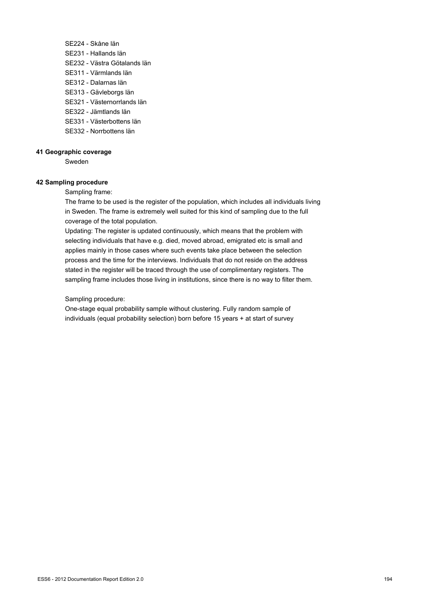- SE224 Skåne län SE231 - Hallands län SE232 - Västra Götalands län SE311 - Värmlands län SE312 - Dalarnas län SE313 - Gävleborgs län SE321 - Västernorrlands län SE322 - Jämtlands län
- 
- SE331 Västerbottens län
- SE332 Norrbottens län

#### **41 Geographic coverage**

Sweden

#### **42 Sampling procedure**

Sampling frame:

The frame to be used is the register of the population, which includes all individuals living in Sweden. The frame is extremely well suited for this kind of sampling due to the full coverage of the total population.

Updating: The register is updated continuously, which means that the problem with selecting individuals that have e.g. died, moved abroad, emigrated etc is small and applies mainly in those cases where such events take place between the selection process and the time for the interviews. Individuals that do not reside on the address stated in the register will be traced through the use of complimentary registers. The sampling frame includes those living in institutions, since there is no way to filter them.

#### Sampling procedure:

One-stage equal probability sample without clustering. Fully random sample of individuals (equal probability selection) born before 15 years + at start of survey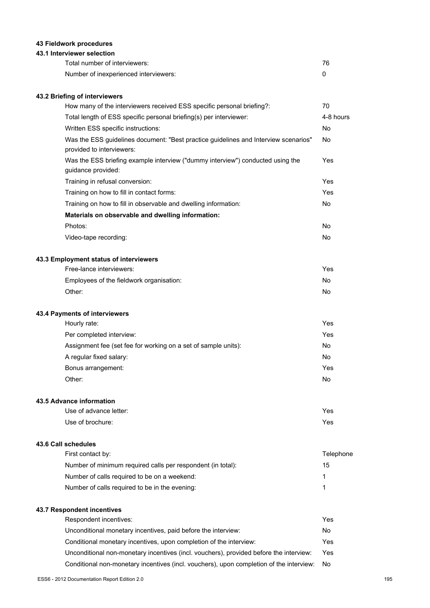## **43 Fieldwork procedures**

## **43.1 Interviewer selection**

| Total number of interviewers:         | 76 |
|---------------------------------------|----|
| Number of inexperienced interviewers: |    |

## **43.2 Briefing of interviewers**

| How many of the interviewers received ESS specific personal briefing?:                                           | 70        |
|------------------------------------------------------------------------------------------------------------------|-----------|
| Total length of ESS specific personal briefing(s) per interviewer:                                               | 4-8 hours |
| Written ESS specific instructions:                                                                               | No        |
| Was the ESS guidelines document: "Best practice guidelines and Interview scenarios"<br>provided to interviewers: | No        |
| Was the ESS briefing example interview ("dummy interview") conducted using the<br>guidance provided:             | Yes       |
| Training in refusal conversion:                                                                                  | Yes       |
| Training on how to fill in contact forms:                                                                        | Yes       |
| Training on how to fill in observable and dwelling information:                                                  | No        |
| Materials on observable and dwelling information:                                                                |           |
| Photos:                                                                                                          | No        |
| Video-tape recording:                                                                                            | No        |
| 43.3 Employment status of interviewers                                                                           |           |
| Free-lance interviewers:                                                                                         | Yes       |
| Employees of the fieldwork organisation:                                                                         | No        |
| Other:                                                                                                           | <b>No</b> |
| 43.4 Payments of interviewers                                                                                    |           |
| Hourly rate:                                                                                                     | Yes       |
| Per completed interview:                                                                                         | Yes       |
| Assignment fee (set fee for working on a set of sample units):                                                   | No        |
| A regular fixed salary:                                                                                          | <b>No</b> |
| Bonus arrangement:                                                                                               | Yes       |

#### **43.5 Advance information**

| Use of advance letter: | Yes |
|------------------------|-----|
| Use of brochure:       | Yes |

Other: No

#### **43.6 Call schedules**

| First contact by:                                           | Telephone |
|-------------------------------------------------------------|-----------|
| Number of minimum required calls per respondent (in total): | 15        |
| Number of calls required to be on a weekend:                |           |
| Number of calls required to be in the evening:              |           |

## **43.7 Respondent incentives** Respondent incentives: Yes

| Unconditional monetary incentives, paid before the interview:                           | No. |
|-----------------------------------------------------------------------------------------|-----|
| Conditional monetary incentives, upon completion of the interview:                      | Yes |
| Unconditional non-monetary incentives (incl. vouchers), provided before the interview:  | Yes |
| Conditional non-monetary incentives (incl. vouchers), upon completion of the interview: | No. |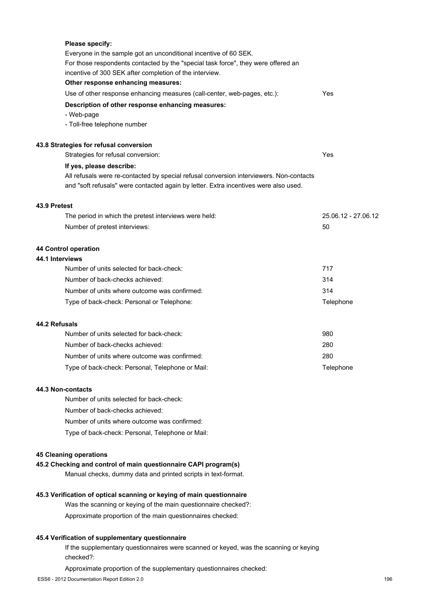|                 | <b>Please specify:</b>                                                                  |                     |
|-----------------|-----------------------------------------------------------------------------------------|---------------------|
|                 | Everyone in the sample got an unconditional incentive of 60 SEK.                        |                     |
|                 | For those respondents contacted by the "special task force", they were offered an       |                     |
|                 | incentive of 300 SEK after completion of the interview.                                 |                     |
|                 | Other response enhancing measures:                                                      |                     |
|                 | Use of other response enhancing measures (call-center, web-pages, etc.):                | Yes                 |
|                 | Description of other response enhancing measures:                                       |                     |
|                 | - Web-page                                                                              |                     |
|                 | - Toll-free telephone number                                                            |                     |
|                 | 43.8 Strategies for refusal conversion                                                  |                     |
|                 | Strategies for refusal conversion:                                                      | Yes                 |
|                 | If yes, please describe:                                                                |                     |
|                 | All refusals were re-contacted by special refusal conversion interviewers. Non-contacts |                     |
|                 | and "soft refusals" were contacted again by letter. Extra incentives were also used.    |                     |
| 43.9 Pretest    |                                                                                         |                     |
|                 | The period in which the pretest interviews were held:                                   | 25.06.12 - 27.06.12 |
|                 | Number of pretest interviews:                                                           | 50                  |
|                 | 44 Control operation                                                                    |                     |
| 44.1 Interviews |                                                                                         |                     |
|                 | Number of units selected for back-check:                                                | 717                 |
|                 | Number of back-checks achieved:                                                         | 314                 |
|                 | Number of units where outcome was confirmed:                                            | 314                 |
|                 | Type of back-check: Personal or Telephone:                                              | Telephone           |
| 44.2 Refusals   |                                                                                         |                     |
|                 | Number of units selected for back-check:                                                | 980                 |
|                 | Number of back-checks achieved:                                                         | 280                 |
|                 | Number of units where outcome was confirmed:                                            | 280                 |
|                 | Type of back-check: Personal, Telephone or Mail:                                        | Telephone           |
|                 |                                                                                         |                     |

### **44.3 Non-contacts**

Number of units selected for back-check:

Number of back-checks achieved:

Number of units where outcome was confirmed:

Type of back-check: Personal, Telephone or Mail:

## **45 Cleaning operations**

## **45.2 Checking and control of main questionnaire CAPI program(s)**

Manual checks, dummy data and printed scripts in text-format.

## **45.3 Verification of optical scanning or keying of main questionnaire**

Was the scanning or keying of the main questionnaire checked?:

Approximate proportion of the main questionnaires checked:

## **45.4 Verification of supplementary questionnaire**

If the supplementary questionnaires were scanned or keyed, was the scanning or keying checked?:

Approximate proportion of the supplementary questionnaires checked: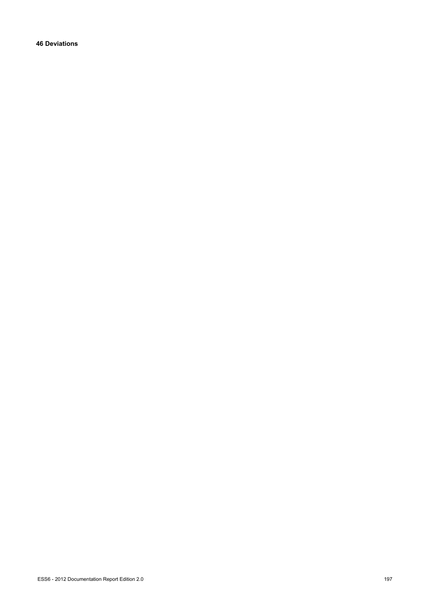**46 Deviations**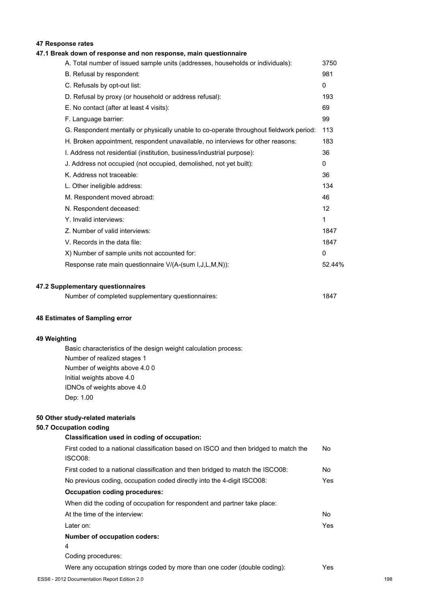## **47 Response rates**

## **47.1 Break down of response and non response, main questionnaire**

| A. Total number of issued sample units (addresses, households or individuals):         | 3750         |
|----------------------------------------------------------------------------------------|--------------|
| B. Refusal by respondent:                                                              | 981          |
| C. Refusals by opt-out list:                                                           | $\mathbf{0}$ |
| D. Refusal by proxy (or household or address refusal):                                 | 193          |
| E. No contact (after at least 4 visits):                                               | 69           |
| F. Language barrier:                                                                   | 99           |
| G. Respondent mentally or physically unable to co-operate throughout fieldwork period: | 113          |
| H. Broken appointment, respondent unavailable, no interviews for other reasons:        | 183          |
| I. Address not residential (institution, business/industrial purpose):                 | 36           |
| J. Address not occupied (not occupied, demolished, not yet built):                     | $\Omega$     |
| K. Address not traceable:                                                              | 36           |
| L. Other ineligible address:                                                           | 134          |
| M. Respondent moved abroad:                                                            | 46           |
| N. Respondent deceased:                                                                | 12           |
| Y. Invalid interviews:                                                                 | 1            |
| Z. Number of valid interviews:                                                         | 1847         |
| V. Records in the data file:                                                           | 1847         |
| X) Number of sample units not accounted for:                                           | $\mathbf{0}$ |
| Response rate main questionnaire V/(A-(sum I,J,L,M,N)):                                | 52.44%       |
|                                                                                        |              |

#### **47.2 Supplementary questionnaires**

|  |  | Number of completed supplementary questionnaires: | 1847 |  |
|--|--|---------------------------------------------------|------|--|
|--|--|---------------------------------------------------|------|--|

#### **48 Estimates of Sampling error**

## **49 Weighting**

Basic characteristics of the design weight calculation process: Number of realized stages 1 Number of weights above 4.0 0 Initial weights above 4.0 IDNOs of weights above 4.0 Dep: 1.00

## **50 Other study-related materials**

## 50.7 Occ

| upation coding:                                                                                 |     |
|-------------------------------------------------------------------------------------------------|-----|
| Classification used in coding of occupation:                                                    |     |
| First coded to a national classification based on ISCO and then bridged to match the<br>ISCO08: | No. |
| First coded to a national classification and then bridged to match the ISCO08:                  | No. |
| No previous coding, occupation coded directly into the 4-digit ISCO08:                          | Yes |
| <b>Occupation coding procedures:</b>                                                            |     |
| When did the coding of occupation for respondent and partner take place:                        |     |
| At the time of the interview:                                                                   | No. |
| Later on:                                                                                       | Yes |
| <b>Number of occupation coders:</b>                                                             |     |
| 4                                                                                               |     |
| Coding procedures:                                                                              |     |
| Were any occupation strings coded by more than one coder (double coding):                       | Yes |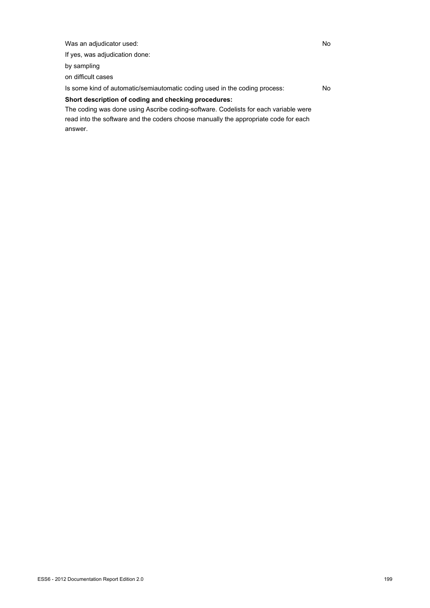Was an adjudicator used: No

If yes, was adjudication done:

by sampling

on difficult cases

Is some kind of automatic/semiautomatic coding used in the coding process: No

## **Short description of coding and checking procedures:**

The coding was done using Ascribe coding-software. Codelists for each variable were read into the software and the coders choose manually the appropriate code for each answer.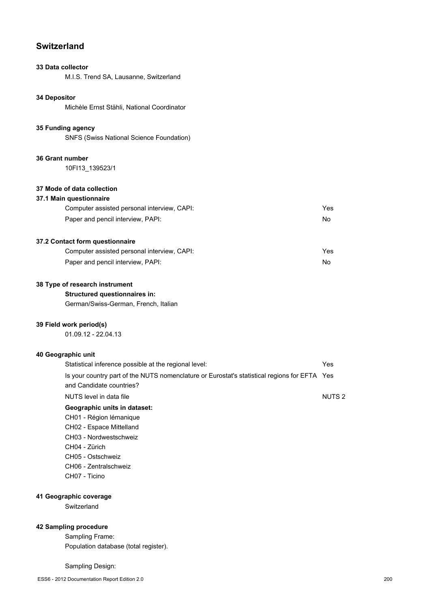# **Switzerland**

## **33 Data collector**

M.I.S. Trend SA, Lausanne, Switzerland

## **34 Depositor**

Michèle Ernst Stähli, National Coordinator

#### **35 Funding agency**

SNFS (Swiss National Science Foundation)

#### **36 Grant number**

10FI13\_139523/1

#### **37 Mode of data collection**

## **37.1 Main questionnaire**

| Computer assisted personal interview, CAPI: | Yes |
|---------------------------------------------|-----|
| Paper and pencil interview, PAPI:           | No. |

## **37.2 Contact form questionnaire**

| Computer assisted personal interview, CAPI: | Yes |
|---------------------------------------------|-----|
| Paper and pencil interview, PAPI:           | No. |

#### **38 Type of research instrument**

## **Structured questionnaires in:**

German/Swiss-German, French, Italian

#### **39 Field work period(s)**

01.09.12 - 22.04.13

#### **40 Geographic unit**

| Statistical inference possible at the regional level:                                        | Yes               |
|----------------------------------------------------------------------------------------------|-------------------|
| Is your country part of the NUTS nomenclature or Eurostat's statistical regions for EFTA Yes |                   |
| and Candidate countries?                                                                     |                   |
| NUTS level in data file                                                                      | NUTS <sub>2</sub> |
| Geographic units in dataset:                                                                 |                   |
| CH01 - Région lémanique                                                                      |                   |
| CH02 - Espace Mittelland                                                                     |                   |
| CH03 - Nordwestschweiz                                                                       |                   |
| CH04 - Zürich                                                                                |                   |
| CH05 - Ostschweiz                                                                            |                   |
| CH06 - Zentralschweiz                                                                        |                   |
| CH07 - Ticino                                                                                |                   |

#### **41 Geographic coverage**

**Switzerland** 

## **42 Sampling procedure**

Sampling Frame: Population database (total register).

#### Sampling Design: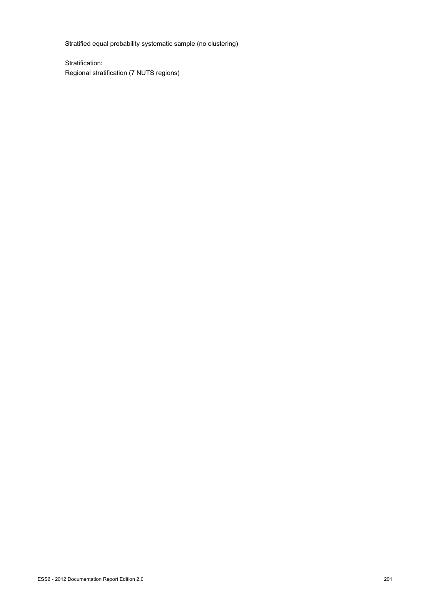Stratified equal probability systematic sample (no clustering)

Stratification: Regional stratification (7 NUTS regions)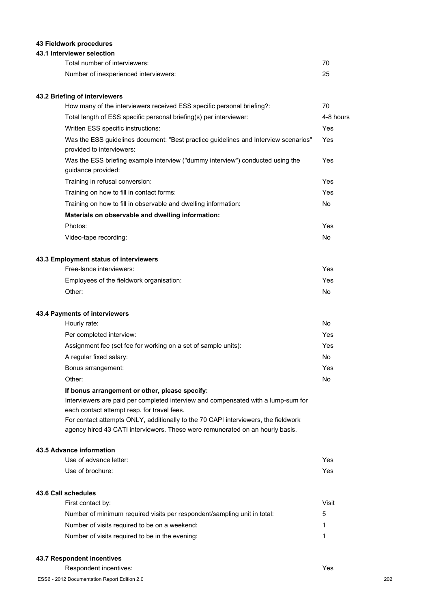## **43 Fieldwork procedures**

## **43.1 Interviewer selection**

| Total number of interviewers:         |    |
|---------------------------------------|----|
| Number of inexperienced interviewers: | 25 |

## **43.2 Briefing of interviewers**

| How many of the interviewers received ESS specific personal briefing?:                                           | 70             |
|------------------------------------------------------------------------------------------------------------------|----------------|
| Total length of ESS specific personal briefing(s) per interviewer:                                               | 4-8 hours      |
| Written ESS specific instructions:                                                                               | Yes            |
| Was the ESS guidelines document: "Best practice guidelines and Interview scenarios"<br>provided to interviewers: | Yes            |
| Was the ESS briefing example interview ("dummy interview") conducted using the<br>guidance provided:             | Yes            |
| Training in refusal conversion:                                                                                  | Yes            |
| Training on how to fill in contact forms:                                                                        | Yes            |
| Training on how to fill in observable and dwelling information:                                                  | No.            |
| Materials on observable and dwelling information:                                                                |                |
| Photos:                                                                                                          | Yes            |
| Video-tape recording:                                                                                            | N <sub>0</sub> |
| 43.3 Employment status of interviewers                                                                           |                |
| Free-lance interviewers:                                                                                         | Yes            |
| Employees of the fieldwork organisation:                                                                         | Yes            |
| Other:                                                                                                           | No             |
| 43.4 Payments of interviewers                                                                                    |                |

| Hourly rate:                                                   | No  |
|----------------------------------------------------------------|-----|
| Per completed interview:                                       | Yes |
| Assignment fee (set fee for working on a set of sample units): | Yes |
| A regular fixed salary:                                        | No  |
| Bonus arrangement:                                             | Yes |
| Other:                                                         | No  |

## **If bonus arrangement or other, please specify:**

Interviewers are paid per completed interview and compensated with a lump-sum for each contact attempt resp. for travel fees. For contact attempts ONLY, additionally to the 70 CAPI interviewers, the fieldwork

agency hired 43 CATI interviewers. These were remunerated on an hourly basis.

## **43.5 Advance information**

| Use of advance letter:                                                   | Yes   |
|--------------------------------------------------------------------------|-------|
| Use of brochure:                                                         | Yes   |
| 43.6 Call schedules                                                      |       |
| First contact by:                                                        | Visit |
| Number of minimum required visits per respondent/sampling unit in total: | 5     |
| Number of visits required to be on a weekend:                            | 1     |
| Number of visits required to be in the evening:                          |       |

#### **43.7 Respondent incentives**

Respondent incentives: Yes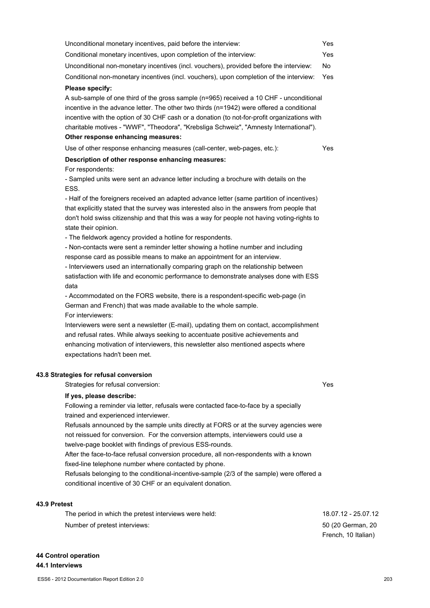| 43.8 Strategies for refusal conversion                                                    |                     |     |
|-------------------------------------------------------------------------------------------|---------------------|-----|
| Strategies for refusal conversion:                                                        | Yes                 |     |
| If yes, please describe:                                                                  |                     |     |
| Following a reminder via letter, refusals were contacted face-to-face by a specially      |                     |     |
| trained and experienced interviewer.                                                      |                     |     |
| Refusals announced by the sample units directly at FORS or at the survey agencies were    |                     |     |
| not reissued for conversion. For the conversion attempts, interviewers could use a        |                     |     |
| twelve-page booklet with findings of previous ESS-rounds.                                 |                     |     |
| After the face-to-face refusal conversion procedure, all non-respondents with a known     |                     |     |
| fixed-line telephone number where contacted by phone.                                     |                     |     |
| Refusals belonging to the conditional-incentive-sample (2/3 of the sample) were offered a |                     |     |
| conditional incentive of 30 CHF or an equivalent donation.                                |                     |     |
| 43.9 Pretest                                                                              |                     |     |
| The period in which the pretest interviews were held:                                     | 18.07.12 - 25.07.12 |     |
| Number of pretest interviews:                                                             | 50 (20 German, 20   |     |
|                                                                                           | French, 10 Italian) |     |
| 44 Control operation                                                                      |                     |     |
| 44.1 Interviews                                                                           |                     |     |
| ESS6 - 2012 Documentation Report Edition 2.0                                              |                     | 203 |
|                                                                                           |                     |     |
|                                                                                           |                     |     |

| Unconditional non-monetary incentives (incl. vouchers), provided before the interview:                                                                                                                                                                                                                                                                                                                               | No. |
|----------------------------------------------------------------------------------------------------------------------------------------------------------------------------------------------------------------------------------------------------------------------------------------------------------------------------------------------------------------------------------------------------------------------|-----|
| Conditional non-monetary incentives (incl. vouchers), upon completion of the interview:                                                                                                                                                                                                                                                                                                                              | Yes |
| Please specify:                                                                                                                                                                                                                                                                                                                                                                                                      |     |
| A sub-sample of one third of the gross sample (n=965) received a 10 CHF - unconditional<br>incentive in the advance letter. The other two thirds (n=1942) were offered a conditional<br>incentive with the option of 30 CHF cash or a donation (to not-for-profit organizations with<br>charitable motives - "WWF", "Theodora", "Krebsliga Schweiz", "Amnesty International").<br>Other response enhancing measures: |     |
| Use of other response enhancing measures (call-center, web-pages, etc.):                                                                                                                                                                                                                                                                                                                                             | Yes |
| Description of other response enhancing measures:<br>For respondents:<br>- Sampled units were sent an advance letter including a brochure with details on the<br>ESS.                                                                                                                                                                                                                                                |     |
| - Half of the foreigners received an adapted advance letter (same partition of incentives)<br>that explicitly stated that the survey was interested also in the answers from people that<br>don't hold swiss citizenship and that this was a way for people not having voting-rights to<br>state their opinion.<br>- The fieldwork agency provided a hotline for respondents.                                        |     |
| - Non-contacts were sent a reminder letter showing a hotline number and including<br>response card as possible means to make an appointment for an interview.<br>- Interviewers used an internationally comparing graph on the relationship between<br>satisfaction with life and economic performance to demonstrate analyses done with ESS<br>data                                                                 |     |

Unconditional monetary incentives, paid before the interview: Yes Conditional monetary incentives, upon completion of the interview: Yes

- Accommodated on the FORS website, there is a respondent-specific web-page (in German and French) that was made available to the whole sample. For interviewers:

Interviewers were sent a newsletter (E-mail), updating them on contact, accomplishment and refusal rates. While always seeking to accentuate positive achievements and enhancing motivation of interviewers, this newsletter also mentioned aspects where expectations hadn't been met.

## **43.8 Strategies for refusal**

### 43.9 F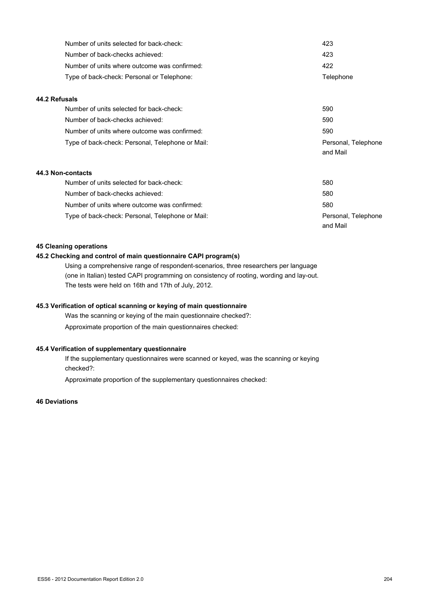| Number of units selected for back-check:         | 423                 |
|--------------------------------------------------|---------------------|
| Number of back-checks achieved:                  | 423                 |
| Number of units where outcome was confirmed:     | 422                 |
| Type of back-check: Personal or Telephone:       | Telephone           |
| 44.2 Refusals                                    |                     |
| Number of units selected for back-check:         | 590                 |
| Number of back-checks achieved:                  | 590                 |
| Number of units where outcome was confirmed:     | 590                 |
| Type of back-check: Personal, Telephone or Mail: | Personal, Telephone |
|                                                  | and Mail            |
| 44.3 Non-contacts                                |                     |
| Number of units selected for back-check:         | 580                 |
| Number of back-checks achieved:                  | 580                 |
| Number of units where outcome was confirmed:     | 580                 |
| Type of back-check: Personal, Telephone or Mail: | Personal, Telephone |
|                                                  | and Mail            |

#### **45 Cleaning operations**

## **45.2 Checking and control of main questionnaire CAPI program(s)**

Using a comprehensive range of respondent-scenarios, three researchers per language (one in Italian) tested CAPI programming on consistency of rooting, wording and lay-out. The tests were held on 16th and 17th of July, 2012.

## **45.3 Verification of optical scanning or keying of main questionnaire**

Was the scanning or keying of the main questionnaire checked?: Approximate proportion of the main questionnaires checked:

## **45.4 Verification of supplementary questionnaire**

If the supplementary questionnaires were scanned or keyed, was the scanning or keying checked?:

Approximate proportion of the supplementary questionnaires checked:

## **46 Deviations**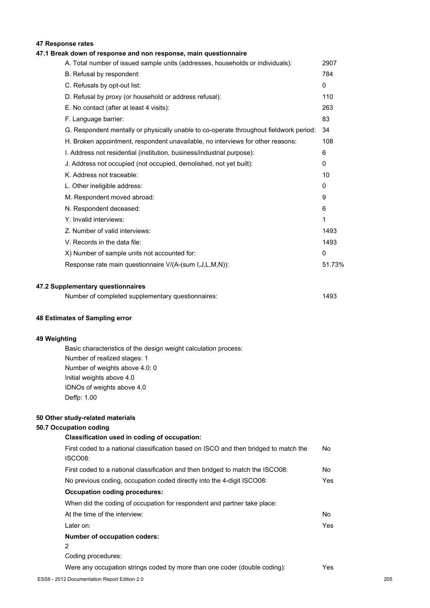## **47 Response rates**

### **47.1 Break down of response and non response, main questionnaire**

| A. Total number of issued sample units (addresses, households or individuals):         | 2907         |
|----------------------------------------------------------------------------------------|--------------|
| B. Refusal by respondent:                                                              | 784          |
| C. Refusals by opt-out list:                                                           | $\mathbf{0}$ |
| D. Refusal by proxy (or household or address refusal):                                 | 110          |
| E. No contact (after at least 4 visits):                                               | 263          |
| F. Language barrier:                                                                   | 83           |
| G. Respondent mentally or physically unable to co-operate throughout fieldwork period: | 34           |
| H. Broken appointment, respondent unavailable, no interviews for other reasons:        | 108          |
| I. Address not residential (institution, business/industrial purpose):                 | 6            |
| J. Address not occupied (not occupied, demolished, not yet built):                     | 0            |
| K. Address not traceable:                                                              | 10           |
| L. Other ineligible address:                                                           | 0            |
| M. Respondent moved abroad:                                                            | 9            |
| N. Respondent deceased:                                                                | 6            |
| Y. Invalid interviews:                                                                 | 1            |
| Z. Number of valid interviews:                                                         | 1493         |
| V. Records in the data file:                                                           | 1493         |
| X) Number of sample units not accounted for:                                           | $\mathbf{0}$ |
| Response rate main questionnaire V/(A-(sum I,J,L,M,N)):                                | 51.73%       |
|                                                                                        |              |

#### **47.2 Supplementary questionnaires**

| Number of completed supplementary questionnaires: | 1493 |
|---------------------------------------------------|------|
|---------------------------------------------------|------|

#### **48 Estimates of Sampling error**

#### **49 Weighting**

Basic characteristics of the design weight calculation process: Number of realized stages: 1 Number of weights above 4.0: 0 Initial weights above 4.0 IDNOs of weights above 4.0 Deffp: 1.00

#### **50 Other study-related materials**

#### **50.7 Occupation coding**

# **Classification used in coding of occupation:** First coded to a national classification based on ISCO and then bridged to match the ISCO08: First coded to a national classification and then bridged to match the ISCO08: No No previous coding, occupation coded directly into the 4-digit ISCO08: Yes **Occupation coding procedures:** When did the coding of occupation for respondent and partner take place: At the time of the interview: No

Later on: Yes

## **Number of occupation coders:**

2

Coding procedures:

Were any occupation strings coded by more than one coder (double coding): Yes

No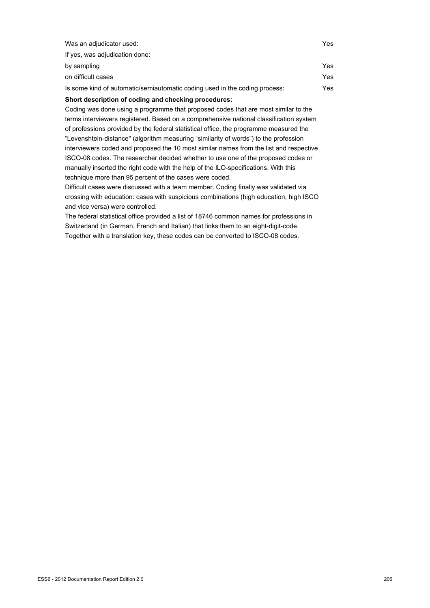| Was an adjudicator used:                                                   | Yes |
|----------------------------------------------------------------------------|-----|
| If yes, was adjudication done:                                             |     |
| by sampling                                                                | Yes |
| on difficult cases                                                         | Yes |
| Is some kind of automatic/semiautomatic coding used in the coding process: | Yes |
|                                                                            |     |

#### **Short description of coding and checking procedures:**

Coding was done using a programme that proposed codes that are most similar to the terms interviewers registered. Based on a comprehensive national classification system of professions provided by the federal statistical office, the programme measured the "Levenshtein-distance" (algorithm measuring "similarity of words") to the profession interviewers coded and proposed the 10 most similar names from the list and respective ISCO-08 codes. The researcher decided whether to use one of the proposed codes or manually inserted the right code with the help of the ILO-specifications. With this technique more than 95 percent of the cases were coded.

Difficult cases were discussed with a team member. Coding finally was validated via crossing with education: cases with suspicious combinations (high education, high ISCO and vice versa) were controlled.

The federal statistical office provided a list of 18746 common names for professions in Switzerland (in German, French and Italian) that links them to an eight-digit-code. Together with a translation key, these codes can be converted to ISCO-08 codes.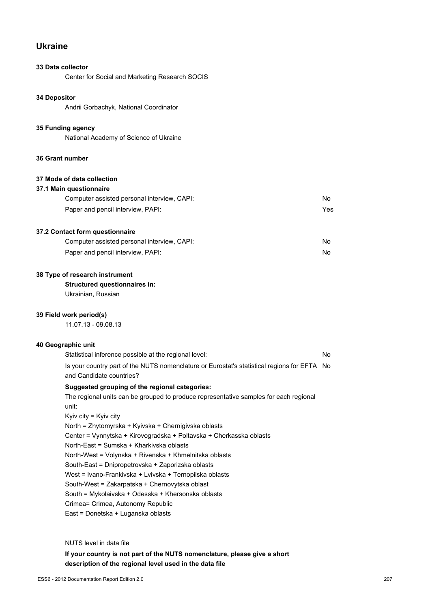## **Ukraine**

## **33 Data collector**

Center for Social and Marketing Research SOCIS

## **34 Depositor**

Andrii Gorbachyk, National Coordinator

### **35 Funding agency**

National Academy of Science of Ukraine

### **36 Grant number**

## **37 Mode of data collection**

| 37.1 Main questionnaire |  |
|-------------------------|--|
|-------------------------|--|

| Computer assisted personal interview, CAPI: | No. |
|---------------------------------------------|-----|
| Paper and pencil interview, PAPI:           | Yes |

### **37.2 Contact form questionnaire**

| Computer assisted personal interview, CAPI: |  |
|---------------------------------------------|--|
| Paper and pencil interview, PAPI:           |  |

## **38 Type of research instrument**

**Structured questionnaires in:**

Ukrainian, Russian

## **39 Field work period(s)**

11.07.13 - 09.08.13

## **40 Geographic unit**

| Statistical inference possible at the regional level:                                                                   | No. |
|-------------------------------------------------------------------------------------------------------------------------|-----|
| Is your country part of the NUTS nomenclature or Eurostat's statistical regions for EFTA No<br>and Candidate countries? |     |
| Suggested grouping of the regional categories:                                                                          |     |
| The regional units can be grouped to produce representative samples for each regional                                   |     |
| unit:                                                                                                                   |     |
| Kyiv city = Kyiv city                                                                                                   |     |
| North = Zhytomyrska + Kyivska + Chernigivska oblasts                                                                    |     |
| Center = Vynnytska + Kirovogradska + Poltavska + Cherkasska oblasts                                                     |     |
| North-East = Sumska + Kharkivska oblasts                                                                                |     |
| North-West = Volynska + Rivenska + Khmelnitska oblasts                                                                  |     |
| South-East = Dnipropetrovska + Zaporizska oblasts                                                                       |     |
| West = Ivano-Frankivska + Lvivska + Ternopilska oblasts                                                                 |     |
| South-West = Zakarpatska + Chernovytska oblast                                                                          |     |
|                                                                                                                         |     |

South = Mykolaivska + Odesska + Khersonska oblasts

Crimea= Crimea, Autonomy Republic

East = Donetska + Luganska oblasts

## NUTS level in data file

**If your country is not part of the NUTS nomenclature, please give a short description of the regional level used in the data file**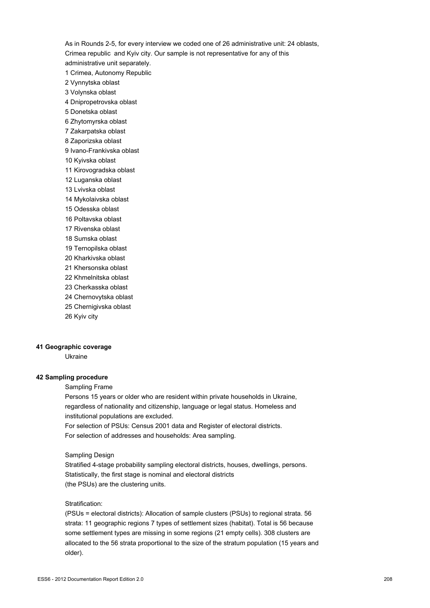As in Rounds 2-5, for every interview we coded one of 26 administrative unit: 24 oblasts, Crimea republic and Kyiv city. Our sample is not representative for any of this administrative unit separately. 1 Crimea, Autonomy Republic

- 2 Vynnytska oblast
- 3 Volynska oblast
- 4 Dnipropetrovska oblast
- 5 Donetska oblast
- 6 Zhytomyrska oblast
- 7 Zakarpatska oblast
- 8 Zaporizska oblast
- 9 Ivano-Frankivska oblast
- 10 Kyivska oblast
- 11 Kirovogradska oblast
- 12 Luganska oblast
- 13 Lvivska oblast
- 14 Mykolaivska oblast
- 15 Odesska oblast
- 16 Poltavska oblast
- 17 Rivenska oblast
- 18 Sumska oblast
- 19 Ternopilska oblast
- 20 Kharkivska oblast
- 21 Khersonska oblast
- 22 Khmelnitska oblast
- 23 Cherkasska oblast
- 24 Chernovytska oblast
- 25 Chernigivska oblast
- 26 Kyiv city

#### **41 Geographic coverage**

Ukraine

### **42 Sampling procedure**

Sampling Frame

Persons 15 years or older who are resident within private households in Ukraine, regardless of nationality and citizenship, language or legal status. Homeless and institutional populations are excluded.

For selection of PSUs: Census 2001 data and Register of electoral districts. For selection of addresses and households: Area sampling.

#### Sampling Design

Stratified 4-stage probability sampling electoral districts, houses, dwellings, persons. Statistically, the first stage is nominal and electoral districts (the PSUs) are the clustering units.

#### Stratification:

(PSUs = electoral districts): Allocation of sample clusters (PSUs) to regional strata. 56 strata: 11 geographic regions 7 types of settlement sizes (habitat). Total is 56 because some settlement types are missing in some regions (21 empty cells). 308 clusters are allocated to the 56 strata proportional to the size of the stratum population (15 years and older).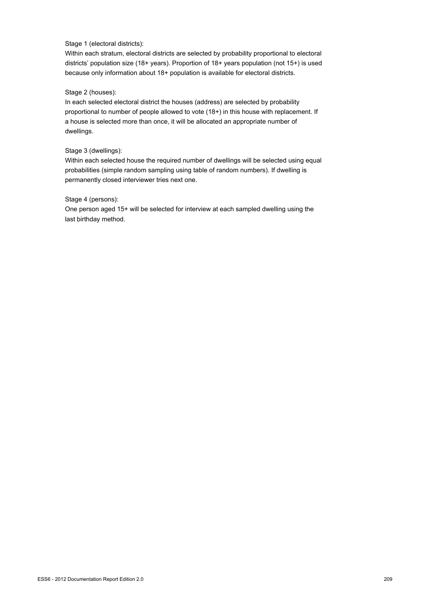## Stage 1 (electoral districts):

Within each stratum, electoral districts are selected by probability proportional to electoral districts' population size (18+ years). Proportion of 18+ years population (not 15+) is used because only information about 18+ population is available for electoral districts.

#### Stage 2 (houses):

In each selected electoral district the houses (address) are selected by probability proportional to number of people allowed to vote (18+) in this house with replacement. If a house is selected more than once, it will be allocated an appropriate number of dwellings.

## Stage 3 (dwellings):

Within each selected house the required number of dwellings will be selected using equal probabilities (simple random sampling using table of random numbers). If dwelling is permanently closed interviewer tries next one.

#### Stage 4 (persons):

One person aged 15+ will be selected for interview at each sampled dwelling using the last birthday method.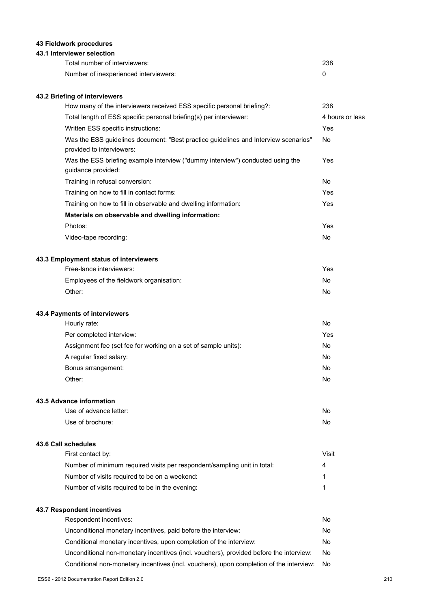## **43 Fieldwork procedures**

## **43.1 Interviewer selection**

| Total number of interviewers:         | 238 |
|---------------------------------------|-----|
| Number of inexperienced interviewers: |     |

## **43.2 Briefing of interviewers**

| How many of the interviewers received ESS specific personal briefing?:                                           | 238             |
|------------------------------------------------------------------------------------------------------------------|-----------------|
| Total length of ESS specific personal briefing(s) per interviewer:                                               | 4 hours or less |
| Written ESS specific instructions:                                                                               | Yes             |
| Was the ESS guidelines document: "Best practice guidelines and Interview scenarios"<br>provided to interviewers: | No              |
| Was the ESS briefing example interview ("dummy interview") conducted using the<br>guidance provided:             | Yes             |
| Training in refusal conversion:                                                                                  | <b>No</b>       |
| Training on how to fill in contact forms:                                                                        | Yes             |
| Training on how to fill in observable and dwelling information:                                                  | Yes             |
| Materials on observable and dwelling information:                                                                |                 |
| Photos:                                                                                                          | Yes             |
| Video-tape recording:                                                                                            | <b>No</b>       |
| 43.3 Employment status of interviewers                                                                           |                 |
| Free-lance interviewers:                                                                                         | Yes             |
| Employees of the fieldwork organisation:                                                                         | No              |
| Other:                                                                                                           | <b>No</b>       |
| 43.4 Payments of interviewers                                                                                    |                 |
| Hourly rate:                                                                                                     | No              |
| Per completed interview:                                                                                         | Yes             |
| Assignment fee (set fee for working on a set of sample units):                                                   | No              |
| A regular fixed salary:                                                                                          | <b>No</b>       |
| Bonus arrangement:                                                                                               | No              |
| Other:                                                                                                           | No              |
| 43.5 Advance information                                                                                         |                 |
| Use of advance letter:                                                                                           | No              |
| Use of brochure:                                                                                                 | <b>No</b>       |
| 43.6 Call schedules                                                                                              |                 |
| First contact by:                                                                                                | <b>Visit</b>    |
| Number of minimum required visits per respondent/sampling unit in total:                                         | 4               |

required visits per respondent/sampling unit in tota Number of visits required to be on a weekend: 1 Number of visits required to be in the evening: 1

## **43.7 Respondent incentives**

| Respondent incentives:                                                                  | Nο |
|-----------------------------------------------------------------------------------------|----|
| Unconditional monetary incentives, paid before the interview:                           | No |
| Conditional monetary incentives, upon completion of the interview:                      | N٥ |
| Unconditional non-monetary incentives (incl. vouchers), provided before the interview:  | No |
| Conditional non-monetary incentives (incl. vouchers), upon completion of the interview: | No |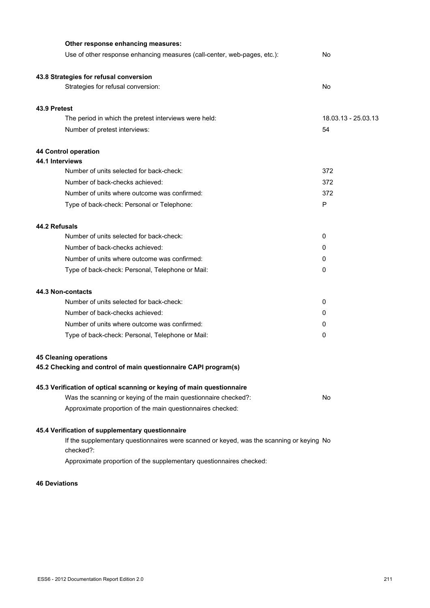| Other response enhancing measures:                                                                    |                     |
|-------------------------------------------------------------------------------------------------------|---------------------|
| Use of other response enhancing measures (call-center, web-pages, etc.):                              | No                  |
| 43.8 Strategies for refusal conversion                                                                |                     |
| Strategies for refusal conversion:                                                                    | No                  |
| 43.9 Pretest                                                                                          |                     |
| The period in which the pretest interviews were held:                                                 | 18.03.13 - 25.03.13 |
| Number of pretest interviews:                                                                         | 54                  |
| 44 Control operation                                                                                  |                     |
| 44.1 Interviews                                                                                       |                     |
| Number of units selected for back-check:                                                              | 372                 |
| Number of back-checks achieved:                                                                       | 372                 |
| Number of units where outcome was confirmed:                                                          | 372                 |
| Type of back-check: Personal or Telephone:                                                            | P                   |
| 44.2 Refusals                                                                                         |                     |
| Number of units selected for back-check:                                                              | 0                   |
| Number of back-checks achieved:                                                                       | 0                   |
| Number of units where outcome was confirmed:                                                          | 0                   |
| Type of back-check: Personal, Telephone or Mail:                                                      | 0                   |
| 44.3 Non-contacts                                                                                     |                     |
| Number of units selected for back-check:                                                              | 0                   |
| Number of back-checks achieved:                                                                       | 0                   |
| Number of units where outcome was confirmed:                                                          | 0                   |
| Type of back-check: Personal, Telephone or Mail:                                                      | 0                   |
| <b>45 Cleaning operations</b>                                                                         |                     |
| 45.2 Checking and control of main questionnaire CAPI program(s)                                       |                     |
| 45.3 Verification of optical scanning or keying of main questionnaire                                 |                     |
| Was the scanning or keying of the main questionnaire checked?:                                        | No                  |
| Approximate proportion of the main questionnaires checked:                                            |                     |
| 45.4 Verification of supplementary questionnaire                                                      |                     |
| If the supplementary questionnaires were scanned or keyed, was the scanning or keying No<br>checked?: |                     |
| Approximate proportion of the supplementary questionnaires checked:                                   |                     |

### **46 Deviations**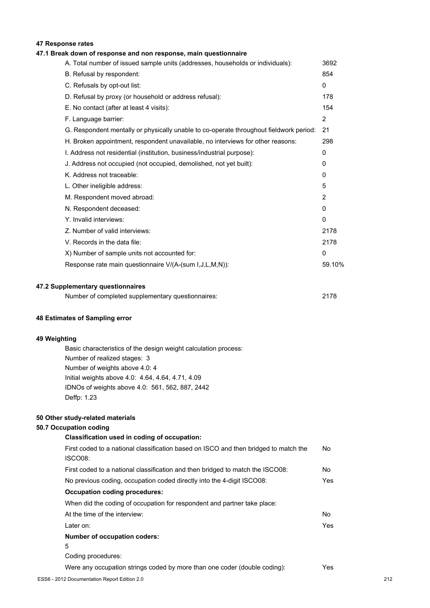## **47 Response rates**

## **47.1 Break down of response and non response, main questionnaire**

| A. Total number of issued sample units (addresses, households or individuals):         | 3692         |
|----------------------------------------------------------------------------------------|--------------|
| B. Refusal by respondent:                                                              | 854          |
| C. Refusals by opt-out list:                                                           | $\mathbf{0}$ |
| D. Refusal by proxy (or household or address refusal):                                 | 178          |
| E. No contact (after at least 4 visits):                                               | 154          |
| F. Language barrier:                                                                   | 2            |
| G. Respondent mentally or physically unable to co-operate throughout fieldwork period: | 21           |
| H. Broken appointment, respondent unavailable, no interviews for other reasons:        | 298          |
| I. Address not residential (institution, business/industrial purpose):                 | 0            |
| J. Address not occupied (not occupied, demolished, not yet built):                     | 0            |
| K. Address not traceable:                                                              | $\Omega$     |
| L. Other ineligible address:                                                           | 5            |
| M. Respondent moved abroad:                                                            | 2            |
| N. Respondent deceased:                                                                | 0            |
| Y. Invalid interviews:                                                                 | $\mathbf{0}$ |
| Z. Number of valid interviews:                                                         | 2178         |
| V. Records in the data file:                                                           | 2178         |
| X) Number of sample units not accounted for:                                           | $\mathbf{0}$ |
| Response rate main questionnaire V/(A-(sum I, J, L, M, N)):                            | 59.10%       |
|                                                                                        |              |
|                                                                                        |              |

## **47.2 Supplementary questionnaires**

| Number of completed supplementary questionnaires: | 2178 |
|---------------------------------------------------|------|
|                                                   |      |

#### **48 Estimates of Sampling error**

#### **49 Weighting**

Basic characteristics of the design weight calculation process: Number of realized stages: 3 Number of weights above 4.0: 4 Initial weights above 4.0: 4.64, 4.64, 4.71, 4.09 IDNOs of weights above 4.0: 561, 562, 887, 2442 Deffp: 1.23

#### **50 Other study-related materials**

## **50.7 Occupation coding**

| Classification used in coding of occupation:                                                    |      |
|-------------------------------------------------------------------------------------------------|------|
| First coded to a national classification based on ISCO and then bridged to match the<br>ISCO08: | No   |
| First coded to a national classification and then bridged to match the ISCO08:                  | No.  |
| No previous coding, occupation coded directly into the 4-digit ISCO08:                          | Yes. |
| <b>Occupation coding procedures:</b>                                                            |      |
| When did the coding of occupation for respondent and partner take place:                        |      |
| At the time of the interview:                                                                   | No.  |
| Later on:                                                                                       | Yes. |
| <b>Number of occupation coders:</b>                                                             |      |
| 5                                                                                               |      |
| Coding procedures:                                                                              |      |
| Were any occupation strings coded by more than one coder (double coding):                       | Yes. |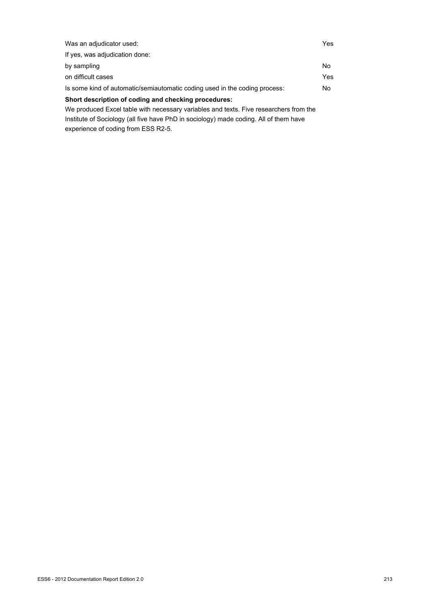| Was an adjudicator used:                                                              | Yes |
|---------------------------------------------------------------------------------------|-----|
| If yes, was adjudication done:                                                        |     |
| by sampling                                                                           | No. |
| on difficult cases                                                                    | Yes |
| Is some kind of automatic/semiautomatic coding used in the coding process:            | No. |
| Short description of coding and checking procedures:                                  |     |
| We produced Excel table with necessary variables and texts. Five researchers from the |     |
| Institute of Sociology (all five have PhD in sociology) made coding. All of them have |     |
|                                                                                       |     |

experience of coding from ESS R2-5.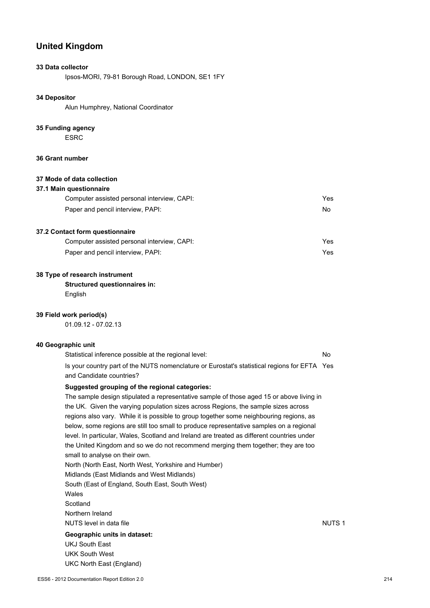## **United Kingdom**

## **33 Data collector**

Ipsos-MORI, 79-81 Borough Road, LONDON, SE1 1FY

#### **34 Depositor**

Alun Humphrey, National Coordinator

#### **35 Funding agency**

ESRC

## **36 Grant number**

## **37 Mode of data collection**

| 37.1 Main questionnaire                     |     |
|---------------------------------------------|-----|
| Computer assisted personal interview, CAPI: | Yes |
| Paper and pencil interview, PAPI:           | No. |

#### **37.2 Contact form questionnaire**

| Computer assisted personal interview, CAPI: | Yes |
|---------------------------------------------|-----|
| Paper and pencil interview, PAPI:           | Yes |

#### **38 Type of research instrument**

**Structured questionnaires in: English** 

## **39 Field work period(s)**

01.09.12 - 07.02.13

## **40 Geographic unit**

| Statistical inference possible at the regional level:                                        | No |
|----------------------------------------------------------------------------------------------|----|
| Is your country part of the NUTS nomenclature or Eurostat's statistical regions for EFTA Yes |    |
| and Candidate countries?                                                                     |    |

#### **Suggested grouping of the regional categories:**

The sample design stipulated a representative sample of those aged 15 or above living in the UK. Given the varying population sizes across Regions, the sample sizes across regions also vary. While it is possible to group together some neighbouring regions, as below, some regions are still too small to produce representative samples on a regional level. In particular, Wales, Scotland and Ireland are treated as different countries under the United Kingdom and so we do not recommend merging them together; they are too small to analyse on their own. North (North East, North West, Yorkshire and Humber) Midlands (East Midlands and West Midlands) South (East of England, South East, South West) Wales **Scotland** Northern Ireland NUTS level in data file NUTS 1 and the NUTS 1 **Geographic units in dataset:** UKJ South East UKK South West UKC North East (England)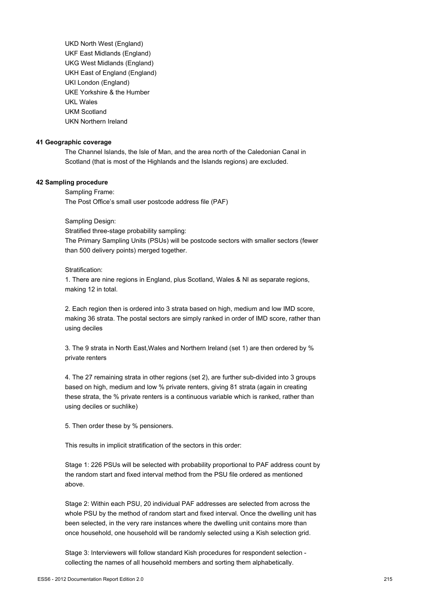UKD North West (England) UKF East Midlands (England) UKG West Midlands (England) UKH East of England (England) UKI London (England) UKE Yorkshire & the Humber UKL Wales UKM Scotland UKN Northern Ireland

#### **41 Geographic coverage**

The Channel Islands, the Isle of Man, and the area north of the Caledonian Canal in Scotland (that is most of the Highlands and the Islands regions) are excluded.

#### **42 Sampling procedure**

Sampling Frame: The Post Office's small user postcode address file (PAF)

#### Sampling Design:

Stratified three-stage probability sampling: The Primary Sampling Units (PSUs) will be postcode sectors with smaller sectors (fewer than 500 delivery points) merged together.

#### Stratification:

1. There are nine regions in England, plus Scotland, Wales & NI as separate regions, making 12 in total.

2. Each region then is ordered into 3 strata based on high, medium and low IMD score, making 36 strata. The postal sectors are simply ranked in order of IMD score, rather than using deciles

3. The 9 strata in North East,Wales and Northern Ireland (set 1) are then ordered by % private renters

4. The 27 remaining strata in other regions (set 2), are further sub-divided into 3 groups based on high, medium and low % private renters, giving 81 strata (again in creating these strata, the % private renters is a continuous variable which is ranked, rather than using deciles or suchlike)

5. Then order these by % pensioners.

This results in implicit stratification of the sectors in this order:

Stage 1: 226 PSUs will be selected with probability proportional to PAF address count by the random start and fixed interval method from the PSU file ordered as mentioned above.

Stage 2: Within each PSU, 20 individual PAF addresses are selected from across the whole PSU by the method of random start and fixed interval. Once the dwelling unit has been selected, in the very rare instances where the dwelling unit contains more than once household, one household will be randomly selected using a Kish selection grid.

Stage 3: Interviewers will follow standard Kish procedures for respondent selection collecting the names of all household members and sorting them alphabetically.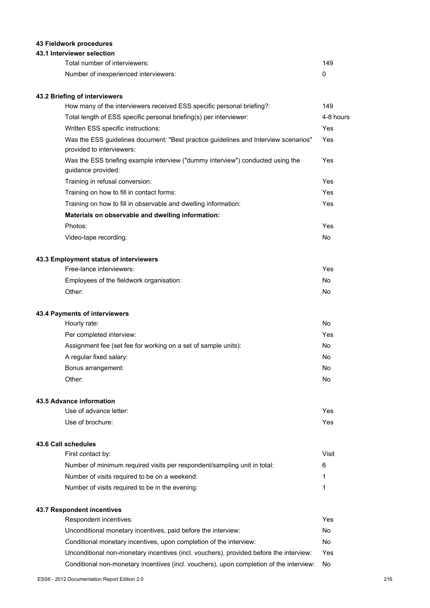## **43 Fieldwork procedures**

## **43.1 Interviewer selection**

| Total number of interviewers:         | 149 |
|---------------------------------------|-----|
| Number of inexperienced interviewers: |     |

## **43.2 Briefing of interviewers**

| How many of the interviewers received ESS specific personal briefing?:                                           | 149       |
|------------------------------------------------------------------------------------------------------------------|-----------|
| Total length of ESS specific personal briefing(s) per interviewer:                                               | 4-8 hours |
| Written ESS specific instructions:                                                                               | Yes       |
| Was the ESS guidelines document: "Best practice guidelines and Interview scenarios"<br>provided to interviewers: | Yes       |
| Was the ESS briefing example interview ("dummy interview") conducted using the<br>guidance provided:             | Yes       |
| Training in refusal conversion:                                                                                  | Yes       |
| Training on how to fill in contact forms:                                                                        | Yes       |
| Training on how to fill in observable and dwelling information:                                                  | Yes       |
| Materials on observable and dwelling information:                                                                |           |
| Photos:                                                                                                          | Yes       |
| Video-tape recording:                                                                                            | No.       |
| 43.3 Employment status of interviewers                                                                           |           |
| Free-lance interviewers:                                                                                         | Yes       |
| Employees of the fieldwork organisation:                                                                         | No        |
| Other:                                                                                                           | No        |

#### **43.4 Payments of interviewers**

| Hourly rate:                                                   | No  |
|----------------------------------------------------------------|-----|
| Per completed interview:                                       | Yes |
| Assignment fee (set fee for working on a set of sample units): | No  |
| A regular fixed salary:                                        | No  |
| Bonus arrangement:                                             | No  |
| Other:                                                         | No  |

#### **43.5 Advance information**

| Use of advance letter: | Yes |
|------------------------|-----|
| Use of brochure:       | Yes |

#### **43.6 Call schedules**

| First contact by:                                                        | Visit |
|--------------------------------------------------------------------------|-------|
| Number of minimum required visits per respondent/sampling unit in total: | 6     |
| Number of visits required to be on a weekend:                            |       |
| Number of visits required to be in the evening:                          |       |

## **43.7 Respondent incentives**

| Respondent incentives:                                                                  | Yes  |
|-----------------------------------------------------------------------------------------|------|
| Unconditional monetary incentives, paid before the interview:                           | No   |
| Conditional monetary incentives, upon completion of the interview:                      | No.  |
| Unconditional non-monetary incentives (incl. vouchers), provided before the interview:  | Yes  |
| Conditional non-monetary incentives (incl. vouchers), upon completion of the interview: | - No |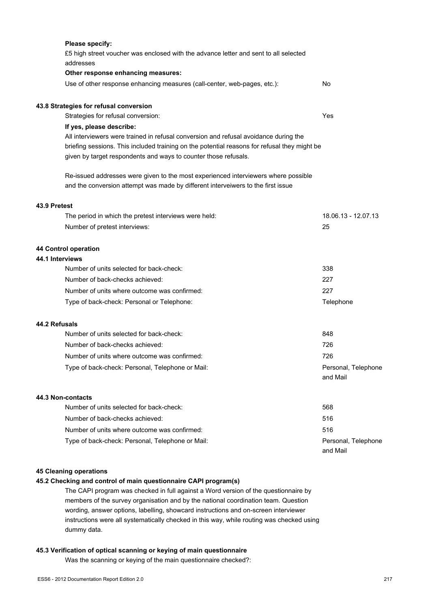|              | Please specify:                                                                              |                                 |
|--------------|----------------------------------------------------------------------------------------------|---------------------------------|
|              | £5 high street voucher was enclosed with the advance letter and sent to all selected         |                                 |
|              | addresses                                                                                    |                                 |
|              | Other response enhancing measures:                                                           |                                 |
|              | Use of other response enhancing measures (call-center, web-pages, etc.):                     | No                              |
|              | 43.8 Strategies for refusal conversion                                                       |                                 |
|              | Strategies for refusal conversion:                                                           | Yes                             |
|              | If yes, please describe:                                                                     |                                 |
|              | All interviewers were trained in refusal conversion and refusal avoidance during the         |                                 |
|              | briefing sessions. This included training on the potential reasons for refusal they might be |                                 |
|              | given by target respondents and ways to counter those refusals.                              |                                 |
|              | Re-issued addresses were given to the most experienced interviewers where possible           |                                 |
|              | and the conversion attempt was made by different interveiwers to the first issue             |                                 |
| 43.9 Pretest |                                                                                              |                                 |
|              | The period in which the pretest interviews were held:                                        | 18.06.13 - 12.07.13             |
|              | Number of pretest interviews:                                                                | 25                              |
|              | 44 Control operation                                                                         |                                 |
|              | 44.1 Interviews                                                                              |                                 |
|              | Number of units selected for back-check:                                                     | 338                             |
|              | Number of back-checks achieved:                                                              | 227                             |
|              | Number of units where outcome was confirmed:                                                 | 227                             |
|              | Type of back-check: Personal or Telephone:                                                   | Telephone                       |
|              | 44.2 Refusals                                                                                |                                 |
|              | Number of units selected for back-check:                                                     | 848                             |
|              | Number of back-checks achieved:                                                              | 726                             |
|              | Number of units where outcome was confirmed:                                                 | 726                             |
|              | Type of back-check: Personal, Telephone or Mail:                                             | Personal, Telephone             |
|              |                                                                                              | and Mail                        |
|              | 44.3 Non-contacts                                                                            |                                 |
|              | Number of units selected for back-check:                                                     | 568                             |
|              | Number of back-checks achieved:                                                              | 516                             |
|              | Number of units where outcome was confirmed:                                                 | 516                             |
|              | Type of back-check: Personal, Telephone or Mail:                                             | Personal, Telephone<br>and Mail |
|              |                                                                                              |                                 |

# **45 Cleaning operations**

# **45.2 Checking and control of main questionnaire CAPI program(s)**

The CAPI program was checked in full against a Word version of the questionnaire by members of the survey organisation and by the national coordination team. Question wording, answer options, labelling, showcard instructions and on-screen interviewer instructions were all systematically checked in this way, while routing was checked using dummy data.

### **45.3 Verification of optical scanning or keying of main questionnaire**

Was the scanning or keying of the main questionnaire checked?: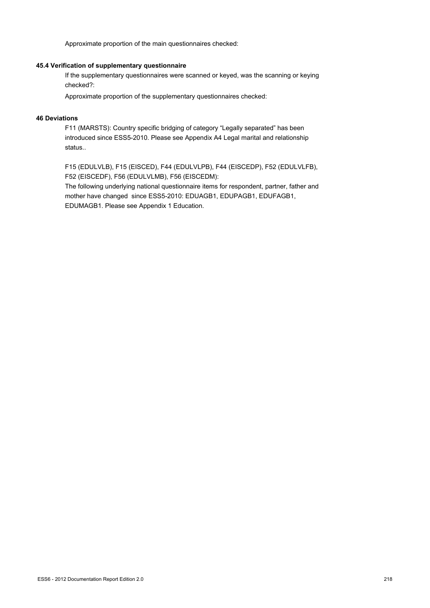Approximate proportion of the main questionnaires checked:

#### **45.4 Verification of supplementary questionnaire**

If the supplementary questionnaires were scanned or keyed, was the scanning or keying checked?:

Approximate proportion of the supplementary questionnaires checked:

## **46 Deviations**

F11 (MARSTS): Country specific bridging of category "Legally separated" has been introduced since ESS5-2010. Please see Appendix A4 Legal marital and relationship status..

F15 (EDULVLB), F15 (EISCED), F44 (EDULVLPB), F44 (EISCEDP), F52 (EDULVLFB), F52 (EISCEDF), F56 (EDULVLMB), F56 (EISCEDM):

The following underlying national questionnaire items for respondent, partner, father and mother have changed since ESS5-2010: EDUAGB1, EDUPAGB1, EDUFAGB1, EDUMAGB1. Please see Appendix 1 Education.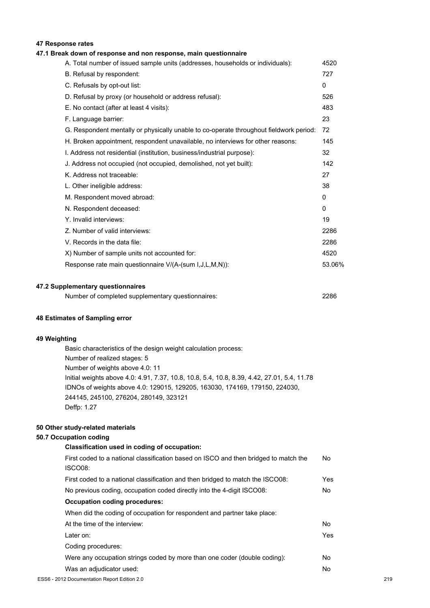# **47 Response rates**

## **47.1 Break down of response and non response, main questionnaire**

| A. Total number of issued sample units (addresses, households or individuals):         | 4520         |
|----------------------------------------------------------------------------------------|--------------|
| B. Refusal by respondent:                                                              | 727          |
| C. Refusals by opt-out list:                                                           | $\Omega$     |
| D. Refusal by proxy (or household or address refusal):                                 | 526          |
| E. No contact (after at least 4 visits):                                               | 483          |
| F. Language barrier:                                                                   | 23           |
| G. Respondent mentally or physically unable to co-operate throughout fieldwork period: | 72           |
| H. Broken appointment, respondent unavailable, no interviews for other reasons:        | 145          |
| I. Address not residential (institution, business/industrial purpose):                 | 32           |
| J. Address not occupied (not occupied, demolished, not yet built):                     | 142          |
| K. Address not traceable:                                                              | 27           |
| L. Other ineligible address:                                                           | 38           |
| M. Respondent moved abroad:                                                            | $\mathbf{0}$ |
| N. Respondent deceased:                                                                | $\mathbf{0}$ |
| Y. Invalid interviews:                                                                 | 19           |
| Z. Number of valid interviews:                                                         | 2286         |
| V. Records in the data file:                                                           | 2286         |
| X) Number of sample units not accounted for:                                           | 4520         |
| Response rate main questionnaire V/(A-(sum I, J, L, M, N)):                            | 53.06%       |
|                                                                                        |              |

#### **47.2 Supplementary questionnaires**

| Number of completed supplementary questionnaires: | 2286 |
|---------------------------------------------------|------|
|                                                   |      |

#### **48 Estimates of Sampling error**

#### **49 Weighting**

Basic characteristics of the design weight calculation process: Number of realized stages: 5 Number of weights above 4.0: 11 Initial weights above 4.0: 4.91, 7.37, 10.8, 10.8, 5.4, 10.8, 8.39, 4.42, 27.01, 5.4, 11.78 IDNOs of weights above 4.0: 129015, 129205, 163030, 174169, 179150, 224030, 244145, 245100, 276204, 280149, 323121 Deffp: 1.27

#### **50 Other study-related materials**

### **50.7 Occupation coding**

| Classification used in coding of occupation:                                                    |      |  |
|-------------------------------------------------------------------------------------------------|------|--|
| First coded to a national classification based on ISCO and then bridged to match the<br>ISCO08: | No.  |  |
| First coded to a national classification and then bridged to match the ISCO08:                  | Yes  |  |
| No previous coding, occupation coded directly into the 4-digit ISCO08:                          | No.  |  |
| <b>Occupation coding procedures:</b>                                                            |      |  |
| When did the coding of occupation for respondent and partner take place:                        |      |  |
| At the time of the interview:                                                                   | No.  |  |
| Later on:                                                                                       | Yes. |  |
| Coding procedures:                                                                              |      |  |
| Were any occupation strings coded by more than one coder (double coding):                       | No   |  |
| Was an adjudicator used:                                                                        | No   |  |